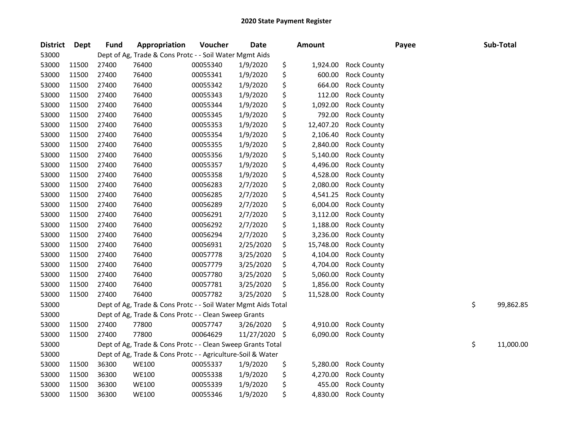| <b>District</b> | <b>Dept</b> | <b>Fund</b> | Appropriation                                                 | Voucher  | <b>Date</b> | <b>Amount</b>   |                    | Payee | Sub-Total       |
|-----------------|-------------|-------------|---------------------------------------------------------------|----------|-------------|-----------------|--------------------|-------|-----------------|
| 53000           |             |             | Dept of Ag, Trade & Cons Protc - - Soil Water Mgmt Aids       |          |             |                 |                    |       |                 |
| 53000           | 11500       | 27400       | 76400                                                         | 00055340 | 1/9/2020    | \$<br>1,924.00  | <b>Rock County</b> |       |                 |
| 53000           | 11500       | 27400       | 76400                                                         | 00055341 | 1/9/2020    | \$<br>600.00    | <b>Rock County</b> |       |                 |
| 53000           | 11500       | 27400       | 76400                                                         | 00055342 | 1/9/2020    | \$<br>664.00    | <b>Rock County</b> |       |                 |
| 53000           | 11500       | 27400       | 76400                                                         | 00055343 | 1/9/2020    | \$<br>112.00    | <b>Rock County</b> |       |                 |
| 53000           | 11500       | 27400       | 76400                                                         | 00055344 | 1/9/2020    | \$<br>1,092.00  | <b>Rock County</b> |       |                 |
| 53000           | 11500       | 27400       | 76400                                                         | 00055345 | 1/9/2020    | \$<br>792.00    | <b>Rock County</b> |       |                 |
| 53000           | 11500       | 27400       | 76400                                                         | 00055353 | 1/9/2020    | \$<br>12,407.20 | <b>Rock County</b> |       |                 |
| 53000           | 11500       | 27400       | 76400                                                         | 00055354 | 1/9/2020    | \$<br>2,106.40  | <b>Rock County</b> |       |                 |
| 53000           | 11500       | 27400       | 76400                                                         | 00055355 | 1/9/2020    | \$<br>2,840.00  | <b>Rock County</b> |       |                 |
| 53000           | 11500       | 27400       | 76400                                                         | 00055356 | 1/9/2020    | \$<br>5,140.00  | <b>Rock County</b> |       |                 |
| 53000           | 11500       | 27400       | 76400                                                         | 00055357 | 1/9/2020    | \$<br>4,496.00  | <b>Rock County</b> |       |                 |
| 53000           | 11500       | 27400       | 76400                                                         | 00055358 | 1/9/2020    | \$<br>4,528.00  | <b>Rock County</b> |       |                 |
| 53000           | 11500       | 27400       | 76400                                                         | 00056283 | 2/7/2020    | \$<br>2,080.00  | <b>Rock County</b> |       |                 |
| 53000           | 11500       | 27400       | 76400                                                         | 00056285 | 2/7/2020    | \$<br>4,541.25  | <b>Rock County</b> |       |                 |
| 53000           | 11500       | 27400       | 76400                                                         | 00056289 | 2/7/2020    | \$<br>6,004.00  | <b>Rock County</b> |       |                 |
| 53000           | 11500       | 27400       | 76400                                                         | 00056291 | 2/7/2020    | \$<br>3,112.00  | Rock County        |       |                 |
| 53000           | 11500       | 27400       | 76400                                                         | 00056292 | 2/7/2020    | \$<br>1,188.00  | <b>Rock County</b> |       |                 |
| 53000           | 11500       | 27400       | 76400                                                         | 00056294 | 2/7/2020    | \$<br>3,236.00  | <b>Rock County</b> |       |                 |
| 53000           | 11500       | 27400       | 76400                                                         | 00056931 | 2/25/2020   | \$<br>15,748.00 | <b>Rock County</b> |       |                 |
| 53000           | 11500       | 27400       | 76400                                                         | 00057778 | 3/25/2020   | \$<br>4,104.00  | <b>Rock County</b> |       |                 |
| 53000           | 11500       | 27400       | 76400                                                         | 00057779 | 3/25/2020   | \$<br>4,704.00  | <b>Rock County</b> |       |                 |
| 53000           | 11500       | 27400       | 76400                                                         | 00057780 | 3/25/2020   | \$<br>5,060.00  | <b>Rock County</b> |       |                 |
| 53000           | 11500       | 27400       | 76400                                                         | 00057781 | 3/25/2020   | \$<br>1,856.00  | <b>Rock County</b> |       |                 |
| 53000           | 11500       | 27400       | 76400                                                         | 00057782 | 3/25/2020   | \$<br>11,528.00 | <b>Rock County</b> |       |                 |
| 53000           |             |             | Dept of Ag, Trade & Cons Protc - - Soil Water Mgmt Aids Total |          |             |                 |                    |       | \$<br>99,862.85 |
| 53000           |             |             | Dept of Ag, Trade & Cons Protc - - Clean Sweep Grants         |          |             |                 |                    |       |                 |
| 53000           | 11500       | 27400       | 77800                                                         | 00057747 | 3/26/2020   | \$<br>4,910.00  | <b>Rock County</b> |       |                 |
| 53000           | 11500       | 27400       | 77800                                                         | 00064629 | 11/27/2020  | \$<br>6,090.00  | <b>Rock County</b> |       |                 |
| 53000           |             |             | Dept of Ag, Trade & Cons Protc - - Clean Sweep Grants Total   |          |             |                 |                    |       | \$<br>11,000.00 |
| 53000           |             |             | Dept of Ag, Trade & Cons Protc - - Agriculture-Soil & Water   |          |             |                 |                    |       |                 |
| 53000           | 11500       | 36300       | <b>WE100</b>                                                  | 00055337 | 1/9/2020    | \$<br>5,280.00  | <b>Rock County</b> |       |                 |
| 53000           | 11500       | 36300       | <b>WE100</b>                                                  | 00055338 | 1/9/2020    | \$<br>4,270.00  | <b>Rock County</b> |       |                 |
| 53000           | 11500       | 36300       | <b>WE100</b>                                                  | 00055339 | 1/9/2020    | \$<br>455.00    | <b>Rock County</b> |       |                 |
| 53000           | 11500       | 36300       | <b>WE100</b>                                                  | 00055346 | 1/9/2020    | \$<br>4,830.00  | <b>Rock County</b> |       |                 |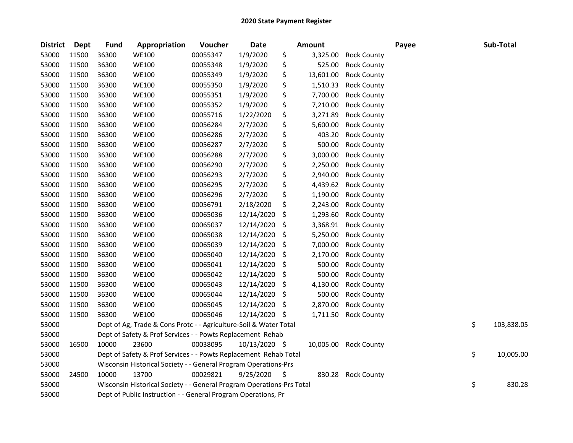| <b>District</b> | <b>Dept</b> | <b>Fund</b> | Appropriation                                                         | Voucher  | <b>Date</b>   |    | <b>Amount</b> |                       | Payee | Sub-Total        |
|-----------------|-------------|-------------|-----------------------------------------------------------------------|----------|---------------|----|---------------|-----------------------|-------|------------------|
| 53000           | 11500       | 36300       | <b>WE100</b>                                                          | 00055347 | 1/9/2020      | \$ | 3,325.00      | <b>Rock County</b>    |       |                  |
| 53000           | 11500       | 36300       | <b>WE100</b>                                                          | 00055348 | 1/9/2020      | \$ | 525.00        | <b>Rock County</b>    |       |                  |
| 53000           | 11500       | 36300       | <b>WE100</b>                                                          | 00055349 | 1/9/2020      | \$ | 13,601.00     | <b>Rock County</b>    |       |                  |
| 53000           | 11500       | 36300       | <b>WE100</b>                                                          | 00055350 | 1/9/2020      | \$ | 1,510.33      | <b>Rock County</b>    |       |                  |
| 53000           | 11500       | 36300       | <b>WE100</b>                                                          | 00055351 | 1/9/2020      | \$ | 7,700.00      | <b>Rock County</b>    |       |                  |
| 53000           | 11500       | 36300       | <b>WE100</b>                                                          | 00055352 | 1/9/2020      | \$ | 7,210.00      | <b>Rock County</b>    |       |                  |
| 53000           | 11500       | 36300       | <b>WE100</b>                                                          | 00055716 | 1/22/2020     | \$ | 3,271.89      | <b>Rock County</b>    |       |                  |
| 53000           | 11500       | 36300       | <b>WE100</b>                                                          | 00056284 | 2/7/2020      | \$ | 5,600.00      | <b>Rock County</b>    |       |                  |
| 53000           | 11500       | 36300       | <b>WE100</b>                                                          | 00056286 | 2/7/2020      | \$ | 403.20        | <b>Rock County</b>    |       |                  |
| 53000           | 11500       | 36300       | <b>WE100</b>                                                          | 00056287 | 2/7/2020      | \$ | 500.00        | <b>Rock County</b>    |       |                  |
| 53000           | 11500       | 36300       | <b>WE100</b>                                                          | 00056288 | 2/7/2020      | \$ | 3,000.00      | <b>Rock County</b>    |       |                  |
| 53000           | 11500       | 36300       | <b>WE100</b>                                                          | 00056290 | 2/7/2020      | \$ | 2,250.00      | <b>Rock County</b>    |       |                  |
| 53000           | 11500       | 36300       | <b>WE100</b>                                                          | 00056293 | 2/7/2020      | \$ | 2,940.00      | <b>Rock County</b>    |       |                  |
| 53000           | 11500       | 36300       | <b>WE100</b>                                                          | 00056295 | 2/7/2020      | \$ | 4,439.62      | <b>Rock County</b>    |       |                  |
| 53000           | 11500       | 36300       | <b>WE100</b>                                                          | 00056296 | 2/7/2020      | \$ | 1,190.00      | <b>Rock County</b>    |       |                  |
| 53000           | 11500       | 36300       | <b>WE100</b>                                                          | 00056791 | 2/18/2020     | \$ | 2,243.00      | <b>Rock County</b>    |       |                  |
| 53000           | 11500       | 36300       | <b>WE100</b>                                                          | 00065036 | 12/14/2020    | \$ | 1,293.60      | <b>Rock County</b>    |       |                  |
| 53000           | 11500       | 36300       | <b>WE100</b>                                                          | 00065037 | 12/14/2020    | \$ | 3,368.91      | <b>Rock County</b>    |       |                  |
| 53000           | 11500       | 36300       | <b>WE100</b>                                                          | 00065038 | 12/14/2020    | \$ | 5,250.00      | <b>Rock County</b>    |       |                  |
| 53000           | 11500       | 36300       | <b>WE100</b>                                                          | 00065039 | 12/14/2020    | \$ | 7,000.00      | <b>Rock County</b>    |       |                  |
| 53000           | 11500       | 36300       | <b>WE100</b>                                                          | 00065040 | 12/14/2020    | \$ | 2,170.00      | <b>Rock County</b>    |       |                  |
| 53000           | 11500       | 36300       | <b>WE100</b>                                                          | 00065041 | 12/14/2020    | \$ | 500.00        | <b>Rock County</b>    |       |                  |
| 53000           | 11500       | 36300       | <b>WE100</b>                                                          | 00065042 | 12/14/2020    | \$ | 500.00        | <b>Rock County</b>    |       |                  |
| 53000           | 11500       | 36300       | <b>WE100</b>                                                          | 00065043 | 12/14/2020    | \$ | 4,130.00      | <b>Rock County</b>    |       |                  |
| 53000           | 11500       | 36300       | <b>WE100</b>                                                          | 00065044 | 12/14/2020    | \$ | 500.00        | <b>Rock County</b>    |       |                  |
| 53000           | 11500       | 36300       | <b>WE100</b>                                                          | 00065045 | 12/14/2020    | S  | 2,870.00      | <b>Rock County</b>    |       |                  |
| 53000           | 11500       | 36300       | <b>WE100</b>                                                          | 00065046 | 12/14/2020    | -S | 1,711.50      | <b>Rock County</b>    |       |                  |
| 53000           |             |             | Dept of Ag, Trade & Cons Protc - - Agriculture-Soil & Water Total     |          |               |    |               |                       |       | \$<br>103,838.05 |
| 53000           |             |             | Dept of Safety & Prof Services - - Powts Replacement Rehab            |          |               |    |               |                       |       |                  |
| 53000           | 16500       | 10000       | 23600                                                                 | 00038095 | 10/13/2020 \$ |    |               | 10,005.00 Rock County |       |                  |
| 53000           |             |             | Dept of Safety & Prof Services - - Powts Replacement Rehab Total      |          |               |    |               |                       |       | \$<br>10,005.00  |
| 53000           |             |             | Wisconsin Historical Society - - General Program Operations-Prs       |          |               |    |               |                       |       |                  |
| 53000           | 24500       | 10000       | 13700                                                                 | 00029821 | 9/25/2020     | \$ | 830.28        | <b>Rock County</b>    |       |                  |
| 53000           |             |             | Wisconsin Historical Society - - General Program Operations-Prs Total |          |               |    |               |                       |       | \$<br>830.28     |
| 53000           |             |             | Dept of Public Instruction - - General Program Operations, Pr         |          |               |    |               |                       |       |                  |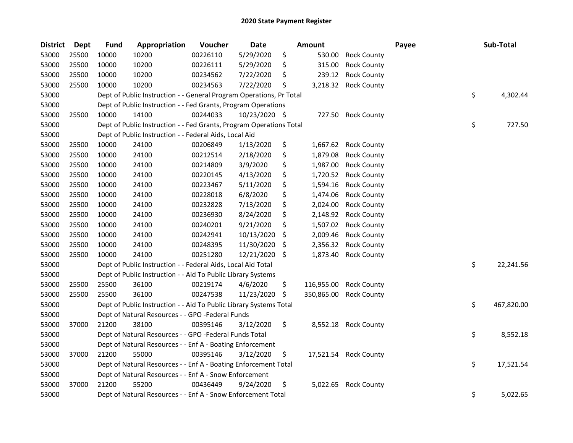| <b>District</b> | <b>Dept</b> | <b>Fund</b> | Appropriation                                                       | Voucher  | Date          |    | <b>Amount</b> |                       | Payee | Sub-Total        |
|-----------------|-------------|-------------|---------------------------------------------------------------------|----------|---------------|----|---------------|-----------------------|-------|------------------|
| 53000           | 25500       | 10000       | 10200                                                               | 00226110 | 5/29/2020     | \$ | 530.00        | <b>Rock County</b>    |       |                  |
| 53000           | 25500       | 10000       | 10200                                                               | 00226111 | 5/29/2020     | \$ | 315.00        | <b>Rock County</b>    |       |                  |
| 53000           | 25500       | 10000       | 10200                                                               | 00234562 | 7/22/2020     | \$ | 239.12        | <b>Rock County</b>    |       |                  |
| 53000           | 25500       | 10000       | 10200                                                               | 00234563 | 7/22/2020     | \$ | 3,218.32      | <b>Rock County</b>    |       |                  |
| 53000           |             |             | Dept of Public Instruction - - General Program Operations, Pr Total |          |               |    |               |                       |       | \$<br>4,302.44   |
| 53000           |             |             | Dept of Public Instruction - - Fed Grants, Program Operations       |          |               |    |               |                       |       |                  |
| 53000           | 25500       | 10000       | 14100                                                               | 00244033 | 10/23/2020 \$ |    | 727.50        | <b>Rock County</b>    |       |                  |
| 53000           |             |             | Dept of Public Instruction - - Fed Grants, Program Operations Total |          |               |    |               |                       |       | \$<br>727.50     |
| 53000           |             |             | Dept of Public Instruction - - Federal Aids, Local Aid              |          |               |    |               |                       |       |                  |
| 53000           | 25500       | 10000       | 24100                                                               | 00206849 | 1/13/2020     | \$ | 1,667.62      | <b>Rock County</b>    |       |                  |
| 53000           | 25500       | 10000       | 24100                                                               | 00212514 | 2/18/2020     | \$ | 1,879.08      | <b>Rock County</b>    |       |                  |
| 53000           | 25500       | 10000       | 24100                                                               | 00214809 | 3/9/2020      | \$ | 1,987.00      | <b>Rock County</b>    |       |                  |
| 53000           | 25500       | 10000       | 24100                                                               | 00220145 | 4/13/2020     | \$ | 1,720.52      | <b>Rock County</b>    |       |                  |
| 53000           | 25500       | 10000       | 24100                                                               | 00223467 | 5/11/2020     | \$ | 1,594.16      | <b>Rock County</b>    |       |                  |
| 53000           | 25500       | 10000       | 24100                                                               | 00228018 | 6/8/2020      | \$ | 1,474.06      | <b>Rock County</b>    |       |                  |
| 53000           | 25500       | 10000       | 24100                                                               | 00232828 | 7/13/2020     | \$ | 2,024.00      | <b>Rock County</b>    |       |                  |
| 53000           | 25500       | 10000       | 24100                                                               | 00236930 | 8/24/2020     | \$ | 2,148.92      | <b>Rock County</b>    |       |                  |
| 53000           | 25500       | 10000       | 24100                                                               | 00240201 | 9/21/2020     | \$ | 1,507.02      | <b>Rock County</b>    |       |                  |
| 53000           | 25500       | 10000       | 24100                                                               | 00242941 | 10/13/2020    | \$ | 2,009.46      | <b>Rock County</b>    |       |                  |
| 53000           | 25500       | 10000       | 24100                                                               | 00248395 | 11/30/2020    | S  | 2,356.32      | <b>Rock County</b>    |       |                  |
| 53000           | 25500       | 10000       | 24100                                                               | 00251280 | 12/21/2020    | \$ | 1,873.40      | <b>Rock County</b>    |       |                  |
| 53000           |             |             | Dept of Public Instruction - - Federal Aids, Local Aid Total        |          |               |    |               |                       |       | \$<br>22,241.56  |
| 53000           |             |             | Dept of Public Instruction - - Aid To Public Library Systems        |          |               |    |               |                       |       |                  |
| 53000           | 25500       | 25500       | 36100                                                               | 00219174 | 4/6/2020      | \$ | 116,955.00    | <b>Rock County</b>    |       |                  |
| 53000           | 25500       | 25500       | 36100                                                               | 00247538 | 11/23/2020    | \$ | 350,865.00    | <b>Rock County</b>    |       |                  |
| 53000           |             |             | Dept of Public Instruction - - Aid To Public Library Systems Total  |          |               |    |               |                       |       | \$<br>467,820.00 |
| 53000           |             |             | Dept of Natural Resources - - GPO -Federal Funds                    |          |               |    |               |                       |       |                  |
| 53000           | 37000       | 21200       | 38100                                                               | 00395146 | 3/12/2020     | \$ | 8,552.18      | <b>Rock County</b>    |       |                  |
| 53000           |             |             | Dept of Natural Resources - - GPO -Federal Funds Total              |          |               |    |               |                       |       | \$<br>8,552.18   |
| 53000           |             |             | Dept of Natural Resources - - Enf A - Boating Enforcement           |          |               |    |               |                       |       |                  |
| 53000           | 37000       | 21200       | 55000                                                               | 00395146 | 3/12/2020     | \$ |               | 17,521.54 Rock County |       |                  |
| 53000           |             |             | Dept of Natural Resources - - Enf A - Boating Enforcement Total     |          |               |    |               |                       |       | \$<br>17,521.54  |
| 53000           |             |             | Dept of Natural Resources - - Enf A - Snow Enforcement              |          |               |    |               |                       |       |                  |
| 53000           | 37000       | 21200       | 55200                                                               | 00436449 | 9/24/2020     | \$ | 5,022.65      | <b>Rock County</b>    |       |                  |
| 53000           |             |             | Dept of Natural Resources - - Enf A - Snow Enforcement Total        |          |               |    |               |                       |       | \$<br>5,022.65   |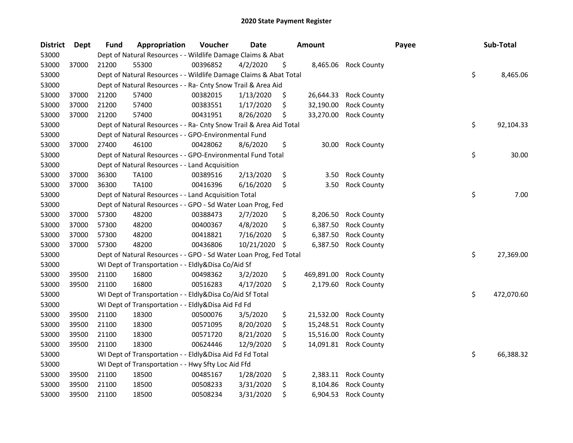| <b>District</b> | <b>Dept</b> | <b>Fund</b> | Appropriation                                                      | Voucher  | <b>Date</b> |    | <b>Amount</b> |                    | Payee | Sub-Total        |
|-----------------|-------------|-------------|--------------------------------------------------------------------|----------|-------------|----|---------------|--------------------|-------|------------------|
| 53000           |             |             | Dept of Natural Resources - - Wildlife Damage Claims & Abat        |          |             |    |               |                    |       |                  |
| 53000           | 37000       | 21200       | 55300                                                              | 00396852 | 4/2/2020    | \$ | 8,465.06      | <b>Rock County</b> |       |                  |
| 53000           |             |             | Dept of Natural Resources - - Wildlife Damage Claims & Abat Total  |          |             |    |               |                    |       | \$<br>8,465.06   |
| 53000           |             |             | Dept of Natural Resources - - Ra- Cnty Snow Trail & Area Aid       |          |             |    |               |                    |       |                  |
| 53000           | 37000       | 21200       | 57400                                                              | 00382015 | 1/13/2020   | \$ | 26,644.33     | <b>Rock County</b> |       |                  |
| 53000           | 37000       | 21200       | 57400                                                              | 00383551 | 1/17/2020   | \$ | 32,190.00     | <b>Rock County</b> |       |                  |
| 53000           | 37000       | 21200       | 57400                                                              | 00431951 | 8/26/2020   | \$ | 33,270.00     | <b>Rock County</b> |       |                  |
| 53000           |             |             | Dept of Natural Resources - - Ra- Cnty Snow Trail & Area Aid Total |          |             |    |               |                    |       | \$<br>92,104.33  |
| 53000           |             |             | Dept of Natural Resources - - GPO-Environmental Fund               |          |             |    |               |                    |       |                  |
| 53000           | 37000       | 27400       | 46100                                                              | 00428062 | 8/6/2020    | \$ | 30.00         | <b>Rock County</b> |       |                  |
| 53000           |             |             | Dept of Natural Resources - - GPO-Environmental Fund Total         |          |             |    |               |                    |       | \$<br>30.00      |
| 53000           |             |             | Dept of Natural Resources - - Land Acquisition                     |          |             |    |               |                    |       |                  |
| 53000           | 37000       | 36300       | TA100                                                              | 00389516 | 2/13/2020   | \$ | 3.50          | <b>Rock County</b> |       |                  |
| 53000           | 37000       | 36300       | TA100                                                              | 00416396 | 6/16/2020   | \$ | 3.50          | <b>Rock County</b> |       |                  |
| 53000           |             |             | Dept of Natural Resources - - Land Acquisition Total               |          |             |    |               |                    |       | \$<br>7.00       |
| 53000           |             |             | Dept of Natural Resources - - GPO - Sd Water Loan Prog, Fed        |          |             |    |               |                    |       |                  |
| 53000           | 37000       | 57300       | 48200                                                              | 00388473 | 2/7/2020    | \$ | 8,206.50      | <b>Rock County</b> |       |                  |
| 53000           | 37000       | 57300       | 48200                                                              | 00400367 | 4/8/2020    | \$ | 6,387.50      | <b>Rock County</b> |       |                  |
| 53000           | 37000       | 57300       | 48200                                                              | 00418821 | 7/16/2020   | \$ | 6,387.50      | <b>Rock County</b> |       |                  |
| 53000           | 37000       | 57300       | 48200                                                              | 00436806 | 10/21/2020  | -S | 6,387.50      | <b>Rock County</b> |       |                  |
| 53000           |             |             | Dept of Natural Resources - - GPO - Sd Water Loan Prog, Fed Total  |          |             |    |               |                    |       | \$<br>27,369.00  |
| 53000           |             |             | WI Dept of Transportation - - Eldly&Disa Co/Aid Sf                 |          |             |    |               |                    |       |                  |
| 53000           | 39500       | 21100       | 16800                                                              | 00498362 | 3/2/2020    | \$ | 469,891.00    | <b>Rock County</b> |       |                  |
| 53000           | 39500       | 21100       | 16800                                                              | 00516283 | 4/17/2020   | \$ | 2,179.60      | <b>Rock County</b> |       |                  |
| 53000           |             |             | WI Dept of Transportation - - Eldly&Disa Co/Aid Sf Total           |          |             |    |               |                    |       | \$<br>472,070.60 |
| 53000           |             |             | WI Dept of Transportation - - Eldly&Disa Aid Fd Fd                 |          |             |    |               |                    |       |                  |
| 53000           | 39500       | 21100       | 18300                                                              | 00500076 | 3/5/2020    | \$ | 21,532.00     | <b>Rock County</b> |       |                  |
| 53000           | 39500       | 21100       | 18300                                                              | 00571095 | 8/20/2020   | \$ | 15,248.51     | <b>Rock County</b> |       |                  |
| 53000           | 39500       | 21100       | 18300                                                              | 00571720 | 8/21/2020   | \$ | 15,516.00     | <b>Rock County</b> |       |                  |
| 53000           | 39500       | 21100       | 18300                                                              | 00624446 | 12/9/2020   | \$ | 14,091.81     | <b>Rock County</b> |       |                  |
| 53000           |             |             | WI Dept of Transportation - - Eldly&Disa Aid Fd Fd Total           |          |             |    |               |                    |       | \$<br>66,388.32  |
| 53000           |             |             | WI Dept of Transportation - - Hwy Sfty Loc Aid Ffd                 |          |             |    |               |                    |       |                  |
| 53000           | 39500       | 21100       | 18500                                                              | 00485167 | 1/28/2020   | \$ | 2,383.11      | <b>Rock County</b> |       |                  |
| 53000           | 39500       | 21100       | 18500                                                              | 00508233 | 3/31/2020   | \$ | 8,104.86      | <b>Rock County</b> |       |                  |
| 53000           | 39500       | 21100       | 18500                                                              | 00508234 | 3/31/2020   | \$ | 6,904.53      | <b>Rock County</b> |       |                  |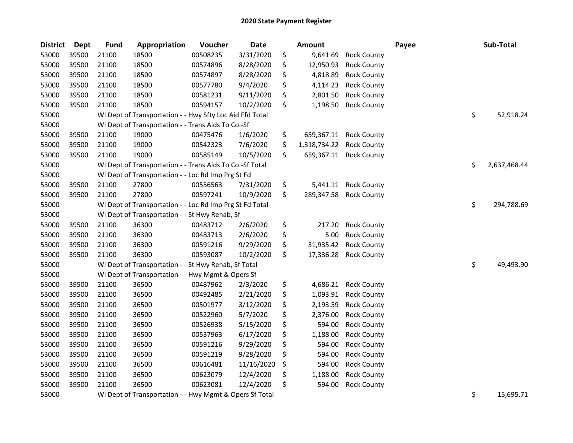| <b>District</b> | <b>Dept</b> | <b>Fund</b> | Appropriation                                            | Voucher  | <b>Date</b> | <b>Amount</b>      |                    | Payee | Sub-Total          |
|-----------------|-------------|-------------|----------------------------------------------------------|----------|-------------|--------------------|--------------------|-------|--------------------|
| 53000           | 39500       | 21100       | 18500                                                    | 00508235 | 3/31/2020   | \$<br>9,641.69     | <b>Rock County</b> |       |                    |
| 53000           | 39500       | 21100       | 18500                                                    | 00574896 | 8/28/2020   | \$<br>12,950.93    | <b>Rock County</b> |       |                    |
| 53000           | 39500       | 21100       | 18500                                                    | 00574897 | 8/28/2020   | \$<br>4,818.89     | <b>Rock County</b> |       |                    |
| 53000           | 39500       | 21100       | 18500                                                    | 00577780 | 9/4/2020    | \$<br>4,114.23     | <b>Rock County</b> |       |                    |
| 53000           | 39500       | 21100       | 18500                                                    | 00581231 | 9/11/2020   | \$<br>2,801.50     | <b>Rock County</b> |       |                    |
| 53000           | 39500       | 21100       | 18500                                                    | 00594157 | 10/2/2020   | \$<br>1,198.50     | <b>Rock County</b> |       |                    |
| 53000           |             |             | WI Dept of Transportation - - Hwy Sfty Loc Aid Ffd Total |          |             |                    |                    |       | \$<br>52,918.24    |
| 53000           |             |             | WI Dept of Transportation - - Trans Aids To Co.-Sf       |          |             |                    |                    |       |                    |
| 53000           | 39500       | 21100       | 19000                                                    | 00475476 | 1/6/2020    | \$<br>659,367.11   | <b>Rock County</b> |       |                    |
| 53000           | 39500       | 21100       | 19000                                                    | 00542323 | 7/6/2020    | \$<br>1,318,734.22 | <b>Rock County</b> |       |                    |
| 53000           | 39500       | 21100       | 19000                                                    | 00585149 | 10/5/2020   | \$<br>659,367.11   | <b>Rock County</b> |       |                    |
| 53000           |             |             | WI Dept of Transportation - - Trans Aids To Co.-Sf Total |          |             |                    |                    |       | \$<br>2,637,468.44 |
| 53000           |             |             | WI Dept of Transportation - - Loc Rd Imp Prg St Fd       |          |             |                    |                    |       |                    |
| 53000           | 39500       | 21100       | 27800                                                    | 00556563 | 7/31/2020   | \$<br>5,441.11     | <b>Rock County</b> |       |                    |
| 53000           | 39500       | 21100       | 27800                                                    | 00597241 | 10/9/2020   | \$<br>289,347.58   | <b>Rock County</b> |       |                    |
| 53000           |             |             | WI Dept of Transportation - - Loc Rd Imp Prg St Fd Total |          |             |                    |                    |       | \$<br>294,788.69   |
| 53000           |             |             | WI Dept of Transportation - - St Hwy Rehab, Sf           |          |             |                    |                    |       |                    |
| 53000           | 39500       | 21100       | 36300                                                    | 00483712 | 2/6/2020    | \$<br>217.20       | <b>Rock County</b> |       |                    |
| 53000           | 39500       | 21100       | 36300                                                    | 00483713 | 2/6/2020    | \$<br>5.00         | <b>Rock County</b> |       |                    |
| 53000           | 39500       | 21100       | 36300                                                    | 00591216 | 9/29/2020   | \$<br>31,935.42    | <b>Rock County</b> |       |                    |
| 53000           | 39500       | 21100       | 36300                                                    | 00593087 | 10/2/2020   | \$<br>17,336.28    | <b>Rock County</b> |       |                    |
| 53000           |             |             | WI Dept of Transportation - - St Hwy Rehab, Sf Total     |          |             |                    |                    |       | \$<br>49,493.90    |
| 53000           |             |             | WI Dept of Transportation - - Hwy Mgmt & Opers Sf        |          |             |                    |                    |       |                    |
| 53000           | 39500       | 21100       | 36500                                                    | 00487962 | 2/3/2020    | \$<br>4,686.21     | <b>Rock County</b> |       |                    |
| 53000           | 39500       | 21100       | 36500                                                    | 00492485 | 2/21/2020   | \$<br>1,093.91     | <b>Rock County</b> |       |                    |
| 53000           | 39500       | 21100       | 36500                                                    | 00501977 | 3/12/2020   | \$<br>2,193.59     | <b>Rock County</b> |       |                    |
| 53000           | 39500       | 21100       | 36500                                                    | 00522960 | 5/7/2020    | \$<br>2,376.00     | <b>Rock County</b> |       |                    |
| 53000           | 39500       | 21100       | 36500                                                    | 00526938 | 5/15/2020   | \$<br>594.00       | <b>Rock County</b> |       |                    |
| 53000           | 39500       | 21100       | 36500                                                    | 00537963 | 6/17/2020   | \$<br>1,188.00     | <b>Rock County</b> |       |                    |
| 53000           | 39500       | 21100       | 36500                                                    | 00591216 | 9/29/2020   | \$<br>594.00       | <b>Rock County</b> |       |                    |
| 53000           | 39500       | 21100       | 36500                                                    | 00591219 | 9/28/2020   | \$<br>594.00       | <b>Rock County</b> |       |                    |
| 53000           | 39500       | 21100       | 36500                                                    | 00616481 | 11/16/2020  | \$<br>594.00       | <b>Rock County</b> |       |                    |
| 53000           | 39500       | 21100       | 36500                                                    | 00623079 | 12/4/2020   | \$<br>1,188.00     | <b>Rock County</b> |       |                    |
| 53000           | 39500       | 21100       | 36500                                                    | 00623081 | 12/4/2020   | \$<br>594.00       | <b>Rock County</b> |       |                    |
| 53000           |             |             | WI Dept of Transportation - - Hwy Mgmt & Opers Sf Total  |          |             |                    |                    |       | \$<br>15,695.71    |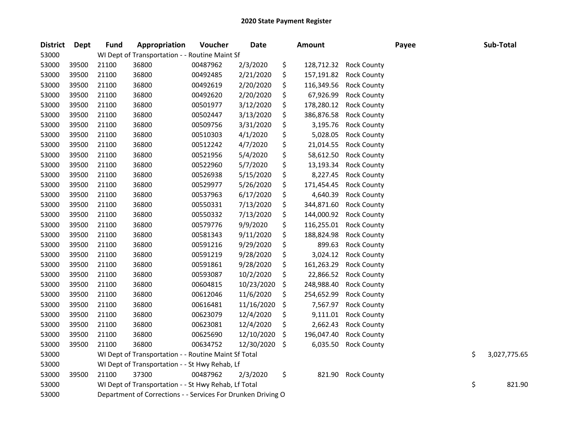| <b>District</b> | <b>Dept</b> | <b>Fund</b> | Appropriation                                                | Voucher  | <b>Date</b> | <b>Amount</b>    |                    | Payee | Sub-Total          |
|-----------------|-------------|-------------|--------------------------------------------------------------|----------|-------------|------------------|--------------------|-------|--------------------|
| 53000           |             |             | WI Dept of Transportation - - Routine Maint Sf               |          |             |                  |                    |       |                    |
| 53000           | 39500       | 21100       | 36800                                                        | 00487962 | 2/3/2020    | \$<br>128,712.32 | <b>Rock County</b> |       |                    |
| 53000           | 39500       | 21100       | 36800                                                        | 00492485 | 2/21/2020   | \$<br>157,191.82 | <b>Rock County</b> |       |                    |
| 53000           | 39500       | 21100       | 36800                                                        | 00492619 | 2/20/2020   | \$<br>116,349.56 | <b>Rock County</b> |       |                    |
| 53000           | 39500       | 21100       | 36800                                                        | 00492620 | 2/20/2020   | \$<br>67,926.99  | <b>Rock County</b> |       |                    |
| 53000           | 39500       | 21100       | 36800                                                        | 00501977 | 3/12/2020   | \$<br>178,280.12 | <b>Rock County</b> |       |                    |
| 53000           | 39500       | 21100       | 36800                                                        | 00502447 | 3/13/2020   | \$<br>386,876.58 | <b>Rock County</b> |       |                    |
| 53000           | 39500       | 21100       | 36800                                                        | 00509756 | 3/31/2020   | \$<br>3,195.76   | <b>Rock County</b> |       |                    |
| 53000           | 39500       | 21100       | 36800                                                        | 00510303 | 4/1/2020    | \$<br>5,028.05   | <b>Rock County</b> |       |                    |
| 53000           | 39500       | 21100       | 36800                                                        | 00512242 | 4/7/2020    | \$<br>21,014.55  | <b>Rock County</b> |       |                    |
| 53000           | 39500       | 21100       | 36800                                                        | 00521956 | 5/4/2020    | \$<br>58,612.50  | <b>Rock County</b> |       |                    |
| 53000           | 39500       | 21100       | 36800                                                        | 00522960 | 5/7/2020    | \$<br>13,193.34  | <b>Rock County</b> |       |                    |
| 53000           | 39500       | 21100       | 36800                                                        | 00526938 | 5/15/2020   | \$<br>8,227.45   | <b>Rock County</b> |       |                    |
| 53000           | 39500       | 21100       | 36800                                                        | 00529977 | 5/26/2020   | \$<br>171,454.45 | <b>Rock County</b> |       |                    |
| 53000           | 39500       | 21100       | 36800                                                        | 00537963 | 6/17/2020   | \$<br>4,640.39   | <b>Rock County</b> |       |                    |
| 53000           | 39500       | 21100       | 36800                                                        | 00550331 | 7/13/2020   | \$<br>344,871.60 | <b>Rock County</b> |       |                    |
| 53000           | 39500       | 21100       | 36800                                                        | 00550332 | 7/13/2020   | \$<br>144,000.92 | <b>Rock County</b> |       |                    |
| 53000           | 39500       | 21100       | 36800                                                        | 00579776 | 9/9/2020    | \$<br>116,255.01 | <b>Rock County</b> |       |                    |
| 53000           | 39500       | 21100       | 36800                                                        | 00581343 | 9/11/2020   | \$<br>188,824.98 | <b>Rock County</b> |       |                    |
| 53000           | 39500       | 21100       | 36800                                                        | 00591216 | 9/29/2020   | \$<br>899.63     | <b>Rock County</b> |       |                    |
| 53000           | 39500       | 21100       | 36800                                                        | 00591219 | 9/28/2020   | \$<br>3,024.12   | <b>Rock County</b> |       |                    |
| 53000           | 39500       | 21100       | 36800                                                        | 00591861 | 9/28/2020   | \$<br>161,263.29 | <b>Rock County</b> |       |                    |
| 53000           | 39500       | 21100       | 36800                                                        | 00593087 | 10/2/2020   | \$<br>22,866.52  | <b>Rock County</b> |       |                    |
| 53000           | 39500       | 21100       | 36800                                                        | 00604815 | 10/23/2020  | \$<br>248,988.40 | <b>Rock County</b> |       |                    |
| 53000           | 39500       | 21100       | 36800                                                        | 00612046 | 11/6/2020   | \$<br>254,652.99 | <b>Rock County</b> |       |                    |
| 53000           | 39500       | 21100       | 36800                                                        | 00616481 | 11/16/2020  | \$<br>7,567.97   | <b>Rock County</b> |       |                    |
| 53000           | 39500       | 21100       | 36800                                                        | 00623079 | 12/4/2020   | \$<br>9,111.01   | <b>Rock County</b> |       |                    |
| 53000           | 39500       | 21100       | 36800                                                        | 00623081 | 12/4/2020   | \$<br>2,662.43   | <b>Rock County</b> |       |                    |
| 53000           | 39500       | 21100       | 36800                                                        | 00625690 | 12/10/2020  | \$<br>196,047.40 | <b>Rock County</b> |       |                    |
| 53000           | 39500       | 21100       | 36800                                                        | 00634752 | 12/30/2020  | \$<br>6,035.50   | <b>Rock County</b> |       |                    |
| 53000           |             |             | WI Dept of Transportation - - Routine Maint Sf Total         |          |             |                  |                    |       | \$<br>3,027,775.65 |
| 53000           |             |             | WI Dept of Transportation - - St Hwy Rehab, Lf               |          |             |                  |                    |       |                    |
| 53000           | 39500       | 21100       | 37300                                                        | 00487962 | 2/3/2020    | \$<br>821.90     | <b>Rock County</b> |       |                    |
| 53000           |             |             | WI Dept of Transportation - - St Hwy Rehab, Lf Total         |          |             |                  |                    |       | \$<br>821.90       |
| 53000           |             |             | Department of Corrections - - Services For Drunken Driving O |          |             |                  |                    |       |                    |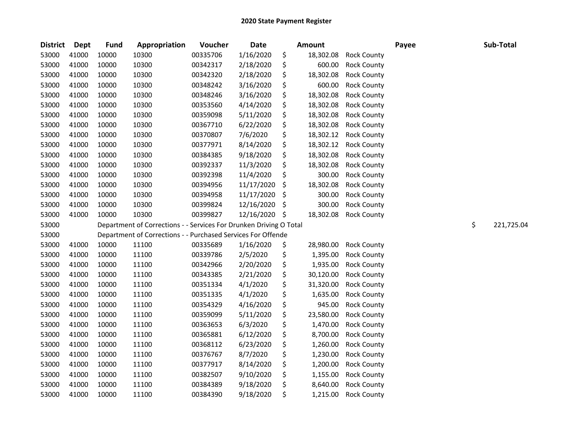| <b>District</b> | <b>Dept</b> | <b>Fund</b> | Appropriation                                                      | Voucher  | <b>Date</b> | Amount          |                    | Payee | Sub-Total        |
|-----------------|-------------|-------------|--------------------------------------------------------------------|----------|-------------|-----------------|--------------------|-------|------------------|
| 53000           | 41000       | 10000       | 10300                                                              | 00335706 | 1/16/2020   | \$<br>18,302.08 | <b>Rock County</b> |       |                  |
| 53000           | 41000       | 10000       | 10300                                                              | 00342317 | 2/18/2020   | \$<br>600.00    | <b>Rock County</b> |       |                  |
| 53000           | 41000       | 10000       | 10300                                                              | 00342320 | 2/18/2020   | \$<br>18,302.08 | <b>Rock County</b> |       |                  |
| 53000           | 41000       | 10000       | 10300                                                              | 00348242 | 3/16/2020   | \$<br>600.00    | <b>Rock County</b> |       |                  |
| 53000           | 41000       | 10000       | 10300                                                              | 00348246 | 3/16/2020   | \$<br>18,302.08 | <b>Rock County</b> |       |                  |
| 53000           | 41000       | 10000       | 10300                                                              | 00353560 | 4/14/2020   | \$<br>18,302.08 | <b>Rock County</b> |       |                  |
| 53000           | 41000       | 10000       | 10300                                                              | 00359098 | 5/11/2020   | \$<br>18,302.08 | <b>Rock County</b> |       |                  |
| 53000           | 41000       | 10000       | 10300                                                              | 00367710 | 6/22/2020   | \$<br>18,302.08 | <b>Rock County</b> |       |                  |
| 53000           | 41000       | 10000       | 10300                                                              | 00370807 | 7/6/2020    | \$<br>18,302.12 | <b>Rock County</b> |       |                  |
| 53000           | 41000       | 10000       | 10300                                                              | 00377971 | 8/14/2020   | \$<br>18,302.12 | <b>Rock County</b> |       |                  |
| 53000           | 41000       | 10000       | 10300                                                              | 00384385 | 9/18/2020   | \$<br>18,302.08 | <b>Rock County</b> |       |                  |
| 53000           | 41000       | 10000       | 10300                                                              | 00392337 | 11/3/2020   | \$<br>18,302.08 | <b>Rock County</b> |       |                  |
| 53000           | 41000       | 10000       | 10300                                                              | 00392398 | 11/4/2020   | \$<br>300.00    | <b>Rock County</b> |       |                  |
| 53000           | 41000       | 10000       | 10300                                                              | 00394956 | 11/17/2020  | \$<br>18,302.08 | <b>Rock County</b> |       |                  |
| 53000           | 41000       | 10000       | 10300                                                              | 00394958 | 11/17/2020  | \$<br>300.00    | <b>Rock County</b> |       |                  |
| 53000           | 41000       | 10000       | 10300                                                              | 00399824 | 12/16/2020  | \$<br>300.00    | <b>Rock County</b> |       |                  |
| 53000           | 41000       | 10000       | 10300                                                              | 00399827 | 12/16/2020  | \$<br>18,302.08 | <b>Rock County</b> |       |                  |
| 53000           |             |             | Department of Corrections - - Services For Drunken Driving O Total |          |             |                 |                    |       | \$<br>221,725.04 |
| 53000           |             |             | Department of Corrections - - Purchased Services For Offende       |          |             |                 |                    |       |                  |
| 53000           | 41000       | 10000       | 11100                                                              | 00335689 | 1/16/2020   | \$<br>28,980.00 | <b>Rock County</b> |       |                  |
| 53000           | 41000       | 10000       | 11100                                                              | 00339786 | 2/5/2020    | \$<br>1,395.00  | <b>Rock County</b> |       |                  |
| 53000           | 41000       | 10000       | 11100                                                              | 00342966 | 2/20/2020   | \$<br>1,935.00  | <b>Rock County</b> |       |                  |
| 53000           | 41000       | 10000       | 11100                                                              | 00343385 | 2/21/2020   | \$<br>30,120.00 | <b>Rock County</b> |       |                  |
| 53000           | 41000       | 10000       | 11100                                                              | 00351334 | 4/1/2020    | \$<br>31,320.00 | <b>Rock County</b> |       |                  |
| 53000           | 41000       | 10000       | 11100                                                              | 00351335 | 4/1/2020    | \$<br>1,635.00  | <b>Rock County</b> |       |                  |
| 53000           | 41000       | 10000       | 11100                                                              | 00354329 | 4/16/2020   | \$<br>945.00    | <b>Rock County</b> |       |                  |
| 53000           | 41000       | 10000       | 11100                                                              | 00359099 | 5/11/2020   | \$<br>23,580.00 | <b>Rock County</b> |       |                  |
| 53000           | 41000       | 10000       | 11100                                                              | 00363653 | 6/3/2020    | \$<br>1,470.00  | <b>Rock County</b> |       |                  |
| 53000           | 41000       | 10000       | 11100                                                              | 00365881 | 6/12/2020   | \$<br>8,700.00  | <b>Rock County</b> |       |                  |
| 53000           | 41000       | 10000       | 11100                                                              | 00368112 | 6/23/2020   | \$<br>1,260.00  | <b>Rock County</b> |       |                  |
| 53000           | 41000       | 10000       | 11100                                                              | 00376767 | 8/7/2020    | \$<br>1,230.00  | <b>Rock County</b> |       |                  |
| 53000           | 41000       | 10000       | 11100                                                              | 00377917 | 8/14/2020   | \$<br>1,200.00  | <b>Rock County</b> |       |                  |
| 53000           | 41000       | 10000       | 11100                                                              | 00382507 | 9/10/2020   | \$<br>1,155.00  | <b>Rock County</b> |       |                  |
| 53000           | 41000       | 10000       | 11100                                                              | 00384389 | 9/18/2020   | \$<br>8,640.00  | <b>Rock County</b> |       |                  |
| 53000           | 41000       | 10000       | 11100                                                              | 00384390 | 9/18/2020   | \$<br>1,215.00  | <b>Rock County</b> |       |                  |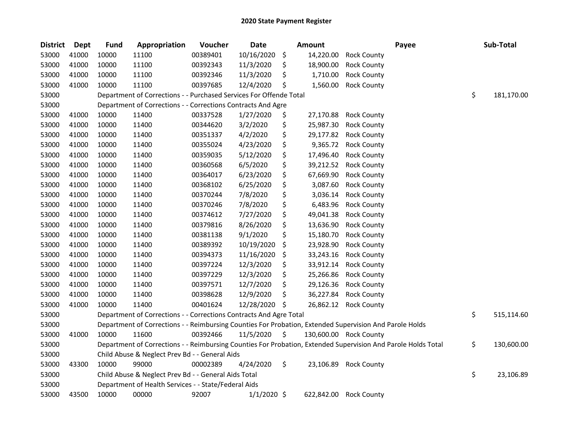| <b>District</b> | <b>Dept</b> | <b>Fund</b> | Appropriation                                                                                                 | Voucher  | <b>Date</b>   | <b>Amount</b>   |                        | Payee | Sub-Total        |
|-----------------|-------------|-------------|---------------------------------------------------------------------------------------------------------------|----------|---------------|-----------------|------------------------|-------|------------------|
| 53000           | 41000       | 10000       | 11100                                                                                                         | 00389401 | 10/16/2020    | \$<br>14,220.00 | <b>Rock County</b>     |       |                  |
| 53000           | 41000       | 10000       | 11100                                                                                                         | 00392343 | 11/3/2020     | \$<br>18,900.00 | <b>Rock County</b>     |       |                  |
| 53000           | 41000       | 10000       | 11100                                                                                                         | 00392346 | 11/3/2020     | \$<br>1,710.00  | <b>Rock County</b>     |       |                  |
| 53000           | 41000       | 10000       | 11100                                                                                                         | 00397685 | 12/4/2020     | \$<br>1,560.00  | <b>Rock County</b>     |       |                  |
| 53000           |             |             | Department of Corrections - - Purchased Services For Offende Total                                            |          |               |                 |                        |       | \$<br>181,170.00 |
| 53000           |             |             | Department of Corrections - - Corrections Contracts And Agre                                                  |          |               |                 |                        |       |                  |
| 53000           | 41000       | 10000       | 11400                                                                                                         | 00337528 | 1/27/2020     | \$<br>27,170.88 | <b>Rock County</b>     |       |                  |
| 53000           | 41000       | 10000       | 11400                                                                                                         | 00344620 | 3/2/2020      | \$<br>25,987.30 | <b>Rock County</b>     |       |                  |
| 53000           | 41000       | 10000       | 11400                                                                                                         | 00351337 | 4/2/2020      | \$<br>29,177.82 | <b>Rock County</b>     |       |                  |
| 53000           | 41000       | 10000       | 11400                                                                                                         | 00355024 | 4/23/2020     | \$<br>9,365.72  | <b>Rock County</b>     |       |                  |
| 53000           | 41000       | 10000       | 11400                                                                                                         | 00359035 | 5/12/2020     | \$<br>17,496.40 | <b>Rock County</b>     |       |                  |
| 53000           | 41000       | 10000       | 11400                                                                                                         | 00360568 | 6/5/2020      | \$<br>39,212.52 | <b>Rock County</b>     |       |                  |
| 53000           | 41000       | 10000       | 11400                                                                                                         | 00364017 | 6/23/2020     | \$<br>67,669.90 | <b>Rock County</b>     |       |                  |
| 53000           | 41000       | 10000       | 11400                                                                                                         | 00368102 | 6/25/2020     | \$<br>3,087.60  | <b>Rock County</b>     |       |                  |
| 53000           | 41000       | 10000       | 11400                                                                                                         | 00370244 | 7/8/2020      | \$<br>3,036.14  | <b>Rock County</b>     |       |                  |
| 53000           | 41000       | 10000       | 11400                                                                                                         | 00370246 | 7/8/2020      | \$<br>6,483.96  | <b>Rock County</b>     |       |                  |
| 53000           | 41000       | 10000       | 11400                                                                                                         | 00374612 | 7/27/2020     | \$<br>49,041.38 | <b>Rock County</b>     |       |                  |
| 53000           | 41000       | 10000       | 11400                                                                                                         | 00379816 | 8/26/2020     | \$<br>13,636.90 | <b>Rock County</b>     |       |                  |
| 53000           | 41000       | 10000       | 11400                                                                                                         | 00381138 | 9/1/2020      | \$<br>15,180.70 | <b>Rock County</b>     |       |                  |
| 53000           | 41000       | 10000       | 11400                                                                                                         | 00389392 | 10/19/2020    | \$<br>23,928.90 | <b>Rock County</b>     |       |                  |
| 53000           | 41000       | 10000       | 11400                                                                                                         | 00394373 | 11/16/2020    | \$<br>33,243.16 | <b>Rock County</b>     |       |                  |
| 53000           | 41000       | 10000       | 11400                                                                                                         | 00397224 | 12/3/2020     | \$<br>33,912.14 | <b>Rock County</b>     |       |                  |
| 53000           | 41000       | 10000       | 11400                                                                                                         | 00397229 | 12/3/2020     | \$<br>25,266.86 | <b>Rock County</b>     |       |                  |
| 53000           | 41000       | 10000       | 11400                                                                                                         | 00397571 | 12/7/2020     | \$<br>29,126.36 | <b>Rock County</b>     |       |                  |
| 53000           | 41000       | 10000       | 11400                                                                                                         | 00398628 | 12/9/2020     | \$<br>36,227.84 | <b>Rock County</b>     |       |                  |
| 53000           | 41000       | 10000       | 11400                                                                                                         | 00401624 | 12/28/2020    | \$<br>26,862.12 | <b>Rock County</b>     |       |                  |
| 53000           |             |             | Department of Corrections - - Corrections Contracts And Agre Total                                            |          |               |                 |                        |       | \$<br>515,114.60 |
| 53000           |             |             | Department of Corrections - - Reimbursing Counties For Probation, Extended Supervision And Parole Holds       |          |               |                 |                        |       |                  |
| 53000           | 41000       | 10000       | 11600                                                                                                         | 00392466 | 11/5/2020     | \$              | 130,600.00 Rock County |       |                  |
| 53000           |             |             | Department of Corrections - - Reimbursing Counties For Probation, Extended Supervision And Parole Holds Total |          |               |                 |                        |       | \$<br>130,600.00 |
| 53000           |             |             | Child Abuse & Neglect Prev Bd - - General Aids                                                                |          |               |                 |                        |       |                  |
| 53000           | 43300       | 10000       | 99000                                                                                                         | 00002389 | 4/24/2020     | \$<br>23,106.89 | <b>Rock County</b>     |       |                  |
| 53000           |             |             | Child Abuse & Neglect Prev Bd - - General Aids Total                                                          |          |               |                 |                        |       | \$<br>23,106.89  |
| 53000           |             |             | Department of Health Services - - State/Federal Aids                                                          |          |               |                 |                        |       |                  |
| 53000           | 43500       | 10000       | 00000                                                                                                         | 92007    | $1/1/2020$ \$ | 622,842.00      | <b>Rock County</b>     |       |                  |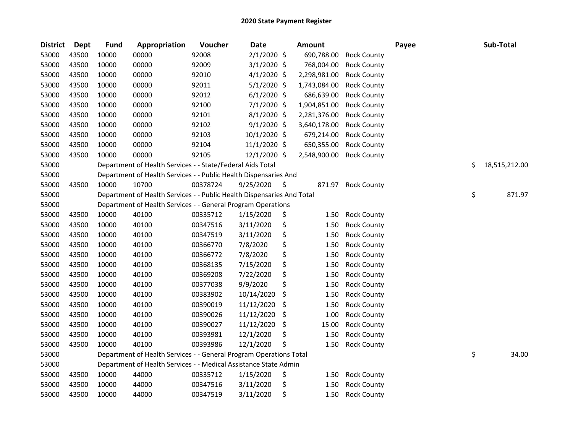| <b>District</b> | <b>Dept</b> | <b>Fund</b> | Appropriation                                                          | Voucher  | <b>Date</b>   | <b>Amount</b> |                    | Payee | Sub-Total           |
|-----------------|-------------|-------------|------------------------------------------------------------------------|----------|---------------|---------------|--------------------|-------|---------------------|
| 53000           | 43500       | 10000       | 00000                                                                  | 92008    | $2/1/2020$ \$ | 690,788.00    | <b>Rock County</b> |       |                     |
| 53000           | 43500       | 10000       | 00000                                                                  | 92009    | $3/1/2020$ \$ | 768,004.00    | <b>Rock County</b> |       |                     |
| 53000           | 43500       | 10000       | 00000                                                                  | 92010    | $4/1/2020$ \$ | 2,298,981.00  | <b>Rock County</b> |       |                     |
| 53000           | 43500       | 10000       | 00000                                                                  | 92011    | $5/1/2020$ \$ | 1,743,084.00  | <b>Rock County</b> |       |                     |
| 53000           | 43500       | 10000       | 00000                                                                  | 92012    | $6/1/2020$ \$ | 686,639.00    | <b>Rock County</b> |       |                     |
| 53000           | 43500       | 10000       | 00000                                                                  | 92100    | $7/1/2020$ \$ | 1,904,851.00  | <b>Rock County</b> |       |                     |
| 53000           | 43500       | 10000       | 00000                                                                  | 92101    | 8/1/2020 \$   | 2,281,376.00  | <b>Rock County</b> |       |                     |
| 53000           | 43500       | 10000       | 00000                                                                  | 92102    | $9/1/2020$ \$ | 3,640,178.00  | <b>Rock County</b> |       |                     |
| 53000           | 43500       | 10000       | 00000                                                                  | 92103    | 10/1/2020 \$  | 679,214.00    | <b>Rock County</b> |       |                     |
| 53000           | 43500       | 10000       | 00000                                                                  | 92104    | 11/1/2020 \$  | 650,355.00    | <b>Rock County</b> |       |                     |
| 53000           | 43500       | 10000       | 00000                                                                  | 92105    | 12/1/2020 \$  | 2,548,900.00  | <b>Rock County</b> |       |                     |
| 53000           |             |             | Department of Health Services - - State/Federal Aids Total             |          |               |               |                    |       | \$<br>18,515,212.00 |
| 53000           |             |             | Department of Health Services - - Public Health Dispensaries And       |          |               |               |                    |       |                     |
| 53000           | 43500       | 10000       | 10700                                                                  | 00378724 | 9/25/2020     | \$<br>871.97  | <b>Rock County</b> |       |                     |
| 53000           |             |             | Department of Health Services - - Public Health Dispensaries And Total |          |               |               |                    |       | \$<br>871.97        |
| 53000           |             |             | Department of Health Services - - General Program Operations           |          |               |               |                    |       |                     |
| 53000           | 43500       | 10000       | 40100                                                                  | 00335712 | 1/15/2020     | \$<br>1.50    | <b>Rock County</b> |       |                     |
| 53000           | 43500       | 10000       | 40100                                                                  | 00347516 | 3/11/2020     | \$<br>1.50    | <b>Rock County</b> |       |                     |
| 53000           | 43500       | 10000       | 40100                                                                  | 00347519 | 3/11/2020     | \$<br>1.50    | <b>Rock County</b> |       |                     |
| 53000           | 43500       | 10000       | 40100                                                                  | 00366770 | 7/8/2020      | \$<br>1.50    | <b>Rock County</b> |       |                     |
| 53000           | 43500       | 10000       | 40100                                                                  | 00366772 | 7/8/2020      | \$<br>1.50    | <b>Rock County</b> |       |                     |
| 53000           | 43500       | 10000       | 40100                                                                  | 00368135 | 7/15/2020     | \$<br>1.50    | <b>Rock County</b> |       |                     |
| 53000           | 43500       | 10000       | 40100                                                                  | 00369208 | 7/22/2020     | \$<br>1.50    | <b>Rock County</b> |       |                     |
| 53000           | 43500       | 10000       | 40100                                                                  | 00377038 | 9/9/2020      | \$<br>1.50    | <b>Rock County</b> |       |                     |
| 53000           | 43500       | 10000       | 40100                                                                  | 00383902 | 10/14/2020    | \$<br>1.50    | <b>Rock County</b> |       |                     |
| 53000           | 43500       | 10000       | 40100                                                                  | 00390019 | 11/12/2020    | \$<br>1.50    | <b>Rock County</b> |       |                     |
| 53000           | 43500       | 10000       | 40100                                                                  | 00390026 | 11/12/2020    | \$<br>1.00    | <b>Rock County</b> |       |                     |
| 53000           | 43500       | 10000       | 40100                                                                  | 00390027 | 11/12/2020    | \$<br>15.00   | <b>Rock County</b> |       |                     |
| 53000           | 43500       | 10000       | 40100                                                                  | 00393981 | 12/1/2020     | \$<br>1.50    | <b>Rock County</b> |       |                     |
| 53000           | 43500       | 10000       | 40100                                                                  | 00393986 | 12/1/2020     | \$<br>1.50    | <b>Rock County</b> |       |                     |
| 53000           |             |             | Department of Health Services - - General Program Operations Total     |          |               |               |                    |       | \$<br>34.00         |
| 53000           |             |             | Department of Health Services - - Medical Assistance State Admin       |          |               |               |                    |       |                     |
| 53000           | 43500       | 10000       | 44000                                                                  | 00335712 | 1/15/2020     | \$<br>1.50    | <b>Rock County</b> |       |                     |
| 53000           | 43500       | 10000       | 44000                                                                  | 00347516 | 3/11/2020     | \$<br>1.50    | <b>Rock County</b> |       |                     |
| 53000           | 43500       | 10000       | 44000                                                                  | 00347519 | 3/11/2020     | \$<br>1.50    | <b>Rock County</b> |       |                     |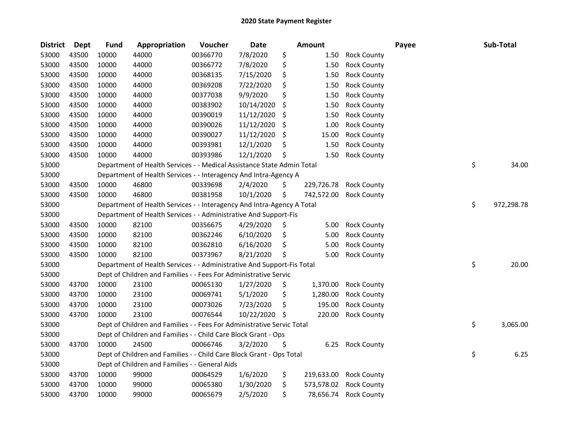| <b>District</b> | Dept  | <b>Fund</b> | Appropriation                                                          | Voucher  | <b>Date</b> |     | <b>Amount</b> |                    | Payee | Sub-Total        |
|-----------------|-------|-------------|------------------------------------------------------------------------|----------|-------------|-----|---------------|--------------------|-------|------------------|
| 53000           | 43500 | 10000       | 44000                                                                  | 00366770 | 7/8/2020    | \$  | 1.50          | <b>Rock County</b> |       |                  |
| 53000           | 43500 | 10000       | 44000                                                                  | 00366772 | 7/8/2020    | \$  | 1.50          | <b>Rock County</b> |       |                  |
| 53000           | 43500 | 10000       | 44000                                                                  | 00368135 | 7/15/2020   | \$  | 1.50          | <b>Rock County</b> |       |                  |
| 53000           | 43500 | 10000       | 44000                                                                  | 00369208 | 7/22/2020   | \$  | 1.50          | <b>Rock County</b> |       |                  |
| 53000           | 43500 | 10000       | 44000                                                                  | 00377038 | 9/9/2020    | \$  | 1.50          | <b>Rock County</b> |       |                  |
| 53000           | 43500 | 10000       | 44000                                                                  | 00383902 | 10/14/2020  | \$  | 1.50          | <b>Rock County</b> |       |                  |
| 53000           | 43500 | 10000       | 44000                                                                  | 00390019 | 11/12/2020  | \$, | 1.50          | <b>Rock County</b> |       |                  |
| 53000           | 43500 | 10000       | 44000                                                                  | 00390026 | 11/12/2020  | \$  | 1.00          | <b>Rock County</b> |       |                  |
| 53000           | 43500 | 10000       | 44000                                                                  | 00390027 | 11/12/2020  | \$  | 15.00         | <b>Rock County</b> |       |                  |
| 53000           | 43500 | 10000       | 44000                                                                  | 00393981 | 12/1/2020   | \$  | 1.50          | <b>Rock County</b> |       |                  |
| 53000           | 43500 | 10000       | 44000                                                                  | 00393986 | 12/1/2020   | \$  | 1.50          | <b>Rock County</b> |       |                  |
| 53000           |       |             | Department of Health Services - - Medical Assistance State Admin Total |          |             |     |               |                    |       | \$<br>34.00      |
| 53000           |       |             | Department of Health Services - - Interagency And Intra-Agency A       |          |             |     |               |                    |       |                  |
| 53000           | 43500 | 10000       | 46800                                                                  | 00339698 | 2/4/2020    | \$  | 229,726.78    | <b>Rock County</b> |       |                  |
| 53000           | 43500 | 10000       | 46800                                                                  | 00381958 | 10/1/2020   | \$  | 742,572.00    | <b>Rock County</b> |       |                  |
| 53000           |       |             | Department of Health Services - - Interagency And Intra-Agency A Total |          |             |     |               |                    |       | \$<br>972,298.78 |
| 53000           |       |             | Department of Health Services - - Administrative And Support-Fis       |          |             |     |               |                    |       |                  |
| 53000           | 43500 | 10000       | 82100                                                                  | 00356675 | 4/29/2020   | \$  | 5.00          | <b>Rock County</b> |       |                  |
| 53000           | 43500 | 10000       | 82100                                                                  | 00362246 | 6/10/2020   | \$  | 5.00          | <b>Rock County</b> |       |                  |
| 53000           | 43500 | 10000       | 82100                                                                  | 00362810 | 6/16/2020   | \$  | 5.00          | <b>Rock County</b> |       |                  |
| 53000           | 43500 | 10000       | 82100                                                                  | 00373967 | 8/21/2020   | \$  | 5.00          | <b>Rock County</b> |       |                  |
| 53000           |       |             | Department of Health Services - - Administrative And Support-Fis Total |          |             |     |               |                    |       | \$<br>20.00      |
| 53000           |       |             | Dept of Children and Families - - Fees For Administrative Servic       |          |             |     |               |                    |       |                  |
| 53000           | 43700 | 10000       | 23100                                                                  | 00065130 | 1/27/2020   | \$  | 1,370.00      | <b>Rock County</b> |       |                  |
| 53000           | 43700 | 10000       | 23100                                                                  | 00069741 | 5/1/2020    | \$  | 1,280.00      | <b>Rock County</b> |       |                  |
| 53000           | 43700 | 10000       | 23100                                                                  | 00073026 | 7/23/2020   | \$  | 195.00        | <b>Rock County</b> |       |                  |
| 53000           | 43700 | 10000       | 23100                                                                  | 00076544 | 10/22/2020  | \$  | 220.00        | <b>Rock County</b> |       |                  |
| 53000           |       |             | Dept of Children and Families - - Fees For Administrative Servic Total |          |             |     |               |                    |       | \$<br>3,065.00   |
| 53000           |       |             | Dept of Children and Families - - Child Care Block Grant - Ops         |          |             |     |               |                    |       |                  |
| 53000           | 43700 | 10000       | 24500                                                                  | 00066746 | 3/2/2020    | \$, | 6.25          | <b>Rock County</b> |       |                  |
| 53000           |       |             | Dept of Children and Families - - Child Care Block Grant - Ops Total   |          |             |     |               |                    |       | \$<br>6.25       |
| 53000           |       |             | Dept of Children and Families - - General Aids                         |          |             |     |               |                    |       |                  |
| 53000           | 43700 | 10000       | 99000                                                                  | 00064529 | 1/6/2020    | \$  | 219,633.00    | <b>Rock County</b> |       |                  |
| 53000           | 43700 | 10000       | 99000                                                                  | 00065380 | 1/30/2020   | \$  | 573,578.02    | <b>Rock County</b> |       |                  |
| 53000           | 43700 | 10000       | 99000                                                                  | 00065679 | 2/5/2020    | \$  | 78,656.74     | <b>Rock County</b> |       |                  |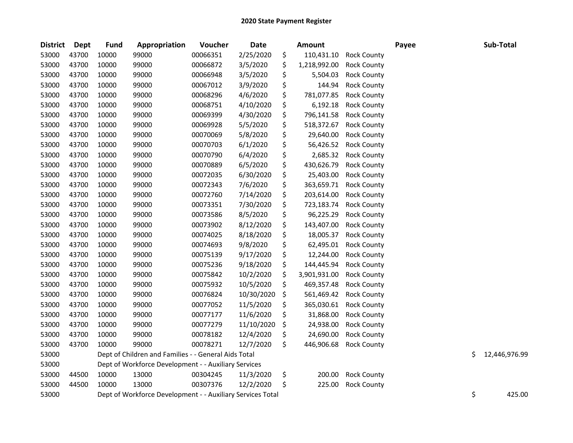| <b>District</b> | <b>Dept</b> | <b>Fund</b> | Appropriation                                              | Voucher  | <b>Date</b> | <b>Amount</b>      |                    | Payee |    | Sub-Total     |
|-----------------|-------------|-------------|------------------------------------------------------------|----------|-------------|--------------------|--------------------|-------|----|---------------|
| 53000           | 43700       | 10000       | 99000                                                      | 00066351 | 2/25/2020   | \$<br>110,431.10   | <b>Rock County</b> |       |    |               |
| 53000           | 43700       | 10000       | 99000                                                      | 00066872 | 3/5/2020    | \$<br>1,218,992.00 | <b>Rock County</b> |       |    |               |
| 53000           | 43700       | 10000       | 99000                                                      | 00066948 | 3/5/2020    | \$<br>5,504.03     | <b>Rock County</b> |       |    |               |
| 53000           | 43700       | 10000       | 99000                                                      | 00067012 | 3/9/2020    | \$<br>144.94       | <b>Rock County</b> |       |    |               |
| 53000           | 43700       | 10000       | 99000                                                      | 00068296 | 4/6/2020    | \$<br>781,077.85   | <b>Rock County</b> |       |    |               |
| 53000           | 43700       | 10000       | 99000                                                      | 00068751 | 4/10/2020   | \$<br>6,192.18     | <b>Rock County</b> |       |    |               |
| 53000           | 43700       | 10000       | 99000                                                      | 00069399 | 4/30/2020   | \$<br>796,141.58   | <b>Rock County</b> |       |    |               |
| 53000           | 43700       | 10000       | 99000                                                      | 00069928 | 5/5/2020    | \$<br>518,372.67   | <b>Rock County</b> |       |    |               |
| 53000           | 43700       | 10000       | 99000                                                      | 00070069 | 5/8/2020    | \$<br>29,640.00    | <b>Rock County</b> |       |    |               |
| 53000           | 43700       | 10000       | 99000                                                      | 00070703 | 6/1/2020    | \$<br>56,426.52    | <b>Rock County</b> |       |    |               |
| 53000           | 43700       | 10000       | 99000                                                      | 00070790 | 6/4/2020    | \$<br>2,685.32     | <b>Rock County</b> |       |    |               |
| 53000           | 43700       | 10000       | 99000                                                      | 00070889 | 6/5/2020    | \$<br>430,626.79   | <b>Rock County</b> |       |    |               |
| 53000           | 43700       | 10000       | 99000                                                      | 00072035 | 6/30/2020   | \$<br>25,403.00    | <b>Rock County</b> |       |    |               |
| 53000           | 43700       | 10000       | 99000                                                      | 00072343 | 7/6/2020    | \$<br>363,659.71   | <b>Rock County</b> |       |    |               |
| 53000           | 43700       | 10000       | 99000                                                      | 00072760 | 7/14/2020   | \$<br>203,614.00   | <b>Rock County</b> |       |    |               |
| 53000           | 43700       | 10000       | 99000                                                      | 00073351 | 7/30/2020   | \$<br>723,183.74   | <b>Rock County</b> |       |    |               |
| 53000           | 43700       | 10000       | 99000                                                      | 00073586 | 8/5/2020    | \$<br>96,225.29    | <b>Rock County</b> |       |    |               |
| 53000           | 43700       | 10000       | 99000                                                      | 00073902 | 8/12/2020   | \$<br>143,407.00   | <b>Rock County</b> |       |    |               |
| 53000           | 43700       | 10000       | 99000                                                      | 00074025 | 8/18/2020   | \$<br>18,005.37    | <b>Rock County</b> |       |    |               |
| 53000           | 43700       | 10000       | 99000                                                      | 00074693 | 9/8/2020    | \$<br>62,495.01    | <b>Rock County</b> |       |    |               |
| 53000           | 43700       | 10000       | 99000                                                      | 00075139 | 9/17/2020   | \$<br>12,244.00    | <b>Rock County</b> |       |    |               |
| 53000           | 43700       | 10000       | 99000                                                      | 00075236 | 9/18/2020   | \$<br>144,445.94   | <b>Rock County</b> |       |    |               |
| 53000           | 43700       | 10000       | 99000                                                      | 00075842 | 10/2/2020   | \$<br>3,901,931.00 | <b>Rock County</b> |       |    |               |
| 53000           | 43700       | 10000       | 99000                                                      | 00075932 | 10/5/2020   | \$<br>469,357.48   | <b>Rock County</b> |       |    |               |
| 53000           | 43700       | 10000       | 99000                                                      | 00076824 | 10/30/2020  | \$<br>561,469.42   | <b>Rock County</b> |       |    |               |
| 53000           | 43700       | 10000       | 99000                                                      | 00077052 | 11/5/2020   | \$<br>365,030.61   | <b>Rock County</b> |       |    |               |
| 53000           | 43700       | 10000       | 99000                                                      | 00077177 | 11/6/2020   | \$<br>31,868.00    | <b>Rock County</b> |       |    |               |
| 53000           | 43700       | 10000       | 99000                                                      | 00077279 | 11/10/2020  | \$<br>24,938.00    | <b>Rock County</b> |       |    |               |
| 53000           | 43700       | 10000       | 99000                                                      | 00078182 | 12/4/2020   | \$<br>24,690.00    | <b>Rock County</b> |       |    |               |
| 53000           | 43700       | 10000       | 99000                                                      | 00078271 | 12/7/2020   | \$<br>446,906.68   | <b>Rock County</b> |       |    |               |
| 53000           |             |             | Dept of Children and Families - - General Aids Total       |          |             |                    |                    |       | Ś. | 12,446,976.99 |
| 53000           |             |             | Dept of Workforce Development - - Auxiliary Services       |          |             |                    |                    |       |    |               |
| 53000           | 44500       | 10000       | 13000                                                      | 00304245 | 11/3/2020   | \$<br>200.00       | <b>Rock County</b> |       |    |               |
| 53000           | 44500       | 10000       | 13000                                                      | 00307376 | 12/2/2020   | \$<br>225.00       | <b>Rock County</b> |       |    |               |
| 53000           |             |             | Dept of Workforce Development - - Auxiliary Services Total |          |             |                    |                    |       | \$ | 425.00        |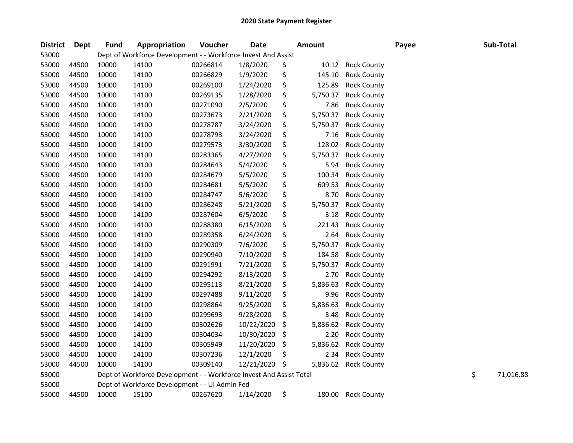| <b>District</b> | <b>Dept</b> | <b>Fund</b> | Appropriation                                                       | Voucher  | <b>Date</b> | <b>Amount</b>  |                    | Payee | Sub-Total       |
|-----------------|-------------|-------------|---------------------------------------------------------------------|----------|-------------|----------------|--------------------|-------|-----------------|
| 53000           |             |             | Dept of Workforce Development - - Workforce Invest And Assist       |          |             |                |                    |       |                 |
| 53000           | 44500       | 10000       | 14100                                                               | 00266814 | 1/8/2020    | \$<br>10.12    | <b>Rock County</b> |       |                 |
| 53000           | 44500       | 10000       | 14100                                                               | 00266829 | 1/9/2020    | \$<br>145.10   | <b>Rock County</b> |       |                 |
| 53000           | 44500       | 10000       | 14100                                                               | 00269100 | 1/24/2020   | \$<br>125.89   | <b>Rock County</b> |       |                 |
| 53000           | 44500       | 10000       | 14100                                                               | 00269135 | 1/28/2020   | \$<br>5,750.37 | <b>Rock County</b> |       |                 |
| 53000           | 44500       | 10000       | 14100                                                               | 00271090 | 2/5/2020    | \$<br>7.86     | <b>Rock County</b> |       |                 |
| 53000           | 44500       | 10000       | 14100                                                               | 00273673 | 2/21/2020   | \$<br>5,750.37 | <b>Rock County</b> |       |                 |
| 53000           | 44500       | 10000       | 14100                                                               | 00278787 | 3/24/2020   | \$<br>5,750.37 | <b>Rock County</b> |       |                 |
| 53000           | 44500       | 10000       | 14100                                                               | 00278793 | 3/24/2020   | \$<br>7.16     | <b>Rock County</b> |       |                 |
| 53000           | 44500       | 10000       | 14100                                                               | 00279573 | 3/30/2020   | \$<br>128.02   | <b>Rock County</b> |       |                 |
| 53000           | 44500       | 10000       | 14100                                                               | 00283365 | 4/27/2020   | \$<br>5,750.37 | <b>Rock County</b> |       |                 |
| 53000           | 44500       | 10000       | 14100                                                               | 00284643 | 5/4/2020    | \$<br>5.94     | <b>Rock County</b> |       |                 |
| 53000           | 44500       | 10000       | 14100                                                               | 00284679 | 5/5/2020    | \$<br>100.34   | <b>Rock County</b> |       |                 |
| 53000           | 44500       | 10000       | 14100                                                               | 00284681 | 5/5/2020    | \$<br>609.53   | <b>Rock County</b> |       |                 |
| 53000           | 44500       | 10000       | 14100                                                               | 00284747 | 5/6/2020    | \$<br>8.70     | <b>Rock County</b> |       |                 |
| 53000           | 44500       | 10000       | 14100                                                               | 00286248 | 5/21/2020   | \$<br>5,750.37 | <b>Rock County</b> |       |                 |
| 53000           | 44500       | 10000       | 14100                                                               | 00287604 | 6/5/2020    | \$<br>3.18     | <b>Rock County</b> |       |                 |
| 53000           | 44500       | 10000       | 14100                                                               | 00288380 | 6/15/2020   | \$<br>221.43   | <b>Rock County</b> |       |                 |
| 53000           | 44500       | 10000       | 14100                                                               | 00289358 | 6/24/2020   | \$<br>2.64     | <b>Rock County</b> |       |                 |
| 53000           | 44500       | 10000       | 14100                                                               | 00290309 | 7/6/2020    | \$<br>5,750.37 | <b>Rock County</b> |       |                 |
| 53000           | 44500       | 10000       | 14100                                                               | 00290940 | 7/10/2020   | \$<br>184.58   | <b>Rock County</b> |       |                 |
| 53000           | 44500       | 10000       | 14100                                                               | 00291991 | 7/21/2020   | \$<br>5,750.37 | <b>Rock County</b> |       |                 |
| 53000           | 44500       | 10000       | 14100                                                               | 00294292 | 8/13/2020   | \$<br>2.70     | <b>Rock County</b> |       |                 |
| 53000           | 44500       | 10000       | 14100                                                               | 00295113 | 8/21/2020   | \$<br>5,836.63 | <b>Rock County</b> |       |                 |
| 53000           | 44500       | 10000       | 14100                                                               | 00297488 | 9/11/2020   | \$<br>9.96     | <b>Rock County</b> |       |                 |
| 53000           | 44500       | 10000       | 14100                                                               | 00298864 | 9/25/2020   | \$<br>5,836.63 | <b>Rock County</b> |       |                 |
| 53000           | 44500       | 10000       | 14100                                                               | 00299693 | 9/28/2020   | \$<br>3.48     | <b>Rock County</b> |       |                 |
| 53000           | 44500       | 10000       | 14100                                                               | 00302626 | 10/22/2020  | \$<br>5,836.62 | <b>Rock County</b> |       |                 |
| 53000           | 44500       | 10000       | 14100                                                               | 00304034 | 10/30/2020  | \$<br>2.20     | <b>Rock County</b> |       |                 |
| 53000           | 44500       | 10000       | 14100                                                               | 00305949 | 11/20/2020  | \$<br>5,836.62 | <b>Rock County</b> |       |                 |
| 53000           | 44500       | 10000       | 14100                                                               | 00307236 | 12/1/2020   | \$<br>2.34     | <b>Rock County</b> |       |                 |
| 53000           | 44500       | 10000       | 14100                                                               | 00309140 | 12/21/2020  | \$<br>5,836.62 | <b>Rock County</b> |       |                 |
| 53000           |             |             | Dept of Workforce Development - - Workforce Invest And Assist Total |          |             |                |                    |       | \$<br>71,016.88 |
| 53000           |             |             | Dept of Workforce Development - - Ui Admin Fed                      |          |             |                |                    |       |                 |
| 53000           | 44500       | 10000       | 15100                                                               | 00267620 | 1/14/2020   | \$<br>180.00   | <b>Rock County</b> |       |                 |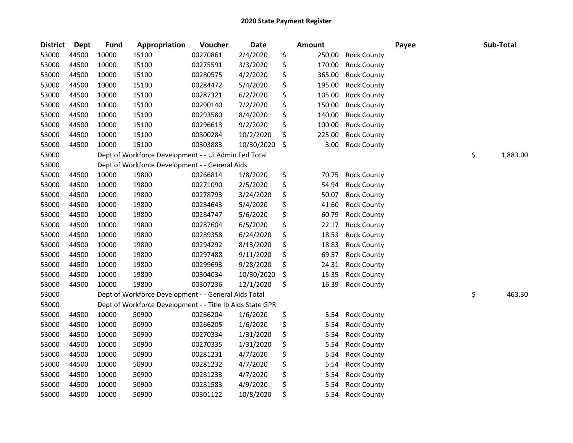| <b>District</b> | <b>Dept</b> | <b>Fund</b> | Appropriation                                             | Voucher  | <b>Date</b> | <b>Amount</b> |                    | Payee | Sub-Total      |
|-----------------|-------------|-------------|-----------------------------------------------------------|----------|-------------|---------------|--------------------|-------|----------------|
| 53000           | 44500       | 10000       | 15100                                                     | 00270861 | 2/4/2020    | \$<br>250.00  | <b>Rock County</b> |       |                |
| 53000           | 44500       | 10000       | 15100                                                     | 00275591 | 3/3/2020    | \$<br>170.00  | <b>Rock County</b> |       |                |
| 53000           | 44500       | 10000       | 15100                                                     | 00280575 | 4/2/2020    | \$<br>365.00  | <b>Rock County</b> |       |                |
| 53000           | 44500       | 10000       | 15100                                                     | 00284472 | 5/4/2020    | \$<br>195.00  | <b>Rock County</b> |       |                |
| 53000           | 44500       | 10000       | 15100                                                     | 00287321 | 6/2/2020    | \$<br>105.00  | <b>Rock County</b> |       |                |
| 53000           | 44500       | 10000       | 15100                                                     | 00290140 | 7/2/2020    | \$<br>150.00  | <b>Rock County</b> |       |                |
| 53000           | 44500       | 10000       | 15100                                                     | 00293580 | 8/4/2020    | \$<br>140.00  | <b>Rock County</b> |       |                |
| 53000           | 44500       | 10000       | 15100                                                     | 00296613 | 9/2/2020    | \$<br>100.00  | <b>Rock County</b> |       |                |
| 53000           | 44500       | 10000       | 15100                                                     | 00300284 | 10/2/2020   | \$<br>225.00  | <b>Rock County</b> |       |                |
| 53000           | 44500       | 10000       | 15100                                                     | 00303883 | 10/30/2020  | \$<br>3.00    | <b>Rock County</b> |       |                |
| 53000           |             |             | Dept of Workforce Development - - Ui Admin Fed Total      |          |             |               |                    |       | \$<br>1,883.00 |
| 53000           |             |             | Dept of Workforce Development - - General Aids            |          |             |               |                    |       |                |
| 53000           | 44500       | 10000       | 19800                                                     | 00266814 | 1/8/2020    | \$<br>70.75   | <b>Rock County</b> |       |                |
| 53000           | 44500       | 10000       | 19800                                                     | 00271090 | 2/5/2020    | \$<br>54.94   | <b>Rock County</b> |       |                |
| 53000           | 44500       | 10000       | 19800                                                     | 00278793 | 3/24/2020   | \$<br>50.07   | <b>Rock County</b> |       |                |
| 53000           | 44500       | 10000       | 19800                                                     | 00284643 | 5/4/2020    | \$<br>41.60   | <b>Rock County</b> |       |                |
| 53000           | 44500       | 10000       | 19800                                                     | 00284747 | 5/6/2020    | \$<br>60.79   | <b>Rock County</b> |       |                |
| 53000           | 44500       | 10000       | 19800                                                     | 00287604 | 6/5/2020    | \$<br>22.17   | <b>Rock County</b> |       |                |
| 53000           | 44500       | 10000       | 19800                                                     | 00289358 | 6/24/2020   | \$<br>18.53   | <b>Rock County</b> |       |                |
| 53000           | 44500       | 10000       | 19800                                                     | 00294292 | 8/13/2020   | \$<br>18.83   | <b>Rock County</b> |       |                |
| 53000           | 44500       | 10000       | 19800                                                     | 00297488 | 9/11/2020   | \$<br>69.57   | <b>Rock County</b> |       |                |
| 53000           | 44500       | 10000       | 19800                                                     | 00299693 | 9/28/2020   | \$<br>24.31   | <b>Rock County</b> |       |                |
| 53000           | 44500       | 10000       | 19800                                                     | 00304034 | 10/30/2020  | \$<br>15.35   | <b>Rock County</b> |       |                |
| 53000           | 44500       | 10000       | 19800                                                     | 00307236 | 12/1/2020   | \$<br>16.39   | <b>Rock County</b> |       |                |
| 53000           |             |             | Dept of Workforce Development - - General Aids Total      |          |             |               |                    |       | \$<br>463.30   |
| 53000           |             |             | Dept of Workforce Development - - Title Ib Aids State GPR |          |             |               |                    |       |                |
| 53000           | 44500       | 10000       | 50900                                                     | 00266204 | 1/6/2020    | \$<br>5.54    | <b>Rock County</b> |       |                |
| 53000           | 44500       | 10000       | 50900                                                     | 00266205 | 1/6/2020    | \$<br>5.54    | <b>Rock County</b> |       |                |
| 53000           | 44500       | 10000       | 50900                                                     | 00270334 | 1/31/2020   | \$<br>5.54    | <b>Rock County</b> |       |                |
| 53000           | 44500       | 10000       | 50900                                                     | 00270335 | 1/31/2020   | \$<br>5.54    | <b>Rock County</b> |       |                |
| 53000           | 44500       | 10000       | 50900                                                     | 00281231 | 4/7/2020    | \$<br>5.54    | <b>Rock County</b> |       |                |
| 53000           | 44500       | 10000       | 50900                                                     | 00281232 | 4/7/2020    | \$<br>5.54    | <b>Rock County</b> |       |                |
| 53000           | 44500       | 10000       | 50900                                                     | 00281233 | 4/7/2020    | \$<br>5.54    | <b>Rock County</b> |       |                |
| 53000           | 44500       | 10000       | 50900                                                     | 00281583 | 4/9/2020    | \$<br>5.54    | <b>Rock County</b> |       |                |
| 53000           | 44500       | 10000       | 50900                                                     | 00301122 | 10/8/2020   | \$<br>5.54    | <b>Rock County</b> |       |                |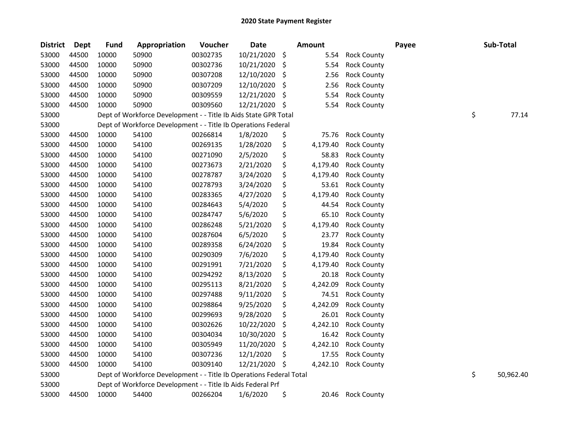| <b>District</b> | <b>Dept</b> | <b>Fund</b> | <b>Appropriation</b>                                                | Voucher  | <b>Date</b> |     | <b>Amount</b> |                    | Payee | Sub-Total       |
|-----------------|-------------|-------------|---------------------------------------------------------------------|----------|-------------|-----|---------------|--------------------|-------|-----------------|
| 53000           | 44500       | 10000       | 50900                                                               | 00302735 | 10/21/2020  | \$  | 5.54          | <b>Rock County</b> |       |                 |
| 53000           | 44500       | 10000       | 50900                                                               | 00302736 | 10/21/2020  | \$  | 5.54          | <b>Rock County</b> |       |                 |
| 53000           | 44500       | 10000       | 50900                                                               | 00307208 | 12/10/2020  | \$  | 2.56          | <b>Rock County</b> |       |                 |
| 53000           | 44500       | 10000       | 50900                                                               | 00307209 | 12/10/2020  | \$  | 2.56          | <b>Rock County</b> |       |                 |
| 53000           | 44500       | 10000       | 50900                                                               | 00309559 | 12/21/2020  | \$  | 5.54          | <b>Rock County</b> |       |                 |
| 53000           | 44500       | 10000       | 50900                                                               | 00309560 | 12/21/2020  | \$  | 5.54          | <b>Rock County</b> |       |                 |
| 53000           |             |             | Dept of Workforce Development - - Title Ib Aids State GPR Total     |          |             |     |               |                    |       | \$<br>77.14     |
| 53000           |             |             | Dept of Workforce Development - - Title Ib Operations Federal       |          |             |     |               |                    |       |                 |
| 53000           | 44500       | 10000       | 54100                                                               | 00266814 | 1/8/2020    | \$  | 75.76         | <b>Rock County</b> |       |                 |
| 53000           | 44500       | 10000       | 54100                                                               | 00269135 | 1/28/2020   | \$  | 4,179.40      | <b>Rock County</b> |       |                 |
| 53000           | 44500       | 10000       | 54100                                                               | 00271090 | 2/5/2020    | \$  | 58.83         | <b>Rock County</b> |       |                 |
| 53000           | 44500       | 10000       | 54100                                                               | 00273673 | 2/21/2020   | \$  | 4,179.40      | <b>Rock County</b> |       |                 |
| 53000           | 44500       | 10000       | 54100                                                               | 00278787 | 3/24/2020   | \$  | 4,179.40      | <b>Rock County</b> |       |                 |
| 53000           | 44500       | 10000       | 54100                                                               | 00278793 | 3/24/2020   | \$  | 53.61         | <b>Rock County</b> |       |                 |
| 53000           | 44500       | 10000       | 54100                                                               | 00283365 | 4/27/2020   | \$  | 4,179.40      | <b>Rock County</b> |       |                 |
| 53000           | 44500       | 10000       | 54100                                                               | 00284643 | 5/4/2020    | \$  | 44.54         | <b>Rock County</b> |       |                 |
| 53000           | 44500       | 10000       | 54100                                                               | 00284747 | 5/6/2020    | \$  | 65.10         | <b>Rock County</b> |       |                 |
| 53000           | 44500       | 10000       | 54100                                                               | 00286248 | 5/21/2020   | \$  | 4,179.40      | <b>Rock County</b> |       |                 |
| 53000           | 44500       | 10000       | 54100                                                               | 00287604 | 6/5/2020    | \$  | 23.77         | <b>Rock County</b> |       |                 |
| 53000           | 44500       | 10000       | 54100                                                               | 00289358 | 6/24/2020   | \$  | 19.84         | <b>Rock County</b> |       |                 |
| 53000           | 44500       | 10000       | 54100                                                               | 00290309 | 7/6/2020    | \$  | 4,179.40      | <b>Rock County</b> |       |                 |
| 53000           | 44500       | 10000       | 54100                                                               | 00291991 | 7/21/2020   | \$  | 4,179.40      | <b>Rock County</b> |       |                 |
| 53000           | 44500       | 10000       | 54100                                                               | 00294292 | 8/13/2020   | \$  | 20.18         | <b>Rock County</b> |       |                 |
| 53000           | 44500       | 10000       | 54100                                                               | 00295113 | 8/21/2020   | \$  | 4,242.09      | <b>Rock County</b> |       |                 |
| 53000           | 44500       | 10000       | 54100                                                               | 00297488 | 9/11/2020   | \$  | 74.51         | <b>Rock County</b> |       |                 |
| 53000           | 44500       | 10000       | 54100                                                               | 00298864 | 9/25/2020   | \$  | 4,242.09      | <b>Rock County</b> |       |                 |
| 53000           | 44500       | 10000       | 54100                                                               | 00299693 | 9/28/2020   | \$  | 26.01         | <b>Rock County</b> |       |                 |
| 53000           | 44500       | 10000       | 54100                                                               | 00302626 | 10/22/2020  | \$  | 4,242.10      | <b>Rock County</b> |       |                 |
| 53000           | 44500       | 10000       | 54100                                                               | 00304034 | 10/30/2020  | \$, | 16.42         | <b>Rock County</b> |       |                 |
| 53000           | 44500       | 10000       | 54100                                                               | 00305949 | 11/20/2020  | \$  | 4,242.10      | <b>Rock County</b> |       |                 |
| 53000           | 44500       | 10000       | 54100                                                               | 00307236 | 12/1/2020   | \$  | 17.55         | <b>Rock County</b> |       |                 |
| 53000           | 44500       | 10000       | 54100                                                               | 00309140 | 12/21/2020  | \$, | 4,242.10      | <b>Rock County</b> |       |                 |
| 53000           |             |             | Dept of Workforce Development - - Title Ib Operations Federal Total |          |             |     |               |                    |       | \$<br>50,962.40 |
| 53000           |             |             | Dept of Workforce Development - - Title Ib Aids Federal Prf         |          |             |     |               |                    |       |                 |
| 53000           | 44500       | 10000       | 54400                                                               | 00266204 | 1/6/2020    | \$  | 20.46         | <b>Rock County</b> |       |                 |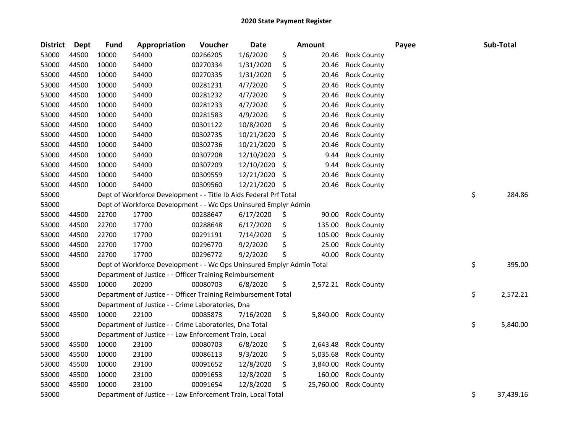| <b>District</b> | <b>Dept</b> | <b>Fund</b> | Appropriation                                                         | Voucher  | <b>Date</b> |     | Amount    |                      | Payee | Sub-Total       |
|-----------------|-------------|-------------|-----------------------------------------------------------------------|----------|-------------|-----|-----------|----------------------|-------|-----------------|
| 53000           | 44500       | 10000       | 54400                                                                 | 00266205 | 1/6/2020    | \$  | 20.46     | <b>Rock County</b>   |       |                 |
| 53000           | 44500       | 10000       | 54400                                                                 | 00270334 | 1/31/2020   | \$  | 20.46     | <b>Rock County</b>   |       |                 |
| 53000           | 44500       | 10000       | 54400                                                                 | 00270335 | 1/31/2020   | \$  | 20.46     | <b>Rock County</b>   |       |                 |
| 53000           | 44500       | 10000       | 54400                                                                 | 00281231 | 4/7/2020    | \$  | 20.46     | <b>Rock County</b>   |       |                 |
| 53000           | 44500       | 10000       | 54400                                                                 | 00281232 | 4/7/2020    | \$  | 20.46     | <b>Rock County</b>   |       |                 |
| 53000           | 44500       | 10000       | 54400                                                                 | 00281233 | 4/7/2020    | \$  | 20.46     | <b>Rock County</b>   |       |                 |
| 53000           | 44500       | 10000       | 54400                                                                 | 00281583 | 4/9/2020    | \$  | 20.46     | <b>Rock County</b>   |       |                 |
| 53000           | 44500       | 10000       | 54400                                                                 | 00301122 | 10/8/2020   | \$  | 20.46     | <b>Rock County</b>   |       |                 |
| 53000           | 44500       | 10000       | 54400                                                                 | 00302735 | 10/21/2020  | \$  | 20.46     | <b>Rock County</b>   |       |                 |
| 53000           | 44500       | 10000       | 54400                                                                 | 00302736 | 10/21/2020  | \$  | 20.46     | <b>Rock County</b>   |       |                 |
| 53000           | 44500       | 10000       | 54400                                                                 | 00307208 | 12/10/2020  | \$  | 9.44      | <b>Rock County</b>   |       |                 |
| 53000           | 44500       | 10000       | 54400                                                                 | 00307209 | 12/10/2020  | \$  | 9.44      | <b>Rock County</b>   |       |                 |
| 53000           | 44500       | 10000       | 54400                                                                 | 00309559 | 12/21/2020  | \$  | 20.46     | <b>Rock County</b>   |       |                 |
| 53000           | 44500       | 10000       | 54400                                                                 | 00309560 | 12/21/2020  | \$, | 20.46     | <b>Rock County</b>   |       |                 |
| 53000           |             |             | Dept of Workforce Development - - Title Ib Aids Federal Prf Total     |          |             |     |           |                      |       | \$<br>284.86    |
| 53000           |             |             | Dept of Workforce Development - - Wc Ops Uninsured Emplyr Admin       |          |             |     |           |                      |       |                 |
| 53000           | 44500       | 22700       | 17700                                                                 | 00288647 | 6/17/2020   | \$  | 90.00     | <b>Rock County</b>   |       |                 |
| 53000           | 44500       | 22700       | 17700                                                                 | 00288648 | 6/17/2020   | \$  | 135.00    | <b>Rock County</b>   |       |                 |
| 53000           | 44500       | 22700       | 17700                                                                 | 00291191 | 7/14/2020   | \$  | 105.00    | <b>Rock County</b>   |       |                 |
| 53000           | 44500       | 22700       | 17700                                                                 | 00296770 | 9/2/2020    | \$  | 25.00     | <b>Rock County</b>   |       |                 |
| 53000           | 44500       | 22700       | 17700                                                                 | 00296772 | 9/2/2020    | \$  | 40.00     | <b>Rock County</b>   |       |                 |
| 53000           |             |             | Dept of Workforce Development - - Wc Ops Uninsured Emplyr Admin Total |          |             |     |           |                      |       | \$<br>395.00    |
| 53000           |             |             | Department of Justice - - Officer Training Reimbursement              |          |             |     |           |                      |       |                 |
| 53000           | 45500       | 10000       | 20200                                                                 | 00080703 | 6/8/2020    | \$  |           | 2,572.21 Rock County |       |                 |
| 53000           |             |             | Department of Justice - - Officer Training Reimbursement Total        |          |             |     |           |                      |       | \$<br>2,572.21  |
| 53000           |             |             | Department of Justice - - Crime Laboratories, Dna                     |          |             |     |           |                      |       |                 |
| 53000           | 45500       | 10000       | 22100                                                                 | 00085873 | 7/16/2020   | \$  | 5,840.00  | <b>Rock County</b>   |       |                 |
| 53000           |             |             | Department of Justice - - Crime Laboratories, Dna Total               |          |             |     |           |                      |       | \$<br>5,840.00  |
| 53000           |             |             | Department of Justice - - Law Enforcement Train, Local                |          |             |     |           |                      |       |                 |
| 53000           | 45500       | 10000       | 23100                                                                 | 00080703 | 6/8/2020    | \$  | 2,643.48  | <b>Rock County</b>   |       |                 |
| 53000           | 45500       | 10000       | 23100                                                                 | 00086113 | 9/3/2020    | \$  | 5,035.68  | <b>Rock County</b>   |       |                 |
| 53000           | 45500       | 10000       | 23100                                                                 | 00091652 | 12/8/2020   | \$  | 3,840.00  | <b>Rock County</b>   |       |                 |
| 53000           | 45500       | 10000       | 23100                                                                 | 00091653 | 12/8/2020   | \$  | 160.00    | <b>Rock County</b>   |       |                 |
| 53000           | 45500       | 10000       | 23100                                                                 | 00091654 | 12/8/2020   | \$  | 25,760.00 | <b>Rock County</b>   |       |                 |
| 53000           |             |             | Department of Justice - - Law Enforcement Train, Local Total          |          |             |     |           |                      |       | \$<br>37,439.16 |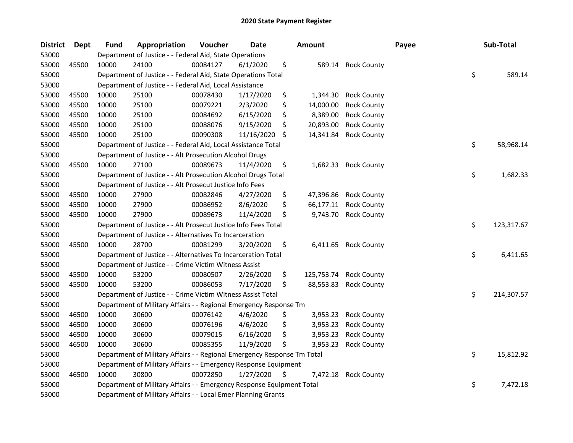| <b>District</b> | <b>Dept</b> | <b>Fund</b> | Appropriation                                                           | Voucher  | Date       | <b>Amount</b>    |                    | Payee | Sub-Total        |
|-----------------|-------------|-------------|-------------------------------------------------------------------------|----------|------------|------------------|--------------------|-------|------------------|
| 53000           |             |             | Department of Justice - - Federal Aid, State Operations                 |          |            |                  |                    |       |                  |
| 53000           | 45500       | 10000       | 24100                                                                   | 00084127 | 6/1/2020   | \$<br>589.14     | <b>Rock County</b> |       |                  |
| 53000           |             |             | Department of Justice - - Federal Aid, State Operations Total           |          |            |                  |                    |       | \$<br>589.14     |
| 53000           |             |             | Department of Justice - - Federal Aid, Local Assistance                 |          |            |                  |                    |       |                  |
| 53000           | 45500       | 10000       | 25100                                                                   | 00078430 | 1/17/2020  | \$<br>1,344.30   | <b>Rock County</b> |       |                  |
| 53000           | 45500       | 10000       | 25100                                                                   | 00079221 | 2/3/2020   | \$<br>14,000.00  | <b>Rock County</b> |       |                  |
| 53000           | 45500       | 10000       | 25100                                                                   | 00084692 | 6/15/2020  | \$<br>8,389.00   | <b>Rock County</b> |       |                  |
| 53000           | 45500       | 10000       | 25100                                                                   | 00088076 | 9/15/2020  | \$<br>20,893.00  | <b>Rock County</b> |       |                  |
| 53000           | 45500       | 10000       | 25100                                                                   | 00090308 | 11/16/2020 | \$<br>14,341.84  | <b>Rock County</b> |       |                  |
| 53000           |             |             | Department of Justice - - Federal Aid, Local Assistance Total           |          |            |                  |                    |       | \$<br>58,968.14  |
| 53000           |             |             | Department of Justice - - Alt Prosecution Alcohol Drugs                 |          |            |                  |                    |       |                  |
| 53000           | 45500       | 10000       | 27100                                                                   | 00089673 | 11/4/2020  | \$<br>1,682.33   | <b>Rock County</b> |       |                  |
| 53000           |             |             | Department of Justice - - Alt Prosecution Alcohol Drugs Total           |          |            |                  |                    |       | \$<br>1,682.33   |
| 53000           |             |             | Department of Justice - - Alt Prosecut Justice Info Fees                |          |            |                  |                    |       |                  |
| 53000           | 45500       | 10000       | 27900                                                                   | 00082846 | 4/27/2020  | \$<br>47,396.86  | <b>Rock County</b> |       |                  |
| 53000           | 45500       | 10000       | 27900                                                                   | 00086952 | 8/6/2020   | \$<br>66,177.11  | <b>Rock County</b> |       |                  |
| 53000           | 45500       | 10000       | 27900                                                                   | 00089673 | 11/4/2020  | \$<br>9,743.70   | <b>Rock County</b> |       |                  |
| 53000           |             |             | Department of Justice - - Alt Prosecut Justice Info Fees Total          |          |            |                  |                    |       | \$<br>123,317.67 |
| 53000           |             |             | Department of Justice - - Alternatives To Incarceration                 |          |            |                  |                    |       |                  |
| 53000           | 45500       | 10000       | 28700                                                                   | 00081299 | 3/20/2020  | \$<br>6,411.65   | <b>Rock County</b> |       |                  |
| 53000           |             |             | Department of Justice - - Alternatives To Incarceration Total           |          |            |                  |                    |       | \$<br>6,411.65   |
| 53000           |             |             | Department of Justice - - Crime Victim Witness Assist                   |          |            |                  |                    |       |                  |
| 53000           | 45500       | 10000       | 53200                                                                   | 00080507 | 2/26/2020  | \$<br>125,753.74 | <b>Rock County</b> |       |                  |
| 53000           | 45500       | 10000       | 53200                                                                   | 00086053 | 7/17/2020  | \$<br>88,553.83  | <b>Rock County</b> |       |                  |
| 53000           |             |             | Department of Justice - - Crime Victim Witness Assist Total             |          |            |                  |                    |       | \$<br>214,307.57 |
| 53000           |             |             | Department of Military Affairs - - Regional Emergency Response Tm       |          |            |                  |                    |       |                  |
| 53000           | 46500       | 10000       | 30600                                                                   | 00076142 | 4/6/2020   | \$<br>3,953.23   | <b>Rock County</b> |       |                  |
| 53000           | 46500       | 10000       | 30600                                                                   | 00076196 | 4/6/2020   | \$<br>3,953.23   | <b>Rock County</b> |       |                  |
| 53000           | 46500       | 10000       | 30600                                                                   | 00079015 | 6/16/2020  | \$<br>3,953.23   | <b>Rock County</b> |       |                  |
| 53000           | 46500       | 10000       | 30600                                                                   | 00085355 | 11/9/2020  | \$<br>3,953.23   | <b>Rock County</b> |       |                  |
| 53000           |             |             | Department of Military Affairs - - Regional Emergency Response Tm Total |          |            |                  |                    |       | \$<br>15,812.92  |
| 53000           |             |             | Department of Military Affairs - - Emergency Response Equipment         |          |            |                  |                    |       |                  |
| 53000           | 46500       | 10000       | 30800                                                                   | 00072850 | 1/27/2020  | \$<br>7,472.18   | <b>Rock County</b> |       |                  |
| 53000           |             |             | Department of Military Affairs - - Emergency Response Equipment Total   |          |            |                  |                    |       | \$<br>7,472.18   |
| 53000           |             |             | Department of Military Affairs - - Local Emer Planning Grants           |          |            |                  |                    |       |                  |
|                 |             |             |                                                                         |          |            |                  |                    |       |                  |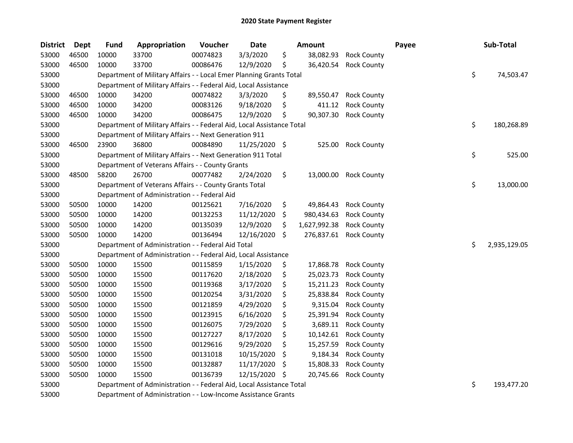| <b>District</b> | Dept  | <b>Fund</b> | Appropriation                                                          | Voucher  | Date          |     | Amount       |                    | Payee | Sub-Total          |
|-----------------|-------|-------------|------------------------------------------------------------------------|----------|---------------|-----|--------------|--------------------|-------|--------------------|
| 53000           | 46500 | 10000       | 33700                                                                  | 00074823 | 3/3/2020      | \$  | 38,082.93    | <b>Rock County</b> |       |                    |
| 53000           | 46500 | 10000       | 33700                                                                  | 00086476 | 12/9/2020     | \$  | 36,420.54    | <b>Rock County</b> |       |                    |
| 53000           |       |             | Department of Military Affairs - - Local Emer Planning Grants Total    |          |               |     |              |                    |       | \$<br>74,503.47    |
| 53000           |       |             | Department of Military Affairs - - Federal Aid, Local Assistance       |          |               |     |              |                    |       |                    |
| 53000           | 46500 | 10000       | 34200                                                                  | 00074822 | 3/3/2020      | \$  | 89,550.47    | <b>Rock County</b> |       |                    |
| 53000           | 46500 | 10000       | 34200                                                                  | 00083126 | 9/18/2020     | \$  | 411.12       | <b>Rock County</b> |       |                    |
| 53000           | 46500 | 10000       | 34200                                                                  | 00086475 | 12/9/2020     | \$  | 90,307.30    | <b>Rock County</b> |       |                    |
| 53000           |       |             | Department of Military Affairs - - Federal Aid, Local Assistance Total |          |               |     |              |                    |       | \$<br>180,268.89   |
| 53000           |       |             | Department of Military Affairs - - Next Generation 911                 |          |               |     |              |                    |       |                    |
| 53000           | 46500 | 23900       | 36800                                                                  | 00084890 | 11/25/2020 \$ |     | 525.00       | <b>Rock County</b> |       |                    |
| 53000           |       |             | Department of Military Affairs - - Next Generation 911 Total           |          |               |     |              |                    |       | \$<br>525.00       |
| 53000           |       |             | Department of Veterans Affairs - - County Grants                       |          |               |     |              |                    |       |                    |
| 53000           | 48500 | 58200       | 26700                                                                  | 00077482 | 2/24/2020     | \$  | 13,000.00    | <b>Rock County</b> |       |                    |
| 53000           |       |             | Department of Veterans Affairs - - County Grants Total                 |          |               |     |              |                    |       | \$<br>13,000.00    |
| 53000           |       |             | Department of Administration - - Federal Aid                           |          |               |     |              |                    |       |                    |
| 53000           | 50500 | 10000       | 14200                                                                  | 00125621 | 7/16/2020     | \$  | 49,864.43    | <b>Rock County</b> |       |                    |
| 53000           | 50500 | 10000       | 14200                                                                  | 00132253 | 11/12/2020    | \$  | 980,434.63   | <b>Rock County</b> |       |                    |
| 53000           | 50500 | 10000       | 14200                                                                  | 00135039 | 12/9/2020     | \$  | 1,627,992.38 | <b>Rock County</b> |       |                    |
| 53000           | 50500 | 10000       | 14200                                                                  | 00136494 | 12/16/2020    | \$  | 276,837.61   | <b>Rock County</b> |       |                    |
| 53000           |       |             | Department of Administration - - Federal Aid Total                     |          |               |     |              |                    |       | \$<br>2,935,129.05 |
| 53000           |       |             | Department of Administration - - Federal Aid, Local Assistance         |          |               |     |              |                    |       |                    |
| 53000           | 50500 | 10000       | 15500                                                                  | 00115859 | 1/15/2020     | \$  | 17,868.78    | <b>Rock County</b> |       |                    |
| 53000           | 50500 | 10000       | 15500                                                                  | 00117620 | 2/18/2020     | \$  | 25,023.73    | <b>Rock County</b> |       |                    |
| 53000           | 50500 | 10000       | 15500                                                                  | 00119368 | 3/17/2020     | \$  | 15,211.23    | <b>Rock County</b> |       |                    |
| 53000           | 50500 | 10000       | 15500                                                                  | 00120254 | 3/31/2020     | \$  | 25,838.84    | <b>Rock County</b> |       |                    |
| 53000           | 50500 | 10000       | 15500                                                                  | 00121859 | 4/29/2020     | \$  | 9,315.04     | <b>Rock County</b> |       |                    |
| 53000           | 50500 | 10000       | 15500                                                                  | 00123915 | 6/16/2020     | \$  | 25,391.94    | <b>Rock County</b> |       |                    |
| 53000           | 50500 | 10000       | 15500                                                                  | 00126075 | 7/29/2020     | \$  | 3,689.11     | <b>Rock County</b> |       |                    |
| 53000           | 50500 | 10000       | 15500                                                                  | 00127227 | 8/17/2020     | \$  | 10,142.61    | <b>Rock County</b> |       |                    |
| 53000           | 50500 | 10000       | 15500                                                                  | 00129616 | 9/29/2020     | \$  | 15,257.59    | <b>Rock County</b> |       |                    |
| 53000           | 50500 | 10000       | 15500                                                                  | 00131018 | 10/15/2020    | \$  | 9,184.34     | <b>Rock County</b> |       |                    |
| 53000           | 50500 | 10000       | 15500                                                                  | 00132887 | 11/17/2020    | \$. | 15,808.33    | <b>Rock County</b> |       |                    |
| 53000           | 50500 | 10000       | 15500                                                                  | 00136739 | 12/15/2020    | \$  | 20,745.66    | <b>Rock County</b> |       |                    |
| 53000           |       |             | Department of Administration - - Federal Aid, Local Assistance Total   |          |               |     |              |                    |       | \$<br>193,477.20   |
| 53000           |       |             | Department of Administration - - Low-Income Assistance Grants          |          |               |     |              |                    |       |                    |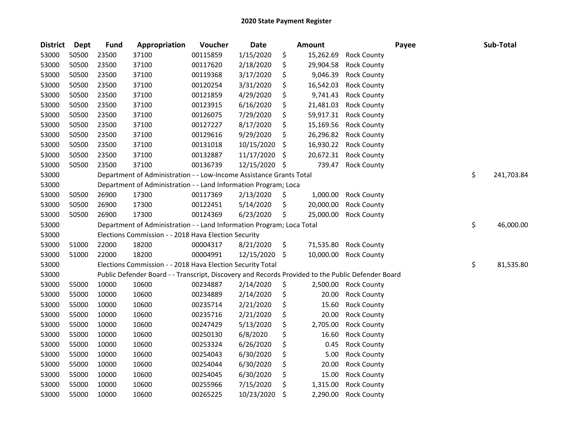| <b>District</b> | <b>Dept</b> | <b>Fund</b> | Appropriation                                                                                     | Voucher  | <b>Date</b> |     | Amount    | Payee              | Sub-Total        |
|-----------------|-------------|-------------|---------------------------------------------------------------------------------------------------|----------|-------------|-----|-----------|--------------------|------------------|
| 53000           | 50500       | 23500       | 37100                                                                                             | 00115859 | 1/15/2020   | \$  | 15,262.69 | <b>Rock County</b> |                  |
| 53000           | 50500       | 23500       | 37100                                                                                             | 00117620 | 2/18/2020   | \$  | 29,904.58 | <b>Rock County</b> |                  |
| 53000           | 50500       | 23500       | 37100                                                                                             | 00119368 | 3/17/2020   | \$  | 9,046.39  | <b>Rock County</b> |                  |
| 53000           | 50500       | 23500       | 37100                                                                                             | 00120254 | 3/31/2020   | \$  | 16,542.03 | <b>Rock County</b> |                  |
| 53000           | 50500       | 23500       | 37100                                                                                             | 00121859 | 4/29/2020   | \$  | 9,741.43  | <b>Rock County</b> |                  |
| 53000           | 50500       | 23500       | 37100                                                                                             | 00123915 | 6/16/2020   | \$  | 21,481.03 | <b>Rock County</b> |                  |
| 53000           | 50500       | 23500       | 37100                                                                                             | 00126075 | 7/29/2020   | \$  | 59,917.31 | <b>Rock County</b> |                  |
| 53000           | 50500       | 23500       | 37100                                                                                             | 00127227 | 8/17/2020   | \$  | 15,169.56 | <b>Rock County</b> |                  |
| 53000           | 50500       | 23500       | 37100                                                                                             | 00129616 | 9/29/2020   | \$  | 26,296.82 | <b>Rock County</b> |                  |
| 53000           | 50500       | 23500       | 37100                                                                                             | 00131018 | 10/15/2020  | \$  | 16,930.22 | <b>Rock County</b> |                  |
| 53000           | 50500       | 23500       | 37100                                                                                             | 00132887 | 11/17/2020  | \$  | 20,672.31 | <b>Rock County</b> |                  |
| 53000           | 50500       | 23500       | 37100                                                                                             | 00136739 | 12/15/2020  | \$  | 739.47    | <b>Rock County</b> |                  |
| 53000           |             |             | Department of Administration - - Low-Income Assistance Grants Total                               |          |             |     |           |                    | \$<br>241,703.84 |
| 53000           |             |             | Department of Administration - - Land Information Program; Loca                                   |          |             |     |           |                    |                  |
| 53000           | 50500       | 26900       | 17300                                                                                             | 00117369 | 2/13/2020   | \$, | 1,000.00  | <b>Rock County</b> |                  |
| 53000           | 50500       | 26900       | 17300                                                                                             | 00122451 | 5/14/2020   | \$  | 20,000.00 | <b>Rock County</b> |                  |
| 53000           | 50500       | 26900       | 17300                                                                                             | 00124369 | 6/23/2020   | \$  | 25,000.00 | <b>Rock County</b> |                  |
| 53000           |             |             | Department of Administration - - Land Information Program; Loca Total                             |          |             |     |           |                    | \$<br>46,000.00  |
| 53000           |             |             | Elections Commission - - 2018 Hava Election Security                                              |          |             |     |           |                    |                  |
| 53000           | 51000       | 22000       | 18200                                                                                             | 00004317 | 8/21/2020   | \$  | 71,535.80 | <b>Rock County</b> |                  |
| 53000           | 51000       | 22000       | 18200                                                                                             | 00004991 | 12/15/2020  | -\$ | 10,000.00 | <b>Rock County</b> |                  |
| 53000           |             |             | Elections Commission - - 2018 Hava Election Security Total                                        |          |             |     |           |                    | \$<br>81,535.80  |
| 53000           |             |             | Public Defender Board - - Transcript, Discovery and Records Provided to the Public Defender Board |          |             |     |           |                    |                  |
| 53000           | 55000       | 10000       | 10600                                                                                             | 00234887 | 2/14/2020   | \$  | 2,500.00  | <b>Rock County</b> |                  |
| 53000           | 55000       | 10000       | 10600                                                                                             | 00234889 | 2/14/2020   | \$  | 20.00     | <b>Rock County</b> |                  |
| 53000           | 55000       | 10000       | 10600                                                                                             | 00235714 | 2/21/2020   | \$  | 15.60     | Rock County        |                  |
| 53000           | 55000       | 10000       | 10600                                                                                             | 00235716 | 2/21/2020   | \$  | 20.00     | <b>Rock County</b> |                  |
| 53000           | 55000       | 10000       | 10600                                                                                             | 00247429 | 5/13/2020   | \$  | 2,705.00  | <b>Rock County</b> |                  |
| 53000           | 55000       | 10000       | 10600                                                                                             | 00250130 | 6/8/2020    | \$  | 16.60     | <b>Rock County</b> |                  |
| 53000           | 55000       | 10000       | 10600                                                                                             | 00253324 | 6/26/2020   | \$  | 0.45      | <b>Rock County</b> |                  |
| 53000           | 55000       | 10000       | 10600                                                                                             | 00254043 | 6/30/2020   | \$  | 5.00      | <b>Rock County</b> |                  |
| 53000           | 55000       | 10000       | 10600                                                                                             | 00254044 | 6/30/2020   | \$  | 20.00     | <b>Rock County</b> |                  |
| 53000           | 55000       | 10000       | 10600                                                                                             | 00254045 | 6/30/2020   | \$  | 15.00     | <b>Rock County</b> |                  |
| 53000           | 55000       | 10000       | 10600                                                                                             | 00255966 | 7/15/2020   | \$  | 1,315.00  | <b>Rock County</b> |                  |
| 53000           | 55000       | 10000       | 10600                                                                                             | 00265225 | 10/23/2020  | \$  | 2,290.00  | <b>Rock County</b> |                  |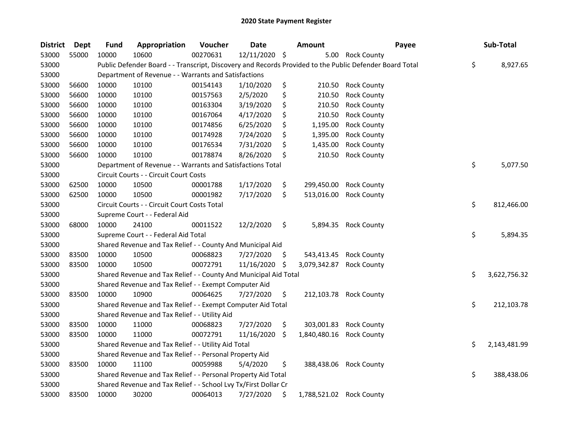| <b>District</b> | <b>Dept</b> | <b>Fund</b> | Appropriation                                                    | Voucher  | <b>Date</b>   |    | <b>Amount</b>            | Payee                                                                                                   | Sub-Total          |
|-----------------|-------------|-------------|------------------------------------------------------------------|----------|---------------|----|--------------------------|---------------------------------------------------------------------------------------------------------|--------------------|
| 53000           | 55000       | 10000       | 10600                                                            | 00270631 | 12/11/2020 \$ |    | 5.00                     | <b>Rock County</b>                                                                                      |                    |
| 53000           |             |             |                                                                  |          |               |    |                          | Public Defender Board - - Transcript, Discovery and Records Provided to the Public Defender Board Total | \$<br>8,927.65     |
| 53000           |             |             | Department of Revenue - - Warrants and Satisfactions             |          |               |    |                          |                                                                                                         |                    |
| 53000           | 56600       | 10000       | 10100                                                            | 00154143 | 1/10/2020     | \$ | 210.50                   | <b>Rock County</b>                                                                                      |                    |
| 53000           | 56600       | 10000       | 10100                                                            | 00157563 | 2/5/2020      | \$ | 210.50                   | <b>Rock County</b>                                                                                      |                    |
| 53000           | 56600       | 10000       | 10100                                                            | 00163304 | 3/19/2020     | \$ | 210.50                   | <b>Rock County</b>                                                                                      |                    |
| 53000           | 56600       | 10000       | 10100                                                            | 00167064 | 4/17/2020     | \$ | 210.50                   | <b>Rock County</b>                                                                                      |                    |
| 53000           | 56600       | 10000       | 10100                                                            | 00174856 | 6/25/2020     | \$ | 1,195.00                 | <b>Rock County</b>                                                                                      |                    |
| 53000           | 56600       | 10000       | 10100                                                            | 00174928 | 7/24/2020     | \$ | 1,395.00                 | <b>Rock County</b>                                                                                      |                    |
| 53000           | 56600       | 10000       | 10100                                                            | 00176534 | 7/31/2020     | \$ | 1,435.00                 | <b>Rock County</b>                                                                                      |                    |
| 53000           | 56600       | 10000       | 10100                                                            | 00178874 | 8/26/2020     | \$ | 210.50                   | <b>Rock County</b>                                                                                      |                    |
| 53000           |             |             | Department of Revenue - - Warrants and Satisfactions Total       |          |               |    |                          |                                                                                                         | \$<br>5,077.50     |
| 53000           |             |             | Circuit Courts - - Circuit Court Costs                           |          |               |    |                          |                                                                                                         |                    |
| 53000           | 62500       | 10000       | 10500                                                            | 00001788 | 1/17/2020     | \$ | 299,450.00               | <b>Rock County</b>                                                                                      |                    |
| 53000           | 62500       | 10000       | 10500                                                            | 00001982 | 7/17/2020     | \$ | 513,016.00               | <b>Rock County</b>                                                                                      |                    |
| 53000           |             |             | Circuit Courts - - Circuit Court Costs Total                     |          |               |    |                          |                                                                                                         | \$<br>812,466.00   |
| 53000           |             |             | Supreme Court - - Federal Aid                                    |          |               |    |                          |                                                                                                         |                    |
| 53000           | 68000       | 10000       | 24100                                                            | 00011522 | 12/2/2020     | \$ | 5,894.35                 | <b>Rock County</b>                                                                                      |                    |
| 53000           |             |             | Supreme Court - - Federal Aid Total                              |          |               |    |                          |                                                                                                         | \$<br>5,894.35     |
| 53000           |             |             | Shared Revenue and Tax Relief - - County And Municipal Aid       |          |               |    |                          |                                                                                                         |                    |
| 53000           | 83500       | 10000       | 10500                                                            | 00068823 | 7/27/2020     | \$ | 543,413.45               | <b>Rock County</b>                                                                                      |                    |
| 53000           | 83500       | 10000       | 10500                                                            | 00072791 | 11/16/2020    | S  | 3,079,342.87             | <b>Rock County</b>                                                                                      |                    |
| 53000           |             |             | Shared Revenue and Tax Relief - - County And Municipal Aid Total |          |               |    |                          |                                                                                                         | \$<br>3,622,756.32 |
| 53000           |             |             | Shared Revenue and Tax Relief - - Exempt Computer Aid            |          |               |    |                          |                                                                                                         |                    |
| 53000           | 83500       | 10000       | 10900                                                            | 00064625 | 7/27/2020     | \$ | 212,103.78               | <b>Rock County</b>                                                                                      |                    |
| 53000           |             |             | Shared Revenue and Tax Relief - - Exempt Computer Aid Total      |          |               |    |                          |                                                                                                         | \$<br>212,103.78   |
| 53000           |             |             | Shared Revenue and Tax Relief - - Utility Aid                    |          |               |    |                          |                                                                                                         |                    |
| 53000           | 83500       | 10000       | 11000                                                            | 00068823 | 7/27/2020     | \$ | 303,001.83               | <b>Rock County</b>                                                                                      |                    |
| 53000           | 83500       | 10000       | 11000                                                            | 00072791 | 11/16/2020    | \$ | 1,840,480.16             | <b>Rock County</b>                                                                                      |                    |
| 53000           |             |             | Shared Revenue and Tax Relief - - Utility Aid Total              |          |               |    |                          |                                                                                                         | \$<br>2,143,481.99 |
| 53000           |             |             | Shared Revenue and Tax Relief - - Personal Property Aid          |          |               |    |                          |                                                                                                         |                    |
| 53000           | 83500       | 10000       | 11100                                                            | 00059988 | 5/4/2020      | \$ |                          | 388,438.06 Rock County                                                                                  |                    |
| 53000           |             |             | Shared Revenue and Tax Relief - - Personal Property Aid Total    |          |               |    |                          |                                                                                                         | \$<br>388,438.06   |
| 53000           |             |             | Shared Revenue and Tax Relief - - School Lvy Tx/First Dollar Cr  |          |               |    |                          |                                                                                                         |                    |
| 53000           | 83500       | 10000       | 30200                                                            | 00064013 | 7/27/2020     | \$ | 1,788,521.02 Rock County |                                                                                                         |                    |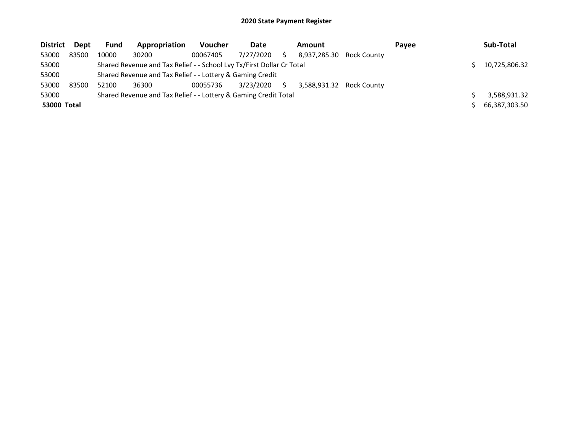| <b>District</b> | Dept  | <b>Fund</b> | Appropriation                                                         | <b>Voucher</b> | Date      |    | Amount                   |             | Payee | Sub-Total     |
|-----------------|-------|-------------|-----------------------------------------------------------------------|----------------|-----------|----|--------------------------|-------------|-------|---------------|
| 53000           | 83500 | 10000       | 30200                                                                 | 00067405       | 7/27/2020 |    | 8.937.285.30             | Rock County |       |               |
| 53000           |       |             | Shared Revenue and Tax Relief - - School Lvy Tx/First Dollar Cr Total |                |           |    |                          |             |       | 10,725,806.32 |
| 53000           |       |             | Shared Revenue and Tax Relief - - Lottery & Gaming Credit             |                |           |    |                          |             |       |               |
| 53000           | 83500 | 52100       | 36300                                                                 | 00055736       | 3/23/2020 | S. | 3,588,931.32 Rock County |             |       |               |
| 53000           |       |             | Shared Revenue and Tax Relief - - Lottery & Gaming Credit Total       |                |           |    |                          |             |       | 3,588,931.32  |
| 53000 Total     |       |             |                                                                       |                |           |    |                          |             |       | 66,387,303.50 |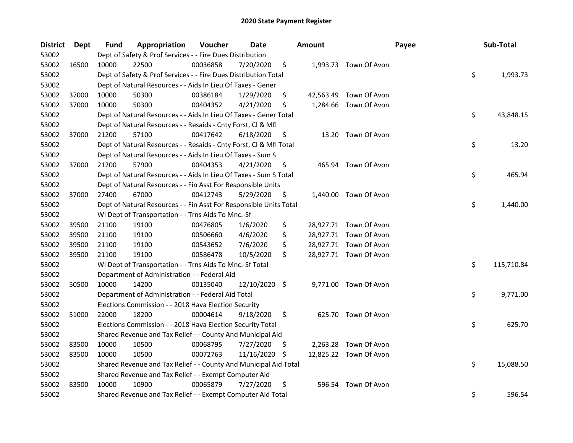| <b>District</b> | Dept  | Fund  | Appropriation                                                      | Voucher  | Date          |     | <b>Amount</b> |                        | Payee | Sub-Total        |
|-----------------|-------|-------|--------------------------------------------------------------------|----------|---------------|-----|---------------|------------------------|-------|------------------|
| 53002           |       |       | Dept of Safety & Prof Services - - Fire Dues Distribution          |          |               |     |               |                        |       |                  |
| 53002           | 16500 | 10000 | 22500                                                              | 00036858 | 7/20/2020     | \$  |               | 1,993.73 Town Of Avon  |       |                  |
| 53002           |       |       | Dept of Safety & Prof Services - - Fire Dues Distribution Total    |          |               |     |               |                        | \$    | 1,993.73         |
| 53002           |       |       | Dept of Natural Resources - - Aids In Lieu Of Taxes - Gener        |          |               |     |               |                        |       |                  |
| 53002           | 37000 | 10000 | 50300                                                              | 00386184 | 1/29/2020     | \$  |               | 42,563.49 Town Of Avon |       |                  |
| 53002           | 37000 | 10000 | 50300                                                              | 00404352 | 4/21/2020     | \$  | 1,284.66      | Town Of Avon           |       |                  |
| 53002           |       |       | Dept of Natural Resources - - Aids In Lieu Of Taxes - Gener Total  |          |               |     |               |                        | \$    | 43,848.15        |
| 53002           |       |       | Dept of Natural Resources - - Resaids - Cnty Forst, Cl & Mfl       |          |               |     |               |                        |       |                  |
| 53002           | 37000 | 21200 | 57100                                                              | 00417642 | 6/18/2020     | \$  |               | 13.20 Town Of Avon     |       |                  |
| 53002           |       |       | Dept of Natural Resources - - Resaids - Cnty Forst, Cl & Mfl Total |          |               |     |               |                        | \$    | 13.20            |
| 53002           |       |       | Dept of Natural Resources - - Aids In Lieu Of Taxes - Sum S        |          |               |     |               |                        |       |                  |
| 53002           | 37000 | 21200 | 57900                                                              | 00404353 | 4/21/2020     | \$  |               | 465.94 Town Of Avon    |       |                  |
| 53002           |       |       | Dept of Natural Resources - - Aids In Lieu Of Taxes - Sum S Total  |          |               |     |               |                        | \$    | 465.94           |
| 53002           |       |       | Dept of Natural Resources - - Fin Asst For Responsible Units       |          |               |     |               |                        |       |                  |
| 53002           | 37000 | 27400 | 67000                                                              | 00412743 | 5/29/2020     | \$  |               | 1,440.00 Town Of Avon  |       |                  |
| 53002           |       |       | Dept of Natural Resources - - Fin Asst For Responsible Units Total |          |               |     |               |                        | \$    | 1,440.00         |
| 53002           |       |       | WI Dept of Transportation - - Trns Aids To Mnc.-Sf                 |          |               |     |               |                        |       |                  |
| 53002           | 39500 | 21100 | 19100                                                              | 00476805 | 1/6/2020      | \$  |               | 28,927.71 Town Of Avon |       |                  |
| 53002           | 39500 | 21100 | 19100                                                              | 00506660 | 4/6/2020      | \$  |               | 28,927.71 Town Of Avon |       |                  |
| 53002           | 39500 | 21100 | 19100                                                              | 00543652 | 7/6/2020      | \$  |               | 28,927.71 Town Of Avon |       |                  |
| 53002           | 39500 | 21100 | 19100                                                              | 00586478 | 10/5/2020     | \$  |               | 28,927.71 Town Of Avon |       |                  |
| 53002           |       |       | WI Dept of Transportation - - Trns Aids To Mnc.-Sf Total           |          |               |     |               |                        |       | \$<br>115,710.84 |
| 53002           |       |       | Department of Administration - - Federal Aid                       |          |               |     |               |                        |       |                  |
| 53002           | 50500 | 10000 | 14200                                                              | 00135040 | 12/10/2020 \$ |     |               | 9,771.00 Town Of Avon  |       |                  |
| 53002           |       |       | Department of Administration - - Federal Aid Total                 |          |               |     |               |                        | \$    | 9,771.00         |
| 53002           |       |       | Elections Commission - - 2018 Hava Election Security               |          |               |     |               |                        |       |                  |
| 53002           | 51000 | 22000 | 18200                                                              | 00004614 | 9/18/2020     | \$  |               | 625.70 Town Of Avon    |       |                  |
| 53002           |       |       | Elections Commission - - 2018 Hava Election Security Total         |          |               |     |               |                        | \$    | 625.70           |
| 53002           |       |       | Shared Revenue and Tax Relief - - County And Municipal Aid         |          |               |     |               |                        |       |                  |
| 53002           | 83500 | 10000 | 10500                                                              | 00068795 | 7/27/2020     | \$  |               | 2,263.28 Town Of Avon  |       |                  |
| 53002           | 83500 | 10000 | 10500                                                              | 00072763 | 11/16/2020    | \$. |               | 12,825.22 Town Of Avon |       |                  |
| 53002           |       |       | Shared Revenue and Tax Relief - - County And Municipal Aid Total   |          |               |     |               |                        |       | \$<br>15,088.50  |
| 53002           |       |       | Shared Revenue and Tax Relief - - Exempt Computer Aid              |          |               |     |               |                        |       |                  |
| 53002           | 83500 | 10000 | 10900                                                              | 00065879 | 7/27/2020     | \$  |               | 596.54 Town Of Avon    |       |                  |
| 53002           |       |       | Shared Revenue and Tax Relief - - Exempt Computer Aid Total        |          |               |     |               |                        | \$    | 596.54           |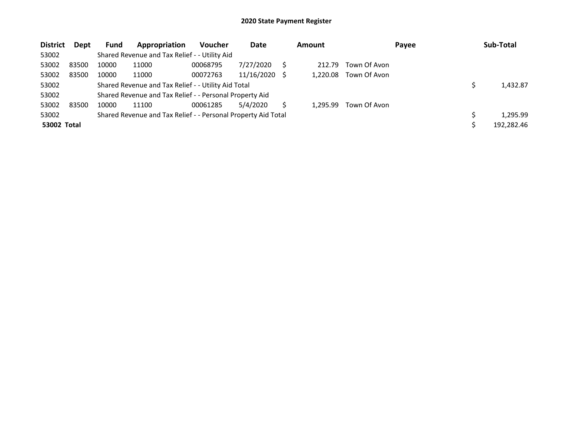| <b>District</b> | Dept  | <b>Fund</b> | Appropriation                                                 | <b>Voucher</b> | Date       | <b>Amount</b> |              | Payee | Sub-Total  |
|-----------------|-------|-------------|---------------------------------------------------------------|----------------|------------|---------------|--------------|-------|------------|
| 53002           |       |             | Shared Revenue and Tax Relief - - Utility Aid                 |                |            |               |              |       |            |
| 53002           | 83500 | 10000       | 11000                                                         | 00068795       | 7/27/2020  | 212.79        | Town Of Avon |       |            |
| 53002           | 83500 | 10000       | 11000                                                         | 00072763       | 11/16/2020 | 1.220.08      | Town Of Avon |       |            |
| 53002           |       |             | Shared Revenue and Tax Relief - - Utility Aid Total           |                |            |               |              |       | 1,432.87   |
| 53002           |       |             | Shared Revenue and Tax Relief - - Personal Property Aid       |                |            |               |              |       |            |
| 53002           | 83500 | 10000       | 11100                                                         | 00061285       | 5/4/2020   | 1.295.99      | Town Of Avon |       |            |
| 53002           |       |             | Shared Revenue and Tax Relief - - Personal Property Aid Total |                |            |               |              |       | 1.295.99   |
| 53002 Total     |       |             |                                                               |                |            |               |              |       | 192,282.46 |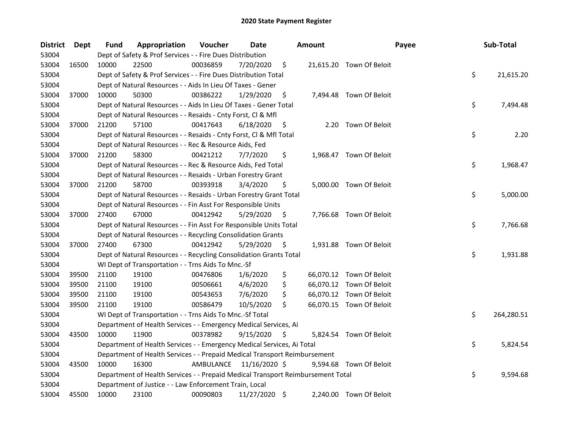| <b>District</b> | Dept  | <b>Fund</b> | Appropriation                                                                   | Voucher   | Date          |     | <b>Amount</b> | Payee                    |    | Sub-Total  |
|-----------------|-------|-------------|---------------------------------------------------------------------------------|-----------|---------------|-----|---------------|--------------------------|----|------------|
| 53004           |       |             | Dept of Safety & Prof Services - - Fire Dues Distribution                       |           |               |     |               |                          |    |            |
| 53004           | 16500 | 10000       | 22500                                                                           | 00036859  | 7/20/2020     | \$  |               | 21,615.20 Town Of Beloit |    |            |
| 53004           |       |             | Dept of Safety & Prof Services - - Fire Dues Distribution Total                 |           |               |     |               |                          | \$ | 21,615.20  |
| 53004           |       |             | Dept of Natural Resources - - Aids In Lieu Of Taxes - Gener                     |           |               |     |               |                          |    |            |
| 53004           | 37000 | 10000       | 50300                                                                           | 00386222  | 1/29/2020     | \$  |               | 7,494.48 Town Of Beloit  |    |            |
| 53004           |       |             | Dept of Natural Resources - - Aids In Lieu Of Taxes - Gener Total               |           |               |     |               |                          | \$ | 7,494.48   |
| 53004           |       |             | Dept of Natural Resources - - Resaids - Cnty Forst, Cl & Mfl                    |           |               |     |               |                          |    |            |
| 53004           | 37000 | 21200       | 57100                                                                           | 00417643  | 6/18/2020     | \$  |               | 2.20 Town Of Beloit      |    |            |
| 53004           |       |             | Dept of Natural Resources - - Resaids - Cnty Forst, Cl & Mfl Total              |           |               |     |               |                          | \$ | 2.20       |
| 53004           |       |             | Dept of Natural Resources - - Rec & Resource Aids, Fed                          |           |               |     |               |                          |    |            |
| 53004           | 37000 | 21200       | 58300                                                                           | 00421212  | 7/7/2020      | \$  |               | 1,968.47 Town Of Beloit  |    |            |
| 53004           |       |             | Dept of Natural Resources - - Rec & Resource Aids, Fed Total                    |           |               |     |               |                          | \$ | 1,968.47   |
| 53004           |       |             | Dept of Natural Resources - - Resaids - Urban Forestry Grant                    |           |               |     |               |                          |    |            |
| 53004           | 37000 | 21200       | 58700                                                                           | 00393918  | 3/4/2020      | \$  |               | 5,000.00 Town Of Beloit  |    |            |
| 53004           |       |             | Dept of Natural Resources - - Resaids - Urban Forestry Grant Total              |           |               |     |               |                          | \$ | 5,000.00   |
| 53004           |       |             | Dept of Natural Resources - - Fin Asst For Responsible Units                    |           |               |     |               |                          |    |            |
| 53004           | 37000 | 27400       | 67000                                                                           | 00412942  | 5/29/2020     | \$, |               | 7,766.68 Town Of Beloit  |    |            |
| 53004           |       |             | Dept of Natural Resources - - Fin Asst For Responsible Units Total              |           |               |     |               |                          | \$ | 7,766.68   |
| 53004           |       |             | Dept of Natural Resources - - Recycling Consolidation Grants                    |           |               |     |               |                          |    |            |
| 53004           | 37000 | 27400       | 67300                                                                           | 00412942  | 5/29/2020     | \$  |               | 1,931.88 Town Of Beloit  |    |            |
| 53004           |       |             | Dept of Natural Resources - - Recycling Consolidation Grants Total              |           |               |     |               |                          | \$ | 1,931.88   |
| 53004           |       |             | WI Dept of Transportation - - Trns Aids To Mnc.-Sf                              |           |               |     |               |                          |    |            |
| 53004           | 39500 | 21100       | 19100                                                                           | 00476806  | 1/6/2020      | \$  |               | 66,070.12 Town Of Beloit |    |            |
| 53004           | 39500 | 21100       | 19100                                                                           | 00506661  | 4/6/2020      | \$  |               | 66,070.12 Town Of Beloit |    |            |
| 53004           | 39500 | 21100       | 19100                                                                           | 00543653  | 7/6/2020      | \$  |               | 66,070.12 Town Of Beloit |    |            |
| 53004           | 39500 | 21100       | 19100                                                                           | 00586479  | 10/5/2020     | \$  |               | 66,070.15 Town Of Beloit |    |            |
| 53004           |       |             | WI Dept of Transportation - - Trns Aids To Mnc.-Sf Total                        |           |               |     |               |                          | \$ | 264,280.51 |
| 53004           |       |             | Department of Health Services - - Emergency Medical Services, Ai                |           |               |     |               |                          |    |            |
| 53004           | 43500 | 10000       | 11900                                                                           | 00378982  | 9/15/2020     | \$, |               | 5,824.54 Town Of Beloit  |    |            |
| 53004           |       |             | Department of Health Services - - Emergency Medical Services, Ai Total          |           |               |     |               |                          | \$ | 5,824.54   |
| 53004           |       |             | Department of Health Services - - Prepaid Medical Transport Reimbursement       |           |               |     |               |                          |    |            |
| 53004           | 43500 | 10000       | 16300                                                                           | AMBULANCE | 11/16/2020 \$ |     |               | 9,594.68 Town Of Beloit  |    |            |
| 53004           |       |             | Department of Health Services - - Prepaid Medical Transport Reimbursement Total |           |               |     |               |                          | \$ | 9,594.68   |
| 53004           |       |             | Department of Justice - - Law Enforcement Train, Local                          |           |               |     |               |                          |    |            |
| 53004           | 45500 | 10000       | 23100                                                                           | 00090803  | 11/27/2020 \$ |     |               | 2,240.00 Town Of Beloit  |    |            |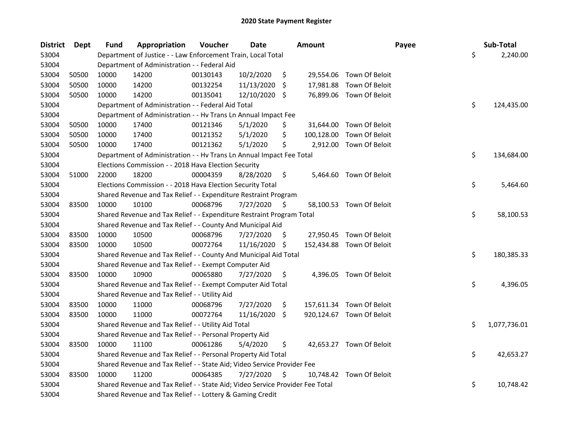| <b>District</b> | <b>Dept</b> | <b>Fund</b> | Appropriation                                                                 | Voucher  | <b>Date</b>     |                    | <b>Amount</b> | Payee                     | Sub-Total          |
|-----------------|-------------|-------------|-------------------------------------------------------------------------------|----------|-----------------|--------------------|---------------|---------------------------|--------------------|
| 53004           |             |             | Department of Justice - - Law Enforcement Train, Local Total                  |          |                 |                    |               |                           | \$<br>2,240.00     |
| 53004           |             |             | Department of Administration - - Federal Aid                                  |          |                 |                    |               |                           |                    |
| 53004           | 50500       | 10000       | 14200                                                                         | 00130143 | 10/2/2020       | \$                 |               | 29,554.06 Town Of Beloit  |                    |
| 53004           | 50500       | 10000       | 14200                                                                         | 00132254 | 11/13/2020      | S.                 |               | 17,981.88 Town Of Beloit  |                    |
| 53004           | 50500       | 10000       | 14200                                                                         | 00135041 | 12/10/2020 \$   |                    |               | 76,899.06 Town Of Beloit  |                    |
| 53004           |             |             | Department of Administration - - Federal Aid Total                            |          |                 |                    |               |                           | \$<br>124,435.00   |
| 53004           |             |             | Department of Administration - - Hv Trans Ln Annual Impact Fee                |          |                 |                    |               |                           |                    |
| 53004           | 50500       | 10000       | 17400                                                                         | 00121346 | 5/1/2020        | \$                 |               | 31,644.00 Town Of Beloit  |                    |
| 53004           | 50500       | 10000       | 17400                                                                         | 00121352 | 5/1/2020        | \$                 | 100,128.00    | Town Of Beloit            |                    |
| 53004           | 50500       | 10000       | 17400                                                                         | 00121362 | 5/1/2020        | \$                 |               | 2,912.00 Town Of Beloit   |                    |
| 53004           |             |             | Department of Administration - - Hv Trans Ln Annual Impact Fee Total          |          |                 |                    |               |                           | \$<br>134,684.00   |
| 53004           |             |             | Elections Commission - - 2018 Hava Election Security                          |          |                 |                    |               |                           |                    |
| 53004           | 51000       | 22000       | 18200                                                                         | 00004359 | 8/28/2020       | \$                 | 5,464.60      | Town Of Beloit            |                    |
| 53004           |             |             | Elections Commission - - 2018 Hava Election Security Total                    |          |                 |                    |               |                           | \$<br>5,464.60     |
| 53004           |             |             | Shared Revenue and Tax Relief - - Expenditure Restraint Program               |          |                 |                    |               |                           |                    |
| 53004           | 83500       | 10000       | 10100                                                                         | 00068796 | 7/27/2020       | \$                 |               | 58,100.53 Town Of Beloit  |                    |
| 53004           |             |             | Shared Revenue and Tax Relief - - Expenditure Restraint Program Total         |          |                 |                    |               |                           | \$<br>58,100.53    |
| 53004           |             |             | Shared Revenue and Tax Relief - - County And Municipal Aid                    |          |                 |                    |               |                           |                    |
| 53004           | 83500       | 10000       | 10500                                                                         | 00068796 | 7/27/2020       | \$                 |               | 27,950.45 Town Of Beloit  |                    |
| 53004           | 83500       | 10000       | 10500                                                                         | 00072764 | 11/16/2020 \$   |                    |               | 152,434.88 Town Of Beloit |                    |
| 53004           |             |             | Shared Revenue and Tax Relief - - County And Municipal Aid Total              |          |                 |                    |               |                           | \$<br>180,385.33   |
| 53004           |             |             | Shared Revenue and Tax Relief - - Exempt Computer Aid                         |          |                 |                    |               |                           |                    |
| 53004           | 83500       | 10000       | 10900                                                                         | 00065880 | 7/27/2020       | \$.                |               | 4,396.05 Town Of Beloit   |                    |
| 53004           |             |             | Shared Revenue and Tax Relief - - Exempt Computer Aid Total                   |          |                 |                    |               |                           | \$<br>4,396.05     |
| 53004           |             |             | Shared Revenue and Tax Relief - - Utility Aid                                 |          |                 |                    |               |                           |                    |
| 53004           | 83500       | 10000       | 11000                                                                         | 00068796 | 7/27/2020       | \$                 |               | 157,611.34 Town Of Beloit |                    |
| 53004           | 83500       | 10000       | 11000                                                                         | 00072764 | $11/16/2020$ \$ |                    |               | 920,124.67 Town Of Beloit |                    |
| 53004           |             |             | Shared Revenue and Tax Relief - - Utility Aid Total                           |          |                 |                    |               |                           | \$<br>1,077,736.01 |
| 53004           |             |             | Shared Revenue and Tax Relief - - Personal Property Aid                       |          |                 |                    |               |                           |                    |
| 53004           | 83500       | 10000       | 11100                                                                         | 00061286 | 5/4/2020        | \$                 |               | 42,653.27 Town Of Beloit  |                    |
| 53004           |             |             | Shared Revenue and Tax Relief - - Personal Property Aid Total                 |          |                 |                    |               |                           | \$<br>42,653.27    |
| 53004           |             |             | Shared Revenue and Tax Relief - - State Aid; Video Service Provider Fee       |          |                 |                    |               |                           |                    |
| 53004           | 83500       | 10000       | 11200                                                                         | 00064385 | 7/27/2020       | $\ddot{\varsigma}$ |               | 10,748.42 Town Of Beloit  |                    |
| 53004           |             |             | Shared Revenue and Tax Relief - - State Aid; Video Service Provider Fee Total |          |                 |                    |               |                           | \$<br>10,748.42    |
| 53004           |             |             | Shared Revenue and Tax Relief - - Lottery & Gaming Credit                     |          |                 |                    |               |                           |                    |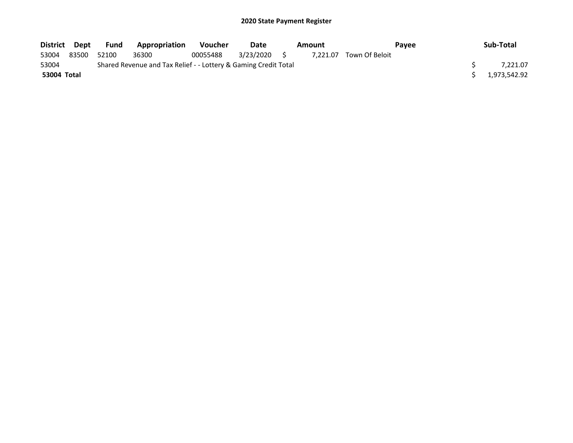| District Dept |       | Fund  | Appropriation                                                   | <b>Voucher</b> | Date         | Amount |          | <b>Pavee</b>   |  | Sub-Total    |
|---------------|-------|-------|-----------------------------------------------------------------|----------------|--------------|--------|----------|----------------|--|--------------|
| 53004         | 83500 | 52100 | 36300                                                           | 00055488       | 3/23/2020 \$ |        | 7.221.07 | Town Of Beloit |  |              |
| 53004         |       |       | Shared Revenue and Tax Relief - - Lottery & Gaming Credit Total |                |              |        |          |                |  | 7.221.07     |
| 53004 Total   |       |       |                                                                 |                |              |        |          |                |  | 1,973,542.92 |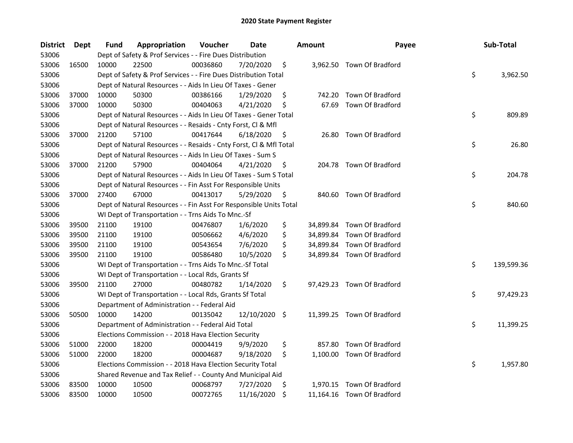| District | Dept  | Fund  | Appropriation                                                      | Voucher  | Date          | <b>Amount</b> | Payee                      | Sub-Total        |
|----------|-------|-------|--------------------------------------------------------------------|----------|---------------|---------------|----------------------------|------------------|
| 53006    |       |       | Dept of Safety & Prof Services - - Fire Dues Distribution          |          |               |               |                            |                  |
| 53006    | 16500 | 10000 | 22500                                                              | 00036860 | 7/20/2020     | \$            | 3,962.50 Town Of Bradford  |                  |
| 53006    |       |       | Dept of Safety & Prof Services - - Fire Dues Distribution Total    |          |               |               |                            | \$<br>3,962.50   |
| 53006    |       |       | Dept of Natural Resources - - Aids In Lieu Of Taxes - Gener        |          |               |               |                            |                  |
| 53006    | 37000 | 10000 | 50300                                                              | 00386166 | 1/29/2020     | \$<br>742.20  | Town Of Bradford           |                  |
| 53006    | 37000 | 10000 | 50300                                                              | 00404063 | 4/21/2020     | \$<br>67.69   | Town Of Bradford           |                  |
| 53006    |       |       | Dept of Natural Resources - - Aids In Lieu Of Taxes - Gener Total  |          |               |               |                            | \$<br>809.89     |
| 53006    |       |       | Dept of Natural Resources - - Resaids - Cnty Forst, Cl & Mfl       |          |               |               |                            |                  |
| 53006    | 37000 | 21200 | 57100                                                              | 00417644 | 6/18/2020     | \$<br>26.80   | <b>Town Of Bradford</b>    |                  |
| 53006    |       |       | Dept of Natural Resources - - Resaids - Cnty Forst, Cl & Mfl Total |          |               |               |                            | \$<br>26.80      |
| 53006    |       |       | Dept of Natural Resources - - Aids In Lieu Of Taxes - Sum S        |          |               |               |                            |                  |
| 53006    | 37000 | 21200 | 57900                                                              | 00404064 | 4/21/2020     | \$            | 204.78 Town Of Bradford    |                  |
| 53006    |       |       | Dept of Natural Resources - - Aids In Lieu Of Taxes - Sum S Total  |          |               |               |                            | \$<br>204.78     |
| 53006    |       |       | Dept of Natural Resources - - Fin Asst For Responsible Units       |          |               |               |                            |                  |
| 53006    | 37000 | 27400 | 67000                                                              | 00413017 | 5/29/2020     | \$            | 840.60 Town Of Bradford    |                  |
| 53006    |       |       | Dept of Natural Resources - - Fin Asst For Responsible Units Total |          |               |               |                            | \$<br>840.60     |
| 53006    |       |       | WI Dept of Transportation - - Trns Aids To Mnc.-Sf                 |          |               |               |                            |                  |
| 53006    | 39500 | 21100 | 19100                                                              | 00476807 | 1/6/2020      | \$            | 34,899.84 Town Of Bradford |                  |
| 53006    | 39500 | 21100 | 19100                                                              | 00506662 | 4/6/2020      | \$            | 34,899.84 Town Of Bradford |                  |
| 53006    | 39500 | 21100 | 19100                                                              | 00543654 | 7/6/2020      | \$            | 34,899.84 Town Of Bradford |                  |
| 53006    | 39500 | 21100 | 19100                                                              | 00586480 | 10/5/2020     | \$            | 34,899.84 Town Of Bradford |                  |
| 53006    |       |       | WI Dept of Transportation - - Trns Aids To Mnc.-Sf Total           |          |               |               |                            | \$<br>139,599.36 |
| 53006    |       |       | WI Dept of Transportation - - Local Rds, Grants Sf                 |          |               |               |                            |                  |
| 53006    | 39500 | 21100 | 27000                                                              | 00480782 | 1/14/2020     | \$            | 97,429.23 Town Of Bradford |                  |
| 53006    |       |       | WI Dept of Transportation - - Local Rds, Grants Sf Total           |          |               |               |                            | \$<br>97,429.23  |
| 53006    |       |       | Department of Administration - - Federal Aid                       |          |               |               |                            |                  |
| 53006    | 50500 | 10000 | 14200                                                              | 00135042 | 12/10/2020 \$ |               | 11,399.25 Town Of Bradford |                  |
| 53006    |       |       | Department of Administration - - Federal Aid Total                 |          |               |               |                            | \$<br>11,399.25  |
| 53006    |       |       | Elections Commission - - 2018 Hava Election Security               |          |               |               |                            |                  |
| 53006    | 51000 | 22000 | 18200                                                              | 00004419 | 9/9/2020      | \$<br>857.80  | Town Of Bradford           |                  |
| 53006    | 51000 | 22000 | 18200                                                              | 00004687 | 9/18/2020     | \$            | 1,100.00 Town Of Bradford  |                  |
| 53006    |       |       | Elections Commission - - 2018 Hava Election Security Total         |          |               |               |                            | \$<br>1,957.80   |
| 53006    |       |       | Shared Revenue and Tax Relief - - County And Municipal Aid         |          |               |               |                            |                  |
| 53006    | 83500 | 10000 | 10500                                                              | 00068797 | 7/27/2020     | \$            | 1,970.15 Town Of Bradford  |                  |
| 53006    | 83500 | 10000 | 10500                                                              | 00072765 | 11/16/2020    | \$            | 11,164.16 Town Of Bradford |                  |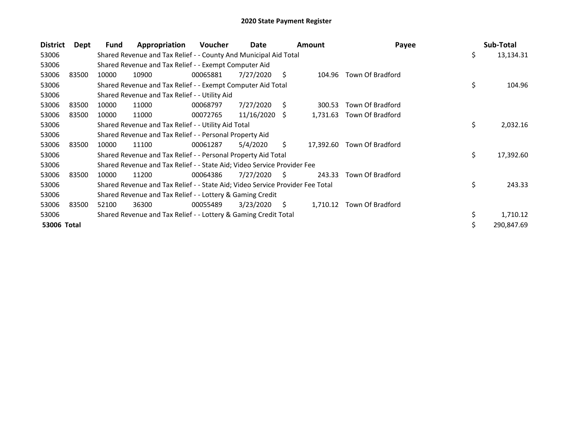| <b>District</b> | Dept  | Fund  | Appropriation                                                                 | Voucher  | Date       |              | <b>Amount</b> | Payee            | Sub-Total        |
|-----------------|-------|-------|-------------------------------------------------------------------------------|----------|------------|--------------|---------------|------------------|------------------|
| 53006           |       |       | Shared Revenue and Tax Relief - - County And Municipal Aid Total              |          |            |              |               |                  | \$<br>13,134.31  |
| 53006           |       |       | Shared Revenue and Tax Relief - - Exempt Computer Aid                         |          |            |              |               |                  |                  |
| 53006           | 83500 | 10000 | 10900                                                                         | 00065881 | 7/27/2020  | S.           | 104.96        | Town Of Bradford |                  |
| 53006           |       |       | Shared Revenue and Tax Relief - - Exempt Computer Aid Total                   |          |            |              |               |                  | \$<br>104.96     |
| 53006           |       |       | Shared Revenue and Tax Relief - - Utility Aid                                 |          |            |              |               |                  |                  |
| 53006           | 83500 | 10000 | 11000                                                                         | 00068797 | 7/27/2020  | S            | 300.53        | Town Of Bradford |                  |
| 53006           | 83500 | 10000 | 11000                                                                         | 00072765 | 11/16/2020 | S.           | 1,731.63      | Town Of Bradford |                  |
| 53006           |       |       | Shared Revenue and Tax Relief - - Utility Aid Total                           |          |            |              |               |                  | \$<br>2,032.16   |
| 53006           |       |       | Shared Revenue and Tax Relief - - Personal Property Aid                       |          |            |              |               |                  |                  |
| 53006           | 83500 | 10000 | 11100                                                                         | 00061287 | 5/4/2020   | Ŝ.           | 17,392.60     | Town Of Bradford |                  |
| 53006           |       |       | Shared Revenue and Tax Relief - - Personal Property Aid Total                 |          |            |              |               |                  | \$<br>17,392.60  |
| 53006           |       |       | Shared Revenue and Tax Relief - - State Aid; Video Service Provider Fee       |          |            |              |               |                  |                  |
| 53006           | 83500 | 10000 | 11200                                                                         | 00064386 | 7/27/2020  | <sub>S</sub> | 243.33        | Town Of Bradford |                  |
| 53006           |       |       | Shared Revenue and Tax Relief - - State Aid; Video Service Provider Fee Total |          |            |              |               |                  | \$<br>243.33     |
| 53006           |       |       | Shared Revenue and Tax Relief - - Lottery & Gaming Credit                     |          |            |              |               |                  |                  |
| 53006           | 83500 | 52100 | 36300                                                                         | 00055489 | 3/23/2020  | \$.          | 1,710.12      | Town Of Bradford |                  |
| 53006           |       |       | Shared Revenue and Tax Relief - - Lottery & Gaming Credit Total               |          |            |              |               |                  | \$<br>1,710.12   |
| 53006 Total     |       |       |                                                                               |          |            |              |               |                  | \$<br>290,847.69 |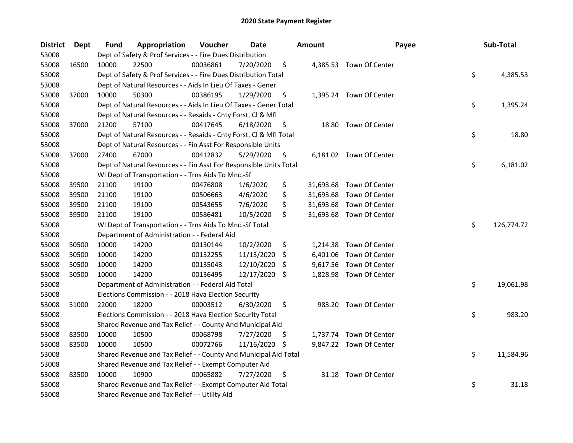| District | Dept  | Fund  | Appropriation                                                      | Voucher  | Date          |     | <b>Amount</b> | Payee                    | Sub-Total        |
|----------|-------|-------|--------------------------------------------------------------------|----------|---------------|-----|---------------|--------------------------|------------------|
| 53008    |       |       | Dept of Safety & Prof Services - - Fire Dues Distribution          |          |               |     |               |                          |                  |
| 53008    | 16500 | 10000 | 22500                                                              | 00036861 | 7/20/2020     | \$  |               | 4,385.53 Town Of Center  |                  |
| 53008    |       |       | Dept of Safety & Prof Services - - Fire Dues Distribution Total    |          |               |     |               |                          | \$<br>4,385.53   |
| 53008    |       |       | Dept of Natural Resources - - Aids In Lieu Of Taxes - Gener        |          |               |     |               |                          |                  |
| 53008    | 37000 | 10000 | 50300                                                              | 00386195 | 1/29/2020     | \$  |               | 1,395.24 Town Of Center  |                  |
| 53008    |       |       | Dept of Natural Resources - - Aids In Lieu Of Taxes - Gener Total  |          |               |     |               |                          | \$<br>1,395.24   |
| 53008    |       |       | Dept of Natural Resources - - Resaids - Cnty Forst, Cl & Mfl       |          |               |     |               |                          |                  |
| 53008    | 37000 | 21200 | 57100                                                              | 00417645 | 6/18/2020     | \$  |               | 18.80 Town Of Center     |                  |
| 53008    |       |       | Dept of Natural Resources - - Resaids - Cnty Forst, Cl & Mfl Total |          |               |     |               |                          | \$<br>18.80      |
| 53008    |       |       | Dept of Natural Resources - - Fin Asst For Responsible Units       |          |               |     |               |                          |                  |
| 53008    | 37000 | 27400 | 67000                                                              | 00412832 | 5/29/2020     | \$  |               | 6,181.02 Town Of Center  |                  |
| 53008    |       |       | Dept of Natural Resources - - Fin Asst For Responsible Units Total |          |               |     |               |                          | \$<br>6,181.02   |
| 53008    |       |       | WI Dept of Transportation - - Trns Aids To Mnc.-Sf                 |          |               |     |               |                          |                  |
| 53008    | 39500 | 21100 | 19100                                                              | 00476808 | 1/6/2020      | \$  |               | 31,693.68 Town Of Center |                  |
| 53008    | 39500 | 21100 | 19100                                                              | 00506663 | 4/6/2020      | \$  |               | 31,693.68 Town Of Center |                  |
| 53008    | 39500 | 21100 | 19100                                                              | 00543655 | 7/6/2020      | \$  |               | 31,693.68 Town Of Center |                  |
| 53008    | 39500 | 21100 | 19100                                                              | 00586481 | 10/5/2020     | \$  |               | 31,693.68 Town Of Center |                  |
| 53008    |       |       | WI Dept of Transportation - - Trns Aids To Mnc.-Sf Total           |          |               |     |               |                          | \$<br>126,774.72 |
| 53008    |       |       | Department of Administration - - Federal Aid                       |          |               |     |               |                          |                  |
| 53008    | 50500 | 10000 | 14200                                                              | 00130144 | 10/2/2020     | \$  |               | 1,214.38 Town Of Center  |                  |
| 53008    | 50500 | 10000 | 14200                                                              | 00132255 | 11/13/2020    | S   | 6,401.06      | Town Of Center           |                  |
| 53008    | 50500 | 10000 | 14200                                                              | 00135043 | 12/10/2020    | \$  | 9,617.56      | Town Of Center           |                  |
| 53008    | 50500 | 10000 | 14200                                                              | 00136495 | 12/17/2020 \$ |     |               | 1,828.98 Town Of Center  |                  |
| 53008    |       |       | Department of Administration - - Federal Aid Total                 |          |               |     |               |                          | \$<br>19,061.98  |
| 53008    |       |       | Elections Commission - - 2018 Hava Election Security               |          |               |     |               |                          |                  |
| 53008    | 51000 | 22000 | 18200                                                              | 00003512 | 6/30/2020     | \$  |               | 983.20 Town Of Center    |                  |
| 53008    |       |       | Elections Commission - - 2018 Hava Election Security Total         |          |               |     |               |                          | \$<br>983.20     |
| 53008    |       |       | Shared Revenue and Tax Relief - - County And Municipal Aid         |          |               |     |               |                          |                  |
| 53008    | 83500 | 10000 | 10500                                                              | 00068798 | 7/27/2020     | S   |               | 1,737.74 Town Of Center  |                  |
| 53008    | 83500 | 10000 | 10500                                                              | 00072766 | 11/16/2020    | \$. |               | 9,847.22 Town Of Center  |                  |
| 53008    |       |       | Shared Revenue and Tax Relief - - County And Municipal Aid Total   |          |               |     |               |                          | \$<br>11,584.96  |
| 53008    |       |       | Shared Revenue and Tax Relief - - Exempt Computer Aid              |          |               |     |               |                          |                  |
| 53008    | 83500 | 10000 | 10900                                                              | 00065882 | 7/27/2020     | \$  |               | 31.18 Town Of Center     |                  |
| 53008    |       |       | Shared Revenue and Tax Relief - - Exempt Computer Aid Total        |          |               |     |               |                          | \$<br>31.18      |
| 53008    |       |       | Shared Revenue and Tax Relief - - Utility Aid                      |          |               |     |               |                          |                  |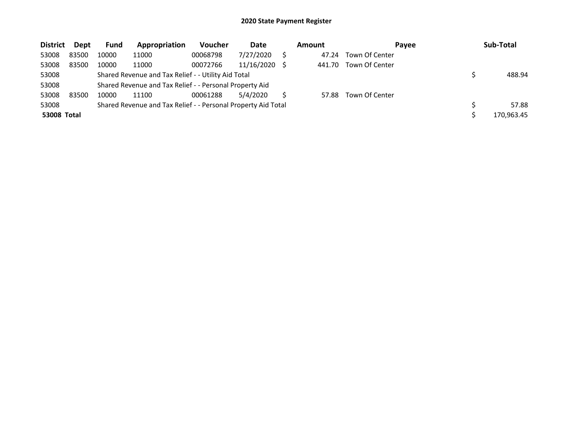| <b>District</b>    | Dept  | <b>Fund</b> | Appropriation                                                 | Voucher  | Date       |     | <b>Amount</b> | Payee          | Sub-Total  |
|--------------------|-------|-------------|---------------------------------------------------------------|----------|------------|-----|---------------|----------------|------------|
| 53008              | 83500 | 10000       | 11000                                                         | 00068798 | 7/27/2020  |     | 47.24         | Town Of Center |            |
| 53008              | 83500 | 10000       | 11000                                                         | 00072766 | 11/16/2020 | - S | 441.70        | Town Of Center |            |
| 53008              |       |             | Shared Revenue and Tax Relief - - Utility Aid Total           |          |            |     |               |                | 488.94     |
| 53008              |       |             | Shared Revenue and Tax Relief - - Personal Property Aid       |          |            |     |               |                |            |
| 53008              | 83500 | 10000       | 11100                                                         | 00061288 | 5/4/2020   |     | 57.88         | Town Of Center |            |
| 53008              |       |             | Shared Revenue and Tax Relief - - Personal Property Aid Total |          |            |     |               |                | 57.88      |
| <b>53008 Total</b> |       |             |                                                               |          |            |     |               |                | 170.963.45 |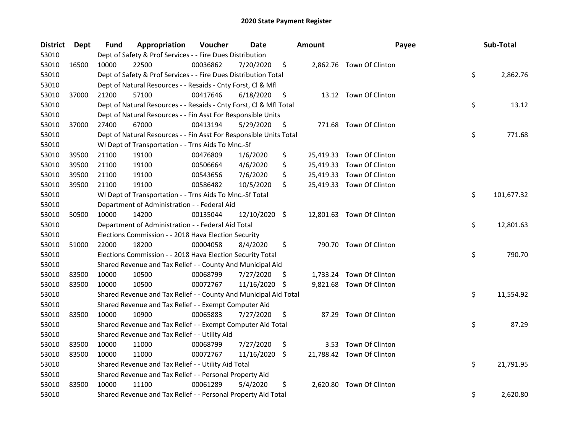| <b>District</b> | Dept  | Fund  | Appropriation                                                      | Voucher  | Date          |     | Amount   | Payee                     | Sub-Total        |
|-----------------|-------|-------|--------------------------------------------------------------------|----------|---------------|-----|----------|---------------------------|------------------|
| 53010           |       |       | Dept of Safety & Prof Services - - Fire Dues Distribution          |          |               |     |          |                           |                  |
| 53010           | 16500 | 10000 | 22500                                                              | 00036862 | 7/20/2020     | \$  |          | 2,862.76 Town Of Clinton  |                  |
| 53010           |       |       | Dept of Safety & Prof Services - - Fire Dues Distribution Total    |          |               |     |          |                           | \$<br>2,862.76   |
| 53010           |       |       | Dept of Natural Resources - - Resaids - Cnty Forst, Cl & Mfl       |          |               |     |          |                           |                  |
| 53010           | 37000 | 21200 | 57100                                                              | 00417646 | 6/18/2020     | \$  |          | 13.12 Town Of Clinton     |                  |
| 53010           |       |       | Dept of Natural Resources - - Resaids - Cnty Forst, Cl & Mfl Total |          |               |     |          |                           | \$<br>13.12      |
| 53010           |       |       | Dept of Natural Resources - - Fin Asst For Responsible Units       |          |               |     |          |                           |                  |
| 53010           | 37000 | 27400 | 67000                                                              | 00413194 | 5/29/2020     | \$  |          | 771.68 Town Of Clinton    |                  |
| 53010           |       |       | Dept of Natural Resources - - Fin Asst For Responsible Units Total |          |               |     |          |                           | \$<br>771.68     |
| 53010           |       |       | WI Dept of Transportation - - Trns Aids To Mnc.-Sf                 |          |               |     |          |                           |                  |
| 53010           | 39500 | 21100 | 19100                                                              | 00476809 | 1/6/2020      | \$  |          | 25,419.33 Town Of Clinton |                  |
| 53010           | 39500 | 21100 | 19100                                                              | 00506664 | 4/6/2020      | \$  |          | 25,419.33 Town Of Clinton |                  |
| 53010           | 39500 | 21100 | 19100                                                              | 00543656 | 7/6/2020      | \$  |          | 25,419.33 Town Of Clinton |                  |
| 53010           | 39500 | 21100 | 19100                                                              | 00586482 | 10/5/2020     | \$  |          | 25,419.33 Town Of Clinton |                  |
| 53010           |       |       | WI Dept of Transportation - - Trns Aids To Mnc.-Sf Total           |          |               |     |          |                           | \$<br>101,677.32 |
| 53010           |       |       | Department of Administration - - Federal Aid                       |          |               |     |          |                           |                  |
| 53010           | 50500 | 10000 | 14200                                                              | 00135044 | 12/10/2020 \$ |     |          | 12,801.63 Town Of Clinton |                  |
| 53010           |       |       | Department of Administration - - Federal Aid Total                 |          |               |     |          |                           | \$<br>12,801.63  |
| 53010           |       |       | Elections Commission - - 2018 Hava Election Security               |          |               |     |          |                           |                  |
| 53010           | 51000 | 22000 | 18200                                                              | 00004058 | 8/4/2020      | \$  |          | 790.70 Town Of Clinton    |                  |
| 53010           |       |       | Elections Commission - - 2018 Hava Election Security Total         |          |               |     |          |                           | \$<br>790.70     |
| 53010           |       |       | Shared Revenue and Tax Relief - - County And Municipal Aid         |          |               |     |          |                           |                  |
| 53010           | 83500 | 10000 | 10500                                                              | 00068799 | 7/27/2020     | \$. |          | 1,733.24 Town Of Clinton  |                  |
| 53010           | 83500 | 10000 | 10500                                                              | 00072767 | 11/16/2020    | -\$ |          | 9,821.68 Town Of Clinton  |                  |
| 53010           |       |       | Shared Revenue and Tax Relief - - County And Municipal Aid Total   |          |               |     |          |                           | \$<br>11,554.92  |
| 53010           |       |       | Shared Revenue and Tax Relief - - Exempt Computer Aid              |          |               |     |          |                           |                  |
| 53010           | 83500 | 10000 | 10900                                                              | 00065883 | 7/27/2020     | \$  |          | 87.29 Town Of Clinton     |                  |
| 53010           |       |       | Shared Revenue and Tax Relief - - Exempt Computer Aid Total        |          |               |     |          |                           | \$<br>87.29      |
| 53010           |       |       | Shared Revenue and Tax Relief - - Utility Aid                      |          |               |     |          |                           |                  |
| 53010           | 83500 | 10000 | 11000                                                              | 00068799 | 7/27/2020     | \$  |          | 3.53 Town Of Clinton      |                  |
| 53010           | 83500 | 10000 | 11000                                                              | 00072767 | 11/16/2020    | \$. |          | 21,788.42 Town Of Clinton |                  |
| 53010           |       |       | Shared Revenue and Tax Relief - - Utility Aid Total                |          |               |     |          |                           | \$<br>21,791.95  |
| 53010           |       |       | Shared Revenue and Tax Relief - - Personal Property Aid            |          |               |     |          |                           |                  |
| 53010           | 83500 | 10000 | 11100                                                              | 00061289 | 5/4/2020      | \$  | 2,620.80 | Town Of Clinton           |                  |
| 53010           |       |       | Shared Revenue and Tax Relief - - Personal Property Aid Total      |          |               |     |          |                           | \$<br>2,620.80   |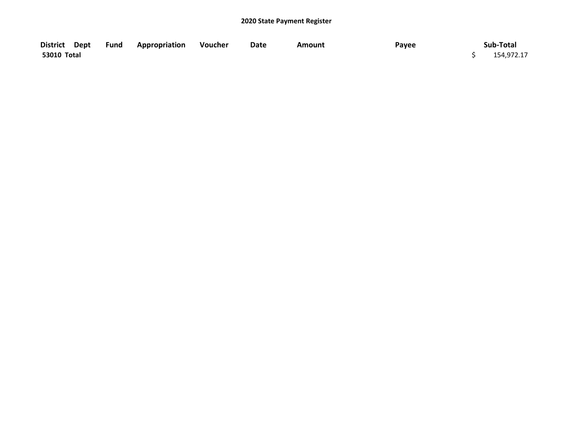|             | District Dept Fund Appropriation Voucher | Date | Amount | Payee | Sub-Total  |
|-------------|------------------------------------------|------|--------|-------|------------|
| 53010 Total |                                          |      |        |       | 154,972.17 |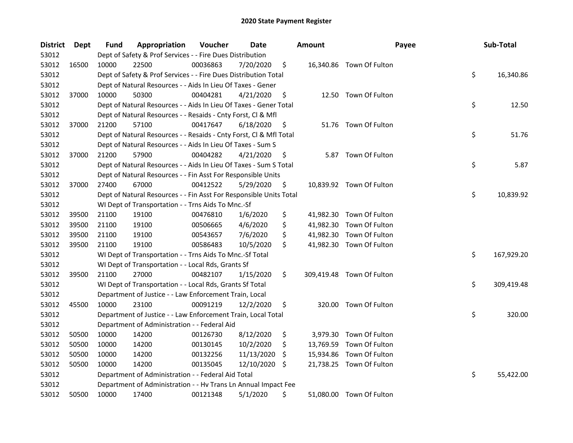| <b>District</b> | Dept  | Fund  | Appropriation                                                      | Voucher  | Date       |     | <b>Amount</b> | Payee                     | Sub-Total        |
|-----------------|-------|-------|--------------------------------------------------------------------|----------|------------|-----|---------------|---------------------------|------------------|
| 53012           |       |       | Dept of Safety & Prof Services - - Fire Dues Distribution          |          |            |     |               |                           |                  |
| 53012           | 16500 | 10000 | 22500                                                              | 00036863 | 7/20/2020  | \$  |               | 16,340.86 Town Of Fulton  |                  |
| 53012           |       |       | Dept of Safety & Prof Services - - Fire Dues Distribution Total    |          |            |     |               |                           | \$<br>16,340.86  |
| 53012           |       |       | Dept of Natural Resources - - Aids In Lieu Of Taxes - Gener        |          |            |     |               |                           |                  |
| 53012           | 37000 | 10000 | 50300                                                              | 00404281 | 4/21/2020  | \$  |               | 12.50 Town Of Fulton      |                  |
| 53012           |       |       | Dept of Natural Resources - - Aids In Lieu Of Taxes - Gener Total  |          |            |     |               |                           | \$<br>12.50      |
| 53012           |       |       | Dept of Natural Resources - - Resaids - Cnty Forst, Cl & Mfl       |          |            |     |               |                           |                  |
| 53012           | 37000 | 21200 | 57100                                                              | 00417647 | 6/18/2020  | \$  |               | 51.76 Town Of Fulton      |                  |
| 53012           |       |       | Dept of Natural Resources - - Resaids - Cnty Forst, Cl & Mfl Total |          |            |     |               |                           | \$<br>51.76      |
| 53012           |       |       | Dept of Natural Resources - - Aids In Lieu Of Taxes - Sum S        |          |            |     |               |                           |                  |
| 53012           | 37000 | 21200 | 57900                                                              | 00404282 | 4/21/2020  | \$  |               | 5.87 Town Of Fulton       |                  |
| 53012           |       |       | Dept of Natural Resources - - Aids In Lieu Of Taxes - Sum S Total  |          |            |     |               |                           | \$<br>5.87       |
| 53012           |       |       | Dept of Natural Resources - - Fin Asst For Responsible Units       |          |            |     |               |                           |                  |
| 53012           | 37000 | 27400 | 67000                                                              | 00412522 | 5/29/2020  | Ş   |               | 10,839.92 Town Of Fulton  |                  |
| 53012           |       |       | Dept of Natural Resources - - Fin Asst For Responsible Units Total |          |            |     |               |                           | \$<br>10,839.92  |
| 53012           |       |       | WI Dept of Transportation - - Trns Aids To Mnc.-Sf                 |          |            |     |               |                           |                  |
| 53012           | 39500 | 21100 | 19100                                                              | 00476810 | 1/6/2020   | \$  |               | 41,982.30 Town Of Fulton  |                  |
| 53012           | 39500 | 21100 | 19100                                                              | 00506665 | 4/6/2020   | \$  | 41,982.30     | Town Of Fulton            |                  |
| 53012           | 39500 | 21100 | 19100                                                              | 00543657 | 7/6/2020   | \$  | 41,982.30     | Town Of Fulton            |                  |
| 53012           | 39500 | 21100 | 19100                                                              | 00586483 | 10/5/2020  | \$  |               | 41,982.30 Town Of Fulton  |                  |
| 53012           |       |       | WI Dept of Transportation - - Trns Aids To Mnc.-Sf Total           |          |            |     |               |                           | \$<br>167,929.20 |
| 53012           |       |       | WI Dept of Transportation - - Local Rds, Grants Sf                 |          |            |     |               |                           |                  |
| 53012           | 39500 | 21100 | 27000                                                              | 00482107 | 1/15/2020  | \$  |               | 309,419.48 Town Of Fulton |                  |
| 53012           |       |       | WI Dept of Transportation - - Local Rds, Grants Sf Total           |          |            |     |               |                           | \$<br>309,419.48 |
| 53012           |       |       | Department of Justice - - Law Enforcement Train, Local             |          |            |     |               |                           |                  |
| 53012           | 45500 | 10000 | 23100                                                              | 00091219 | 12/2/2020  | \$  |               | 320.00 Town Of Fulton     |                  |
| 53012           |       |       | Department of Justice - - Law Enforcement Train, Local Total       |          |            |     |               |                           | \$<br>320.00     |
| 53012           |       |       | Department of Administration - - Federal Aid                       |          |            |     |               |                           |                  |
| 53012           | 50500 | 10000 | 14200                                                              | 00126730 | 8/12/2020  | \$  |               | 3,979.30 Town Of Fulton   |                  |
| 53012           | 50500 | 10000 | 14200                                                              | 00130145 | 10/2/2020  | \$. | 13,769.59     | Town Of Fulton            |                  |
| 53012           | 50500 | 10000 | 14200                                                              | 00132256 | 11/13/2020 | \$. | 15,934.86     | Town Of Fulton            |                  |
| 53012           | 50500 | 10000 | 14200                                                              | 00135045 | 12/10/2020 | \$  |               | 21,738.25 Town Of Fulton  |                  |
| 53012           |       |       | Department of Administration - - Federal Aid Total                 |          |            |     |               |                           | \$<br>55,422.00  |
| 53012           |       |       | Department of Administration - - Hv Trans Ln Annual Impact Fee     |          |            |     |               |                           |                  |
| 53012           | 50500 | 10000 | 17400                                                              | 00121348 | 5/1/2020   | \$  |               | 51,080.00 Town Of Fulton  |                  |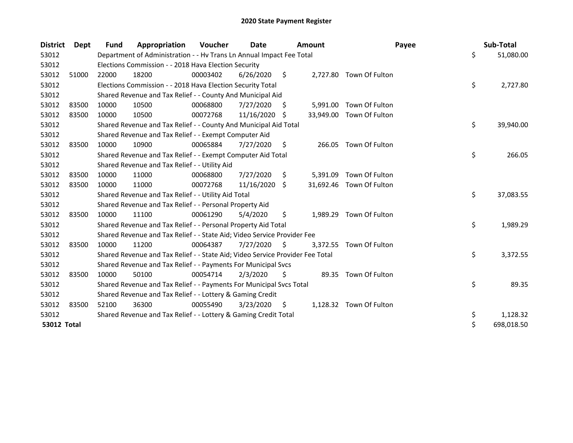| <b>District</b>    | Dept  | <b>Fund</b> | Appropriation                                                                 | Voucher  | Date       |                     | <b>Amount</b> | Payee                    | Sub-Total        |
|--------------------|-------|-------------|-------------------------------------------------------------------------------|----------|------------|---------------------|---------------|--------------------------|------------------|
| 53012              |       |             | Department of Administration - - Hv Trans Ln Annual Impact Fee Total          |          |            |                     |               |                          | \$<br>51,080.00  |
| 53012              |       |             | Elections Commission - - 2018 Hava Election Security                          |          |            |                     |               |                          |                  |
| 53012              | 51000 | 22000       | 18200                                                                         | 00003402 | 6/26/2020  | \$                  |               | 2,727.80 Town Of Fulton  |                  |
| 53012              |       |             | Elections Commission - - 2018 Hava Election Security Total                    |          |            |                     |               |                          | \$<br>2,727.80   |
| 53012              |       |             | Shared Revenue and Tax Relief - - County And Municipal Aid                    |          |            |                     |               |                          |                  |
| 53012              | 83500 | 10000       | 10500                                                                         | 00068800 | 7/27/2020  | S                   | 5,991.00      | Town Of Fulton           |                  |
| 53012              | 83500 | 10000       | 10500                                                                         | 00072768 | 11/16/2020 | -S                  |               | 33,949.00 Town Of Fulton |                  |
| 53012              |       |             | Shared Revenue and Tax Relief - - County And Municipal Aid Total              |          |            |                     |               |                          | \$<br>39,940.00  |
| 53012              |       |             | Shared Revenue and Tax Relief - - Exempt Computer Aid                         |          |            |                     |               |                          |                  |
| 53012              | 83500 | 10000       | 10900                                                                         | 00065884 | 7/27/2020  | \$                  |               | 266.05 Town Of Fulton    |                  |
| 53012              |       |             | Shared Revenue and Tax Relief - - Exempt Computer Aid Total                   |          |            |                     |               |                          | \$<br>266.05     |
| 53012              |       |             | Shared Revenue and Tax Relief - - Utility Aid                                 |          |            |                     |               |                          |                  |
| 53012              | 83500 | 10000       | 11000                                                                         | 00068800 | 7/27/2020  | \$                  | 5,391.09      | Town Of Fulton           |                  |
| 53012              | 83500 | 10000       | 11000                                                                         | 00072768 | 11/16/2020 | -S                  |               | 31,692.46 Town Of Fulton |                  |
| 53012              |       |             | Shared Revenue and Tax Relief - - Utility Aid Total                           |          |            |                     |               |                          | \$<br>37,083.55  |
| 53012              |       |             | Shared Revenue and Tax Relief - - Personal Property Aid                       |          |            |                     |               |                          |                  |
| 53012              | 83500 | 10000       | 11100                                                                         | 00061290 | 5/4/2020   | \$                  | 1,989.29      | Town Of Fulton           |                  |
| 53012              |       |             | Shared Revenue and Tax Relief - - Personal Property Aid Total                 |          |            |                     |               |                          | \$<br>1,989.29   |
| 53012              |       |             | Shared Revenue and Tax Relief - - State Aid; Video Service Provider Fee       |          |            |                     |               |                          |                  |
| 53012              | 83500 | 10000       | 11200                                                                         | 00064387 | 7/27/2020  | $\ddot{\mathsf{S}}$ |               | 3,372.55 Town Of Fulton  |                  |
| 53012              |       |             | Shared Revenue and Tax Relief - - State Aid; Video Service Provider Fee Total |          |            |                     |               |                          | \$<br>3,372.55   |
| 53012              |       |             | Shared Revenue and Tax Relief - - Payments For Municipal Svcs                 |          |            |                     |               |                          |                  |
| 53012              | 83500 | 10000       | 50100                                                                         | 00054714 | 2/3/2020   | \$                  |               | 89.35 Town Of Fulton     |                  |
| 53012              |       |             | Shared Revenue and Tax Relief - - Payments For Municipal Svcs Total           |          |            |                     |               |                          | \$<br>89.35      |
| 53012              |       |             | Shared Revenue and Tax Relief - - Lottery & Gaming Credit                     |          |            |                     |               |                          |                  |
| 53012              | 83500 | 52100       | 36300                                                                         | 00055490 | 3/23/2020  | -\$                 |               | 1,128.32 Town Of Fulton  |                  |
| 53012              |       |             | Shared Revenue and Tax Relief - - Lottery & Gaming Credit Total               |          |            |                     |               |                          | \$<br>1,128.32   |
| <b>53012 Total</b> |       |             |                                                                               |          |            |                     |               |                          | \$<br>698,018.50 |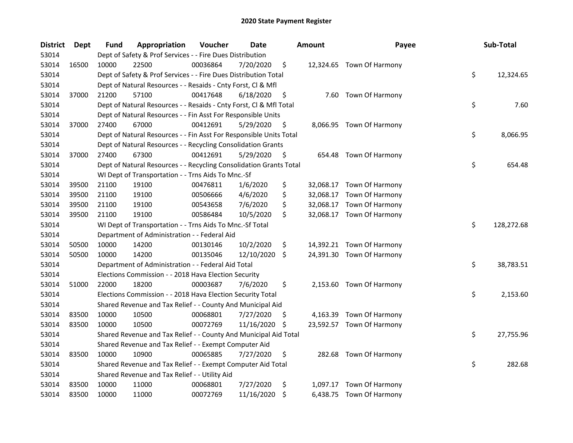| <b>District</b> | <b>Dept</b> | Fund  | Appropriation                                                      | Voucher  | Date       |     | <b>Amount</b> | Payee                     | Sub-Total        |
|-----------------|-------------|-------|--------------------------------------------------------------------|----------|------------|-----|---------------|---------------------------|------------------|
| 53014           |             |       | Dept of Safety & Prof Services - - Fire Dues Distribution          |          |            |     |               |                           |                  |
| 53014           | 16500       | 10000 | 22500                                                              | 00036864 | 7/20/2020  | \$  |               | 12,324.65 Town Of Harmony |                  |
| 53014           |             |       | Dept of Safety & Prof Services - - Fire Dues Distribution Total    |          |            |     |               |                           | \$<br>12,324.65  |
| 53014           |             |       | Dept of Natural Resources - - Resaids - Cnty Forst, Cl & Mfl       |          |            |     |               |                           |                  |
| 53014           | 37000       | 21200 | 57100                                                              | 00417648 | 6/18/2020  | \$  |               | 7.60 Town Of Harmony      |                  |
| 53014           |             |       | Dept of Natural Resources - - Resaids - Cnty Forst, Cl & Mfl Total |          |            |     |               |                           | \$<br>7.60       |
| 53014           |             |       | Dept of Natural Resources - - Fin Asst For Responsible Units       |          |            |     |               |                           |                  |
| 53014           | 37000       | 27400 | 67000                                                              | 00412691 | 5/29/2020  | \$  |               | 8,066.95 Town Of Harmony  |                  |
| 53014           |             |       | Dept of Natural Resources - - Fin Asst For Responsible Units Total |          |            |     |               |                           | \$<br>8,066.95   |
| 53014           |             |       | Dept of Natural Resources - - Recycling Consolidation Grants       |          |            |     |               |                           |                  |
| 53014           | 37000       | 27400 | 67300                                                              | 00412691 | 5/29/2020  | \$  |               | 654.48 Town Of Harmony    |                  |
| 53014           |             |       | Dept of Natural Resources - - Recycling Consolidation Grants Total |          |            |     |               |                           | \$<br>654.48     |
| 53014           |             |       | WI Dept of Transportation - - Trns Aids To Mnc.-Sf                 |          |            |     |               |                           |                  |
| 53014           | 39500       | 21100 | 19100                                                              | 00476811 | 1/6/2020   | \$  |               | 32,068.17 Town Of Harmony |                  |
| 53014           | 39500       | 21100 | 19100                                                              | 00506666 | 4/6/2020   | \$  |               | 32,068.17 Town Of Harmony |                  |
| 53014           | 39500       | 21100 | 19100                                                              | 00543658 | 7/6/2020   | \$  |               | 32,068.17 Town Of Harmony |                  |
| 53014           | 39500       | 21100 | 19100                                                              | 00586484 | 10/5/2020  | \$  |               | 32,068.17 Town Of Harmony |                  |
| 53014           |             |       | WI Dept of Transportation - - Trns Aids To Mnc.-Sf Total           |          |            |     |               |                           | \$<br>128,272.68 |
| 53014           |             |       | Department of Administration - - Federal Aid                       |          |            |     |               |                           |                  |
| 53014           | 50500       | 10000 | 14200                                                              | 00130146 | 10/2/2020  | \$  |               | 14,392.21 Town Of Harmony |                  |
| 53014           | 50500       | 10000 | 14200                                                              | 00135046 | 12/10/2020 | -S  |               | 24,391.30 Town Of Harmony |                  |
| 53014           |             |       | Department of Administration - - Federal Aid Total                 |          |            |     |               |                           | \$<br>38,783.51  |
| 53014           |             |       | Elections Commission - - 2018 Hava Election Security               |          |            |     |               |                           |                  |
| 53014           | 51000       | 22000 | 18200                                                              | 00003687 | 7/6/2020   | \$  |               | 2,153.60 Town Of Harmony  |                  |
| 53014           |             |       | Elections Commission - - 2018 Hava Election Security Total         |          |            |     |               |                           | \$<br>2,153.60   |
| 53014           |             |       | Shared Revenue and Tax Relief - - County And Municipal Aid         |          |            |     |               |                           |                  |
| 53014           | 83500       | 10000 | 10500                                                              | 00068801 | 7/27/2020  | \$. |               | 4,163.39 Town Of Harmony  |                  |
| 53014           | 83500       | 10000 | 10500                                                              | 00072769 | 11/16/2020 | S.  |               | 23,592.57 Town Of Harmony |                  |
| 53014           |             |       | Shared Revenue and Tax Relief - - County And Municipal Aid Total   |          |            |     |               |                           | \$<br>27,755.96  |
| 53014           |             |       | Shared Revenue and Tax Relief - - Exempt Computer Aid              |          |            |     |               |                           |                  |
| 53014           | 83500       | 10000 | 10900                                                              | 00065885 | 7/27/2020  | \$  |               | 282.68 Town Of Harmony    |                  |
| 53014           |             |       | Shared Revenue and Tax Relief - - Exempt Computer Aid Total        |          |            |     |               |                           | \$<br>282.68     |
| 53014           |             |       | Shared Revenue and Tax Relief - - Utility Aid                      |          |            |     |               |                           |                  |
| 53014           | 83500       | 10000 | 11000                                                              | 00068801 | 7/27/2020  | \$  |               | 1,097.17 Town Of Harmony  |                  |
| 53014           | 83500       | 10000 | 11000                                                              | 00072769 | 11/16/2020 | \$  |               | 6,438.75 Town Of Harmony  |                  |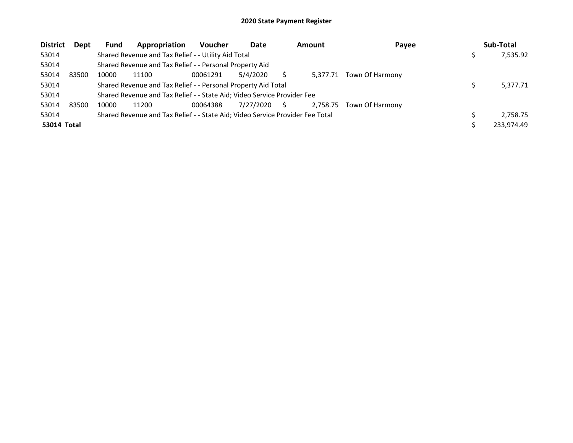| <b>District</b> | Dept  | <b>Fund</b> | Appropriation                                                                 | <b>Voucher</b> | Date      |    | <b>Amount</b> | Payee                  | Sub-Total  |
|-----------------|-------|-------------|-------------------------------------------------------------------------------|----------------|-----------|----|---------------|------------------------|------------|
| 53014           |       |             | Shared Revenue and Tax Relief - - Utility Aid Total                           |                |           |    |               |                        | 7,535.92   |
| 53014           |       |             | Shared Revenue and Tax Relief - - Personal Property Aid                       |                |           |    |               |                        |            |
| 53014           | 83500 | 10000       | 11100                                                                         | 00061291       | 5/4/2020  |    | 5.377.71      | <b>Town Of Harmony</b> |            |
| 53014           |       |             | Shared Revenue and Tax Relief - - Personal Property Aid Total                 |                |           |    |               |                        | 5,377.71   |
| 53014           |       |             | Shared Revenue and Tax Relief - - State Aid; Video Service Provider Fee       |                |           |    |               |                        |            |
| 53014           | 83500 | 10000       | 11200                                                                         | 00064388       | 7/27/2020 | S. | 2.758.75      | Town Of Harmony        |            |
| 53014           |       |             | Shared Revenue and Tax Relief - - State Aid; Video Service Provider Fee Total |                |           |    |               |                        | 2.758.75   |
| 53014 Total     |       |             |                                                                               |                |           |    |               |                        | 233,974.49 |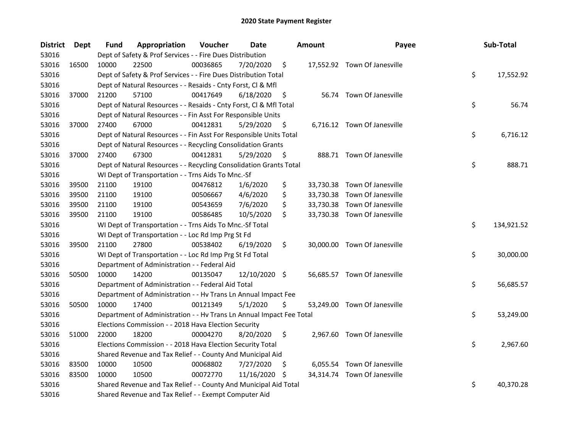| <b>District</b> | Dept  | <b>Fund</b> | Appropriation                                                        | Voucher  | Date          |     | <b>Amount</b> | Payee                        | Sub-Total        |
|-----------------|-------|-------------|----------------------------------------------------------------------|----------|---------------|-----|---------------|------------------------------|------------------|
| 53016           |       |             | Dept of Safety & Prof Services - - Fire Dues Distribution            |          |               |     |               |                              |                  |
| 53016           | 16500 | 10000       | 22500                                                                | 00036865 | 7/20/2020     | \$  |               | 17,552.92 Town Of Janesville |                  |
| 53016           |       |             | Dept of Safety & Prof Services - - Fire Dues Distribution Total      |          |               |     |               |                              | \$<br>17,552.92  |
| 53016           |       |             | Dept of Natural Resources - - Resaids - Cnty Forst, Cl & Mfl         |          |               |     |               |                              |                  |
| 53016           | 37000 | 21200       | 57100                                                                | 00417649 | 6/18/2020     | \$  |               | 56.74 Town Of Janesville     |                  |
| 53016           |       |             | Dept of Natural Resources - - Resaids - Cnty Forst, Cl & Mfl Total   |          |               |     |               |                              | \$<br>56.74      |
| 53016           |       |             | Dept of Natural Resources - - Fin Asst For Responsible Units         |          |               |     |               |                              |                  |
| 53016           | 37000 | 27400       | 67000                                                                | 00412831 | 5/29/2020     | \$  |               | 6,716.12 Town Of Janesville  |                  |
| 53016           |       |             | Dept of Natural Resources - - Fin Asst For Responsible Units Total   |          |               |     |               |                              | \$<br>6,716.12   |
| 53016           |       |             | Dept of Natural Resources - - Recycling Consolidation Grants         |          |               |     |               |                              |                  |
| 53016           | 37000 | 27400       | 67300                                                                | 00412831 | 5/29/2020     | \$  |               | 888.71 Town Of Janesville    |                  |
| 53016           |       |             | Dept of Natural Resources - - Recycling Consolidation Grants Total   |          |               |     |               |                              | \$<br>888.71     |
| 53016           |       |             | WI Dept of Transportation - - Trns Aids To Mnc.-Sf                   |          |               |     |               |                              |                  |
| 53016           | 39500 | 21100       | 19100                                                                | 00476812 | 1/6/2020      | \$  |               | 33,730.38 Town Of Janesville |                  |
| 53016           | 39500 | 21100       | 19100                                                                | 00506667 | 4/6/2020      | \$  |               | 33,730.38 Town Of Janesville |                  |
| 53016           | 39500 | 21100       | 19100                                                                | 00543659 | 7/6/2020      | \$  |               | 33,730.38 Town Of Janesville |                  |
| 53016           | 39500 | 21100       | 19100                                                                | 00586485 | 10/5/2020     | \$  |               | 33,730.38 Town Of Janesville |                  |
| 53016           |       |             | WI Dept of Transportation - - Trns Aids To Mnc.-Sf Total             |          |               |     |               |                              | \$<br>134,921.52 |
| 53016           |       |             | WI Dept of Transportation - - Loc Rd Imp Prg St Fd                   |          |               |     |               |                              |                  |
| 53016           | 39500 | 21100       | 27800                                                                | 00538402 | 6/19/2020     | \$  |               | 30,000.00 Town Of Janesville |                  |
| 53016           |       |             | WI Dept of Transportation - - Loc Rd Imp Prg St Fd Total             |          |               |     |               |                              | \$<br>30,000.00  |
| 53016           |       |             | Department of Administration - - Federal Aid                         |          |               |     |               |                              |                  |
| 53016           | 50500 | 10000       | 14200                                                                | 00135047 | 12/10/2020 \$ |     |               | 56,685.57 Town Of Janesville |                  |
| 53016           |       |             | Department of Administration - - Federal Aid Total                   |          |               |     |               |                              | \$<br>56,685.57  |
| 53016           |       |             | Department of Administration - - Hv Trans Ln Annual Impact Fee       |          |               |     |               |                              |                  |
| 53016           | 50500 | 10000       | 17400                                                                | 00121349 | 5/1/2020      | \$  |               | 53,249.00 Town Of Janesville |                  |
| 53016           |       |             | Department of Administration - - Hv Trans Ln Annual Impact Fee Total |          |               |     |               |                              | \$<br>53,249.00  |
| 53016           |       |             | Elections Commission - - 2018 Hava Election Security                 |          |               |     |               |                              |                  |
| 53016           | 51000 | 22000       | 18200                                                                | 00004270 | 8/20/2020     | \$  |               | 2,967.60 Town Of Janesville  |                  |
| 53016           |       |             | Elections Commission - - 2018 Hava Election Security Total           |          |               |     |               |                              | \$<br>2,967.60   |
| 53016           |       |             | Shared Revenue and Tax Relief - - County And Municipal Aid           |          |               |     |               |                              |                  |
| 53016           | 83500 | 10000       | 10500                                                                | 00068802 | 7/27/2020     | \$. |               | 6,055.54 Town Of Janesville  |                  |
| 53016           | 83500 | 10000       | 10500                                                                | 00072770 | 11/16/2020 \$ |     |               | 34,314.74 Town Of Janesville |                  |
| 53016           |       |             | Shared Revenue and Tax Relief - - County And Municipal Aid Total     |          |               |     |               |                              | \$<br>40,370.28  |
| 53016           |       |             | Shared Revenue and Tax Relief - - Exempt Computer Aid                |          |               |     |               |                              |                  |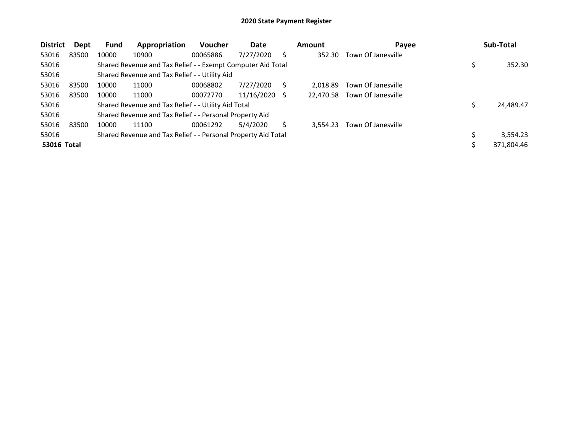| <b>District</b>    | Dept  | Fund  | Appropriation                                                 | <b>Voucher</b> | Date       | <b>Amount</b> | Payee              | Sub-Total  |
|--------------------|-------|-------|---------------------------------------------------------------|----------------|------------|---------------|--------------------|------------|
| 53016              | 83500 | 10000 | 10900                                                         | 00065886       | 7/27/2020  | 352.30        | Town Of Janesville |            |
| 53016              |       |       | Shared Revenue and Tax Relief - - Exempt Computer Aid Total   |                |            |               |                    | 352.30     |
| 53016              |       |       | Shared Revenue and Tax Relief - - Utility Aid                 |                |            |               |                    |            |
| 53016              | 83500 | 10000 | 11000                                                         | 00068802       | 7/27/2020  | 2.018.89      | Town Of Janesville |            |
| 53016              | 83500 | 10000 | 11000                                                         | 00072770       | 11/16/2020 | 22,470.58     | Town Of Janesville |            |
| 53016              |       |       | Shared Revenue and Tax Relief - - Utility Aid Total           |                |            |               |                    | 24,489.47  |
| 53016              |       |       | Shared Revenue and Tax Relief - - Personal Property Aid       |                |            |               |                    |            |
| 53016              | 83500 | 10000 | 11100                                                         | 00061292       | 5/4/2020   | 3.554.23      | Town Of Janesville |            |
| 53016              |       |       | Shared Revenue and Tax Relief - - Personal Property Aid Total |                |            |               |                    | 3,554.23   |
| <b>53016 Total</b> |       |       |                                                               |                |            |               |                    | 371.804.46 |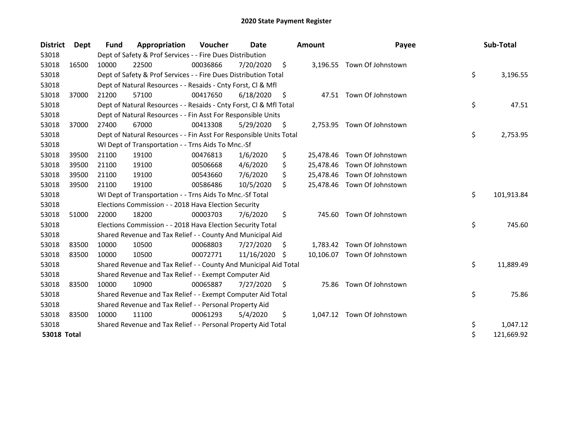| <b>District</b>    | <b>Dept</b> | Fund  | Appropriation                                                      | <b>Voucher</b> | Date       |                    | <b>Amount</b> | Payee                       | Sub-Total        |
|--------------------|-------------|-------|--------------------------------------------------------------------|----------------|------------|--------------------|---------------|-----------------------------|------------------|
| 53018              |             |       | Dept of Safety & Prof Services - - Fire Dues Distribution          |                |            |                    |               |                             |                  |
| 53018              | 16500       | 10000 | 22500                                                              | 00036866       | 7/20/2020  | \$                 | 3,196.55      | Town Of Johnstown           |                  |
| 53018              |             |       | Dept of Safety & Prof Services - - Fire Dues Distribution Total    |                |            |                    |               |                             | \$<br>3,196.55   |
| 53018              |             |       | Dept of Natural Resources - - Resaids - Cnty Forst, Cl & Mfl       |                |            |                    |               |                             |                  |
| 53018              | 37000       | 21200 | 57100                                                              | 00417650       | 6/18/2020  | $\ddot{\varsigma}$ |               | 47.51 Town Of Johnstown     |                  |
| 53018              |             |       | Dept of Natural Resources - - Resaids - Cnty Forst, Cl & Mfl Total |                |            |                    |               |                             | \$<br>47.51      |
| 53018              |             |       | Dept of Natural Resources - - Fin Asst For Responsible Units       |                |            |                    |               |                             |                  |
| 53018              | 37000       | 27400 | 67000                                                              | 00413308       | 5/29/2020  | S                  |               | 2,753.95 Town Of Johnstown  |                  |
| 53018              |             |       | Dept of Natural Resources - - Fin Asst For Responsible Units Total |                |            |                    |               |                             | \$<br>2,753.95   |
| 53018              |             |       | WI Dept of Transportation - - Trns Aids To Mnc.-Sf                 |                |            |                    |               |                             |                  |
| 53018              | 39500       | 21100 | 19100                                                              | 00476813       | 1/6/2020   | \$                 |               | 25,478.46 Town Of Johnstown |                  |
| 53018              | 39500       | 21100 | 19100                                                              | 00506668       | 4/6/2020   | \$                 |               | 25,478.46 Town Of Johnstown |                  |
| 53018              | 39500       | 21100 | 19100                                                              | 00543660       | 7/6/2020   | \$                 |               | 25,478.46 Town Of Johnstown |                  |
| 53018              | 39500       | 21100 | 19100                                                              | 00586486       | 10/5/2020  | Ś.                 |               | 25,478.46 Town Of Johnstown |                  |
| 53018              |             |       | WI Dept of Transportation - - Trns Aids To Mnc.-Sf Total           |                |            |                    |               |                             | \$<br>101,913.84 |
| 53018              |             |       | Elections Commission - - 2018 Hava Election Security               |                |            |                    |               |                             |                  |
| 53018              | 51000       | 22000 | 18200                                                              | 00003703       | 7/6/2020   | \$                 | 745.60        | Town Of Johnstown           |                  |
| 53018              |             |       | Elections Commission - - 2018 Hava Election Security Total         |                |            |                    |               |                             | \$<br>745.60     |
| 53018              |             |       | Shared Revenue and Tax Relief - - County And Municipal Aid         |                |            |                    |               |                             |                  |
| 53018              | 83500       | 10000 | 10500                                                              | 00068803       | 7/27/2020  | S                  |               | 1,783.42 Town Of Johnstown  |                  |
| 53018              | 83500       | 10000 | 10500                                                              | 00072771       | 11/16/2020 | -S                 |               | 10,106.07 Town Of Johnstown |                  |
| 53018              |             |       | Shared Revenue and Tax Relief - - County And Municipal Aid Total   |                |            |                    |               |                             | \$<br>11,889.49  |
| 53018              |             |       | Shared Revenue and Tax Relief - - Exempt Computer Aid              |                |            |                    |               |                             |                  |
| 53018              | 83500       | 10000 | 10900                                                              | 00065887       | 7/27/2020  | \$                 | 75.86         | Town Of Johnstown           |                  |
| 53018              |             |       | Shared Revenue and Tax Relief - - Exempt Computer Aid Total        |                |            |                    |               |                             | \$<br>75.86      |
| 53018              |             |       | Shared Revenue and Tax Relief - - Personal Property Aid            |                |            |                    |               |                             |                  |
| 53018              | 83500       | 10000 | 11100                                                              | 00061293       | 5/4/2020   | \$                 |               | 1,047.12 Town Of Johnstown  |                  |
| 53018              |             |       | Shared Revenue and Tax Relief - - Personal Property Aid Total      |                |            |                    |               |                             | \$<br>1,047.12   |
| <b>53018 Total</b> |             |       |                                                                    |                |            |                    |               |                             | \$<br>121,669.92 |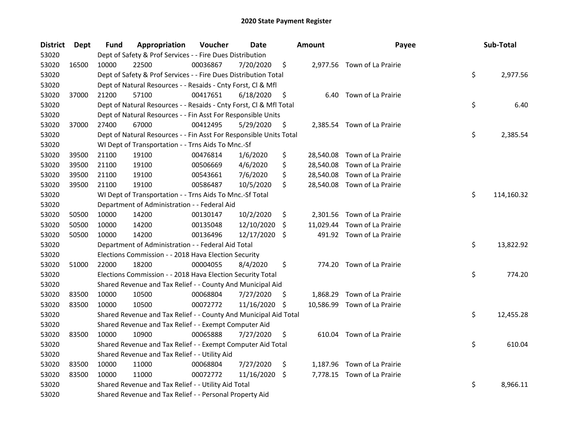| <b>District</b> | Dept  | Fund  | Appropriation                                                      | Voucher  | Date       |     | <b>Amount</b> | Payee                        | Sub-Total        |
|-----------------|-------|-------|--------------------------------------------------------------------|----------|------------|-----|---------------|------------------------------|------------------|
| 53020           |       |       | Dept of Safety & Prof Services - - Fire Dues Distribution          |          |            |     |               |                              |                  |
| 53020           | 16500 | 10000 | 22500                                                              | 00036867 | 7/20/2020  | \$  |               | 2,977.56 Town of La Prairie  |                  |
| 53020           |       |       | Dept of Safety & Prof Services - - Fire Dues Distribution Total    |          |            |     |               |                              | \$<br>2,977.56   |
| 53020           |       |       | Dept of Natural Resources - - Resaids - Cnty Forst, Cl & Mfl       |          |            |     |               |                              |                  |
| 53020           | 37000 | 21200 | 57100                                                              | 00417651 | 6/18/2020  | \$  |               | 6.40 Town of La Prairie      |                  |
| 53020           |       |       | Dept of Natural Resources - - Resaids - Cnty Forst, Cl & Mfl Total |          |            |     |               |                              | \$<br>6.40       |
| 53020           |       |       | Dept of Natural Resources - - Fin Asst For Responsible Units       |          |            |     |               |                              |                  |
| 53020           | 37000 | 27400 | 67000                                                              | 00412495 | 5/29/2020  | \$  |               | 2,385.54 Town of La Prairie  |                  |
| 53020           |       |       | Dept of Natural Resources - - Fin Asst For Responsible Units Total |          |            |     |               |                              | \$<br>2,385.54   |
| 53020           |       |       | WI Dept of Transportation - - Trns Aids To Mnc.-Sf                 |          |            |     |               |                              |                  |
| 53020           | 39500 | 21100 | 19100                                                              | 00476814 | 1/6/2020   | \$  |               | 28,540.08 Town of La Prairie |                  |
| 53020           | 39500 | 21100 | 19100                                                              | 00506669 | 4/6/2020   | \$  |               | 28,540.08 Town of La Prairie |                  |
| 53020           | 39500 | 21100 | 19100                                                              | 00543661 | 7/6/2020   | \$  |               | 28,540.08 Town of La Prairie |                  |
| 53020           | 39500 | 21100 | 19100                                                              | 00586487 | 10/5/2020  | \$  |               | 28,540.08 Town of La Prairie |                  |
| 53020           |       |       | WI Dept of Transportation - - Trns Aids To Mnc.-Sf Total           |          |            |     |               |                              | \$<br>114,160.32 |
| 53020           |       |       | Department of Administration - - Federal Aid                       |          |            |     |               |                              |                  |
| 53020           | 50500 | 10000 | 14200                                                              | 00130147 | 10/2/2020  | \$  |               | 2,301.56 Town of La Prairie  |                  |
| 53020           | 50500 | 10000 | 14200                                                              | 00135048 | 12/10/2020 | \$. |               | 11,029.44 Town of La Prairie |                  |
| 53020           | 50500 | 10000 | 14200                                                              | 00136496 | 12/17/2020 | \$  |               | 491.92 Town of La Prairie    |                  |
| 53020           |       |       | Department of Administration - - Federal Aid Total                 |          |            |     |               |                              | \$<br>13,822.92  |
| 53020           |       |       | Elections Commission - - 2018 Hava Election Security               |          |            |     |               |                              |                  |
| 53020           | 51000 | 22000 | 18200                                                              | 00004055 | 8/4/2020   | \$  |               | 774.20 Town of La Prairie    |                  |
| 53020           |       |       | Elections Commission - - 2018 Hava Election Security Total         |          |            |     |               |                              | \$<br>774.20     |
| 53020           |       |       | Shared Revenue and Tax Relief - - County And Municipal Aid         |          |            |     |               |                              |                  |
| 53020           | 83500 | 10000 | 10500                                                              | 00068804 | 7/27/2020  | \$. | 1,868.29      | Town of La Prairie           |                  |
| 53020           | 83500 | 10000 | 10500                                                              | 00072772 | 11/16/2020 | \$  |               | 10,586.99 Town of La Prairie |                  |
| 53020           |       |       | Shared Revenue and Tax Relief - - County And Municipal Aid Total   |          |            |     |               |                              | \$<br>12,455.28  |
| 53020           |       |       | Shared Revenue and Tax Relief - - Exempt Computer Aid              |          |            |     |               |                              |                  |
| 53020           | 83500 | 10000 | 10900                                                              | 00065888 | 7/27/2020  | \$  |               | 610.04 Town of La Prairie    |                  |
| 53020           |       |       | Shared Revenue and Tax Relief - - Exempt Computer Aid Total        |          |            |     |               |                              | \$<br>610.04     |
| 53020           |       |       | Shared Revenue and Tax Relief - - Utility Aid                      |          |            |     |               |                              |                  |
| 53020           | 83500 | 10000 | 11000                                                              | 00068804 | 7/27/2020  | \$  |               | 1,187.96 Town of La Prairie  |                  |
| 53020           | 83500 | 10000 | 11000                                                              | 00072772 | 11/16/2020 | \$. |               | 7,778.15 Town of La Prairie  |                  |
| 53020           |       |       | Shared Revenue and Tax Relief - - Utility Aid Total                |          |            |     |               |                              | \$<br>8,966.11   |
| 53020           |       |       | Shared Revenue and Tax Relief - - Personal Property Aid            |          |            |     |               |                              |                  |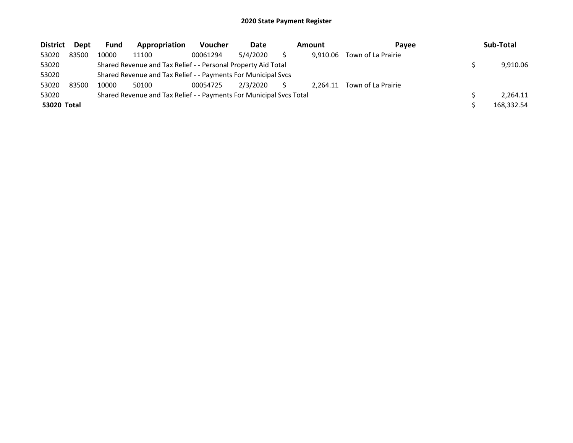| <b>District</b> | Dept  | <b>Fund</b> | Appropriation                                                       | <b>Voucher</b> | Date     | Amount   | Pavee              | Sub-Total  |
|-----------------|-------|-------------|---------------------------------------------------------------------|----------------|----------|----------|--------------------|------------|
| 53020           | 83500 | 10000       | 11100                                                               | 00061294       | 5/4/2020 | 9.910.06 | Town of La Prairie |            |
| 53020           |       |             | Shared Revenue and Tax Relief - - Personal Property Aid Total       |                |          |          |                    | 9.910.06   |
| 53020           |       |             | Shared Revenue and Tax Relief - - Payments For Municipal Svcs       |                |          |          |                    |            |
| 53020           | 83500 | 10000       | 50100                                                               | 00054725       | 2/3/2020 | 2.264.11 | Town of La Prairie |            |
| 53020           |       |             | Shared Revenue and Tax Relief - - Payments For Municipal Svcs Total |                |          |          |                    | 2.264.11   |
| 53020 Total     |       |             |                                                                     |                |          |          |                    | 168,332.54 |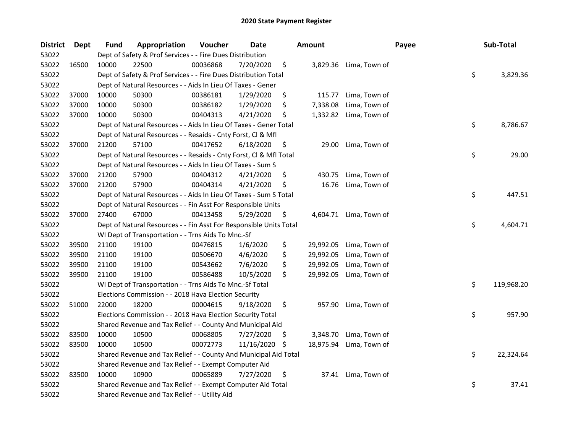| <b>District</b> | <b>Dept</b> | <b>Fund</b> | Appropriation                                                      | Voucher  | <b>Date</b> |     | <b>Amount</b> |                        | Payee | Sub-Total        |
|-----------------|-------------|-------------|--------------------------------------------------------------------|----------|-------------|-----|---------------|------------------------|-------|------------------|
| 53022           |             |             | Dept of Safety & Prof Services - - Fire Dues Distribution          |          |             |     |               |                        |       |                  |
| 53022           | 16500       | 10000       | 22500                                                              | 00036868 | 7/20/2020   | \$  |               | 3,829.36 Lima, Town of |       |                  |
| 53022           |             |             | Dept of Safety & Prof Services - - Fire Dues Distribution Total    |          |             |     |               |                        |       | \$<br>3,829.36   |
| 53022           |             |             | Dept of Natural Resources - - Aids In Lieu Of Taxes - Gener        |          |             |     |               |                        |       |                  |
| 53022           | 37000       | 10000       | 50300                                                              | 00386181 | 1/29/2020   | \$  | 115.77        | Lima, Town of          |       |                  |
| 53022           | 37000       | 10000       | 50300                                                              | 00386182 | 1/29/2020   | \$  | 7,338.08      | Lima, Town of          |       |                  |
| 53022           | 37000       | 10000       | 50300                                                              | 00404313 | 4/21/2020   | \$, | 1,332.82      | Lima, Town of          |       |                  |
| 53022           |             |             | Dept of Natural Resources - - Aids In Lieu Of Taxes - Gener Total  |          |             |     |               |                        |       | \$<br>8,786.67   |
| 53022           |             |             | Dept of Natural Resources - - Resaids - Cnty Forst, Cl & Mfl       |          |             |     |               |                        |       |                  |
| 53022           | 37000       | 21200       | 57100                                                              | 00417652 | 6/18/2020   | \$  | 29.00         | Lima, Town of          |       |                  |
| 53022           |             |             | Dept of Natural Resources - - Resaids - Cnty Forst, Cl & Mfl Total |          |             |     |               |                        |       | \$<br>29.00      |
| 53022           |             |             | Dept of Natural Resources - - Aids In Lieu Of Taxes - Sum S        |          |             |     |               |                        |       |                  |
| 53022           | 37000       | 21200       | 57900                                                              | 00404312 | 4/21/2020   | \$  | 430.75        | Lima, Town of          |       |                  |
| 53022           | 37000       | 21200       | 57900                                                              | 00404314 | 4/21/2020   | \$  | 16.76         | Lima, Town of          |       |                  |
| 53022           |             |             | Dept of Natural Resources - - Aids In Lieu Of Taxes - Sum S Total  |          |             |     |               |                        |       | \$<br>447.51     |
| 53022           |             |             | Dept of Natural Resources - - Fin Asst For Responsible Units       |          |             |     |               |                        |       |                  |
| 53022           | 37000       | 27400       | 67000                                                              | 00413458 | 5/29/2020   | \$  |               | 4,604.71 Lima, Town of |       |                  |
| 53022           |             |             | Dept of Natural Resources - - Fin Asst For Responsible Units Total |          |             |     |               |                        |       | \$<br>4,604.71   |
| 53022           |             |             | WI Dept of Transportation - - Trns Aids To Mnc.-Sf                 |          |             |     |               |                        |       |                  |
| 53022           | 39500       | 21100       | 19100                                                              | 00476815 | 1/6/2020    | \$  | 29,992.05     | Lima, Town of          |       |                  |
| 53022           | 39500       | 21100       | 19100                                                              | 00506670 | 4/6/2020    | \$  | 29,992.05     | Lima, Town of          |       |                  |
| 53022           | 39500       | 21100       | 19100                                                              | 00543662 | 7/6/2020    | \$  | 29,992.05     | Lima, Town of          |       |                  |
| 53022           | 39500       | 21100       | 19100                                                              | 00586488 | 10/5/2020   | \$  | 29,992.05     | Lima, Town of          |       |                  |
| 53022           |             |             | WI Dept of Transportation - - Trns Aids To Mnc.-Sf Total           |          |             |     |               |                        |       | \$<br>119,968.20 |
| 53022           |             |             | Elections Commission - - 2018 Hava Election Security               |          |             |     |               |                        |       |                  |
| 53022           | 51000       | 22000       | 18200                                                              | 00004615 | 9/18/2020   | \$  | 957.90        | Lima, Town of          |       |                  |
| 53022           |             |             | Elections Commission - - 2018 Hava Election Security Total         |          |             |     |               |                        |       | \$<br>957.90     |
| 53022           |             |             | Shared Revenue and Tax Relief - - County And Municipal Aid         |          |             |     |               |                        |       |                  |
| 53022           | 83500       | 10000       | 10500                                                              | 00068805 | 7/27/2020   | \$  | 3,348.70      | Lima, Town of          |       |                  |
| 53022           | 83500       | 10000       | 10500                                                              | 00072773 | 11/16/2020  | -\$ | 18,975.94     | Lima, Town of          |       |                  |
| 53022           |             |             | Shared Revenue and Tax Relief - - County And Municipal Aid Total   |          |             |     |               |                        |       | \$<br>22,324.64  |
| 53022           |             |             | Shared Revenue and Tax Relief - - Exempt Computer Aid              |          |             |     |               |                        |       |                  |
| 53022           | 83500       | 10000       | 10900                                                              | 00065889 | 7/27/2020   | \$  |               | 37.41 Lima, Town of    |       |                  |
| 53022           |             |             | Shared Revenue and Tax Relief - - Exempt Computer Aid Total        |          |             |     |               |                        |       | \$<br>37.41      |
| 53022           |             |             | Shared Revenue and Tax Relief - - Utility Aid                      |          |             |     |               |                        |       |                  |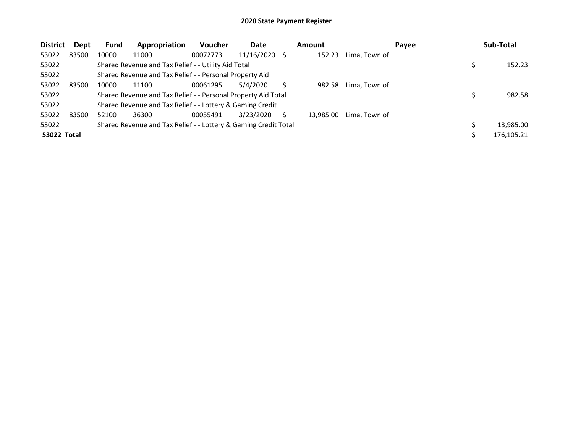| <b>District</b>    | <b>Dept</b> | <b>Fund</b> | Appropriation                                                   | <b>Voucher</b> | Date          |   | <b>Amount</b> |               | Payee | Sub-Total  |
|--------------------|-------------|-------------|-----------------------------------------------------------------|----------------|---------------|---|---------------|---------------|-------|------------|
| 53022              | 83500       | 10000       | 11000                                                           | 00072773       | 11/16/2020 \$ |   | 152.23        | Lima, Town of |       |            |
| 53022              |             |             | Shared Revenue and Tax Relief - - Utility Aid Total             |                |               |   |               |               |       | 152.23     |
| 53022              |             |             | Shared Revenue and Tax Relief - - Personal Property Aid         |                |               |   |               |               |       |            |
| 53022              | 83500       | 10000       | 11100                                                           | 00061295       | 5/4/2020      |   | 982.58        | Lima, Town of |       |            |
| 53022              |             |             | Shared Revenue and Tax Relief - - Personal Property Aid Total   |                |               |   |               |               |       | 982.58     |
| 53022              |             |             | Shared Revenue and Tax Relief - - Lottery & Gaming Credit       |                |               |   |               |               |       |            |
| 53022              | 83500       | 52100       | 36300                                                           | 00055491       | 3/23/2020     | S | 13.985.00     | Lima, Town of |       |            |
| 53022              |             |             | Shared Revenue and Tax Relief - - Lottery & Gaming Credit Total |                |               |   |               |               |       | 13.985.00  |
| <b>53022 Total</b> |             |             |                                                                 |                |               |   |               |               |       | 176,105.21 |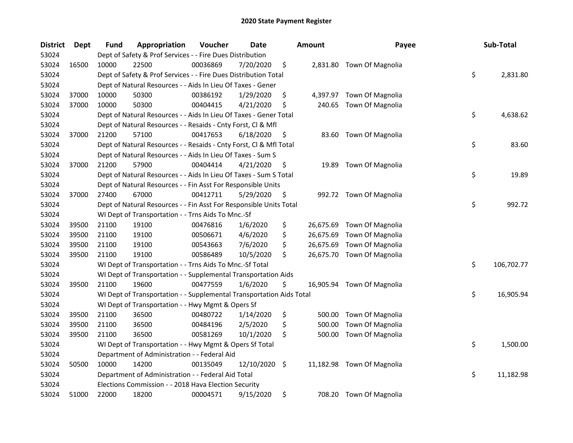| <b>District</b> | <b>Dept</b> | Fund  | Appropriation                                                        | Voucher  | Date       |     | <b>Amount</b> | Payee                      | Sub-Total        |
|-----------------|-------------|-------|----------------------------------------------------------------------|----------|------------|-----|---------------|----------------------------|------------------|
| 53024           |             |       | Dept of Safety & Prof Services - - Fire Dues Distribution            |          |            |     |               |                            |                  |
| 53024           | 16500       | 10000 | 22500                                                                | 00036869 | 7/20/2020  | \$  |               | 2,831.80 Town Of Magnolia  |                  |
| 53024           |             |       | Dept of Safety & Prof Services - - Fire Dues Distribution Total      |          |            |     |               |                            | \$<br>2,831.80   |
| 53024           |             |       | Dept of Natural Resources - - Aids In Lieu Of Taxes - Gener          |          |            |     |               |                            |                  |
| 53024           | 37000       | 10000 | 50300                                                                | 00386192 | 1/29/2020  | \$  |               | 4,397.97 Town Of Magnolia  |                  |
| 53024           | 37000       | 10000 | 50300                                                                | 00404415 | 4/21/2020  | \$  | 240.65        | Town Of Magnolia           |                  |
| 53024           |             |       | Dept of Natural Resources - - Aids In Lieu Of Taxes - Gener Total    |          |            |     |               |                            | \$<br>4,638.62   |
| 53024           |             |       | Dept of Natural Resources - - Resaids - Cnty Forst, Cl & Mfl         |          |            |     |               |                            |                  |
| 53024           | 37000       | 21200 | 57100                                                                | 00417653 | 6/18/2020  | \$, |               | 83.60 Town Of Magnolia     |                  |
| 53024           |             |       | Dept of Natural Resources - - Resaids - Cnty Forst, Cl & Mfl Total   |          |            |     |               |                            | \$<br>83.60      |
| 53024           |             |       | Dept of Natural Resources - - Aids In Lieu Of Taxes - Sum S          |          |            |     |               |                            |                  |
| 53024           | 37000       | 21200 | 57900                                                                | 00404414 | 4/21/2020  | \$  | 19.89         | Town Of Magnolia           |                  |
| 53024           |             |       | Dept of Natural Resources - - Aids In Lieu Of Taxes - Sum S Total    |          |            |     |               |                            | \$<br>19.89      |
| 53024           |             |       | Dept of Natural Resources - - Fin Asst For Responsible Units         |          |            |     |               |                            |                  |
| 53024           | 37000       | 27400 | 67000                                                                | 00412711 | 5/29/2020  | \$  |               | 992.72 Town Of Magnolia    |                  |
| 53024           |             |       | Dept of Natural Resources - - Fin Asst For Responsible Units Total   |          |            |     |               |                            | \$<br>992.72     |
| 53024           |             |       | WI Dept of Transportation - - Trns Aids To Mnc.-Sf                   |          |            |     |               |                            |                  |
| 53024           | 39500       | 21100 | 19100                                                                | 00476816 | 1/6/2020   | \$  | 26,675.69     | Town Of Magnolia           |                  |
| 53024           | 39500       | 21100 | 19100                                                                | 00506671 | 4/6/2020   | \$  | 26,675.69     | Town Of Magnolia           |                  |
| 53024           | 39500       | 21100 | 19100                                                                | 00543663 | 7/6/2020   | \$  | 26,675.69     | Town Of Magnolia           |                  |
| 53024           | 39500       | 21100 | 19100                                                                | 00586489 | 10/5/2020  | \$  |               | 26,675.70 Town Of Magnolia |                  |
| 53024           |             |       | WI Dept of Transportation - - Trns Aids To Mnc.-Sf Total             |          |            |     |               |                            | \$<br>106,702.77 |
| 53024           |             |       | WI Dept of Transportation - - Supplemental Transportation Aids       |          |            |     |               |                            |                  |
| 53024           | 39500       | 21100 | 19600                                                                | 00477559 | 1/6/2020   | \$  |               | 16,905.94 Town Of Magnolia |                  |
| 53024           |             |       | WI Dept of Transportation - - Supplemental Transportation Aids Total |          |            |     |               |                            | \$<br>16,905.94  |
| 53024           |             |       | WI Dept of Transportation - - Hwy Mgmt & Opers Sf                    |          |            |     |               |                            |                  |
| 53024           | 39500       | 21100 | 36500                                                                | 00480722 | 1/14/2020  | \$  | 500.00        | Town Of Magnolia           |                  |
| 53024           | 39500       | 21100 | 36500                                                                | 00484196 | 2/5/2020   | \$  | 500.00        | Town Of Magnolia           |                  |
| 53024           | 39500       | 21100 | 36500                                                                | 00581269 | 10/1/2020  | \$  | 500.00        | Town Of Magnolia           |                  |
| 53024           |             |       | WI Dept of Transportation - - Hwy Mgmt & Opers Sf Total              |          |            |     |               |                            | \$<br>1,500.00   |
| 53024           |             |       | Department of Administration - - Federal Aid                         |          |            |     |               |                            |                  |
| 53024           | 50500       | 10000 | 14200                                                                | 00135049 | 12/10/2020 | \$  |               | 11,182.98 Town Of Magnolia |                  |
| 53024           |             |       | Department of Administration - - Federal Aid Total                   |          |            |     |               |                            | \$<br>11,182.98  |
| 53024           |             |       | Elections Commission - - 2018 Hava Election Security                 |          |            |     |               |                            |                  |
| 53024           | 51000       | 22000 | 18200                                                                | 00004571 | 9/15/2020  | \$  |               | 708.20 Town Of Magnolia    |                  |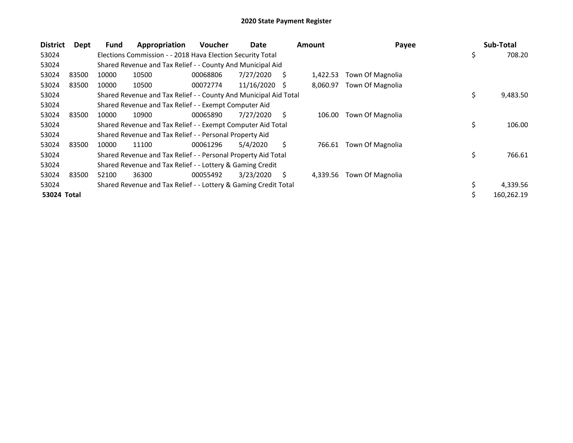| <b>District</b> | Dept  | <b>Fund</b> | Appropriation                                                    | <b>Voucher</b> | Date       |    | <b>Amount</b> | Payee            | Sub-Total        |
|-----------------|-------|-------------|------------------------------------------------------------------|----------------|------------|----|---------------|------------------|------------------|
| 53024           |       |             | Elections Commission - - 2018 Hava Election Security Total       |                |            |    |               |                  | \$<br>708.20     |
| 53024           |       |             | Shared Revenue and Tax Relief - - County And Municipal Aid       |                |            |    |               |                  |                  |
| 53024           | 83500 | 10000       | 10500                                                            | 00068806       | 7/27/2020  | S  | 1,422.53      | Town Of Magnolia |                  |
| 53024           | 83500 | 10000       | 10500                                                            | 00072774       | 11/16/2020 | -S | 8,060.97      | Town Of Magnolia |                  |
| 53024           |       |             | Shared Revenue and Tax Relief - - County And Municipal Aid Total |                |            |    |               |                  | \$<br>9,483.50   |
| 53024           |       |             | Shared Revenue and Tax Relief - - Exempt Computer Aid            |                |            |    |               |                  |                  |
| 53024           | 83500 | 10000       | 10900                                                            | 00065890       | 7/27/2020  | Ś. | 106.00        | Town Of Magnolia |                  |
| 53024           |       |             | Shared Revenue and Tax Relief - - Exempt Computer Aid Total      |                |            |    |               |                  | \$<br>106.00     |
| 53024           |       |             | Shared Revenue and Tax Relief - - Personal Property Aid          |                |            |    |               |                  |                  |
| 53024           | 83500 | 10000       | 11100                                                            | 00061296       | 5/4/2020   | Ŝ. | 766.61        | Town Of Magnolia |                  |
| 53024           |       |             | Shared Revenue and Tax Relief - - Personal Property Aid Total    |                |            |    |               |                  | \$<br>766.61     |
| 53024           |       |             | Shared Revenue and Tax Relief - - Lottery & Gaming Credit        |                |            |    |               |                  |                  |
| 53024           | 83500 | 52100       | 36300                                                            | 00055492       | 3/23/2020  | S. | 4,339.56      | Town Of Magnolia |                  |
| 53024           |       |             | Shared Revenue and Tax Relief - - Lottery & Gaming Credit Total  |                |            |    |               |                  | 4,339.56         |
| 53024 Total     |       |             |                                                                  |                |            |    |               |                  | \$<br>160,262.19 |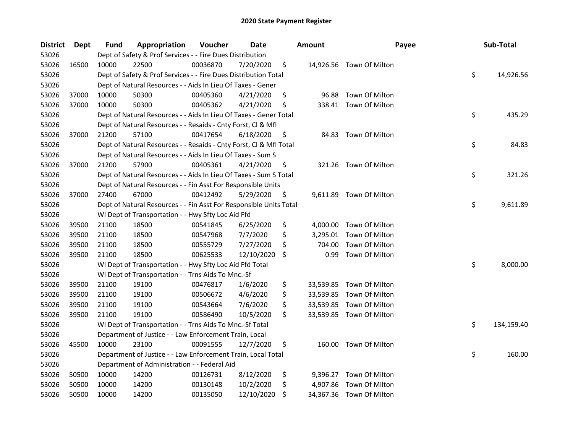| <b>District</b> | Dept  | Fund  | Appropriation                                                      | Voucher  | Date       |     | <b>Amount</b> | Payee                    | Sub-Total        |
|-----------------|-------|-------|--------------------------------------------------------------------|----------|------------|-----|---------------|--------------------------|------------------|
| 53026           |       |       | Dept of Safety & Prof Services - - Fire Dues Distribution          |          |            |     |               |                          |                  |
| 53026           | 16500 | 10000 | 22500                                                              | 00036870 | 7/20/2020  | \$  |               | 14,926.56 Town Of Milton |                  |
| 53026           |       |       | Dept of Safety & Prof Services - - Fire Dues Distribution Total    |          |            |     |               |                          | \$<br>14,926.56  |
| 53026           |       |       | Dept of Natural Resources - - Aids In Lieu Of Taxes - Gener        |          |            |     |               |                          |                  |
| 53026           | 37000 | 10000 | 50300                                                              | 00405360 | 4/21/2020  | \$  | 96.88         | Town Of Milton           |                  |
| 53026           | 37000 | 10000 | 50300                                                              | 00405362 | 4/21/2020  | \$  |               | 338.41 Town Of Milton    |                  |
| 53026           |       |       | Dept of Natural Resources - - Aids In Lieu Of Taxes - Gener Total  |          |            |     |               |                          | \$<br>435.29     |
| 53026           |       |       | Dept of Natural Resources - - Resaids - Cnty Forst, Cl & Mfl       |          |            |     |               |                          |                  |
| 53026           | 37000 | 21200 | 57100                                                              | 00417654 | 6/18/2020  | \$  |               | 84.83 Town Of Milton     |                  |
| 53026           |       |       | Dept of Natural Resources - - Resaids - Cnty Forst, Cl & Mfl Total |          |            |     |               |                          | \$<br>84.83      |
| 53026           |       |       | Dept of Natural Resources - - Aids In Lieu Of Taxes - Sum S        |          |            |     |               |                          |                  |
| 53026           | 37000 | 21200 | 57900                                                              | 00405361 | 4/21/2020  | \$  |               | 321.26 Town Of Milton    |                  |
| 53026           |       |       | Dept of Natural Resources - - Aids In Lieu Of Taxes - Sum S Total  |          |            |     |               |                          | \$<br>321.26     |
| 53026           |       |       | Dept of Natural Resources - - Fin Asst For Responsible Units       |          |            |     |               |                          |                  |
| 53026           | 37000 | 27400 | 67000                                                              | 00412492 | 5/29/2020  | \$, | 9,611.89      | Town Of Milton           |                  |
| 53026           |       |       | Dept of Natural Resources - - Fin Asst For Responsible Units Total |          |            |     |               |                          | \$<br>9,611.89   |
| 53026           |       |       | WI Dept of Transportation - - Hwy Sfty Loc Aid Ffd                 |          |            |     |               |                          |                  |
| 53026           | 39500 | 21100 | 18500                                                              | 00541845 | 6/25/2020  | \$  | 4,000.00      | Town Of Milton           |                  |
| 53026           | 39500 | 21100 | 18500                                                              | 00547968 | 7/7/2020   | \$  | 3,295.01      | Town Of Milton           |                  |
| 53026           | 39500 | 21100 | 18500                                                              | 00555729 | 7/27/2020  | \$  | 704.00        | Town Of Milton           |                  |
| 53026           | 39500 | 21100 | 18500                                                              | 00625533 | 12/10/2020 | S   | 0.99          | Town Of Milton           |                  |
| 53026           |       |       | WI Dept of Transportation - - Hwy Sfty Loc Aid Ffd Total           |          |            |     |               |                          | \$<br>8,000.00   |
| 53026           |       |       | WI Dept of Transportation - - Trns Aids To Mnc.-Sf                 |          |            |     |               |                          |                  |
| 53026           | 39500 | 21100 | 19100                                                              | 00476817 | 1/6/2020   | \$  |               | 33,539.85 Town Of Milton |                  |
| 53026           | 39500 | 21100 | 19100                                                              | 00506672 | 4/6/2020   | \$  |               | 33,539.85 Town Of Milton |                  |
| 53026           | 39500 | 21100 | 19100                                                              | 00543664 | 7/6/2020   | \$  |               | 33,539.85 Town Of Milton |                  |
| 53026           | 39500 | 21100 | 19100                                                              | 00586490 | 10/5/2020  | \$  |               | 33,539.85 Town Of Milton |                  |
| 53026           |       |       | WI Dept of Transportation - - Trns Aids To Mnc.-Sf Total           |          |            |     |               |                          | \$<br>134,159.40 |
| 53026           |       |       | Department of Justice - - Law Enforcement Train, Local             |          |            |     |               |                          |                  |
| 53026           | 45500 | 10000 | 23100                                                              | 00091555 | 12/7/2020  | \$  |               | 160.00 Town Of Milton    |                  |
| 53026           |       |       | Department of Justice - - Law Enforcement Train, Local Total       |          |            |     |               |                          | \$<br>160.00     |
| 53026           |       |       | Department of Administration - - Federal Aid                       |          |            |     |               |                          |                  |
| 53026           | 50500 | 10000 | 14200                                                              | 00126731 | 8/12/2020  | \$  |               | 9,396.27 Town Of Milton  |                  |
| 53026           | 50500 | 10000 | 14200                                                              | 00130148 | 10/2/2020  | \$  | 4,907.86      | Town Of Milton           |                  |
| 53026           | 50500 | 10000 | 14200                                                              | 00135050 | 12/10/2020 | \$  |               | 34,367.36 Town Of Milton |                  |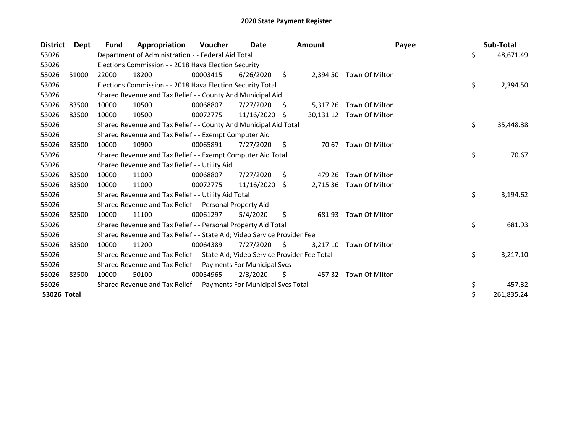| <b>District</b> | Dept  | Fund  | Appropriation                                                                 | <b>Voucher</b> | Date       |      | <b>Amount</b> | Payee                    | Sub-Total        |
|-----------------|-------|-------|-------------------------------------------------------------------------------|----------------|------------|------|---------------|--------------------------|------------------|
| 53026           |       |       | Department of Administration - - Federal Aid Total                            |                |            |      |               |                          | \$<br>48,671.49  |
| 53026           |       |       | Elections Commission - - 2018 Hava Election Security                          |                |            |      |               |                          |                  |
| 53026           | 51000 | 22000 | 18200                                                                         | 00003415       | 6/26/2020  | \$   | 2,394.50      | Town Of Milton           |                  |
| 53026           |       |       | Elections Commission - - 2018 Hava Election Security Total                    |                |            |      |               |                          | \$<br>2,394.50   |
| 53026           |       |       | Shared Revenue and Tax Relief - - County And Municipal Aid                    |                |            |      |               |                          |                  |
| 53026           | 83500 | 10000 | 10500                                                                         | 00068807       | 7/27/2020  | S    | 5,317.26      | Town Of Milton           |                  |
| 53026           | 83500 | 10000 | 10500                                                                         | 00072775       | 11/16/2020 | -S   |               | 30,131.12 Town Of Milton |                  |
| 53026           |       |       | Shared Revenue and Tax Relief - - County And Municipal Aid Total              |                |            |      |               |                          | \$<br>35,448.38  |
| 53026           |       |       | Shared Revenue and Tax Relief - - Exempt Computer Aid                         |                |            |      |               |                          |                  |
| 53026           | 83500 | 10000 | 10900                                                                         | 00065891       | 7/27/2020  | \$.  | 70.67         | Town Of Milton           |                  |
| 53026           |       |       | Shared Revenue and Tax Relief - - Exempt Computer Aid Total                   |                |            |      |               |                          | \$<br>70.67      |
| 53026           |       |       | Shared Revenue and Tax Relief - - Utility Aid                                 |                |            |      |               |                          |                  |
| 53026           | 83500 | 10000 | 11000                                                                         | 00068807       | 7/27/2020  | \$   | 479.26        | Town Of Milton           |                  |
| 53026           | 83500 | 10000 | 11000                                                                         | 00072775       | 11/16/2020 | \$   | 2,715.36      | Town Of Milton           |                  |
| 53026           |       |       | Shared Revenue and Tax Relief - - Utility Aid Total                           |                |            |      |               |                          | \$<br>3,194.62   |
| 53026           |       |       | Shared Revenue and Tax Relief - - Personal Property Aid                       |                |            |      |               |                          |                  |
| 53026           | 83500 | 10000 | 11100                                                                         | 00061297       | 5/4/2020   | \$   | 681.93        | Town Of Milton           |                  |
| 53026           |       |       | Shared Revenue and Tax Relief - - Personal Property Aid Total                 |                |            |      |               |                          | \$<br>681.93     |
| 53026           |       |       | Shared Revenue and Tax Relief - - State Aid; Video Service Provider Fee       |                |            |      |               |                          |                  |
| 53026           | 83500 | 10000 | 11200                                                                         | 00064389       | 7/27/2020  | - \$ | 3,217.10      | Town Of Milton           |                  |
| 53026           |       |       | Shared Revenue and Tax Relief - - State Aid; Video Service Provider Fee Total |                |            |      |               |                          | \$<br>3,217.10   |
| 53026           |       |       | Shared Revenue and Tax Relief - - Payments For Municipal Svcs                 |                |            |      |               |                          |                  |
| 53026           | 83500 | 10000 | 50100                                                                         | 00054965       | 2/3/2020   | \$   |               | 457.32 Town Of Milton    |                  |
| 53026           |       |       | Shared Revenue and Tax Relief - - Payments For Municipal Svcs Total           |                |            |      |               |                          | \$<br>457.32     |
| 53026 Total     |       |       |                                                                               |                |            |      |               |                          | \$<br>261,835.24 |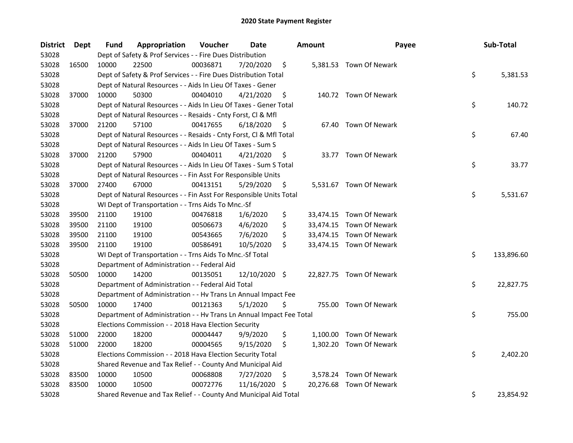| <b>District</b> | Dept  | Fund  | Appropriation                                                        | Voucher  | <b>Date</b>   |     | <b>Amount</b> | Payee                    | Sub-Total        |
|-----------------|-------|-------|----------------------------------------------------------------------|----------|---------------|-----|---------------|--------------------------|------------------|
| 53028           |       |       | Dept of Safety & Prof Services - - Fire Dues Distribution            |          |               |     |               |                          |                  |
| 53028           | 16500 | 10000 | 22500                                                                | 00036871 | 7/20/2020     | \$  |               | 5,381.53 Town Of Newark  |                  |
| 53028           |       |       | Dept of Safety & Prof Services - - Fire Dues Distribution Total      |          |               |     |               |                          | \$<br>5,381.53   |
| 53028           |       |       | Dept of Natural Resources - - Aids In Lieu Of Taxes - Gener          |          |               |     |               |                          |                  |
| 53028           | 37000 | 10000 | 50300                                                                | 00404010 | 4/21/2020     | \$  |               | 140.72 Town Of Newark    |                  |
| 53028           |       |       | Dept of Natural Resources - - Aids In Lieu Of Taxes - Gener Total    |          |               |     |               |                          | \$<br>140.72     |
| 53028           |       |       | Dept of Natural Resources - - Resaids - Cnty Forst, Cl & Mfl         |          |               |     |               |                          |                  |
| 53028           | 37000 | 21200 | 57100                                                                | 00417655 | 6/18/2020     | \$  |               | 67.40 Town Of Newark     |                  |
| 53028           |       |       | Dept of Natural Resources - - Resaids - Cnty Forst, Cl & Mfl Total   |          |               |     |               |                          | \$<br>67.40      |
| 53028           |       |       | Dept of Natural Resources - - Aids In Lieu Of Taxes - Sum S          |          |               |     |               |                          |                  |
| 53028           | 37000 | 21200 | 57900                                                                | 00404011 | 4/21/2020     | \$  |               | 33.77 Town Of Newark     |                  |
| 53028           |       |       | Dept of Natural Resources - - Aids In Lieu Of Taxes - Sum S Total    |          |               |     |               |                          | \$<br>33.77      |
| 53028           |       |       | Dept of Natural Resources - - Fin Asst For Responsible Units         |          |               |     |               |                          |                  |
| 53028           | 37000 | 27400 | 67000                                                                | 00413151 | 5/29/2020     | \$. |               | 5,531.67 Town Of Newark  |                  |
| 53028           |       |       | Dept of Natural Resources - - Fin Asst For Responsible Units Total   |          |               |     |               |                          | \$<br>5,531.67   |
| 53028           |       |       | WI Dept of Transportation - - Trns Aids To Mnc.-Sf                   |          |               |     |               |                          |                  |
| 53028           | 39500 | 21100 | 19100                                                                | 00476818 | 1/6/2020      | \$  |               | 33,474.15 Town Of Newark |                  |
| 53028           | 39500 | 21100 | 19100                                                                | 00506673 | 4/6/2020      | \$  |               | 33,474.15 Town Of Newark |                  |
| 53028           | 39500 | 21100 | 19100                                                                | 00543665 | 7/6/2020      | \$  |               | 33,474.15 Town Of Newark |                  |
| 53028           | 39500 | 21100 | 19100                                                                | 00586491 | 10/5/2020     | \$  |               | 33,474.15 Town Of Newark |                  |
| 53028           |       |       | WI Dept of Transportation - - Trns Aids To Mnc.-Sf Total             |          |               |     |               |                          | \$<br>133,896.60 |
| 53028           |       |       | Department of Administration - - Federal Aid                         |          |               |     |               |                          |                  |
| 53028           | 50500 | 10000 | 14200                                                                | 00135051 | 12/10/2020 \$ |     |               | 22,827.75 Town Of Newark |                  |
| 53028           |       |       | Department of Administration - - Federal Aid Total                   |          |               |     |               |                          | \$<br>22,827.75  |
| 53028           |       |       | Department of Administration - - Hv Trans Ln Annual Impact Fee       |          |               |     |               |                          |                  |
| 53028           | 50500 | 10000 | 17400                                                                | 00121363 | 5/1/2020      | \$  |               | 755.00 Town Of Newark    |                  |
| 53028           |       |       | Department of Administration - - Hv Trans Ln Annual Impact Fee Total |          |               |     |               |                          | \$<br>755.00     |
| 53028           |       |       | Elections Commission - - 2018 Hava Election Security                 |          |               |     |               |                          |                  |
| 53028           | 51000 | 22000 | 18200                                                                | 00004447 | 9/9/2020      | \$  |               | 1,100.00 Town Of Newark  |                  |
| 53028           | 51000 | 22000 | 18200                                                                | 00004565 | 9/15/2020     | \$  |               | 1,302.20 Town Of Newark  |                  |
| 53028           |       |       | Elections Commission - - 2018 Hava Election Security Total           |          |               |     |               |                          | \$<br>2,402.20   |
| 53028           |       |       | Shared Revenue and Tax Relief - - County And Municipal Aid           |          |               |     |               |                          |                  |
| 53028           | 83500 | 10000 | 10500                                                                | 00068808 | 7/27/2020     | \$. |               | 3,578.24 Town Of Newark  |                  |
| 53028           | 83500 | 10000 | 10500                                                                | 00072776 | 11/16/2020    | \$. |               | 20,276.68 Town Of Newark |                  |
| 53028           |       |       | Shared Revenue and Tax Relief - - County And Municipal Aid Total     |          |               |     |               |                          | \$<br>23,854.92  |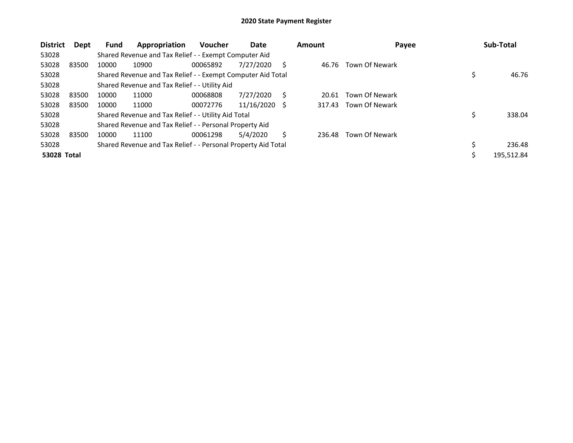| <b>District</b>    | Dept  | <b>Fund</b> | Appropriation                                                 | <b>Voucher</b> | Date       |     | <b>Amount</b> | Payee          | Sub-Total    |
|--------------------|-------|-------------|---------------------------------------------------------------|----------------|------------|-----|---------------|----------------|--------------|
| 53028              |       |             | Shared Revenue and Tax Relief - - Exempt Computer Aid         |                |            |     |               |                |              |
| 53028              | 83500 | 10000       | 10900                                                         | 00065892       | 7/27/2020  | S   | 46.76         | Town Of Newark |              |
| 53028              |       |             | Shared Revenue and Tax Relief - - Exempt Computer Aid Total   |                |            |     |               |                | 46.76        |
| 53028              |       |             | Shared Revenue and Tax Relief - - Utility Aid                 |                |            |     |               |                |              |
| 53028              | 83500 | 10000       | 11000                                                         | 00068808       | 7/27/2020  | S   | 20.61         | Town Of Newark |              |
| 53028              | 83500 | 10000       | 11000                                                         | 00072776       | 11/16/2020 | - S | 317.43        | Town Of Newark |              |
| 53028              |       |             | Shared Revenue and Tax Relief - - Utility Aid Total           |                |            |     |               |                | 338.04       |
| 53028              |       |             | Shared Revenue and Tax Relief - - Personal Property Aid       |                |            |     |               |                |              |
| 53028              | 83500 | 10000       | 11100                                                         | 00061298       | 5/4/2020   | Ś   | 236.48        | Town Of Newark |              |
| 53028              |       |             | Shared Revenue and Tax Relief - - Personal Property Aid Total |                |            |     |               |                | \$<br>236.48 |
| <b>53028 Total</b> |       |             |                                                               |                |            |     |               |                | 195.512.84   |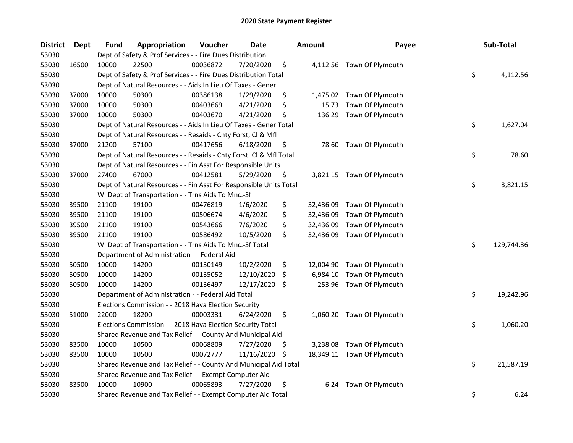| <b>District</b> | <b>Dept</b> | Fund  | Appropriation                                                      | Voucher  | <b>Date</b> | <b>Amount</b>   | Payee                      | Sub-Total        |
|-----------------|-------------|-------|--------------------------------------------------------------------|----------|-------------|-----------------|----------------------------|------------------|
| 53030           |             |       | Dept of Safety & Prof Services - - Fire Dues Distribution          |          |             |                 |                            |                  |
| 53030           | 16500       | 10000 | 22500                                                              | 00036872 | 7/20/2020   | \$              | 4,112.56 Town Of Plymouth  |                  |
| 53030           |             |       | Dept of Safety & Prof Services - - Fire Dues Distribution Total    |          |             |                 |                            | \$<br>4,112.56   |
| 53030           |             |       | Dept of Natural Resources - - Aids In Lieu Of Taxes - Gener        |          |             |                 |                            |                  |
| 53030           | 37000       | 10000 | 50300                                                              | 00386138 | 1/29/2020   | \$<br>1,475.02  | Town Of Plymouth           |                  |
| 53030           | 37000       | 10000 | 50300                                                              | 00403669 | 4/21/2020   | \$<br>15.73     | Town Of Plymouth           |                  |
| 53030           | 37000       | 10000 | 50300                                                              | 00403670 | 4/21/2020   | \$<br>136.29    | Town Of Plymouth           |                  |
| 53030           |             |       | Dept of Natural Resources - - Aids In Lieu Of Taxes - Gener Total  |          |             |                 |                            | \$<br>1,627.04   |
| 53030           |             |       | Dept of Natural Resources - - Resaids - Cnty Forst, Cl & Mfl       |          |             |                 |                            |                  |
| 53030           | 37000       | 21200 | 57100                                                              | 00417656 | 6/18/2020   | \$<br>78.60     | Town Of Plymouth           |                  |
| 53030           |             |       | Dept of Natural Resources - - Resaids - Cnty Forst, Cl & Mfl Total |          |             |                 |                            | \$<br>78.60      |
| 53030           |             |       | Dept of Natural Resources - - Fin Asst For Responsible Units       |          |             |                 |                            |                  |
| 53030           | 37000       | 27400 | 67000                                                              | 00412581 | 5/29/2020   | \$              | 3,821.15 Town Of Plymouth  |                  |
| 53030           |             |       | Dept of Natural Resources - - Fin Asst For Responsible Units Total |          |             |                 |                            | \$<br>3,821.15   |
| 53030           |             |       | WI Dept of Transportation - - Trns Aids To Mnc.-Sf                 |          |             |                 |                            |                  |
| 53030           | 39500       | 21100 | 19100                                                              | 00476819 | 1/6/2020    | \$<br>32,436.09 | Town Of Plymouth           |                  |
| 53030           | 39500       | 21100 | 19100                                                              | 00506674 | 4/6/2020    | \$<br>32,436.09 | Town Of Plymouth           |                  |
| 53030           | 39500       | 21100 | 19100                                                              | 00543666 | 7/6/2020    | \$<br>32,436.09 | Town Of Plymouth           |                  |
| 53030           | 39500       | 21100 | 19100                                                              | 00586492 | 10/5/2020   | \$<br>32,436.09 | Town Of Plymouth           |                  |
| 53030           |             |       | WI Dept of Transportation - - Trns Aids To Mnc.-Sf Total           |          |             |                 |                            | \$<br>129,744.36 |
| 53030           |             |       | Department of Administration - - Federal Aid                       |          |             |                 |                            |                  |
| 53030           | 50500       | 10000 | 14200                                                              | 00130149 | 10/2/2020   | \$<br>12,004.90 | Town Of Plymouth           |                  |
| 53030           | 50500       | 10000 | 14200                                                              | 00135052 | 12/10/2020  | \$<br>6,984.10  | Town Of Plymouth           |                  |
| 53030           | 50500       | 10000 | 14200                                                              | 00136497 | 12/17/2020  | \$<br>253.96    | Town Of Plymouth           |                  |
| 53030           |             |       | Department of Administration - - Federal Aid Total                 |          |             |                 |                            | \$<br>19,242.96  |
| 53030           |             |       | Elections Commission - - 2018 Hava Election Security               |          |             |                 |                            |                  |
| 53030           | 51000       | 22000 | 18200                                                              | 00003331 | 6/24/2020   | \$              | 1,060.20 Town Of Plymouth  |                  |
| 53030           |             |       | Elections Commission - - 2018 Hava Election Security Total         |          |             |                 |                            | \$<br>1,060.20   |
| 53030           |             |       | Shared Revenue and Tax Relief - - County And Municipal Aid         |          |             |                 |                            |                  |
| 53030           | 83500       | 10000 | 10500                                                              | 00068809 | 7/27/2020   | \$<br>3,238.08  | Town Of Plymouth           |                  |
| 53030           | 83500       | 10000 | 10500                                                              | 00072777 | 11/16/2020  | \$              | 18,349.11 Town Of Plymouth |                  |
| 53030           |             |       | Shared Revenue and Tax Relief - - County And Municipal Aid Total   |          |             |                 |                            | \$<br>21,587.19  |
| 53030           |             |       | Shared Revenue and Tax Relief - - Exempt Computer Aid              |          |             |                 |                            |                  |
| 53030           | 83500       | 10000 | 10900                                                              | 00065893 | 7/27/2020   | \$<br>6.24      | Town Of Plymouth           |                  |
| 53030           |             |       | Shared Revenue and Tax Relief - - Exempt Computer Aid Total        |          |             |                 |                            | \$<br>6.24       |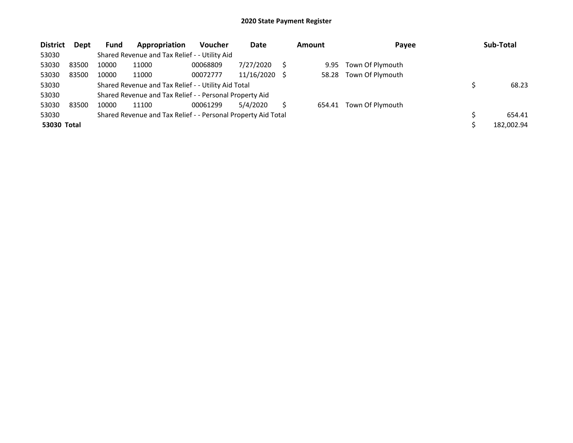| <b>District</b> | Dept  | <b>Fund</b> | Appropriation                                                 | <b>Voucher</b> | Date       | <b>Amount</b> | Payee            | Sub-Total  |
|-----------------|-------|-------------|---------------------------------------------------------------|----------------|------------|---------------|------------------|------------|
| 53030           |       |             | Shared Revenue and Tax Relief - - Utility Aid                 |                |            |               |                  |            |
| 53030           | 83500 | 10000       | 11000                                                         | 00068809       | 7/27/2020  | 9.95          | Town Of Plymouth |            |
| 53030           | 83500 | 10000       | 11000                                                         | 00072777       | 11/16/2020 | 58.28         | Town Of Plymouth |            |
| 53030           |       |             | Shared Revenue and Tax Relief - - Utility Aid Total           |                |            |               |                  | 68.23      |
| 53030           |       |             | Shared Revenue and Tax Relief - - Personal Property Aid       |                |            |               |                  |            |
| 53030           | 83500 | 10000       | 11100                                                         | 00061299       | 5/4/2020   | 654.41        | Town Of Plymouth |            |
| 53030           |       |             | Shared Revenue and Tax Relief - - Personal Property Aid Total |                |            |               |                  | 654.41     |
| 53030 Total     |       |             |                                                               |                |            |               |                  | 182,002.94 |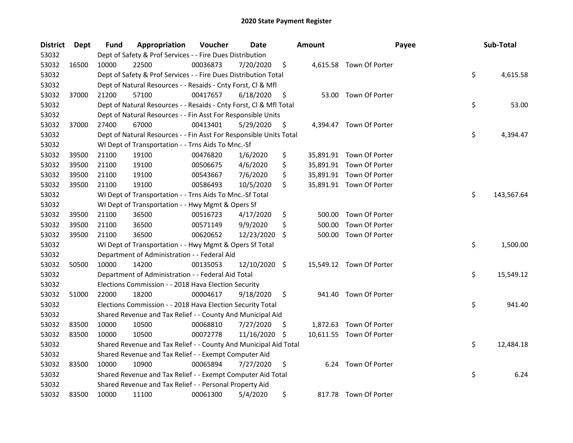| <b>District</b> | Dept  | Fund  | Appropriation                                                      | Voucher  | Date          |     | <b>Amount</b> | Payee                    | Sub-Total        |
|-----------------|-------|-------|--------------------------------------------------------------------|----------|---------------|-----|---------------|--------------------------|------------------|
| 53032           |       |       | Dept of Safety & Prof Services - - Fire Dues Distribution          |          |               |     |               |                          |                  |
| 53032           | 16500 | 10000 | 22500                                                              | 00036873 | 7/20/2020     | \$  |               | 4,615.58 Town Of Porter  |                  |
| 53032           |       |       | Dept of Safety & Prof Services - - Fire Dues Distribution Total    |          |               |     |               |                          | \$<br>4,615.58   |
| 53032           |       |       | Dept of Natural Resources - - Resaids - Cnty Forst, Cl & Mfl       |          |               |     |               |                          |                  |
| 53032           | 37000 | 21200 | 57100                                                              | 00417657 | 6/18/2020     | \$  |               | 53.00 Town Of Porter     |                  |
| 53032           |       |       | Dept of Natural Resources - - Resaids - Cnty Forst, Cl & Mfl Total |          |               |     |               |                          | \$<br>53.00      |
| 53032           |       |       | Dept of Natural Resources - - Fin Asst For Responsible Units       |          |               |     |               |                          |                  |
| 53032           | 37000 | 27400 | 67000                                                              | 00413401 | 5/29/2020     | \$  |               | 4,394.47 Town Of Porter  |                  |
| 53032           |       |       | Dept of Natural Resources - - Fin Asst For Responsible Units Total |          |               |     |               |                          | \$<br>4,394.47   |
| 53032           |       |       | WI Dept of Transportation - - Trns Aids To Mnc.-Sf                 |          |               |     |               |                          |                  |
| 53032           | 39500 | 21100 | 19100                                                              | 00476820 | 1/6/2020      | \$  |               | 35,891.91 Town Of Porter |                  |
| 53032           | 39500 | 21100 | 19100                                                              | 00506675 | 4/6/2020      | \$  |               | 35,891.91 Town Of Porter |                  |
| 53032           | 39500 | 21100 | 19100                                                              | 00543667 | 7/6/2020      | \$  |               | 35,891.91 Town Of Porter |                  |
| 53032           | 39500 | 21100 | 19100                                                              | 00586493 | 10/5/2020     | \$  |               | 35,891.91 Town Of Porter |                  |
| 53032           |       |       | WI Dept of Transportation - - Trns Aids To Mnc.-Sf Total           |          |               |     |               |                          | \$<br>143,567.64 |
| 53032           |       |       | WI Dept of Transportation - - Hwy Mgmt & Opers Sf                  |          |               |     |               |                          |                  |
| 53032           | 39500 | 21100 | 36500                                                              | 00516723 | 4/17/2020     | \$  | 500.00        | Town Of Porter           |                  |
| 53032           | 39500 | 21100 | 36500                                                              | 00571149 | 9/9/2020      | \$  | 500.00        | Town Of Porter           |                  |
| 53032           | 39500 | 21100 | 36500                                                              | 00620652 | 12/23/2020    | \$  | 500.00        | Town Of Porter           |                  |
| 53032           |       |       | WI Dept of Transportation - - Hwy Mgmt & Opers Sf Total            |          |               |     |               |                          | \$<br>1,500.00   |
| 53032           |       |       | Department of Administration - - Federal Aid                       |          |               |     |               |                          |                  |
| 53032           | 50500 | 10000 | 14200                                                              | 00135053 | 12/10/2020 \$ |     |               | 15,549.12 Town Of Porter |                  |
| 53032           |       |       | Department of Administration - - Federal Aid Total                 |          |               |     |               |                          | \$<br>15,549.12  |
| 53032           |       |       | Elections Commission - - 2018 Hava Election Security               |          |               |     |               |                          |                  |
| 53032           | 51000 | 22000 | 18200                                                              | 00004617 | 9/18/2020     | \$  |               | 941.40 Town Of Porter    |                  |
| 53032           |       |       | Elections Commission - - 2018 Hava Election Security Total         |          |               |     |               |                          | \$<br>941.40     |
| 53032           |       |       | Shared Revenue and Tax Relief - - County And Municipal Aid         |          |               |     |               |                          |                  |
| 53032           | 83500 | 10000 | 10500                                                              | 00068810 | 7/27/2020     | \$. |               | 1,872.63 Town Of Porter  |                  |
| 53032           | 83500 | 10000 | 10500                                                              | 00072778 | 11/16/2020    | \$. |               | 10,611.55 Town Of Porter |                  |
| 53032           |       |       | Shared Revenue and Tax Relief - - County And Municipal Aid Total   |          |               |     |               |                          | \$<br>12,484.18  |
| 53032           |       |       | Shared Revenue and Tax Relief - - Exempt Computer Aid              |          |               |     |               |                          |                  |
| 53032           | 83500 | 10000 | 10900                                                              | 00065894 | 7/27/2020     | \$  |               | 6.24 Town Of Porter      |                  |
| 53032           |       |       | Shared Revenue and Tax Relief - - Exempt Computer Aid Total        |          |               |     |               |                          | \$<br>6.24       |
| 53032           |       |       | Shared Revenue and Tax Relief - - Personal Property Aid            |          |               |     |               |                          |                  |
| 53032           | 83500 | 10000 | 11100                                                              | 00061300 | 5/4/2020      | \$  |               | 817.78 Town Of Porter    |                  |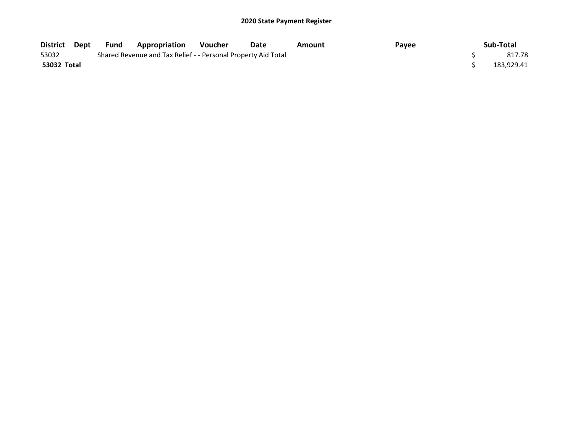| District Dept | Fund | <b>Appropriation</b>                                          | <b>Voucher</b> | Date | Amount | Payee | Sub-Total  |
|---------------|------|---------------------------------------------------------------|----------------|------|--------|-------|------------|
| 53032         |      | Shared Revenue and Tax Relief - - Personal Property Aid Total |                |      |        |       | 817.78     |
| 53032 Total   |      |                                                               |                |      |        |       | 183.929.41 |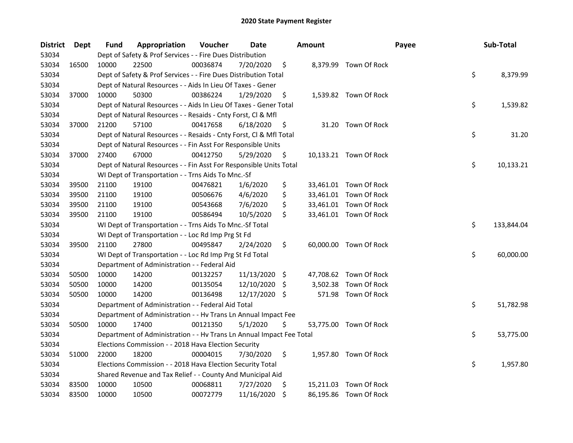| <b>District</b> | Dept  | Fund  | Appropriation                                                        | Voucher  | Date          |      | <b>Amount</b> |                        | Payee | Sub-Total        |
|-----------------|-------|-------|----------------------------------------------------------------------|----------|---------------|------|---------------|------------------------|-------|------------------|
| 53034           |       |       | Dept of Safety & Prof Services - - Fire Dues Distribution            |          |               |      |               |                        |       |                  |
| 53034           | 16500 | 10000 | 22500                                                                | 00036874 | 7/20/2020     | \$   |               | 8,379.99 Town Of Rock  |       |                  |
| 53034           |       |       | Dept of Safety & Prof Services - - Fire Dues Distribution Total      |          |               |      |               |                        |       | \$<br>8,379.99   |
| 53034           |       |       | Dept of Natural Resources - - Aids In Lieu Of Taxes - Gener          |          |               |      |               |                        |       |                  |
| 53034           | 37000 | 10000 | 50300                                                                | 00386224 | 1/29/2020     | \$   |               | 1,539.82 Town Of Rock  |       |                  |
| 53034           |       |       | Dept of Natural Resources - - Aids In Lieu Of Taxes - Gener Total    |          |               |      |               |                        |       | \$<br>1,539.82   |
| 53034           |       |       | Dept of Natural Resources - - Resaids - Cnty Forst, Cl & Mfl         |          |               |      |               |                        |       |                  |
| 53034           | 37000 | 21200 | 57100                                                                | 00417658 | 6/18/2020     | \$   |               | 31.20 Town Of Rock     |       |                  |
| 53034           |       |       | Dept of Natural Resources - - Resaids - Cnty Forst, Cl & Mfl Total   |          |               |      |               |                        |       | \$<br>31.20      |
| 53034           |       |       | Dept of Natural Resources - - Fin Asst For Responsible Units         |          |               |      |               |                        |       |                  |
| 53034           | 37000 | 27400 | 67000                                                                | 00412750 | 5/29/2020     | \$   |               | 10,133.21 Town Of Rock |       |                  |
| 53034           |       |       | Dept of Natural Resources - - Fin Asst For Responsible Units Total   |          |               |      |               |                        |       | \$<br>10,133.21  |
| 53034           |       |       | WI Dept of Transportation - - Trns Aids To Mnc.-Sf                   |          |               |      |               |                        |       |                  |
| 53034           | 39500 | 21100 | 19100                                                                | 00476821 | 1/6/2020      | \$   |               | 33,461.01 Town Of Rock |       |                  |
| 53034           | 39500 | 21100 | 19100                                                                | 00506676 | 4/6/2020      | \$   |               | 33,461.01 Town Of Rock |       |                  |
| 53034           | 39500 | 21100 | 19100                                                                | 00543668 | 7/6/2020      | \$   |               | 33,461.01 Town Of Rock |       |                  |
| 53034           | 39500 | 21100 | 19100                                                                | 00586494 | 10/5/2020     | \$   |               | 33,461.01 Town Of Rock |       |                  |
| 53034           |       |       | WI Dept of Transportation - - Trns Aids To Mnc.-Sf Total             |          |               |      |               |                        |       | \$<br>133,844.04 |
| 53034           |       |       | WI Dept of Transportation - - Loc Rd Imp Prg St Fd                   |          |               |      |               |                        |       |                  |
| 53034           | 39500 | 21100 | 27800                                                                | 00495847 | 2/24/2020     | \$   |               | 60,000.00 Town Of Rock |       |                  |
| 53034           |       |       | WI Dept of Transportation - - Loc Rd Imp Prg St Fd Total             |          |               |      |               |                        |       | \$<br>60,000.00  |
| 53034           |       |       | Department of Administration - - Federal Aid                         |          |               |      |               |                        |       |                  |
| 53034           | 50500 | 10000 | 14200                                                                | 00132257 | 11/13/2020    | - \$ |               | 47,708.62 Town Of Rock |       |                  |
| 53034           | 50500 | 10000 | 14200                                                                | 00135054 | 12/10/2020    | \$   | 3,502.38      | Town Of Rock           |       |                  |
| 53034           | 50500 | 10000 | 14200                                                                | 00136498 | 12/17/2020 \$ |      |               | 571.98 Town Of Rock    |       |                  |
| 53034           |       |       | Department of Administration - - Federal Aid Total                   |          |               |      |               |                        |       | \$<br>51,782.98  |
| 53034           |       |       | Department of Administration - - Hv Trans Ln Annual Impact Fee       |          |               |      |               |                        |       |                  |
| 53034           | 50500 | 10000 | 17400                                                                | 00121350 | 5/1/2020      | \$   |               | 53,775.00 Town Of Rock |       |                  |
| 53034           |       |       | Department of Administration - - Hv Trans Ln Annual Impact Fee Total |          |               |      |               |                        |       | \$<br>53,775.00  |
| 53034           |       |       | Elections Commission - - 2018 Hava Election Security                 |          |               |      |               |                        |       |                  |
| 53034           | 51000 | 22000 | 18200                                                                | 00004015 | 7/30/2020     | \$   |               | 1,957.80 Town Of Rock  |       |                  |
| 53034           |       |       | Elections Commission - - 2018 Hava Election Security Total           |          |               |      |               |                        |       | \$<br>1,957.80   |
| 53034           |       |       | Shared Revenue and Tax Relief - - County And Municipal Aid           |          |               |      |               |                        |       |                  |
| 53034           | 83500 | 10000 | 10500                                                                | 00068811 | 7/27/2020     | \$.  | 15,211.03     | Town Of Rock           |       |                  |
| 53034           | 83500 | 10000 | 10500                                                                | 00072779 | 11/16/2020    | \$   |               | 86,195.86 Town Of Rock |       |                  |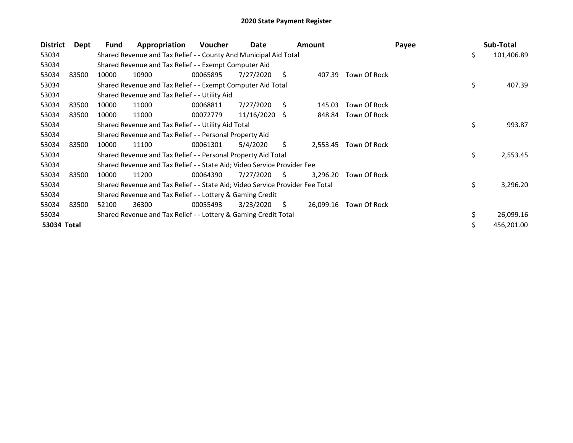| <b>District</b> | Dept  | Fund  | Appropriation                                                                 | <b>Voucher</b> | Date       |    | <b>Amount</b> |                       | Payee | Sub-Total        |
|-----------------|-------|-------|-------------------------------------------------------------------------------|----------------|------------|----|---------------|-----------------------|-------|------------------|
| 53034           |       |       | Shared Revenue and Tax Relief - - County And Municipal Aid Total              |                |            |    |               |                       |       | \$<br>101,406.89 |
| 53034           |       |       | Shared Revenue and Tax Relief - - Exempt Computer Aid                         |                |            |    |               |                       |       |                  |
| 53034           | 83500 | 10000 | 10900                                                                         | 00065895       | 7/27/2020  | S  | 407.39        | Town Of Rock          |       |                  |
| 53034           |       |       | Shared Revenue and Tax Relief - - Exempt Computer Aid Total                   |                |            |    |               |                       |       | \$<br>407.39     |
| 53034           |       |       | Shared Revenue and Tax Relief - - Utility Aid                                 |                |            |    |               |                       |       |                  |
| 53034           | 83500 | 10000 | 11000                                                                         | 00068811       | 7/27/2020  | S  | 145.03        | Town Of Rock          |       |                  |
| 53034           | 83500 | 10000 | 11000                                                                         | 00072779       | 11/16/2020 | -S |               | 848.84 Town Of Rock   |       |                  |
| 53034           |       |       | Shared Revenue and Tax Relief - - Utility Aid Total                           |                |            |    |               |                       |       | \$<br>993.87     |
| 53034           |       |       | Shared Revenue and Tax Relief - - Personal Property Aid                       |                |            |    |               |                       |       |                  |
| 53034           | 83500 | 10000 | 11100                                                                         | 00061301       | 5/4/2020   | \$ |               | 2,553.45 Town Of Rock |       |                  |
| 53034           |       |       | Shared Revenue and Tax Relief - - Personal Property Aid Total                 |                |            |    |               |                       |       | \$<br>2,553.45   |
| 53034           |       |       | Shared Revenue and Tax Relief - - State Aid; Video Service Provider Fee       |                |            |    |               |                       |       |                  |
| 53034           | 83500 | 10000 | 11200                                                                         | 00064390       | 7/27/2020  | S. | 3,296.20      | Town Of Rock          |       |                  |
| 53034           |       |       | Shared Revenue and Tax Relief - - State Aid; Video Service Provider Fee Total |                |            |    |               |                       |       | \$<br>3,296.20   |
| 53034           |       |       | Shared Revenue and Tax Relief - - Lottery & Gaming Credit                     |                |            |    |               |                       |       |                  |
| 53034           | 83500 | 52100 | 36300                                                                         | 00055493       | 3/23/2020  | S. | 26,099.16     | Town Of Rock          |       |                  |
| 53034           |       |       | Shared Revenue and Tax Relief - - Lottery & Gaming Credit Total               |                |            |    |               |                       |       | \$<br>26,099.16  |
| 53034 Total     |       |       |                                                                               |                |            |    |               |                       |       | 456,201.00       |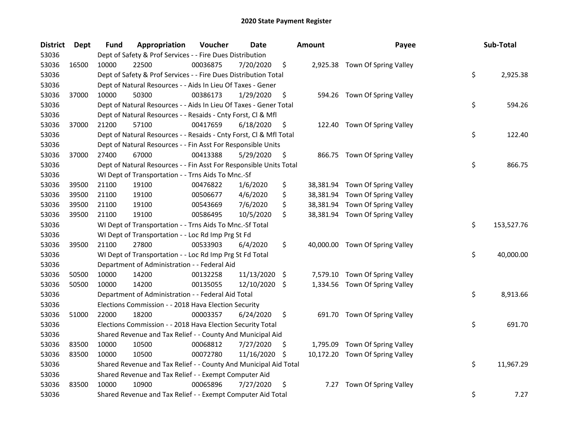| <b>District</b> | Dept  | Fund  | Appropriation                                                      | Voucher  | <b>Date</b>   |     | <b>Amount</b> | Payee                           | Sub-Total        |
|-----------------|-------|-------|--------------------------------------------------------------------|----------|---------------|-----|---------------|---------------------------------|------------------|
| 53036           |       |       | Dept of Safety & Prof Services - - Fire Dues Distribution          |          |               |     |               |                                 |                  |
| 53036           | 16500 | 10000 | 22500                                                              | 00036875 | 7/20/2020     | \$  |               | 2,925.38 Town Of Spring Valley  |                  |
| 53036           |       |       | Dept of Safety & Prof Services - - Fire Dues Distribution Total    |          |               |     |               |                                 | \$<br>2,925.38   |
| 53036           |       |       | Dept of Natural Resources - - Aids In Lieu Of Taxes - Gener        |          |               |     |               |                                 |                  |
| 53036           | 37000 | 10000 | 50300                                                              | 00386173 | 1/29/2020     | \$  |               | 594.26 Town Of Spring Valley    |                  |
| 53036           |       |       | Dept of Natural Resources - - Aids In Lieu Of Taxes - Gener Total  |          |               |     |               |                                 | \$<br>594.26     |
| 53036           |       |       | Dept of Natural Resources - - Resaids - Cnty Forst, Cl & Mfl       |          |               |     |               |                                 |                  |
| 53036           | 37000 | 21200 | 57100                                                              | 00417659 | 6/18/2020     | \$  |               | 122.40 Town Of Spring Valley    |                  |
| 53036           |       |       | Dept of Natural Resources - - Resaids - Cnty Forst, Cl & Mfl Total |          |               |     |               |                                 | \$<br>122.40     |
| 53036           |       |       | Dept of Natural Resources - - Fin Asst For Responsible Units       |          |               |     |               |                                 |                  |
| 53036           | 37000 | 27400 | 67000                                                              | 00413388 | 5/29/2020     | \$  |               | 866.75 Town Of Spring Valley    |                  |
| 53036           |       |       | Dept of Natural Resources - - Fin Asst For Responsible Units Total |          |               |     |               |                                 | \$<br>866.75     |
| 53036           |       |       | WI Dept of Transportation - - Trns Aids To Mnc.-Sf                 |          |               |     |               |                                 |                  |
| 53036           | 39500 | 21100 | 19100                                                              | 00476822 | 1/6/2020      | \$  |               | 38,381.94 Town Of Spring Valley |                  |
| 53036           | 39500 | 21100 | 19100                                                              | 00506677 | 4/6/2020      | \$  |               | 38,381.94 Town Of Spring Valley |                  |
| 53036           | 39500 | 21100 | 19100                                                              | 00543669 | 7/6/2020      | \$  |               | 38,381.94 Town Of Spring Valley |                  |
| 53036           | 39500 | 21100 | 19100                                                              | 00586495 | 10/5/2020     | \$  |               | 38,381.94 Town Of Spring Valley |                  |
| 53036           |       |       | WI Dept of Transportation - - Trns Aids To Mnc.-Sf Total           |          |               |     |               |                                 | \$<br>153,527.76 |
| 53036           |       |       | WI Dept of Transportation - - Loc Rd Imp Prg St Fd                 |          |               |     |               |                                 |                  |
| 53036           | 39500 | 21100 | 27800                                                              | 00533903 | 6/4/2020      | \$  |               | 40,000.00 Town Of Spring Valley |                  |
| 53036           |       |       | WI Dept of Transportation - - Loc Rd Imp Prg St Fd Total           |          |               |     |               |                                 | \$<br>40,000.00  |
| 53036           |       |       | Department of Administration - - Federal Aid                       |          |               |     |               |                                 |                  |
| 53036           | 50500 | 10000 | 14200                                                              | 00132258 | 11/13/2020 \$ |     |               | 7,579.10 Town Of Spring Valley  |                  |
| 53036           | 50500 | 10000 | 14200                                                              | 00135055 | 12/10/2020 \$ |     |               | 1,334.56 Town Of Spring Valley  |                  |
| 53036           |       |       | Department of Administration - - Federal Aid Total                 |          |               |     |               |                                 | \$<br>8,913.66   |
| 53036           |       |       | Elections Commission - - 2018 Hava Election Security               |          |               |     |               |                                 |                  |
| 53036           | 51000 | 22000 | 18200                                                              | 00003357 | 6/24/2020     | \$  |               | 691.70 Town Of Spring Valley    |                  |
| 53036           |       |       | Elections Commission - - 2018 Hava Election Security Total         |          |               |     |               |                                 | \$<br>691.70     |
| 53036           |       |       | Shared Revenue and Tax Relief - - County And Municipal Aid         |          |               |     |               |                                 |                  |
| 53036           | 83500 | 10000 | 10500                                                              | 00068812 | 7/27/2020     | \$. | 1,795.09      | Town Of Spring Valley           |                  |
| 53036           | 83500 | 10000 | 10500                                                              | 00072780 | 11/16/2020    | S   |               | 10,172.20 Town Of Spring Valley |                  |
| 53036           |       |       | Shared Revenue and Tax Relief - - County And Municipal Aid Total   |          |               |     |               |                                 | \$<br>11,967.29  |
| 53036           |       |       | Shared Revenue and Tax Relief - - Exempt Computer Aid              |          |               |     |               |                                 |                  |
| 53036           | 83500 | 10000 | 10900                                                              | 00065896 | 7/27/2020     | \$  | 7.27          | Town Of Spring Valley           |                  |
| 53036           |       |       | Shared Revenue and Tax Relief - - Exempt Computer Aid Total        |          |               |     |               |                                 | \$<br>7.27       |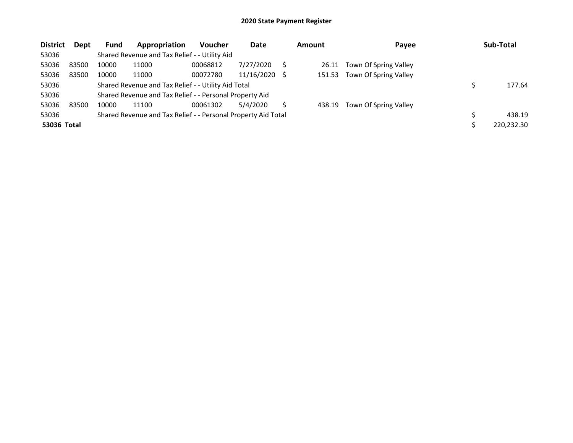| <b>District</b> | Dept  | Fund  | Appropriation                                                 | <b>Voucher</b> | Date       | <b>Amount</b> | Payee                 | Sub-Total  |
|-----------------|-------|-------|---------------------------------------------------------------|----------------|------------|---------------|-----------------------|------------|
| 53036           |       |       | Shared Revenue and Tax Relief - - Utility Aid                 |                |            |               |                       |            |
| 53036           | 83500 | 10000 | 11000                                                         | 00068812       | 7/27/2020  | 26.11         | Town Of Spring Valley |            |
| 53036           | 83500 | 10000 | 11000                                                         | 00072780       | 11/16/2020 | 151.53        | Town Of Spring Valley |            |
| 53036           |       |       | Shared Revenue and Tax Relief - - Utility Aid Total           |                |            |               |                       | 177.64     |
| 53036           |       |       | Shared Revenue and Tax Relief - - Personal Property Aid       |                |            |               |                       |            |
| 53036           | 83500 | 10000 | 11100                                                         | 00061302       | 5/4/2020   | 438.19        | Town Of Spring Valley |            |
| 53036           |       |       | Shared Revenue and Tax Relief - - Personal Property Aid Total |                |            |               |                       | 438.19     |
| 53036 Total     |       |       |                                                               |                |            |               |                       | 220,232.30 |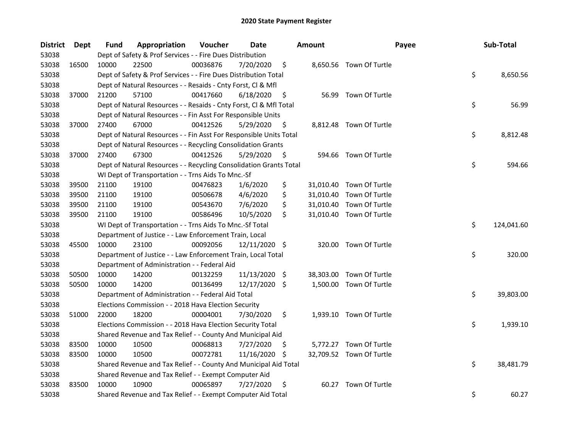| <b>District</b> | Dept  | <b>Fund</b> | Appropriation                                                      | Voucher  | Date            |     | <b>Amount</b> | Payee                    | Sub-Total        |
|-----------------|-------|-------------|--------------------------------------------------------------------|----------|-----------------|-----|---------------|--------------------------|------------------|
| 53038           |       |             | Dept of Safety & Prof Services - - Fire Dues Distribution          |          |                 |     |               |                          |                  |
| 53038           | 16500 | 10000       | 22500                                                              | 00036876 | 7/20/2020       | \$  |               | 8,650.56 Town Of Turtle  |                  |
| 53038           |       |             | Dept of Safety & Prof Services - - Fire Dues Distribution Total    |          |                 |     |               |                          | \$<br>8,650.56   |
| 53038           |       |             | Dept of Natural Resources - - Resaids - Cnty Forst, Cl & Mfl       |          |                 |     |               |                          |                  |
| 53038           | 37000 | 21200       | 57100                                                              | 00417660 | 6/18/2020       | \$  |               | 56.99 Town Of Turtle     |                  |
| 53038           |       |             | Dept of Natural Resources - - Resaids - Cnty Forst, Cl & Mfl Total |          |                 |     |               |                          | \$<br>56.99      |
| 53038           |       |             | Dept of Natural Resources - - Fin Asst For Responsible Units       |          |                 |     |               |                          |                  |
| 53038           | 37000 | 27400       | 67000                                                              | 00412526 | 5/29/2020       | \$  |               | 8,812.48 Town Of Turtle  |                  |
| 53038           |       |             | Dept of Natural Resources - - Fin Asst For Responsible Units Total |          |                 |     |               |                          | \$<br>8,812.48   |
| 53038           |       |             | Dept of Natural Resources - - Recycling Consolidation Grants       |          |                 |     |               |                          |                  |
| 53038           | 37000 | 27400       | 67300                                                              | 00412526 | 5/29/2020       | \$  |               | 594.66 Town Of Turtle    |                  |
| 53038           |       |             | Dept of Natural Resources - - Recycling Consolidation Grants Total |          |                 |     |               |                          | \$<br>594.66     |
| 53038           |       |             | WI Dept of Transportation - - Trns Aids To Mnc.-Sf                 |          |                 |     |               |                          |                  |
| 53038           | 39500 | 21100       | 19100                                                              | 00476823 | 1/6/2020        | \$  |               | 31,010.40 Town Of Turtle |                  |
| 53038           | 39500 | 21100       | 19100                                                              | 00506678 | 4/6/2020        | \$  | 31,010.40     | Town Of Turtle           |                  |
| 53038           | 39500 | 21100       | 19100                                                              | 00543670 | 7/6/2020        | \$  | 31,010.40     | Town Of Turtle           |                  |
| 53038           | 39500 | 21100       | 19100                                                              | 00586496 | 10/5/2020       | \$  |               | 31,010.40 Town Of Turtle |                  |
| 53038           |       |             | WI Dept of Transportation - - Trns Aids To Mnc.-Sf Total           |          |                 |     |               |                          | \$<br>124,041.60 |
| 53038           |       |             | Department of Justice - - Law Enforcement Train, Local             |          |                 |     |               |                          |                  |
| 53038           | 45500 | 10000       | 23100                                                              | 00092056 | 12/11/2020      | \$  | 320.00        | Town Of Turtle           |                  |
| 53038           |       |             | Department of Justice - - Law Enforcement Train, Local Total       |          |                 |     |               |                          | \$<br>320.00     |
| 53038           |       |             | Department of Administration - - Federal Aid                       |          |                 |     |               |                          |                  |
| 53038           | 50500 | 10000       | 14200                                                              | 00132259 | $11/13/2020$ \$ |     |               | 38,303.00 Town Of Turtle |                  |
| 53038           | 50500 | 10000       | 14200                                                              | 00136499 | 12/17/2020 \$   |     |               | 1,500.00 Town Of Turtle  |                  |
| 53038           |       |             | Department of Administration - - Federal Aid Total                 |          |                 |     |               |                          | \$<br>39,803.00  |
| 53038           |       |             | Elections Commission - - 2018 Hava Election Security               |          |                 |     |               |                          |                  |
| 53038           | 51000 | 22000       | 18200                                                              | 00004001 | 7/30/2020       | \$  |               | 1,939.10 Town Of Turtle  |                  |
| 53038           |       |             | Elections Commission - - 2018 Hava Election Security Total         |          |                 |     |               |                          | \$<br>1,939.10   |
| 53038           |       |             | Shared Revenue and Tax Relief - - County And Municipal Aid         |          |                 |     |               |                          |                  |
| 53038           | 83500 | 10000       | 10500                                                              | 00068813 | 7/27/2020       | \$. |               | 5,772.27 Town Of Turtle  |                  |
| 53038           | 83500 | 10000       | 10500                                                              | 00072781 | 11/16/2020      | -S  |               | 32,709.52 Town Of Turtle |                  |
| 53038           |       |             | Shared Revenue and Tax Relief - - County And Municipal Aid Total   |          |                 |     |               |                          | \$<br>38,481.79  |
| 53038           |       |             | Shared Revenue and Tax Relief - - Exempt Computer Aid              |          |                 |     |               |                          |                  |
| 53038           | 83500 | 10000       | 10900                                                              | 00065897 | 7/27/2020       | \$  | 60.27         | Town Of Turtle           |                  |
| 53038           |       |             | Shared Revenue and Tax Relief - - Exempt Computer Aid Total        |          |                 |     |               |                          | \$<br>60.27      |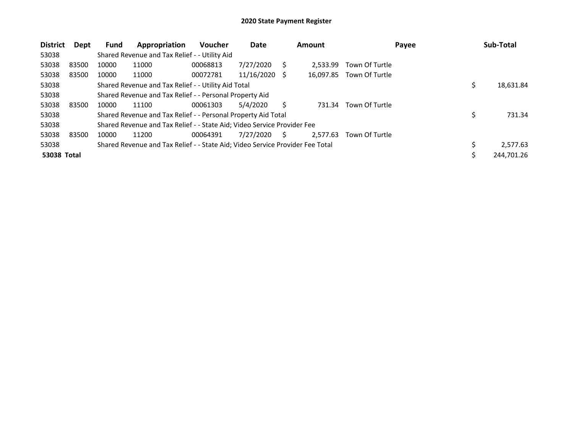| <b>District</b>    | Dept  | <b>Fund</b> | Appropriation                                                                 | Voucher  | Date       |    | <b>Amount</b> | Payee          | Sub-Total      |
|--------------------|-------|-------------|-------------------------------------------------------------------------------|----------|------------|----|---------------|----------------|----------------|
| 53038              |       |             | Shared Revenue and Tax Relief - - Utility Aid                                 |          |            |    |               |                |                |
| 53038              | 83500 | 10000       | 11000                                                                         | 00068813 | 7/27/2020  |    | 2.533.99      | Town Of Turtle |                |
| 53038              | 83500 | 10000       | 11000                                                                         | 00072781 | 11/16/2020 | -S | 16,097.85     | Town Of Turtle |                |
| 53038              |       |             | Shared Revenue and Tax Relief - - Utility Aid Total                           |          |            |    |               |                | 18,631.84      |
| 53038              |       |             | Shared Revenue and Tax Relief - - Personal Property Aid                       |          |            |    |               |                |                |
| 53038              | 83500 | 10000       | 11100                                                                         | 00061303 | 5/4/2020   |    | 731.34        | Town Of Turtle |                |
| 53038              |       |             | Shared Revenue and Tax Relief - - Personal Property Aid Total                 |          |            |    |               |                | 731.34         |
| 53038              |       |             | Shared Revenue and Tax Relief - - State Aid; Video Service Provider Fee       |          |            |    |               |                |                |
| 53038              | 83500 | 10000       | 11200                                                                         | 00064391 | 7/27/2020  | S  | 2,577.63      | Town Of Turtle |                |
| 53038              |       |             | Shared Revenue and Tax Relief - - State Aid; Video Service Provider Fee Total |          |            |    |               |                | \$<br>2,577.63 |
| <b>53038 Total</b> |       |             |                                                                               |          |            |    |               |                | 244,701.26     |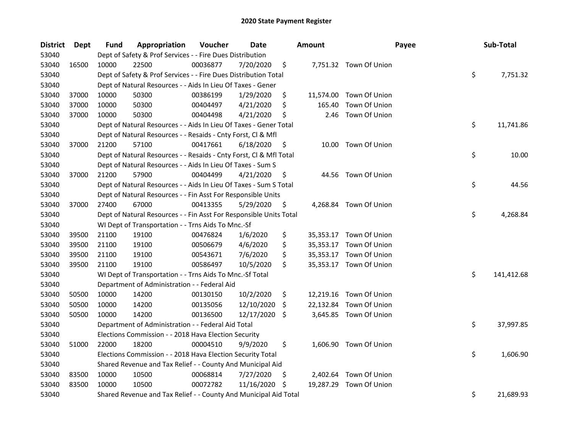| <b>District</b> | <b>Dept</b> | Fund  | Appropriation                                                      | Voucher  | Date       |     | <b>Amount</b> | Payee                   | Sub-Total        |
|-----------------|-------------|-------|--------------------------------------------------------------------|----------|------------|-----|---------------|-------------------------|------------------|
| 53040           |             |       | Dept of Safety & Prof Services - - Fire Dues Distribution          |          |            |     |               |                         |                  |
| 53040           | 16500       | 10000 | 22500                                                              | 00036877 | 7/20/2020  | \$  |               | 7,751.32 Town Of Union  |                  |
| 53040           |             |       | Dept of Safety & Prof Services - - Fire Dues Distribution Total    |          |            |     |               |                         | \$<br>7,751.32   |
| 53040           |             |       | Dept of Natural Resources - - Aids In Lieu Of Taxes - Gener        |          |            |     |               |                         |                  |
| 53040           | 37000       | 10000 | 50300                                                              | 00386199 | 1/29/2020  | \$  |               | 11,574.00 Town Of Union |                  |
| 53040           | 37000       | 10000 | 50300                                                              | 00404497 | 4/21/2020  | \$  | 165.40        | Town Of Union           |                  |
| 53040           | 37000       | 10000 | 50300                                                              | 00404498 | 4/21/2020  | \$  | 2.46          | Town Of Union           |                  |
| 53040           |             |       | Dept of Natural Resources - - Aids In Lieu Of Taxes - Gener Total  |          |            |     |               |                         | \$<br>11,741.86  |
| 53040           |             |       | Dept of Natural Resources - - Resaids - Cnty Forst, Cl & Mfl       |          |            |     |               |                         |                  |
| 53040           | 37000       | 21200 | 57100                                                              | 00417661 | 6/18/2020  | \$  |               | 10.00 Town Of Union     |                  |
| 53040           |             |       | Dept of Natural Resources - - Resaids - Cnty Forst, Cl & Mfl Total |          |            |     |               |                         | \$<br>10.00      |
| 53040           |             |       | Dept of Natural Resources - - Aids In Lieu Of Taxes - Sum S        |          |            |     |               |                         |                  |
| 53040           | 37000       | 21200 | 57900                                                              | 00404499 | 4/21/2020  | \$. | 44.56         | Town Of Union           |                  |
| 53040           |             |       | Dept of Natural Resources - - Aids In Lieu Of Taxes - Sum S Total  |          |            |     |               |                         | \$<br>44.56      |
| 53040           |             |       | Dept of Natural Resources - - Fin Asst For Responsible Units       |          |            |     |               |                         |                  |
| 53040           | 37000       | 27400 | 67000                                                              | 00413355 | 5/29/2020  | \$  | 4,268.84      | Town Of Union           |                  |
| 53040           |             |       | Dept of Natural Resources - - Fin Asst For Responsible Units Total |          |            |     |               |                         | \$<br>4,268.84   |
| 53040           |             |       | WI Dept of Transportation - - Trns Aids To Mnc.-Sf                 |          |            |     |               |                         |                  |
| 53040           | 39500       | 21100 | 19100                                                              | 00476824 | 1/6/2020   | \$  |               | 35,353.17 Town Of Union |                  |
| 53040           | 39500       | 21100 | 19100                                                              | 00506679 | 4/6/2020   | \$  |               | 35,353.17 Town Of Union |                  |
| 53040           | 39500       | 21100 | 19100                                                              | 00543671 | 7/6/2020   | \$  |               | 35,353.17 Town Of Union |                  |
| 53040           | 39500       | 21100 | 19100                                                              | 00586497 | 10/5/2020  | \$  |               | 35,353.17 Town Of Union |                  |
| 53040           |             |       | WI Dept of Transportation - - Trns Aids To Mnc.-Sf Total           |          |            |     |               |                         | \$<br>141,412.68 |
| 53040           |             |       | Department of Administration - - Federal Aid                       |          |            |     |               |                         |                  |
| 53040           | 50500       | 10000 | 14200                                                              | 00130150 | 10/2/2020  | \$  |               | 12,219.16 Town Of Union |                  |
| 53040           | 50500       | 10000 | 14200                                                              | 00135056 | 12/10/2020 | \$  |               | 22,132.84 Town Of Union |                  |
| 53040           | 50500       | 10000 | 14200                                                              | 00136500 | 12/17/2020 | \$  |               | 3,645.85 Town Of Union  |                  |
| 53040           |             |       | Department of Administration - - Federal Aid Total                 |          |            |     |               |                         | \$<br>37,997.85  |
| 53040           |             |       | Elections Commission - - 2018 Hava Election Security               |          |            |     |               |                         |                  |
| 53040           | 51000       | 22000 | 18200                                                              | 00004510 | 9/9/2020   | \$  |               | 1,606.90 Town Of Union  |                  |
| 53040           |             |       | Elections Commission - - 2018 Hava Election Security Total         |          |            |     |               |                         | \$<br>1,606.90   |
| 53040           |             |       | Shared Revenue and Tax Relief - - County And Municipal Aid         |          |            |     |               |                         |                  |
| 53040           | 83500       | 10000 | 10500                                                              | 00068814 | 7/27/2020  | \$  |               | 2,402.64 Town Of Union  |                  |
| 53040           | 83500       | 10000 | 10500                                                              | 00072782 | 11/16/2020 | S   | 19,287.29     | Town Of Union           |                  |
| 53040           |             |       | Shared Revenue and Tax Relief - - County And Municipal Aid Total   |          |            |     |               |                         | \$<br>21,689.93  |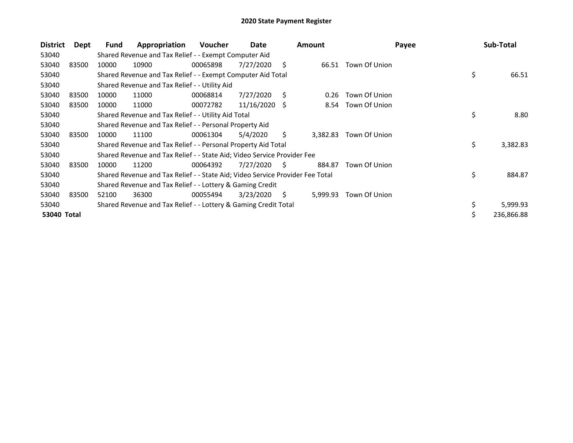| <b>District</b> | Dept  | Fund  | Appropriation                                                                 | <b>Voucher</b> | Date       |    | <b>Amount</b> | Payee         | Sub-Total      |
|-----------------|-------|-------|-------------------------------------------------------------------------------|----------------|------------|----|---------------|---------------|----------------|
| 53040           |       |       | Shared Revenue and Tax Relief - - Exempt Computer Aid                         |                |            |    |               |               |                |
| 53040           | 83500 | 10000 | 10900                                                                         | 00065898       | 7/27/2020  | Ś. | 66.51         | Town Of Union |                |
| 53040           |       |       | Shared Revenue and Tax Relief - - Exempt Computer Aid Total                   |                |            |    |               |               | \$<br>66.51    |
| 53040           |       |       | Shared Revenue and Tax Relief - - Utility Aid                                 |                |            |    |               |               |                |
| 53040           | 83500 | 10000 | 11000                                                                         | 00068814       | 7/27/2020  | Ś  | 0.26          | Town Of Union |                |
| 53040           | 83500 | 10000 | 11000                                                                         | 00072782       | 11/16/2020 | -S | 8.54          | Town Of Union |                |
| 53040           |       |       | Shared Revenue and Tax Relief - - Utility Aid Total                           |                |            |    |               |               | \$<br>8.80     |
| 53040           |       |       | Shared Revenue and Tax Relief - - Personal Property Aid                       |                |            |    |               |               |                |
| 53040           | 83500 | 10000 | 11100                                                                         | 00061304       | 5/4/2020   | S. | 3,382.83      | Town Of Union |                |
| 53040           |       |       | Shared Revenue and Tax Relief - - Personal Property Aid Total                 |                |            |    |               |               | \$<br>3,382.83 |
| 53040           |       |       | Shared Revenue and Tax Relief - - State Aid; Video Service Provider Fee       |                |            |    |               |               |                |
| 53040           | 83500 | 10000 | 11200                                                                         | 00064392       | 7/27/2020  | S  | 884.87        | Town Of Union |                |
| 53040           |       |       | Shared Revenue and Tax Relief - - State Aid; Video Service Provider Fee Total |                |            |    |               |               | \$<br>884.87   |
| 53040           |       |       | Shared Revenue and Tax Relief - - Lottery & Gaming Credit                     |                |            |    |               |               |                |
| 53040           | 83500 | 52100 | 36300                                                                         | 00055494       | 3/23/2020  | \$ | 5,999.93      | Town Of Union |                |
| 53040           |       |       | Shared Revenue and Tax Relief - - Lottery & Gaming Credit Total               |                |            |    |               |               | \$<br>5,999.93 |
| 53040 Total     |       |       |                                                                               |                |            |    |               |               | 236,866.88     |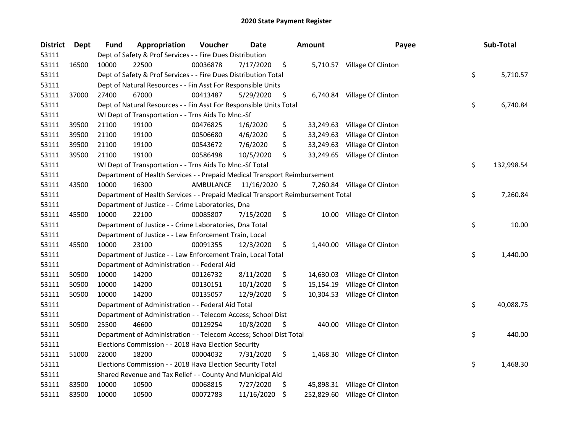| <b>District</b> | Dept  | <b>Fund</b> | Appropriation                                                                   | Voucher   | Date          | <b>Amount</b> | Payee                         | Sub-Total        |
|-----------------|-------|-------------|---------------------------------------------------------------------------------|-----------|---------------|---------------|-------------------------------|------------------|
| 53111           |       |             | Dept of Safety & Prof Services - - Fire Dues Distribution                       |           |               |               |                               |                  |
| 53111           | 16500 | 10000       | 22500                                                                           | 00036878  | 7/17/2020     | \$            | 5,710.57 Village Of Clinton   |                  |
| 53111           |       |             | Dept of Safety & Prof Services - - Fire Dues Distribution Total                 |           |               |               |                               | \$<br>5,710.57   |
| 53111           |       |             | Dept of Natural Resources - - Fin Asst For Responsible Units                    |           |               |               |                               |                  |
| 53111           | 37000 | 27400       | 67000                                                                           | 00413487  | 5/29/2020     | \$            | 6,740.84 Village Of Clinton   |                  |
| 53111           |       |             | Dept of Natural Resources - - Fin Asst For Responsible Units Total              |           |               |               |                               | \$<br>6,740.84   |
| 53111           |       |             | WI Dept of Transportation - - Trns Aids To Mnc.-Sf                              |           |               |               |                               |                  |
| 53111           | 39500 | 21100       | 19100                                                                           | 00476825  | 1/6/2020      | \$            | 33,249.63 Village Of Clinton  |                  |
| 53111           | 39500 | 21100       | 19100                                                                           | 00506680  | 4/6/2020      | \$            | 33,249.63 Village Of Clinton  |                  |
| 53111           | 39500 | 21100       | 19100                                                                           | 00543672  | 7/6/2020      | \$            | 33,249.63 Village Of Clinton  |                  |
| 53111           | 39500 | 21100       | 19100                                                                           | 00586498  | 10/5/2020     | \$            | 33,249.65 Village Of Clinton  |                  |
| 53111           |       |             | WI Dept of Transportation - - Trns Aids To Mnc.-Sf Total                        |           |               |               |                               | \$<br>132,998.54 |
| 53111           |       |             | Department of Health Services - - Prepaid Medical Transport Reimbursement       |           |               |               |                               |                  |
| 53111           | 43500 | 10000       | 16300                                                                           | AMBULANCE | 11/16/2020 \$ |               | 7,260.84 Village Of Clinton   |                  |
| 53111           |       |             | Department of Health Services - - Prepaid Medical Transport Reimbursement Total |           |               |               |                               | \$<br>7,260.84   |
| 53111           |       |             | Department of Justice - - Crime Laboratories, Dna                               |           |               |               |                               |                  |
| 53111           | 45500 | 10000       | 22100                                                                           | 00085807  | 7/15/2020     | \$            | 10.00 Village Of Clinton      |                  |
| 53111           |       |             | Department of Justice - - Crime Laboratories, Dna Total                         |           |               |               |                               | \$<br>10.00      |
| 53111           |       |             | Department of Justice - - Law Enforcement Train, Local                          |           |               |               |                               |                  |
| 53111           | 45500 | 10000       | 23100                                                                           | 00091355  | 12/3/2020     | \$            | 1,440.00 Village Of Clinton   |                  |
| 53111           |       |             | Department of Justice - - Law Enforcement Train, Local Total                    |           |               |               |                               | \$<br>1,440.00   |
| 53111           |       |             | Department of Administration - - Federal Aid                                    |           |               |               |                               |                  |
| 53111           | 50500 | 10000       | 14200                                                                           | 00126732  | 8/11/2020     | \$            | 14,630.03 Village Of Clinton  |                  |
| 53111           | 50500 | 10000       | 14200                                                                           | 00130151  | 10/1/2020     | \$            | 15,154.19 Village Of Clinton  |                  |
| 53111           | 50500 | 10000       | 14200                                                                           | 00135057  | 12/9/2020     | \$            | 10,304.53 Village Of Clinton  |                  |
| 53111           |       |             | Department of Administration - - Federal Aid Total                              |           |               |               |                               | \$<br>40,088.75  |
| 53111           |       |             | Department of Administration - - Telecom Access; School Dist                    |           |               |               |                               |                  |
| 53111           | 50500 | 25500       | 46600                                                                           | 00129254  | 10/8/2020     | \$            | 440.00 Village Of Clinton     |                  |
| 53111           |       |             | Department of Administration - - Telecom Access; School Dist Total              |           |               |               |                               | \$<br>440.00     |
| 53111           |       |             | Elections Commission - - 2018 Hava Election Security                            |           |               |               |                               |                  |
| 53111           | 51000 | 22000       | 18200                                                                           | 00004032  | 7/31/2020     | \$            | 1,468.30 Village Of Clinton   |                  |
| 53111           |       |             | Elections Commission - - 2018 Hava Election Security Total                      |           |               |               |                               | \$<br>1,468.30   |
| 53111           |       |             | Shared Revenue and Tax Relief - - County And Municipal Aid                      |           |               |               |                               |                  |
| 53111           | 83500 | 10000       | 10500                                                                           | 00068815  | 7/27/2020     | \$            | 45,898.31 Village Of Clinton  |                  |
| 53111           | 83500 | 10000       | 10500                                                                           | 00072783  | 11/16/2020    | \$            | 252,829.60 Village Of Clinton |                  |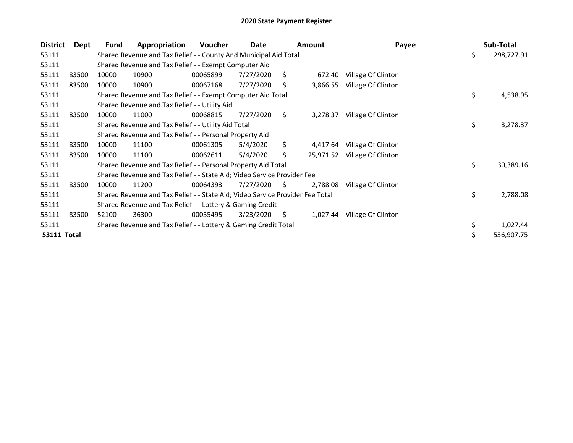| <b>District</b> | Dept  | Fund  | Appropriation                                                                 | Voucher  | Date      |    | <b>Amount</b> | Payee              | Sub-Total        |
|-----------------|-------|-------|-------------------------------------------------------------------------------|----------|-----------|----|---------------|--------------------|------------------|
| 53111           |       |       | Shared Revenue and Tax Relief - - County And Municipal Aid Total              |          |           |    |               |                    | \$<br>298,727.91 |
| 53111           |       |       | Shared Revenue and Tax Relief - - Exempt Computer Aid                         |          |           |    |               |                    |                  |
| 53111           | 83500 | 10000 | 10900                                                                         | 00065899 | 7/27/2020 | Ŝ. | 672.40        | Village Of Clinton |                  |
| 53111           | 83500 | 10000 | 10900                                                                         | 00067168 | 7/27/2020 | S  | 3,866.55      | Village Of Clinton |                  |
| 53111           |       |       | Shared Revenue and Tax Relief - - Exempt Computer Aid Total                   |          |           |    |               |                    | \$<br>4,538.95   |
| 53111           |       |       | Shared Revenue and Tax Relief - - Utility Aid                                 |          |           |    |               |                    |                  |
| 53111           | 83500 | 10000 | 11000                                                                         | 00068815 | 7/27/2020 | \$ | 3,278.37      | Village Of Clinton |                  |
| 53111           |       |       | Shared Revenue and Tax Relief - - Utility Aid Total                           |          |           |    |               |                    | \$<br>3,278.37   |
| 53111           |       |       | Shared Revenue and Tax Relief - - Personal Property Aid                       |          |           |    |               |                    |                  |
| 53111           | 83500 | 10000 | 11100                                                                         | 00061305 | 5/4/2020  | Ś. | 4,417.64      | Village Of Clinton |                  |
| 53111           | 83500 | 10000 | 11100                                                                         | 00062611 | 5/4/2020  | S. | 25,971.52     | Village Of Clinton |                  |
| 53111           |       |       | Shared Revenue and Tax Relief - - Personal Property Aid Total                 |          |           |    |               |                    | \$<br>30,389.16  |
| 53111           |       |       | Shared Revenue and Tax Relief - - State Aid; Video Service Provider Fee       |          |           |    |               |                    |                  |
| 53111           | 83500 | 10000 | 11200                                                                         | 00064393 | 7/27/2020 | S. | 2,788.08      | Village Of Clinton |                  |
| 53111           |       |       | Shared Revenue and Tax Relief - - State Aid; Video Service Provider Fee Total |          |           |    |               |                    | \$<br>2,788.08   |
| 53111           |       |       | Shared Revenue and Tax Relief - - Lottery & Gaming Credit                     |          |           |    |               |                    |                  |
| 53111           | 83500 | 52100 | 36300                                                                         | 00055495 | 3/23/2020 | S. | 1,027.44      | Village Of Clinton |                  |
| 53111           |       |       | Shared Revenue and Tax Relief - - Lottery & Gaming Credit Total               |          |           |    |               |                    | \$<br>1,027.44   |
| 53111 Total     |       |       |                                                                               |          |           |    |               |                    | \$<br>536,907.75 |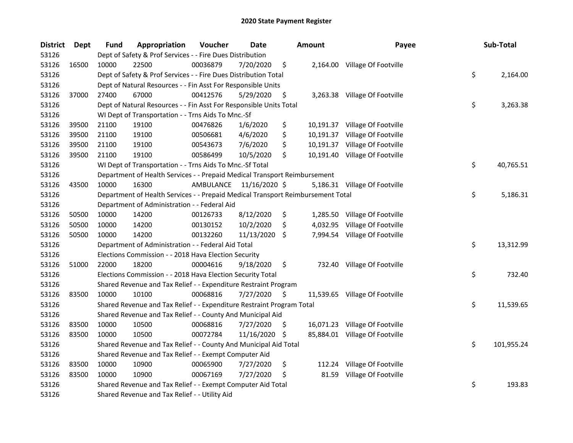| <b>District</b> | Dept  | <b>Fund</b> | Appropriation                                                                   | Voucher   | Date          |     | Amount   | Payee                          | Sub-Total        |
|-----------------|-------|-------------|---------------------------------------------------------------------------------|-----------|---------------|-----|----------|--------------------------------|------------------|
| 53126           |       |             | Dept of Safety & Prof Services - - Fire Dues Distribution                       |           |               |     |          |                                |                  |
| 53126           | 16500 | 10000       | 22500                                                                           | 00036879  | 7/20/2020     | \$  |          | 2,164.00 Village Of Footville  |                  |
| 53126           |       |             | Dept of Safety & Prof Services - - Fire Dues Distribution Total                 |           |               |     |          |                                | \$<br>2,164.00   |
| 53126           |       |             | Dept of Natural Resources - - Fin Asst For Responsible Units                    |           |               |     |          |                                |                  |
| 53126           | 37000 | 27400       | 67000                                                                           | 00412576  | 5/29/2020     | \$  |          | 3,263.38 Village Of Footville  |                  |
| 53126           |       |             | Dept of Natural Resources - - Fin Asst For Responsible Units Total              |           |               |     |          |                                | \$<br>3,263.38   |
| 53126           |       |             | WI Dept of Transportation - - Trns Aids To Mnc.-Sf                              |           |               |     |          |                                |                  |
| 53126           | 39500 | 21100       | 19100                                                                           | 00476826  | 1/6/2020      | \$  |          | 10,191.37 Village Of Footville |                  |
| 53126           | 39500 | 21100       | 19100                                                                           | 00506681  | 4/6/2020      | \$  |          | 10,191.37 Village Of Footville |                  |
| 53126           | 39500 | 21100       | 19100                                                                           | 00543673  | 7/6/2020      | \$  |          | 10,191.37 Village Of Footville |                  |
| 53126           | 39500 | 21100       | 19100                                                                           | 00586499  | 10/5/2020     | \$  |          | 10,191.40 Village Of Footville |                  |
| 53126           |       |             | WI Dept of Transportation - - Trns Aids To Mnc.-Sf Total                        |           |               |     |          |                                | \$<br>40,765.51  |
| 53126           |       |             | Department of Health Services - - Prepaid Medical Transport Reimbursement       |           |               |     |          |                                |                  |
| 53126           | 43500 | 10000       | 16300                                                                           | AMBULANCE | 11/16/2020 \$ |     |          | 5,186.31 Village Of Footville  |                  |
| 53126           |       |             | Department of Health Services - - Prepaid Medical Transport Reimbursement Total |           |               |     |          |                                | \$<br>5,186.31   |
| 53126           |       |             | Department of Administration - - Federal Aid                                    |           |               |     |          |                                |                  |
| 53126           | 50500 | 10000       | 14200                                                                           | 00126733  | 8/12/2020     | \$  | 1,285.50 | Village Of Footville           |                  |
| 53126           | 50500 | 10000       | 14200                                                                           | 00130152  | 10/2/2020     | \$  | 4,032.95 | Village Of Footville           |                  |
| 53126           | 50500 | 10000       | 14200                                                                           | 00132260  | 11/13/2020    | S.  |          | 7,994.54 Village Of Footville  |                  |
| 53126           |       |             | Department of Administration - - Federal Aid Total                              |           |               |     |          |                                | \$<br>13,312.99  |
| 53126           |       |             | Elections Commission - - 2018 Hava Election Security                            |           |               |     |          |                                |                  |
| 53126           | 51000 | 22000       | 18200                                                                           | 00004616  | 9/18/2020     | \$  |          | 732.40 Village Of Footville    |                  |
| 53126           |       |             | Elections Commission - - 2018 Hava Election Security Total                      |           |               |     |          |                                | \$<br>732.40     |
| 53126           |       |             | Shared Revenue and Tax Relief - - Expenditure Restraint Program                 |           |               |     |          |                                |                  |
| 53126           | 83500 | 10000       | 10100                                                                           | 00068816  | 7/27/2020     | \$, |          | 11,539.65 Village Of Footville |                  |
| 53126           |       |             | Shared Revenue and Tax Relief - - Expenditure Restraint Program Total           |           |               |     |          |                                | \$<br>11,539.65  |
| 53126           |       |             | Shared Revenue and Tax Relief - - County And Municipal Aid                      |           |               |     |          |                                |                  |
| 53126           | 83500 | 10000       | 10500                                                                           | 00068816  | 7/27/2020     | \$  |          | 16,071.23 Village Of Footville |                  |
| 53126           | 83500 | 10000       | 10500                                                                           | 00072784  | 11/16/2020    | -S  |          | 85,884.01 Village Of Footville |                  |
| 53126           |       |             | Shared Revenue and Tax Relief - - County And Municipal Aid Total                |           |               |     |          |                                | \$<br>101,955.24 |
| 53126           |       |             | Shared Revenue and Tax Relief - - Exempt Computer Aid                           |           |               |     |          |                                |                  |
| 53126           | 83500 | 10000       | 10900                                                                           | 00065900  | 7/27/2020     | \$  |          | 112.24 Village Of Footville    |                  |
| 53126           | 83500 | 10000       | 10900                                                                           | 00067169  | 7/27/2020     | \$  | 81.59    | Village Of Footville           |                  |
| 53126           |       |             | Shared Revenue and Tax Relief - - Exempt Computer Aid Total                     |           |               |     |          |                                | \$<br>193.83     |
| 53126           |       |             | Shared Revenue and Tax Relief - - Utility Aid                                   |           |               |     |          |                                |                  |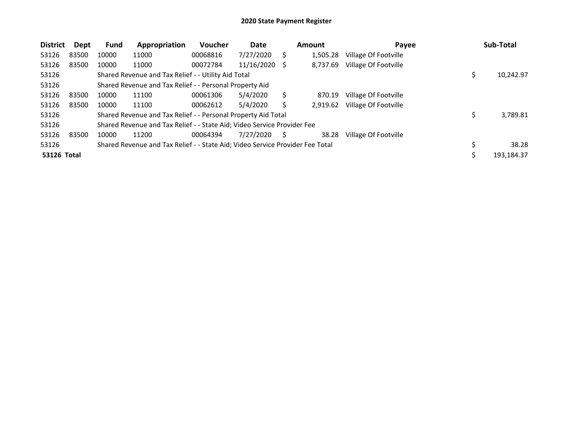| <b>District</b>    | Dept  | <b>Fund</b> | Appropriation                                                                 | <b>Voucher</b> | Date       |   | <b>Amount</b> | Payee                | Sub-Total   |
|--------------------|-------|-------------|-------------------------------------------------------------------------------|----------------|------------|---|---------------|----------------------|-------------|
| 53126              | 83500 | 10000       | 11000                                                                         | 00068816       | 7/27/2020  |   | 1,505.28      | Village Of Footville |             |
| 53126              | 83500 | 10000       | 11000                                                                         | 00072784       | 11/16/2020 | S | 8,737.69      | Village Of Footville |             |
| 53126              |       |             | Shared Revenue and Tax Relief - - Utility Aid Total                           |                |            |   |               |                      | 10,242.97   |
| 53126              |       |             | Shared Revenue and Tax Relief - - Personal Property Aid                       |                |            |   |               |                      |             |
| 53126              | 83500 | 10000       | 11100                                                                         | 00061306       | 5/4/2020   |   | 870.19        | Village Of Footville |             |
| 53126              | 83500 | 10000       | 11100                                                                         | 00062612       | 5/4/2020   |   | 2.919.62      | Village Of Footville |             |
| 53126              |       |             | Shared Revenue and Tax Relief - - Personal Property Aid Total                 |                |            |   |               |                      | 3,789.81    |
| 53126              |       |             | Shared Revenue and Tax Relief - - State Aid; Video Service Provider Fee       |                |            |   |               |                      |             |
| 53126              | 83500 | 10000       | 11200                                                                         | 00064394       | 7/27/2020  | S | 38.28         | Village Of Footville |             |
| 53126              |       |             | Shared Revenue and Tax Relief - - State Aid; Video Service Provider Fee Total |                |            |   |               |                      | \$<br>38.28 |
| <b>53126 Total</b> |       |             |                                                                               |                |            |   |               |                      | 193.184.37  |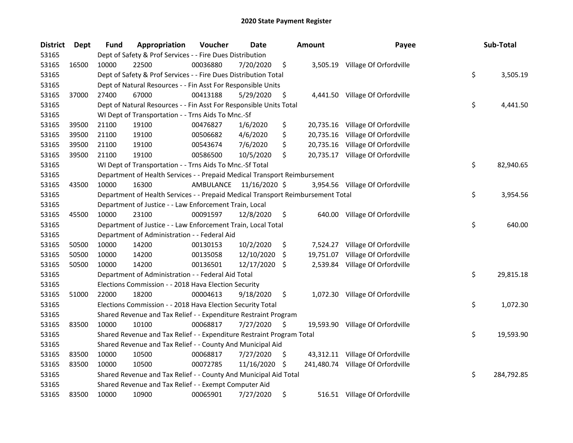| <b>District</b> | Dept  | <b>Fund</b> | Appropriation                                                                   | Voucher   | Date          |     | <b>Amount</b> | Payee                             | Sub-Total        |
|-----------------|-------|-------------|---------------------------------------------------------------------------------|-----------|---------------|-----|---------------|-----------------------------------|------------------|
| 53165           |       |             | Dept of Safety & Prof Services - - Fire Dues Distribution                       |           |               |     |               |                                   |                  |
| 53165           | 16500 | 10000       | 22500                                                                           | 00036880  | 7/20/2020     | \$  |               | 3,505.19 Village Of Orfordville   |                  |
| 53165           |       |             | Dept of Safety & Prof Services - - Fire Dues Distribution Total                 |           |               |     |               |                                   | \$<br>3,505.19   |
| 53165           |       |             | Dept of Natural Resources - - Fin Asst For Responsible Units                    |           |               |     |               |                                   |                  |
| 53165           | 37000 | 27400       | 67000                                                                           | 00413188  | 5/29/2020     | \$  |               | 4,441.50 Village Of Orfordville   |                  |
| 53165           |       |             | Dept of Natural Resources - - Fin Asst For Responsible Units Total              |           |               |     |               |                                   | \$<br>4,441.50   |
| 53165           |       |             | WI Dept of Transportation - - Trns Aids To Mnc.-Sf                              |           |               |     |               |                                   |                  |
| 53165           | 39500 | 21100       | 19100                                                                           | 00476827  | 1/6/2020      | \$  |               | 20,735.16 Village Of Orfordville  |                  |
| 53165           | 39500 | 21100       | 19100                                                                           | 00506682  | 4/6/2020      | \$  |               | 20,735.16 Village Of Orfordville  |                  |
| 53165           | 39500 | 21100       | 19100                                                                           | 00543674  | 7/6/2020      | \$  |               | 20,735.16 Village Of Orfordville  |                  |
| 53165           | 39500 | 21100       | 19100                                                                           | 00586500  | 10/5/2020     | \$  |               | 20,735.17 Village Of Orfordville  |                  |
| 53165           |       |             | WI Dept of Transportation - - Trns Aids To Mnc.-Sf Total                        |           |               |     |               |                                   | \$<br>82,940.65  |
| 53165           |       |             | Department of Health Services - - Prepaid Medical Transport Reimbursement       |           |               |     |               |                                   |                  |
| 53165           | 43500 | 10000       | 16300                                                                           | AMBULANCE | 11/16/2020 \$ |     |               | 3,954.56 Village Of Orfordville   |                  |
| 53165           |       |             | Department of Health Services - - Prepaid Medical Transport Reimbursement Total |           |               |     |               |                                   | \$<br>3,954.56   |
| 53165           |       |             | Department of Justice - - Law Enforcement Train, Local                          |           |               |     |               |                                   |                  |
| 53165           | 45500 | 10000       | 23100                                                                           | 00091597  | 12/8/2020     | \$  |               | 640.00 Village Of Orfordville     |                  |
| 53165           |       |             | Department of Justice - - Law Enforcement Train, Local Total                    |           |               |     |               |                                   | \$<br>640.00     |
| 53165           |       |             | Department of Administration - - Federal Aid                                    |           |               |     |               |                                   |                  |
| 53165           | 50500 | 10000       | 14200                                                                           | 00130153  | 10/2/2020     | \$  | 7,524.27      | Village Of Orfordville            |                  |
| 53165           | 50500 | 10000       | 14200                                                                           | 00135058  | 12/10/2020    | -\$ |               | 19,751.07 Village Of Orfordville  |                  |
| 53165           | 50500 | 10000       | 14200                                                                           | 00136501  | 12/17/2020 \$ |     |               | 2,539.84 Village Of Orfordville   |                  |
| 53165           |       |             | Department of Administration - - Federal Aid Total                              |           |               |     |               |                                   | \$<br>29,815.18  |
| 53165           |       |             | Elections Commission - - 2018 Hava Election Security                            |           |               |     |               |                                   |                  |
| 53165           | 51000 | 22000       | 18200                                                                           | 00004613  | 9/18/2020     | \$  |               | 1,072.30 Village Of Orfordville   |                  |
| 53165           |       |             | Elections Commission - - 2018 Hava Election Security Total                      |           |               |     |               |                                   | \$<br>1,072.30   |
| 53165           |       |             | Shared Revenue and Tax Relief - - Expenditure Restraint Program                 |           |               |     |               |                                   |                  |
| 53165           | 83500 | 10000       | 10100                                                                           | 00068817  | 7/27/2020     | \$  |               | 19,593.90 Village Of Orfordville  |                  |
| 53165           |       |             | Shared Revenue and Tax Relief - - Expenditure Restraint Program Total           |           |               |     |               |                                   | \$<br>19,593.90  |
| 53165           |       |             | Shared Revenue and Tax Relief - - County And Municipal Aid                      |           |               |     |               |                                   |                  |
| 53165           | 83500 | 10000       | 10500                                                                           | 00068817  | 7/27/2020     | \$  |               | 43,312.11 Village Of Orfordville  |                  |
| 53165           | 83500 | 10000       | 10500                                                                           | 00072785  | 11/16/2020    | \$  |               | 241,480.74 Village Of Orfordville |                  |
| 53165           |       |             | Shared Revenue and Tax Relief - - County And Municipal Aid Total                |           |               |     |               |                                   | \$<br>284,792.85 |
| 53165           |       |             | Shared Revenue and Tax Relief - - Exempt Computer Aid                           |           |               |     |               |                                   |                  |
| 53165           | 83500 | 10000       | 10900                                                                           | 00065901  | 7/27/2020     | \$  |               | 516.51 Village Of Orfordville     |                  |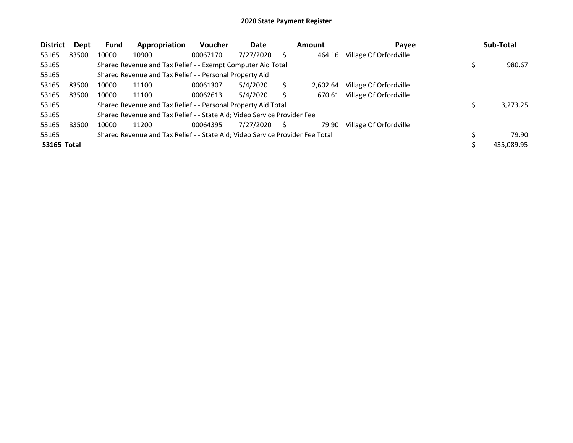| <b>District</b>    | Dept  | Fund  | Appropriation                                                                 | <b>Voucher</b> | Date      |   | Amount   | Payee                  | Sub-Total  |
|--------------------|-------|-------|-------------------------------------------------------------------------------|----------------|-----------|---|----------|------------------------|------------|
| 53165              | 83500 | 10000 | 10900                                                                         | 00067170       | 7/27/2020 | S | 464.16   | Village Of Orfordville |            |
| 53165              |       |       | Shared Revenue and Tax Relief - - Exempt Computer Aid Total                   |                |           |   |          |                        | 980.67     |
| 53165              |       |       | Shared Revenue and Tax Relief - - Personal Property Aid                       |                |           |   |          |                        |            |
| 53165              | 83500 | 10000 | 11100                                                                         | 00061307       | 5/4/2020  |   | 2.602.64 | Village Of Orfordville |            |
| 53165              | 83500 | 10000 | 11100                                                                         | 00062613       | 5/4/2020  |   | 670.61   | Village Of Orfordville |            |
| 53165              |       |       | Shared Revenue and Tax Relief - - Personal Property Aid Total                 |                |           |   |          |                        | 3,273.25   |
| 53165              |       |       | Shared Revenue and Tax Relief - - State Aid; Video Service Provider Fee       |                |           |   |          |                        |            |
| 53165              | 83500 | 10000 | 11200                                                                         | 00064395       | 7/27/2020 | S | 79.90    | Village Of Orfordville |            |
| 53165              |       |       | Shared Revenue and Tax Relief - - State Aid; Video Service Provider Fee Total |                |           |   |          |                        | 79.90      |
| <b>53165 Total</b> |       |       |                                                                               |                |           |   |          |                        | 435.089.95 |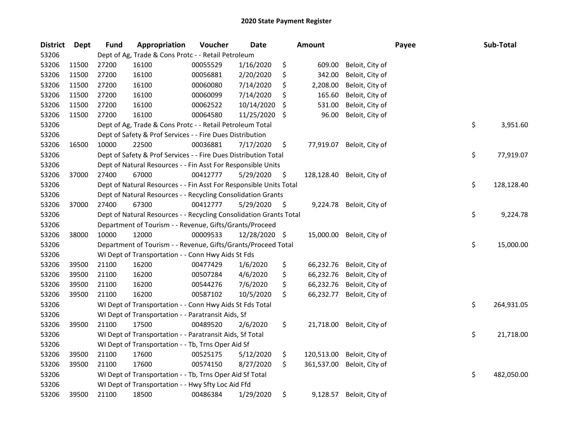| <b>District</b> | Dept  | <b>Fund</b> | Appropriation                                                      | Voucher  | <b>Date</b> |    | <b>Amount</b> |                            | Payee | Sub-Total        |
|-----------------|-------|-------------|--------------------------------------------------------------------|----------|-------------|----|---------------|----------------------------|-------|------------------|
| 53206           |       |             | Dept of Ag, Trade & Cons Protc - - Retail Petroleum                |          |             |    |               |                            |       |                  |
| 53206           | 11500 | 27200       | 16100                                                              | 00055529 | 1/16/2020   | \$ | 609.00        | Beloit, City of            |       |                  |
| 53206           | 11500 | 27200       | 16100                                                              | 00056881 | 2/20/2020   | \$ | 342.00        | Beloit, City of            |       |                  |
| 53206           | 11500 | 27200       | 16100                                                              | 00060080 | 7/14/2020   | \$ | 2,208.00      | Beloit, City of            |       |                  |
| 53206           | 11500 | 27200       | 16100                                                              | 00060099 | 7/14/2020   | \$ | 165.60        | Beloit, City of            |       |                  |
| 53206           | 11500 | 27200       | 16100                                                              | 00062522 | 10/14/2020  | S  | 531.00        | Beloit, City of            |       |                  |
| 53206           | 11500 | 27200       | 16100                                                              | 00064580 | 11/25/2020  | \$ | 96.00         | Beloit, City of            |       |                  |
| 53206           |       |             | Dept of Ag, Trade & Cons Protc - - Retail Petroleum Total          |          |             |    |               |                            |       | \$<br>3,951.60   |
| 53206           |       |             | Dept of Safety & Prof Services - - Fire Dues Distribution          |          |             |    |               |                            |       |                  |
| 53206           | 16500 | 10000       | 22500                                                              | 00036881 | 7/17/2020   | \$ |               | 77,919.07 Beloit, City of  |       |                  |
| 53206           |       |             | Dept of Safety & Prof Services - - Fire Dues Distribution Total    |          |             |    |               |                            |       | \$<br>77,919.07  |
| 53206           |       |             | Dept of Natural Resources - - Fin Asst For Responsible Units       |          |             |    |               |                            |       |                  |
| 53206           | 37000 | 27400       | 67000                                                              | 00412777 | 5/29/2020   | \$ |               | 128,128.40 Beloit, City of |       |                  |
| 53206           |       |             | Dept of Natural Resources - - Fin Asst For Responsible Units Total |          |             |    |               |                            |       | \$<br>128,128.40 |
| 53206           |       |             | Dept of Natural Resources - - Recycling Consolidation Grants       |          |             |    |               |                            |       |                  |
| 53206           | 37000 | 27400       | 67300                                                              | 00412777 | 5/29/2020   | \$ |               | 9,224.78 Beloit, City of   |       |                  |
| 53206           |       |             | Dept of Natural Resources - - Recycling Consolidation Grants Total |          |             |    |               |                            |       | \$<br>9,224.78   |
| 53206           |       |             | Department of Tourism - - Revenue, Gifts/Grants/Proceed            |          |             |    |               |                            |       |                  |
| 53206           | 38000 | 10000       | 12000                                                              | 00009533 | 12/28/2020  | \$ | 15,000.00     | Beloit, City of            |       |                  |
| 53206           |       |             | Department of Tourism - - Revenue, Gifts/Grants/Proceed Total      |          |             |    |               |                            |       | \$<br>15,000.00  |
| 53206           |       |             | WI Dept of Transportation - - Conn Hwy Aids St Fds                 |          |             |    |               |                            |       |                  |
| 53206           | 39500 | 21100       | 16200                                                              | 00477429 | 1/6/2020    | \$ | 66,232.76     | Beloit, City of            |       |                  |
| 53206           | 39500 | 21100       | 16200                                                              | 00507284 | 4/6/2020    | \$ | 66,232.76     | Beloit, City of            |       |                  |
| 53206           | 39500 | 21100       | 16200                                                              | 00544276 | 7/6/2020    | \$ | 66,232.76     | Beloit, City of            |       |                  |
| 53206           | 39500 | 21100       | 16200                                                              | 00587102 | 10/5/2020   | \$ | 66,232.77     | Beloit, City of            |       |                  |
| 53206           |       |             | WI Dept of Transportation - - Conn Hwy Aids St Fds Total           |          |             |    |               |                            |       | \$<br>264,931.05 |
| 53206           |       |             | WI Dept of Transportation - - Paratransit Aids, Sf                 |          |             |    |               |                            |       |                  |
| 53206           | 39500 | 21100       | 17500                                                              | 00489520 | 2/6/2020    | \$ |               | 21,718.00 Beloit, City of  |       |                  |
| 53206           |       |             | WI Dept of Transportation - - Paratransit Aids, Sf Total           |          |             |    |               |                            |       | \$<br>21,718.00  |
| 53206           |       |             | WI Dept of Transportation - - Tb, Trns Oper Aid Sf                 |          |             |    |               |                            |       |                  |
| 53206           | 39500 | 21100       | 17600                                                              | 00525175 | 5/12/2020   | \$ | 120,513.00    | Beloit, City of            |       |                  |
| 53206           | 39500 | 21100       | 17600                                                              | 00574150 | 8/27/2020   | \$ | 361,537.00    | Beloit, City of            |       |                  |
| 53206           |       |             | WI Dept of Transportation - - Tb, Trns Oper Aid Sf Total           |          |             |    |               |                            |       | \$<br>482,050.00 |
| 53206           |       |             | WI Dept of Transportation - - Hwy Sfty Loc Aid Ffd                 |          |             |    |               |                            |       |                  |
| 53206           | 39500 | 21100       | 18500                                                              | 00486384 | 1/29/2020   | \$ | 9,128.57      | Beloit, City of            |       |                  |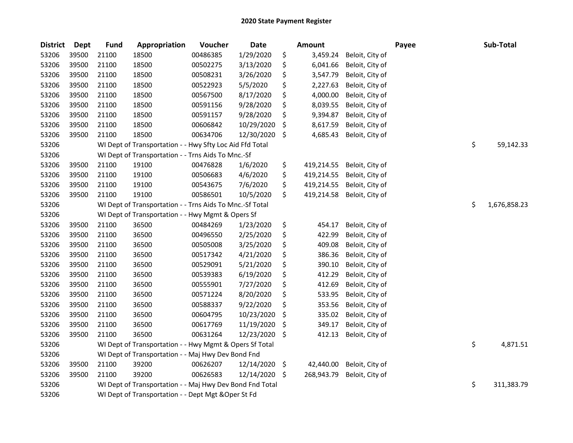| <b>District</b> | <b>Dept</b> | <b>Fund</b> | Appropriation                                            | Voucher  | <b>Date</b> |                    | <b>Amount</b> |                 | Payee | Sub-Total          |
|-----------------|-------------|-------------|----------------------------------------------------------|----------|-------------|--------------------|---------------|-----------------|-------|--------------------|
| 53206           | 39500       | 21100       | 18500                                                    | 00486385 | 1/29/2020   | \$                 | 3,459.24      | Beloit, City of |       |                    |
| 53206           | 39500       | 21100       | 18500                                                    | 00502275 | 3/13/2020   | \$                 | 6,041.66      | Beloit, City of |       |                    |
| 53206           | 39500       | 21100       | 18500                                                    | 00508231 | 3/26/2020   | \$                 | 3,547.79      | Beloit, City of |       |                    |
| 53206           | 39500       | 21100       | 18500                                                    | 00522923 | 5/5/2020    | \$                 | 2,227.63      | Beloit, City of |       |                    |
| 53206           | 39500       | 21100       | 18500                                                    | 00567500 | 8/17/2020   | \$                 | 4,000.00      | Beloit, City of |       |                    |
| 53206           | 39500       | 21100       | 18500                                                    | 00591156 | 9/28/2020   | \$                 | 8,039.55      | Beloit, City of |       |                    |
| 53206           | 39500       | 21100       | 18500                                                    | 00591157 | 9/28/2020   | \$                 | 9,394.87      | Beloit, City of |       |                    |
| 53206           | 39500       | 21100       | 18500                                                    | 00606842 | 10/29/2020  | \$,                | 8,617.59      | Beloit, City of |       |                    |
| 53206           | 39500       | 21100       | 18500                                                    | 00634706 | 12/30/2020  | \$                 | 4,685.43      | Beloit, City of |       |                    |
| 53206           |             |             | WI Dept of Transportation - - Hwy Sfty Loc Aid Ffd Total |          |             |                    |               |                 |       | \$<br>59,142.33    |
| 53206           |             |             | WI Dept of Transportation - - Trns Aids To Mnc.-Sf       |          |             |                    |               |                 |       |                    |
| 53206           | 39500       | 21100       | 19100                                                    | 00476828 | 1/6/2020    | \$                 | 419,214.55    | Beloit, City of |       |                    |
| 53206           | 39500       | 21100       | 19100                                                    | 00506683 | 4/6/2020    | \$                 | 419,214.55    | Beloit, City of |       |                    |
| 53206           | 39500       | 21100       | 19100                                                    | 00543675 | 7/6/2020    | \$                 | 419,214.55    | Beloit, City of |       |                    |
| 53206           | 39500       | 21100       | 19100                                                    | 00586501 | 10/5/2020   | \$                 | 419,214.58    | Beloit, City of |       |                    |
| 53206           |             |             | WI Dept of Transportation - - Trns Aids To Mnc.-Sf Total |          |             |                    |               |                 |       | \$<br>1,676,858.23 |
| 53206           |             |             | WI Dept of Transportation - - Hwy Mgmt & Opers Sf        |          |             |                    |               |                 |       |                    |
| 53206           | 39500       | 21100       | 36500                                                    | 00484269 | 1/23/2020   | \$                 | 454.17        | Beloit, City of |       |                    |
| 53206           | 39500       | 21100       | 36500                                                    | 00496550 | 2/25/2020   | \$                 | 422.99        | Beloit, City of |       |                    |
| 53206           | 39500       | 21100       | 36500                                                    | 00505008 | 3/25/2020   | \$                 | 409.08        | Beloit, City of |       |                    |
| 53206           | 39500       | 21100       | 36500                                                    | 00517342 | 4/21/2020   | \$                 | 386.36        | Beloit, City of |       |                    |
| 53206           | 39500       | 21100       | 36500                                                    | 00529091 | 5/21/2020   | \$                 | 390.10        | Beloit, City of |       |                    |
| 53206           | 39500       | 21100       | 36500                                                    | 00539383 | 6/19/2020   | \$                 | 412.29        | Beloit, City of |       |                    |
| 53206           | 39500       | 21100       | 36500                                                    | 00555901 | 7/27/2020   | \$                 | 412.69        | Beloit, City of |       |                    |
| 53206           | 39500       | 21100       | 36500                                                    | 00571224 | 8/20/2020   | \$                 | 533.95        | Beloit, City of |       |                    |
| 53206           | 39500       | 21100       | 36500                                                    | 00588337 | 9/22/2020   | \$                 | 353.56        | Beloit, City of |       |                    |
| 53206           | 39500       | 21100       | 36500                                                    | 00604795 | 10/23/2020  | \$,                | 335.02        | Beloit, City of |       |                    |
| 53206           | 39500       | 21100       | 36500                                                    | 00617769 | 11/19/2020  | \$                 | 349.17        | Beloit, City of |       |                    |
| 53206           | 39500       | 21100       | 36500                                                    | 00631264 | 12/23/2020  | \$                 | 412.13        | Beloit, City of |       |                    |
| 53206           |             |             | WI Dept of Transportation - - Hwy Mgmt & Opers Sf Total  |          |             |                    |               |                 |       | \$<br>4,871.51     |
| 53206           |             |             | WI Dept of Transportation - - Maj Hwy Dev Bond Fnd       |          |             |                    |               |                 |       |                    |
| 53206           | 39500       | 21100       | 39200                                                    | 00626207 | 12/14/2020  | $\ddot{\varsigma}$ | 42,440.00     | Beloit, City of |       |                    |
| 53206           | 39500       | 21100       | 39200                                                    | 00626583 | 12/14/2020  | \$                 | 268,943.79    | Beloit, City of |       |                    |
| 53206           |             |             | WI Dept of Transportation - - Maj Hwy Dev Bond Fnd Total |          |             |                    |               |                 |       | \$<br>311,383.79   |
| 53206           |             |             | WI Dept of Transportation - - Dept Mgt & Oper St Fd      |          |             |                    |               |                 |       |                    |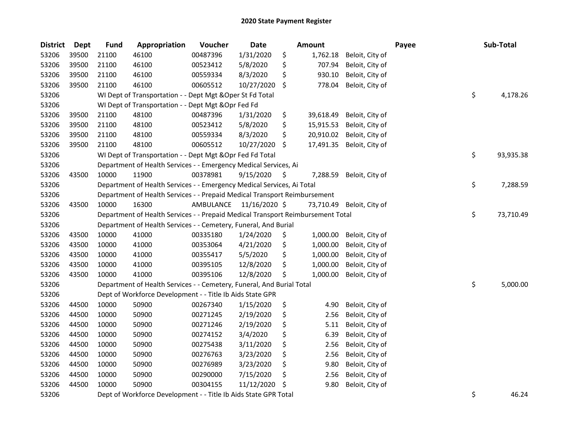| <b>District</b> | Dept  | <b>Fund</b> | Appropriation                                                                   | Voucher   | <b>Date</b>   |     | <b>Amount</b> |                 | Payee | Sub-Total       |
|-----------------|-------|-------------|---------------------------------------------------------------------------------|-----------|---------------|-----|---------------|-----------------|-------|-----------------|
| 53206           | 39500 | 21100       | 46100                                                                           | 00487396  | 1/31/2020     | \$  | 1,762.18      | Beloit, City of |       |                 |
| 53206           | 39500 | 21100       | 46100                                                                           | 00523412  | 5/8/2020      | \$  | 707.94        | Beloit, City of |       |                 |
| 53206           | 39500 | 21100       | 46100                                                                           | 00559334  | 8/3/2020      | \$  | 930.10        | Beloit, City of |       |                 |
| 53206           | 39500 | 21100       | 46100                                                                           | 00605512  | 10/27/2020    | \$  | 778.04        | Beloit, City of |       |                 |
| 53206           |       |             | WI Dept of Transportation - - Dept Mgt & Oper St Fd Total                       |           |               |     |               |                 |       | \$<br>4,178.26  |
| 53206           |       |             | WI Dept of Transportation - - Dept Mgt & Opr Fed Fd                             |           |               |     |               |                 |       |                 |
| 53206           | 39500 | 21100       | 48100                                                                           | 00487396  | 1/31/2020     | \$  | 39,618.49     | Beloit, City of |       |                 |
| 53206           | 39500 | 21100       | 48100                                                                           | 00523412  | 5/8/2020      | \$  | 15,915.53     | Beloit, City of |       |                 |
| 53206           | 39500 | 21100       | 48100                                                                           | 00559334  | 8/3/2020      | \$  | 20,910.02     | Beloit, City of |       |                 |
| 53206           | 39500 | 21100       | 48100                                                                           | 00605512  | 10/27/2020    | \$  | 17,491.35     | Beloit, City of |       |                 |
| 53206           |       |             | WI Dept of Transportation - - Dept Mgt & Opr Fed Fd Total                       |           |               |     |               |                 |       | \$<br>93,935.38 |
| 53206           |       |             | Department of Health Services - - Emergency Medical Services, Ai                |           |               |     |               |                 |       |                 |
| 53206           | 43500 | 10000       | 11900                                                                           | 00378981  | 9/15/2020     | \$. | 7,288.59      | Beloit, City of |       |                 |
| 53206           |       |             | Department of Health Services - - Emergency Medical Services, Ai Total          |           |               |     |               |                 |       | \$<br>7,288.59  |
| 53206           |       |             | Department of Health Services - - Prepaid Medical Transport Reimbursement       |           |               |     |               |                 |       |                 |
| 53206           | 43500 | 10000       | 16300                                                                           | AMBULANCE | 11/16/2020 \$ |     | 73,710.49     | Beloit, City of |       |                 |
| 53206           |       |             | Department of Health Services - - Prepaid Medical Transport Reimbursement Total |           |               |     |               |                 |       | \$<br>73,710.49 |
| 53206           |       |             | Department of Health Services - - Cemetery, Funeral, And Burial                 |           |               |     |               |                 |       |                 |
| 53206           | 43500 | 10000       | 41000                                                                           | 00335180  | 1/24/2020     | \$  | 1,000.00      | Beloit, City of |       |                 |
| 53206           | 43500 | 10000       | 41000                                                                           | 00353064  | 4/21/2020     | \$  | 1,000.00      | Beloit, City of |       |                 |
| 53206           | 43500 | 10000       | 41000                                                                           | 00355417  | 5/5/2020      | \$  | 1,000.00      | Beloit, City of |       |                 |
| 53206           | 43500 | 10000       | 41000                                                                           | 00395105  | 12/8/2020     | \$  | 1,000.00      | Beloit, City of |       |                 |
| 53206           | 43500 | 10000       | 41000                                                                           | 00395106  | 12/8/2020     | \$  | 1,000.00      | Beloit, City of |       |                 |
| 53206           |       |             | Department of Health Services - - Cemetery, Funeral, And Burial Total           |           |               |     |               |                 |       | \$<br>5,000.00  |
| 53206           |       |             | Dept of Workforce Development - - Title Ib Aids State GPR                       |           |               |     |               |                 |       |                 |
| 53206           | 44500 | 10000       | 50900                                                                           | 00267340  | 1/15/2020     | \$  | 4.90          | Beloit, City of |       |                 |
| 53206           | 44500 | 10000       | 50900                                                                           | 00271245  | 2/19/2020     | \$  | 2.56          | Beloit, City of |       |                 |
| 53206           | 44500 | 10000       | 50900                                                                           | 00271246  | 2/19/2020     | \$  | 5.11          | Beloit, City of |       |                 |
| 53206           | 44500 | 10000       | 50900                                                                           | 00274152  | 3/4/2020      | \$  | 6.39          | Beloit, City of |       |                 |
| 53206           | 44500 | 10000       | 50900                                                                           | 00275438  | 3/11/2020     | \$  | 2.56          | Beloit, City of |       |                 |
| 53206           | 44500 | 10000       | 50900                                                                           | 00276763  | 3/23/2020     | \$  | 2.56          | Beloit, City of |       |                 |
| 53206           | 44500 | 10000       | 50900                                                                           | 00276989  | 3/23/2020     | \$  | 9.80          | Beloit, City of |       |                 |
| 53206           | 44500 | 10000       | 50900                                                                           | 00290000  | 7/15/2020     | \$  | 2.56          | Beloit, City of |       |                 |
| 53206           | 44500 | 10000       | 50900                                                                           | 00304155  | 11/12/2020    | S   | 9.80          | Beloit, City of |       |                 |
| 53206           |       |             | Dept of Workforce Development - - Title Ib Aids State GPR Total                 |           |               |     |               |                 |       | \$<br>46.24     |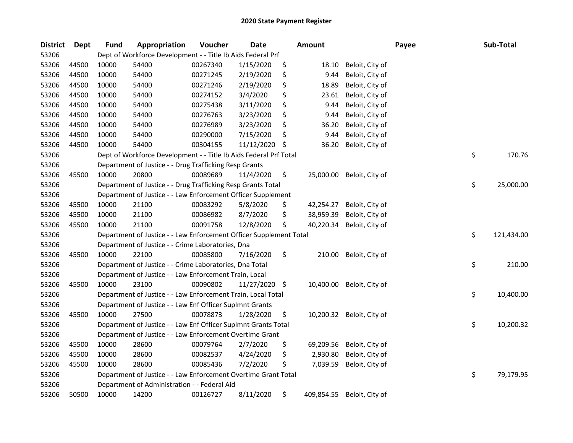| <b>District</b> | <b>Dept</b> | <b>Fund</b> | Appropriation                                                      | Voucher  | <b>Date</b> |     | Amount     |                 | Payee | Sub-Total        |
|-----------------|-------------|-------------|--------------------------------------------------------------------|----------|-------------|-----|------------|-----------------|-------|------------------|
| 53206           |             |             | Dept of Workforce Development - - Title Ib Aids Federal Prf        |          |             |     |            |                 |       |                  |
| 53206           | 44500       | 10000       | 54400                                                              | 00267340 | 1/15/2020   | \$  | 18.10      | Beloit, City of |       |                  |
| 53206           | 44500       | 10000       | 54400                                                              | 00271245 | 2/19/2020   | \$  | 9.44       | Beloit, City of |       |                  |
| 53206           | 44500       | 10000       | 54400                                                              | 00271246 | 2/19/2020   | \$  | 18.89      | Beloit, City of |       |                  |
| 53206           | 44500       | 10000       | 54400                                                              | 00274152 | 3/4/2020    | \$  | 23.61      | Beloit, City of |       |                  |
| 53206           | 44500       | 10000       | 54400                                                              | 00275438 | 3/11/2020   | \$  | 9.44       | Beloit, City of |       |                  |
| 53206           | 44500       | 10000       | 54400                                                              | 00276763 | 3/23/2020   | \$  | 9.44       | Beloit, City of |       |                  |
| 53206           | 44500       | 10000       | 54400                                                              | 00276989 | 3/23/2020   | \$  | 36.20      | Beloit, City of |       |                  |
| 53206           | 44500       | 10000       | 54400                                                              | 00290000 | 7/15/2020   | \$  | 9.44       | Beloit, City of |       |                  |
| 53206           | 44500       | 10000       | 54400                                                              | 00304155 | 11/12/2020  | \$. | 36.20      | Beloit, City of |       |                  |
| 53206           |             |             | Dept of Workforce Development - - Title Ib Aids Federal Prf Total  |          |             |     |            |                 |       | \$<br>170.76     |
| 53206           |             |             | Department of Justice - - Drug Trafficking Resp Grants             |          |             |     |            |                 |       |                  |
| 53206           | 45500       | 10000       | 20800                                                              | 00089689 | 11/4/2020   | \$  | 25,000.00  | Beloit, City of |       |                  |
| 53206           |             |             | Department of Justice - - Drug Trafficking Resp Grants Total       |          |             |     |            |                 |       | \$<br>25,000.00  |
| 53206           |             |             | Department of Justice - - Law Enforcement Officer Supplement       |          |             |     |            |                 |       |                  |
| 53206           | 45500       | 10000       | 21100                                                              | 00083292 | 5/8/2020    | \$  | 42,254.27  | Beloit, City of |       |                  |
| 53206           | 45500       | 10000       | 21100                                                              | 00086982 | 8/7/2020    | \$  | 38,959.39  | Beloit, City of |       |                  |
| 53206           | 45500       | 10000       | 21100                                                              | 00091758 | 12/8/2020   | \$  | 40,220.34  | Beloit, City of |       |                  |
| 53206           |             |             | Department of Justice - - Law Enforcement Officer Supplement Total |          |             |     |            |                 |       | \$<br>121,434.00 |
| 53206           |             |             | Department of Justice - - Crime Laboratories, Dna                  |          |             |     |            |                 |       |                  |
| 53206           | 45500       | 10000       | 22100                                                              | 00085800 | 7/16/2020   | \$  | 210.00     | Beloit, City of |       |                  |
| 53206           |             |             | Department of Justice - - Crime Laboratories, Dna Total            |          |             |     |            |                 |       | \$<br>210.00     |
| 53206           |             |             | Department of Justice - - Law Enforcement Train, Local             |          |             |     |            |                 |       |                  |
| 53206           | 45500       | 10000       | 23100                                                              | 00090802 | 11/27/2020  | \$  | 10,400.00  | Beloit, City of |       |                  |
| 53206           |             |             | Department of Justice - - Law Enforcement Train, Local Total       |          |             |     |            |                 |       | \$<br>10,400.00  |
| 53206           |             |             | Department of Justice - - Law Enf Officer Suplmnt Grants           |          |             |     |            |                 |       |                  |
| 53206           | 45500       | 10000       | 27500                                                              | 00078873 | 1/28/2020   | \$  | 10,200.32  | Beloit, City of |       |                  |
| 53206           |             |             | Department of Justice - - Law Enf Officer Suplmnt Grants Total     |          |             |     |            |                 |       | \$<br>10,200.32  |
| 53206           |             |             | Department of Justice - - Law Enforcement Overtime Grant           |          |             |     |            |                 |       |                  |
| 53206           | 45500       | 10000       | 28600                                                              | 00079764 | 2/7/2020    | \$  | 69,209.56  | Beloit, City of |       |                  |
| 53206           | 45500       | 10000       | 28600                                                              | 00082537 | 4/24/2020   | \$  | 2,930.80   | Beloit, City of |       |                  |
| 53206           | 45500       | 10000       | 28600                                                              | 00085436 | 7/2/2020    | \$  | 7,039.59   | Beloit, City of |       |                  |
| 53206           |             |             | Department of Justice - - Law Enforcement Overtime Grant Total     |          |             |     |            |                 |       | \$<br>79,179.95  |
| 53206           |             |             | Department of Administration - - Federal Aid                       |          |             |     |            |                 |       |                  |
| 53206           | 50500       | 10000       | 14200                                                              | 00126727 | 8/11/2020   | \$  | 409,854.55 | Beloit, City of |       |                  |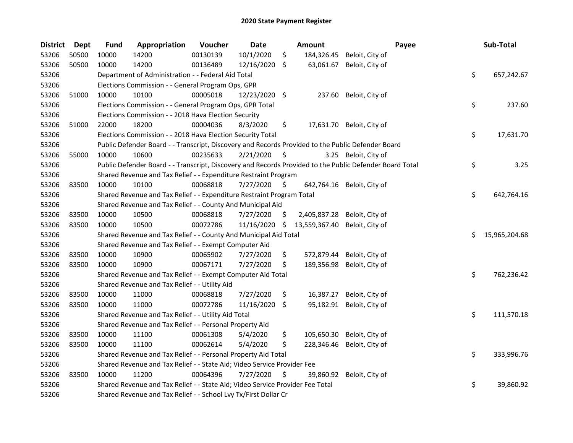| <b>District</b> | <b>Dept</b> | <b>Fund</b> | Appropriation                                                                                     | Voucher  | Date          | Amount              | Payee                                                                                                   |    | Sub-Total     |
|-----------------|-------------|-------------|---------------------------------------------------------------------------------------------------|----------|---------------|---------------------|---------------------------------------------------------------------------------------------------------|----|---------------|
| 53206           | 50500       | 10000       | 14200                                                                                             | 00130139 | 10/1/2020     | \$<br>184,326.45    | Beloit, City of                                                                                         |    |               |
| 53206           | 50500       | 10000       | 14200                                                                                             | 00136489 | 12/16/2020 \$ | 63,061.67           | Beloit, City of                                                                                         |    |               |
| 53206           |             |             | Department of Administration - - Federal Aid Total                                                |          |               |                     |                                                                                                         | \$ | 657,242.67    |
| 53206           |             |             | Elections Commission - - General Program Ops, GPR                                                 |          |               |                     |                                                                                                         |    |               |
| 53206           | 51000       | 10000       | 10100                                                                                             | 00005018 | 12/23/2020 \$ | 237.60              | Beloit, City of                                                                                         |    |               |
| 53206           |             |             | Elections Commission - - General Program Ops, GPR Total                                           |          |               |                     |                                                                                                         | \$ | 237.60        |
| 53206           |             |             | Elections Commission - - 2018 Hava Election Security                                              |          |               |                     |                                                                                                         |    |               |
| 53206           | 51000       | 22000       | 18200                                                                                             | 00004036 | 8/3/2020      | \$                  | 17,631.70 Beloit, City of                                                                               |    |               |
| 53206           |             |             | Elections Commission - - 2018 Hava Election Security Total                                        |          |               |                     |                                                                                                         | \$ | 17,631.70     |
| 53206           |             |             | Public Defender Board - - Transcript, Discovery and Records Provided to the Public Defender Board |          |               |                     |                                                                                                         |    |               |
| 53206           | 55000       | 10000       | 10600                                                                                             | 00235633 | 2/21/2020     | \$                  | 3.25 Beloit, City of                                                                                    |    |               |
| 53206           |             |             |                                                                                                   |          |               |                     | Public Defender Board - - Transcript, Discovery and Records Provided to the Public Defender Board Total | \$ | 3.25          |
| 53206           |             |             | Shared Revenue and Tax Relief - - Expenditure Restraint Program                                   |          |               |                     |                                                                                                         |    |               |
| 53206           | 83500       | 10000       | 10100                                                                                             | 00068818 | 7/27/2020     | \$                  | 642,764.16 Beloit, City of                                                                              |    |               |
| 53206           |             |             | Shared Revenue and Tax Relief - - Expenditure Restraint Program Total                             |          |               |                     |                                                                                                         | \$ | 642,764.16    |
| 53206           |             |             | Shared Revenue and Tax Relief - - County And Municipal Aid                                        |          |               |                     |                                                                                                         |    |               |
| 53206           | 83500       | 10000       | 10500                                                                                             | 00068818 | 7/27/2020     | \$<br>2,405,837.28  | Beloit, City of                                                                                         |    |               |
| 53206           | 83500       | 10000       | 10500                                                                                             | 00072786 | 11/16/2020    | \$<br>13,559,367.40 | Beloit, City of                                                                                         |    |               |
| 53206           |             |             | Shared Revenue and Tax Relief - - County And Municipal Aid Total                                  |          |               |                     |                                                                                                         | Ś. | 15,965,204.68 |
| 53206           |             |             | Shared Revenue and Tax Relief - - Exempt Computer Aid                                             |          |               |                     |                                                                                                         |    |               |
| 53206           | 83500       | 10000       | 10900                                                                                             | 00065902 | 7/27/2020     | \$<br>572,879.44    | Beloit, City of                                                                                         |    |               |
| 53206           | 83500       | 10000       | 10900                                                                                             | 00067171 | 7/27/2020     | \$<br>189,356.98    | Beloit, City of                                                                                         |    |               |
| 53206           |             |             | Shared Revenue and Tax Relief - - Exempt Computer Aid Total                                       |          |               |                     |                                                                                                         | \$ | 762,236.42    |
| 53206           |             |             | Shared Revenue and Tax Relief - - Utility Aid                                                     |          |               |                     |                                                                                                         |    |               |
| 53206           | 83500       | 10000       | 11000                                                                                             | 00068818 | 7/27/2020     | \$<br>16,387.27     | Beloit, City of                                                                                         |    |               |
| 53206           | 83500       | 10000       | 11000                                                                                             | 00072786 | 11/16/2020    | \$<br>95,182.91     | Beloit, City of                                                                                         |    |               |
| 53206           |             |             | Shared Revenue and Tax Relief - - Utility Aid Total                                               |          |               |                     |                                                                                                         | \$ | 111,570.18    |
| 53206           |             |             | Shared Revenue and Tax Relief - - Personal Property Aid                                           |          |               |                     |                                                                                                         |    |               |
| 53206           | 83500       | 10000       | 11100                                                                                             | 00061308 | 5/4/2020      | \$<br>105,650.30    | Beloit, City of                                                                                         |    |               |
| 53206           | 83500       | 10000       | 11100                                                                                             | 00062614 | 5/4/2020      | \$<br>228,346.46    | Beloit, City of                                                                                         |    |               |
| 53206           |             |             | Shared Revenue and Tax Relief - - Personal Property Aid Total                                     |          |               |                     |                                                                                                         | \$ | 333,996.76    |
| 53206           |             |             | Shared Revenue and Tax Relief - - State Aid; Video Service Provider Fee                           |          |               |                     |                                                                                                         |    |               |
| 53206           | 83500       | 10000       | 11200                                                                                             | 00064396 | 7/27/2020     | \$<br>39,860.92     | Beloit, City of                                                                                         |    |               |
| 53206           |             |             | Shared Revenue and Tax Relief - - State Aid; Video Service Provider Fee Total                     |          |               |                     |                                                                                                         | \$ | 39,860.92     |
| 53206           |             |             | Shared Revenue and Tax Relief - - School Lvy Tx/First Dollar Cr                                   |          |               |                     |                                                                                                         |    |               |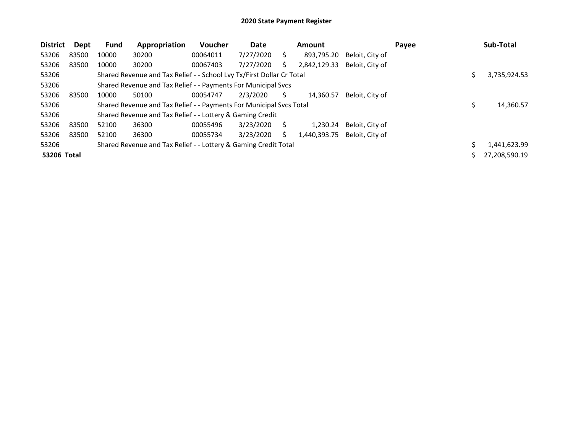| <b>District</b>    | Dept  | <b>Fund</b> | Appropriation                                                         | Voucher  | Date      |    | Amount       |                 | Payee | Sub-Total     |
|--------------------|-------|-------------|-----------------------------------------------------------------------|----------|-----------|----|--------------|-----------------|-------|---------------|
| 53206              | 83500 | 10000       | 30200                                                                 | 00064011 | 7/27/2020 | Ś. | 893,795.20   | Beloit, City of |       |               |
| 53206              | 83500 | 10000       | 30200                                                                 | 00067403 | 7/27/2020 |    | 2,842,129.33 | Beloit, City of |       |               |
| 53206              |       |             | Shared Revenue and Tax Relief - - School Lvy Tx/First Dollar Cr Total |          |           |    |              |                 |       | 3,735,924.53  |
| 53206              |       |             | Shared Revenue and Tax Relief - - Payments For Municipal Svcs         |          |           |    |              |                 |       |               |
| 53206              | 83500 | 10000       | 50100                                                                 | 00054747 | 2/3/2020  | S  | 14.360.57    | Beloit, City of |       |               |
| 53206              |       |             | Shared Revenue and Tax Relief - - Payments For Municipal Svcs Total   |          |           |    |              |                 |       | 14,360.57     |
| 53206              |       |             | Shared Revenue and Tax Relief - - Lottery & Gaming Credit             |          |           |    |              |                 |       |               |
| 53206              | 83500 | 52100       | 36300                                                                 | 00055496 | 3/23/2020 |    | 1.230.24     | Beloit, City of |       |               |
| 53206              | 83500 | 52100       | 36300                                                                 | 00055734 | 3/23/2020 | S  | 1,440,393.75 | Beloit, City of |       |               |
| 53206              |       |             | Shared Revenue and Tax Relief - - Lottery & Gaming Credit Total       |          |           |    |              |                 |       | 1,441,623.99  |
| <b>53206 Total</b> |       |             |                                                                       |          |           |    |              |                 |       | 27,208,590.19 |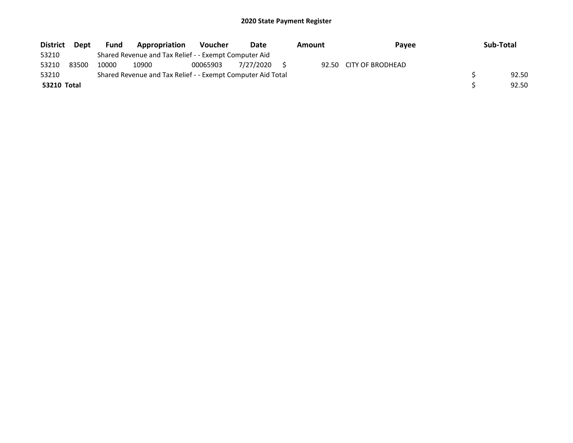| <b>District</b> | Dept  | <b>Fund</b> | Appropriation                                               | <b>Voucher</b> | Date      | Amount | Pavee                  | Sub-Total |
|-----------------|-------|-------------|-------------------------------------------------------------|----------------|-----------|--------|------------------------|-----------|
| 53210           |       |             | Shared Revenue and Tax Relief - - Exempt Computer Aid       |                |           |        |                        |           |
| 53210           | 83500 | 10000       | 10900                                                       | 00065903       | 7/27/2020 |        | 92.50 CITY OF BRODHEAD |           |
| 53210           |       |             | Shared Revenue and Tax Relief - - Exempt Computer Aid Total |                |           |        |                        | 92.50     |
| 53210 Total     |       |             |                                                             |                |           |        |                        | 92.50     |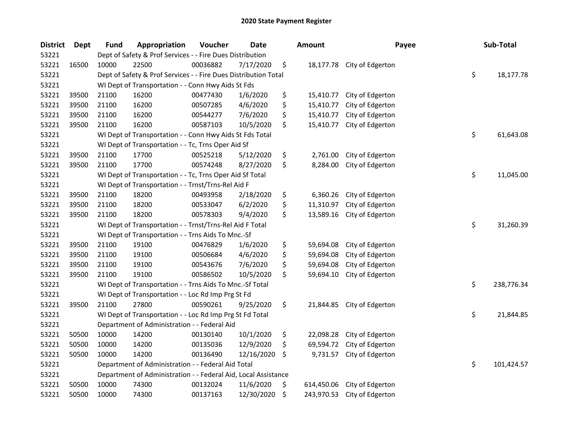| <b>District</b> | <b>Dept</b> | <b>Fund</b> | Appropriation                                                   | Voucher  | <b>Date</b> |     | <b>Amount</b> | Payee                      | Sub-Total        |
|-----------------|-------------|-------------|-----------------------------------------------------------------|----------|-------------|-----|---------------|----------------------------|------------------|
| 53221           |             |             | Dept of Safety & Prof Services - - Fire Dues Distribution       |          |             |     |               |                            |                  |
| 53221           | 16500       | 10000       | 22500                                                           | 00036882 | 7/17/2020   | \$  |               | 18,177.78 City of Edgerton |                  |
| 53221           |             |             | Dept of Safety & Prof Services - - Fire Dues Distribution Total |          |             |     |               |                            | \$<br>18,177.78  |
| 53221           |             |             | WI Dept of Transportation - - Conn Hwy Aids St Fds              |          |             |     |               |                            |                  |
| 53221           | 39500       | 21100       | 16200                                                           | 00477430 | 1/6/2020    | \$  | 15,410.77     | City of Edgerton           |                  |
| 53221           | 39500       | 21100       | 16200                                                           | 00507285 | 4/6/2020    | \$  | 15,410.77     | City of Edgerton           |                  |
| 53221           | 39500       | 21100       | 16200                                                           | 00544277 | 7/6/2020    | \$  | 15,410.77     | City of Edgerton           |                  |
| 53221           | 39500       | 21100       | 16200                                                           | 00587103 | 10/5/2020   | \$  | 15,410.77     | City of Edgerton           |                  |
| 53221           |             |             | WI Dept of Transportation - - Conn Hwy Aids St Fds Total        |          |             |     |               |                            | \$<br>61,643.08  |
| 53221           |             |             | WI Dept of Transportation - - Tc, Trns Oper Aid Sf              |          |             |     |               |                            |                  |
| 53221           | 39500       | 21100       | 17700                                                           | 00525218 | 5/12/2020   | \$  | 2,761.00      | City of Edgerton           |                  |
| 53221           | 39500       | 21100       | 17700                                                           | 00574248 | 8/27/2020   | \$  | 8,284.00      | City of Edgerton           |                  |
| 53221           |             |             | WI Dept of Transportation - - Tc, Trns Oper Aid Sf Total        |          |             |     |               |                            | \$<br>11,045.00  |
| 53221           |             |             | WI Dept of Transportation - - Trnst/Trns-Rel Aid F              |          |             |     |               |                            |                  |
| 53221           | 39500       | 21100       | 18200                                                           | 00493958 | 2/18/2020   | \$  | 6,360.26      | City of Edgerton           |                  |
| 53221           | 39500       | 21100       | 18200                                                           | 00533047 | 6/2/2020    | \$  | 11,310.97     | City of Edgerton           |                  |
| 53221           | 39500       | 21100       | 18200                                                           | 00578303 | 9/4/2020    | \$  | 13,589.16     | City of Edgerton           |                  |
| 53221           |             |             | WI Dept of Transportation - - Trnst/Trns-Rel Aid F Total        |          |             |     |               |                            | \$<br>31,260.39  |
| 53221           |             |             | WI Dept of Transportation - - Trns Aids To Mnc.-Sf              |          |             |     |               |                            |                  |
| 53221           | 39500       | 21100       | 19100                                                           | 00476829 | 1/6/2020    | \$  | 59,694.08     | City of Edgerton           |                  |
| 53221           | 39500       | 21100       | 19100                                                           | 00506684 | 4/6/2020    | \$  | 59,694.08     | City of Edgerton           |                  |
| 53221           | 39500       | 21100       | 19100                                                           | 00543676 | 7/6/2020    | \$  | 59,694.08     | City of Edgerton           |                  |
| 53221           | 39500       | 21100       | 19100                                                           | 00586502 | 10/5/2020   | \$  | 59,694.10     | City of Edgerton           |                  |
| 53221           |             |             | WI Dept of Transportation - - Trns Aids To Mnc.-Sf Total        |          |             |     |               |                            | \$<br>238,776.34 |
| 53221           |             |             | WI Dept of Transportation - - Loc Rd Imp Prg St Fd              |          |             |     |               |                            |                  |
| 53221           | 39500       | 21100       | 27800                                                           | 00590261 | 9/25/2020   | \$  | 21,844.85     | City of Edgerton           |                  |
| 53221           |             |             | WI Dept of Transportation - - Loc Rd Imp Prg St Fd Total        |          |             |     |               |                            | \$<br>21,844.85  |
| 53221           |             |             | Department of Administration - - Federal Aid                    |          |             |     |               |                            |                  |
| 53221           | 50500       | 10000       | 14200                                                           | 00130140 | 10/1/2020   | \$  | 22,098.28     | City of Edgerton           |                  |
| 53221           | 50500       | 10000       | 14200                                                           | 00135036 | 12/9/2020   | \$  | 69,594.72     | City of Edgerton           |                  |
| 53221           | 50500       | 10000       | 14200                                                           | 00136490 | 12/16/2020  | \$, | 9,731.57      | City of Edgerton           |                  |
| 53221           |             |             | Department of Administration - - Federal Aid Total              |          |             |     |               |                            | \$<br>101,424.57 |
| 53221           |             |             | Department of Administration - - Federal Aid, Local Assistance  |          |             |     |               |                            |                  |
| 53221           | 50500       | 10000       | 74300                                                           | 00132024 | 11/6/2020   | \$  | 614,450.06    | City of Edgerton           |                  |
| 53221           | 50500       | 10000       | 74300                                                           | 00137163 | 12/30/2020  | \$  | 243,970.53    | City of Edgerton           |                  |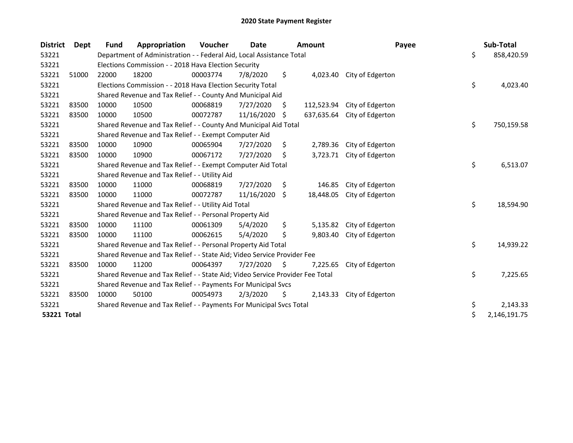| <b>District</b>    | Dept  | Fund  | Appropriation                                                                 | Voucher  | <b>Date</b> |     | <b>Amount</b> | Payee            | Sub-Total          |
|--------------------|-------|-------|-------------------------------------------------------------------------------|----------|-------------|-----|---------------|------------------|--------------------|
| 53221              |       |       | Department of Administration - - Federal Aid, Local Assistance Total          |          |             |     |               |                  | \$<br>858,420.59   |
| 53221              |       |       | Elections Commission - - 2018 Hava Election Security                          |          |             |     |               |                  |                    |
| 53221              | 51000 | 22000 | 18200                                                                         | 00003774 | 7/8/2020    | \$  | 4,023.40      | City of Edgerton |                    |
| 53221              |       |       | Elections Commission - - 2018 Hava Election Security Total                    |          |             |     |               |                  | \$<br>4,023.40     |
| 53221              |       |       | Shared Revenue and Tax Relief - - County And Municipal Aid                    |          |             |     |               |                  |                    |
| 53221              | 83500 | 10000 | 10500                                                                         | 00068819 | 7/27/2020   | S.  | 112,523.94    | City of Edgerton |                    |
| 53221              | 83500 | 10000 | 10500                                                                         | 00072787 | 11/16/2020  | -\$ | 637,635.64    | City of Edgerton |                    |
| 53221              |       |       | Shared Revenue and Tax Relief - - County And Municipal Aid Total              |          |             |     |               |                  | \$<br>750,159.58   |
| 53221              |       |       | Shared Revenue and Tax Relief - - Exempt Computer Aid                         |          |             |     |               |                  |                    |
| 53221              | 83500 | 10000 | 10900                                                                         | 00065904 | 7/27/2020   | \$  | 2,789.36      | City of Edgerton |                    |
| 53221              | 83500 | 10000 | 10900                                                                         | 00067172 | 7/27/2020   | \$  | 3,723.71      | City of Edgerton |                    |
| 53221              |       |       | Shared Revenue and Tax Relief - - Exempt Computer Aid Total                   |          |             |     |               |                  | \$<br>6,513.07     |
| 53221              |       |       | Shared Revenue and Tax Relief - - Utility Aid                                 |          |             |     |               |                  |                    |
| 53221              | 83500 | 10000 | 11000                                                                         | 00068819 | 7/27/2020   | \$  | 146.85        | City of Edgerton |                    |
| 53221              | 83500 | 10000 | 11000                                                                         | 00072787 | 11/16/2020  | \$  | 18,448.05     | City of Edgerton |                    |
| 53221              |       |       | Shared Revenue and Tax Relief - - Utility Aid Total                           |          |             |     |               |                  | \$<br>18,594.90    |
| 53221              |       |       | Shared Revenue and Tax Relief - - Personal Property Aid                       |          |             |     |               |                  |                    |
| 53221              | 83500 | 10000 | 11100                                                                         | 00061309 | 5/4/2020    | \$  | 5,135.82      | City of Edgerton |                    |
| 53221              | 83500 | 10000 | 11100                                                                         | 00062615 | 5/4/2020    | \$  | 9,803.40      | City of Edgerton |                    |
| 53221              |       |       | Shared Revenue and Tax Relief - - Personal Property Aid Total                 |          |             |     |               |                  | \$<br>14,939.22    |
| 53221              |       |       | Shared Revenue and Tax Relief - - State Aid; Video Service Provider Fee       |          |             |     |               |                  |                    |
| 53221              | 83500 | 10000 | 11200                                                                         | 00064397 | 7/27/2020   | \$  | 7,225.65      | City of Edgerton |                    |
| 53221              |       |       | Shared Revenue and Tax Relief - - State Aid; Video Service Provider Fee Total |          |             |     |               |                  | \$<br>7,225.65     |
| 53221              |       |       | Shared Revenue and Tax Relief - - Payments For Municipal Svcs                 |          |             |     |               |                  |                    |
| 53221              | 83500 | 10000 | 50100                                                                         | 00054973 | 2/3/2020    | \$  | 2,143.33      | City of Edgerton |                    |
| 53221              |       |       | Shared Revenue and Tax Relief - - Payments For Municipal Svcs Total           |          |             |     |               |                  | \$<br>2,143.33     |
| <b>53221 Total</b> |       |       |                                                                               |          |             |     |               |                  | \$<br>2,146,191.75 |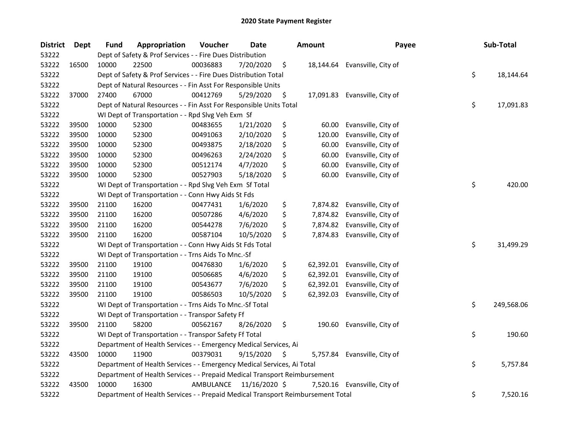| <b>District</b> | Dept  | <b>Fund</b> | Appropriation                                                                   | Voucher   | <b>Date</b>   | <b>Amount</b>  | Payee                         | Sub-Total        |
|-----------------|-------|-------------|---------------------------------------------------------------------------------|-----------|---------------|----------------|-------------------------------|------------------|
| 53222           |       |             | Dept of Safety & Prof Services - - Fire Dues Distribution                       |           |               |                |                               |                  |
| 53222           | 16500 | 10000       | 22500                                                                           | 00036883  | 7/20/2020     | \$             | 18,144.64 Evansville, City of |                  |
| 53222           |       |             | Dept of Safety & Prof Services - - Fire Dues Distribution Total                 |           |               |                |                               | \$<br>18,144.64  |
| 53222           |       |             | Dept of Natural Resources - - Fin Asst For Responsible Units                    |           |               |                |                               |                  |
| 53222           | 37000 | 27400       | 67000                                                                           | 00412769  | 5/29/2020     | \$             | 17,091.83 Evansville, City of |                  |
| 53222           |       |             | Dept of Natural Resources - - Fin Asst For Responsible Units Total              |           |               |                |                               | \$<br>17,091.83  |
| 53222           |       |             | WI Dept of Transportation - - Rpd Slvg Veh Exm Sf                               |           |               |                |                               |                  |
| 53222           | 39500 | 10000       | 52300                                                                           | 00483655  | 1/21/2020     | \$<br>60.00    | Evansville, City of           |                  |
| 53222           | 39500 | 10000       | 52300                                                                           | 00491063  | 2/10/2020     | \$<br>120.00   | Evansville, City of           |                  |
| 53222           | 39500 | 10000       | 52300                                                                           | 00493875  | 2/18/2020     | \$<br>60.00    | Evansville, City of           |                  |
| 53222           | 39500 | 10000       | 52300                                                                           | 00496263  | 2/24/2020     | \$<br>60.00    | Evansville, City of           |                  |
| 53222           | 39500 | 10000       | 52300                                                                           | 00512174  | 4/7/2020      | \$<br>60.00    | Evansville, City of           |                  |
| 53222           | 39500 | 10000       | 52300                                                                           | 00527903  | 5/18/2020     | \$<br>60.00    | Evansville, City of           |                  |
| 53222           |       |             | WI Dept of Transportation - - Rpd Slvg Veh Exm Sf Total                         |           |               |                |                               | \$<br>420.00     |
| 53222           |       |             | WI Dept of Transportation - - Conn Hwy Aids St Fds                              |           |               |                |                               |                  |
| 53222           | 39500 | 21100       | 16200                                                                           | 00477431  | 1/6/2020      | \$<br>7,874.82 | Evansville, City of           |                  |
| 53222           | 39500 | 21100       | 16200                                                                           | 00507286  | 4/6/2020      | \$<br>7,874.82 | Evansville, City of           |                  |
| 53222           | 39500 | 21100       | 16200                                                                           | 00544278  | 7/6/2020      | \$<br>7,874.82 | Evansville, City of           |                  |
| 53222           | 39500 | 21100       | 16200                                                                           | 00587104  | 10/5/2020     | \$<br>7,874.83 | Evansville, City of           |                  |
| 53222           |       |             | WI Dept of Transportation - - Conn Hwy Aids St Fds Total                        |           |               |                |                               | \$<br>31,499.29  |
| 53222           |       |             | WI Dept of Transportation - - Trns Aids To Mnc.-Sf                              |           |               |                |                               |                  |
| 53222           | 39500 | 21100       | 19100                                                                           | 00476830  | 1/6/2020      | \$             | 62,392.01 Evansville, City of |                  |
| 53222           | 39500 | 21100       | 19100                                                                           | 00506685  | 4/6/2020      | \$             | 62,392.01 Evansville, City of |                  |
| 53222           | 39500 | 21100       | 19100                                                                           | 00543677  | 7/6/2020      | \$             | 62,392.01 Evansville, City of |                  |
| 53222           | 39500 | 21100       | 19100                                                                           | 00586503  | 10/5/2020     | \$             | 62,392.03 Evansville, City of |                  |
| 53222           |       |             | WI Dept of Transportation - - Trns Aids To Mnc.-Sf Total                        |           |               |                |                               | \$<br>249,568.06 |
| 53222           |       |             | WI Dept of Transportation - - Transpor Safety Ff                                |           |               |                |                               |                  |
| 53222           | 39500 | 21100       | 58200                                                                           | 00562167  | 8/26/2020     | \$             | 190.60 Evansville, City of    |                  |
| 53222           |       |             | WI Dept of Transportation - - Transpor Safety Ff Total                          |           |               |                |                               | \$<br>190.60     |
| 53222           |       |             | Department of Health Services - - Emergency Medical Services, Ai                |           |               |                |                               |                  |
| 53222           | 43500 | 10000       | 11900                                                                           | 00379031  | 9/15/2020     | \$             | 5,757.84 Evansville, City of  |                  |
| 53222           |       |             | Department of Health Services - - Emergency Medical Services, Ai Total          |           |               |                |                               | \$<br>5,757.84   |
| 53222           |       |             | Department of Health Services - - Prepaid Medical Transport Reimbursement       |           |               |                |                               |                  |
| 53222           | 43500 | 10000       | 16300                                                                           | AMBULANCE | 11/16/2020 \$ | 7,520.16       | Evansville, City of           |                  |
| 53222           |       |             | Department of Health Services - - Prepaid Medical Transport Reimbursement Total |           |               |                |                               | \$<br>7,520.16   |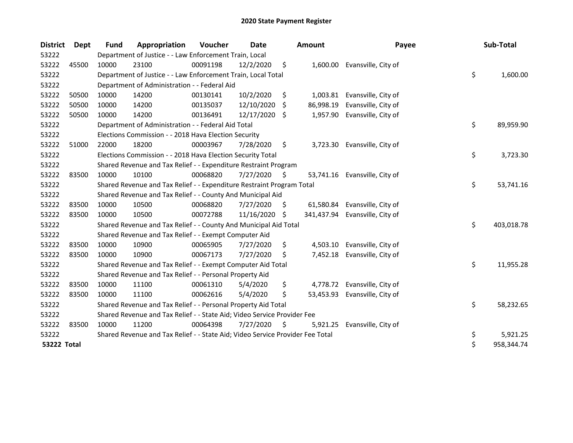| <b>District</b>    | Dept  | <b>Fund</b> | Appropriation                                                                 | Voucher  | Date       |     | <b>Amount</b> | Payee                        | Sub-Total        |
|--------------------|-------|-------------|-------------------------------------------------------------------------------|----------|------------|-----|---------------|------------------------------|------------------|
| 53222              |       |             | Department of Justice - - Law Enforcement Train, Local                        |          |            |     |               |                              |                  |
| 53222              | 45500 | 10000       | 23100                                                                         | 00091198 | 12/2/2020  | \$  |               | 1,600.00 Evansville, City of |                  |
| 53222              |       |             | Department of Justice - - Law Enforcement Train, Local Total                  |          |            |     |               |                              | \$<br>1,600.00   |
| 53222              |       |             | Department of Administration - - Federal Aid                                  |          |            |     |               |                              |                  |
| 53222              | 50500 | 10000       | 14200                                                                         | 00130141 | 10/2/2020  | \$  | 1,003.81      | Evansville, City of          |                  |
| 53222              | 50500 | 10000       | 14200                                                                         | 00135037 | 12/10/2020 | Ŝ.  | 86,998.19     | Evansville, City of          |                  |
| 53222              | 50500 | 10000       | 14200                                                                         | 00136491 | 12/17/2020 | -S  | 1,957.90      | Evansville, City of          |                  |
| 53222              |       |             | Department of Administration - - Federal Aid Total                            |          |            |     |               |                              | \$<br>89,959.90  |
| 53222              |       |             | Elections Commission - - 2018 Hava Election Security                          |          |            |     |               |                              |                  |
| 53222              | 51000 | 22000       | 18200                                                                         | 00003967 | 7/28/2020  | \$  | 3,723.30      | Evansville, City of          |                  |
| 53222              |       |             | Elections Commission - - 2018 Hava Election Security Total                    |          |            |     |               |                              | \$<br>3,723.30   |
| 53222              |       |             | Shared Revenue and Tax Relief - - Expenditure Restraint Program               |          |            |     |               |                              |                  |
| 53222              | 83500 | 10000       | 10100                                                                         | 00068820 | 7/27/2020  | \$  | 53,741.16     | Evansville, City of          |                  |
| 53222              |       |             | Shared Revenue and Tax Relief - - Expenditure Restraint Program Total         |          |            |     |               |                              | \$<br>53,741.16  |
| 53222              |       |             | Shared Revenue and Tax Relief - - County And Municipal Aid                    |          |            |     |               |                              |                  |
| 53222              | 83500 | 10000       | 10500                                                                         | 00068820 | 7/27/2020  | \$. | 61,580.84     | Evansville, City of          |                  |
| 53222              | 83500 | 10000       | 10500                                                                         | 00072788 | 11/16/2020 | -S  | 341,437.94    | Evansville, City of          |                  |
| 53222              |       |             | Shared Revenue and Tax Relief - - County And Municipal Aid Total              |          |            |     |               |                              | \$<br>403,018.78 |
| 53222              |       |             | Shared Revenue and Tax Relief - - Exempt Computer Aid                         |          |            |     |               |                              |                  |
| 53222              | 83500 | 10000       | 10900                                                                         | 00065905 | 7/27/2020  | \$  | 4,503.10      | Evansville, City of          |                  |
| 53222              | 83500 | 10000       | 10900                                                                         | 00067173 | 7/27/2020  | \$  | 7,452.18      | Evansville, City of          |                  |
| 53222              |       |             | Shared Revenue and Tax Relief - - Exempt Computer Aid Total                   |          |            |     |               |                              | \$<br>11,955.28  |
| 53222              |       |             | Shared Revenue and Tax Relief - - Personal Property Aid                       |          |            |     |               |                              |                  |
| 53222              | 83500 | 10000       | 11100                                                                         | 00061310 | 5/4/2020   | \$  | 4,778.72      | Evansville, City of          |                  |
| 53222              | 83500 | 10000       | 11100                                                                         | 00062616 | 5/4/2020   | \$  | 53,453.93     | Evansville, City of          |                  |
| 53222              |       |             | Shared Revenue and Tax Relief - - Personal Property Aid Total                 |          |            |     |               |                              | \$<br>58,232.65  |
| 53222              |       |             | Shared Revenue and Tax Relief - - State Aid; Video Service Provider Fee       |          |            |     |               |                              |                  |
| 53222              | 83500 | 10000       | 11200                                                                         | 00064398 | 7/27/2020  | \$  | 5,921.25      | Evansville, City of          |                  |
| 53222              |       |             | Shared Revenue and Tax Relief - - State Aid; Video Service Provider Fee Total |          |            |     |               |                              | \$<br>5,921.25   |
| <b>53222 Total</b> |       |             |                                                                               |          |            |     |               |                              | \$<br>958,344.74 |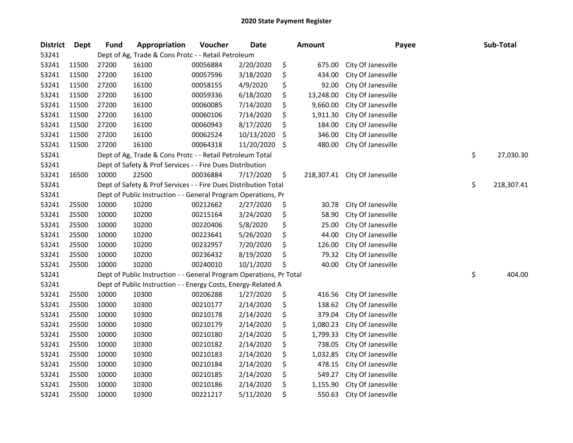| <b>District</b> | <b>Dept</b> | <b>Fund</b> | Appropriation                                                       | Voucher  | <b>Date</b> | <b>Amount</b>    | Payee              | Sub-Total        |
|-----------------|-------------|-------------|---------------------------------------------------------------------|----------|-------------|------------------|--------------------|------------------|
| 53241           |             |             | Dept of Ag, Trade & Cons Protc - - Retail Petroleum                 |          |             |                  |                    |                  |
| 53241           | 11500       | 27200       | 16100                                                               | 00056884 | 2/20/2020   | \$<br>675.00     | City Of Janesville |                  |
| 53241           | 11500       | 27200       | 16100                                                               | 00057596 | 3/18/2020   | \$<br>434.00     | City Of Janesville |                  |
| 53241           | 11500       | 27200       | 16100                                                               | 00058155 | 4/9/2020    | \$<br>92.00      | City Of Janesville |                  |
| 53241           | 11500       | 27200       | 16100                                                               | 00059336 | 6/18/2020   | \$<br>13,248.00  | City Of Janesville |                  |
| 53241           | 11500       | 27200       | 16100                                                               | 00060085 | 7/14/2020   | \$<br>9,660.00   | City Of Janesville |                  |
| 53241           | 11500       | 27200       | 16100                                                               | 00060106 | 7/14/2020   | \$<br>1,911.30   | City Of Janesville |                  |
| 53241           | 11500       | 27200       | 16100                                                               | 00060943 | 8/17/2020   | \$<br>184.00     | City Of Janesville |                  |
| 53241           | 11500       | 27200       | 16100                                                               | 00062524 | 10/13/2020  | \$<br>346.00     | City Of Janesville |                  |
| 53241           | 11500       | 27200       | 16100                                                               | 00064318 | 11/20/2020  | \$<br>480.00     | City Of Janesville |                  |
| 53241           |             |             | Dept of Ag, Trade & Cons Protc - - Retail Petroleum Total           |          |             |                  |                    | \$<br>27,030.30  |
| 53241           |             |             | Dept of Safety & Prof Services - - Fire Dues Distribution           |          |             |                  |                    |                  |
| 53241           | 16500       | 10000       | 22500                                                               | 00036884 | 7/17/2020   | \$<br>218,307.41 | City Of Janesville |                  |
| 53241           |             |             | Dept of Safety & Prof Services - - Fire Dues Distribution Total     |          |             |                  |                    | \$<br>218,307.41 |
| 53241           |             |             | Dept of Public Instruction - - General Program Operations, Pr       |          |             |                  |                    |                  |
| 53241           | 25500       | 10000       | 10200                                                               | 00212662 | 2/27/2020   | \$<br>30.78      | City Of Janesville |                  |
| 53241           | 25500       | 10000       | 10200                                                               | 00215164 | 3/24/2020   | \$<br>58.90      | City Of Janesville |                  |
| 53241           | 25500       | 10000       | 10200                                                               | 00220406 | 5/8/2020    | \$<br>25.00      | City Of Janesville |                  |
| 53241           | 25500       | 10000       | 10200                                                               | 00223641 | 5/26/2020   | \$<br>44.00      | City Of Janesville |                  |
| 53241           | 25500       | 10000       | 10200                                                               | 00232957 | 7/20/2020   | \$<br>126.00     | City Of Janesville |                  |
| 53241           | 25500       | 10000       | 10200                                                               | 00236432 | 8/19/2020   | \$<br>79.32      | City Of Janesville |                  |
| 53241           | 25500       | 10000       | 10200                                                               | 00240010 | 10/1/2020   | \$<br>40.00      | City Of Janesville |                  |
| 53241           |             |             | Dept of Public Instruction - - General Program Operations, Pr Total |          |             |                  |                    | \$<br>404.00     |
| 53241           |             |             | Dept of Public Instruction - - Energy Costs, Energy-Related A       |          |             |                  |                    |                  |
| 53241           | 25500       | 10000       | 10300                                                               | 00206288 | 1/27/2020   | \$<br>416.56     | City Of Janesville |                  |
| 53241           | 25500       | 10000       | 10300                                                               | 00210177 | 2/14/2020   | \$<br>138.62     | City Of Janesville |                  |
| 53241           | 25500       | 10000       | 10300                                                               | 00210178 | 2/14/2020   | \$<br>379.04     | City Of Janesville |                  |
| 53241           | 25500       | 10000       | 10300                                                               | 00210179 | 2/14/2020   | \$<br>1,080.23   | City Of Janesville |                  |
| 53241           | 25500       | 10000       | 10300                                                               | 00210180 | 2/14/2020   | \$<br>1,799.33   | City Of Janesville |                  |
| 53241           | 25500       | 10000       | 10300                                                               | 00210182 | 2/14/2020   | \$<br>738.05     | City Of Janesville |                  |
| 53241           | 25500       | 10000       | 10300                                                               | 00210183 | 2/14/2020   | \$<br>1,032.85   | City Of Janesville |                  |
| 53241           | 25500       | 10000       | 10300                                                               | 00210184 | 2/14/2020   | \$<br>478.15     | City Of Janesville |                  |
| 53241           | 25500       | 10000       | 10300                                                               | 00210185 | 2/14/2020   | \$<br>549.27     | City Of Janesville |                  |
| 53241           | 25500       | 10000       | 10300                                                               | 00210186 | 2/14/2020   | \$<br>1,155.90   | City Of Janesville |                  |
| 53241           | 25500       | 10000       | 10300                                                               | 00221217 | 5/11/2020   | \$<br>550.63     | City Of Janesville |                  |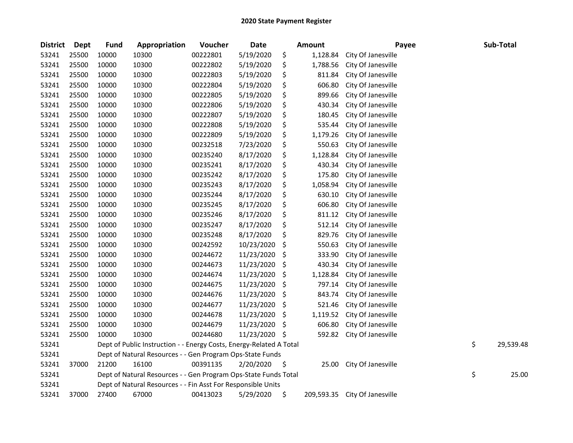| <b>District</b> | <b>Dept</b> | <b>Fund</b> | Appropriation                                                       | Voucher  | <b>Date</b> |     | <b>Amount</b> | Payee              | Sub-Total       |       |
|-----------------|-------------|-------------|---------------------------------------------------------------------|----------|-------------|-----|---------------|--------------------|-----------------|-------|
| 53241           | 25500       | 10000       | 10300                                                               | 00222801 | 5/19/2020   | \$  | 1,128.84      | City Of Janesville |                 |       |
| 53241           | 25500       | 10000       | 10300                                                               | 00222802 | 5/19/2020   | \$  | 1,788.56      | City Of Janesville |                 |       |
| 53241           | 25500       | 10000       | 10300                                                               | 00222803 | 5/19/2020   | \$  | 811.84        | City Of Janesville |                 |       |
| 53241           | 25500       | 10000       | 10300                                                               | 00222804 | 5/19/2020   | \$  | 606.80        | City Of Janesville |                 |       |
| 53241           | 25500       | 10000       | 10300                                                               | 00222805 | 5/19/2020   | \$  | 899.66        | City Of Janesville |                 |       |
| 53241           | 25500       | 10000       | 10300                                                               | 00222806 | 5/19/2020   | \$  | 430.34        | City Of Janesville |                 |       |
| 53241           | 25500       | 10000       | 10300                                                               | 00222807 | 5/19/2020   | \$  | 180.45        | City Of Janesville |                 |       |
| 53241           | 25500       | 10000       | 10300                                                               | 00222808 | 5/19/2020   | \$  | 535.44        | City Of Janesville |                 |       |
| 53241           | 25500       | 10000       | 10300                                                               | 00222809 | 5/19/2020   | \$  | 1,179.26      | City Of Janesville |                 |       |
| 53241           | 25500       | 10000       | 10300                                                               | 00232518 | 7/23/2020   | \$  | 550.63        | City Of Janesville |                 |       |
| 53241           | 25500       | 10000       | 10300                                                               | 00235240 | 8/17/2020   | \$  | 1,128.84      | City Of Janesville |                 |       |
| 53241           | 25500       | 10000       | 10300                                                               | 00235241 | 8/17/2020   | \$  | 430.34        | City Of Janesville |                 |       |
| 53241           | 25500       | 10000       | 10300                                                               | 00235242 | 8/17/2020   | \$  | 175.80        | City Of Janesville |                 |       |
| 53241           | 25500       | 10000       | 10300                                                               | 00235243 | 8/17/2020   | \$  | 1,058.94      | City Of Janesville |                 |       |
| 53241           | 25500       | 10000       | 10300                                                               | 00235244 | 8/17/2020   | \$  | 630.10        | City Of Janesville |                 |       |
| 53241           | 25500       | 10000       | 10300                                                               | 00235245 | 8/17/2020   | \$  | 606.80        | City Of Janesville |                 |       |
| 53241           | 25500       | 10000       | 10300                                                               | 00235246 | 8/17/2020   | \$  | 811.12        | City Of Janesville |                 |       |
| 53241           | 25500       | 10000       | 10300                                                               | 00235247 | 8/17/2020   | \$  | 512.14        | City Of Janesville |                 |       |
| 53241           | 25500       | 10000       | 10300                                                               | 00235248 | 8/17/2020   | \$  | 829.76        | City Of Janesville |                 |       |
| 53241           | 25500       | 10000       | 10300                                                               | 00242592 | 10/23/2020  | \$  | 550.63        | City Of Janesville |                 |       |
| 53241           | 25500       | 10000       | 10300                                                               | 00244672 | 11/23/2020  | \$  | 333.90        | City Of Janesville |                 |       |
| 53241           | 25500       | 10000       | 10300                                                               | 00244673 | 11/23/2020  | \$  | 430.34        | City Of Janesville |                 |       |
| 53241           | 25500       | 10000       | 10300                                                               | 00244674 | 11/23/2020  | \$  | 1,128.84      | City Of Janesville |                 |       |
| 53241           | 25500       | 10000       | 10300                                                               | 00244675 | 11/23/2020  | \$  | 797.14        | City Of Janesville |                 |       |
| 53241           | 25500       | 10000       | 10300                                                               | 00244676 | 11/23/2020  | \$  | 843.74        | City Of Janesville |                 |       |
| 53241           | 25500       | 10000       | 10300                                                               | 00244677 | 11/23/2020  | \$  | 521.46        | City Of Janesville |                 |       |
| 53241           | 25500       | 10000       | 10300                                                               | 00244678 | 11/23/2020  | \$  | 1,119.52      | City Of Janesville |                 |       |
| 53241           | 25500       | 10000       | 10300                                                               | 00244679 | 11/23/2020  | \$  | 606.80        | City Of Janesville |                 |       |
| 53241           | 25500       | 10000       | 10300                                                               | 00244680 | 11/23/2020  | \$, | 592.82        | City Of Janesville |                 |       |
| 53241           |             |             | Dept of Public Instruction - - Energy Costs, Energy-Related A Total |          |             |     |               |                    | \$<br>29,539.48 |       |
| 53241           |             |             | Dept of Natural Resources - - Gen Program Ops-State Funds           |          |             |     |               |                    |                 |       |
| 53241           | 37000       | 21200       | 16100                                                               | 00391135 | 2/20/2020   | \$  | 25.00         | City Of Janesville |                 |       |
| 53241           |             |             | Dept of Natural Resources - - Gen Program Ops-State Funds Total     |          |             |     |               |                    | \$              | 25.00 |
| 53241           |             |             | Dept of Natural Resources - - Fin Asst For Responsible Units        |          |             |     |               |                    |                 |       |
| 53241           | 37000       | 27400       | 67000                                                               | 00413023 | 5/29/2020   | \$  | 209,593.35    | City Of Janesville |                 |       |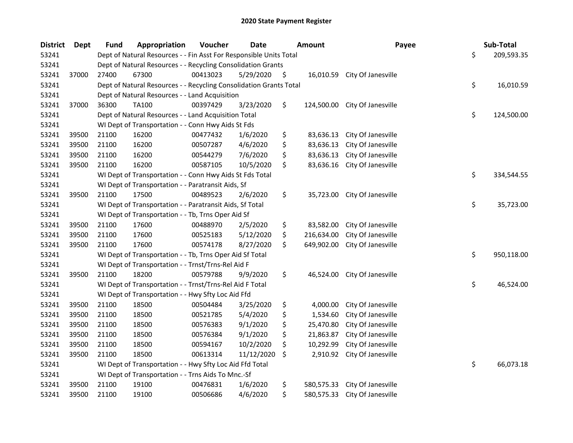| <b>District</b> | <b>Dept</b> | <b>Fund</b> | Appropriation                                                      | Voucher  | <b>Date</b> | <b>Amount</b>    | Payee              | Sub-Total        |
|-----------------|-------------|-------------|--------------------------------------------------------------------|----------|-------------|------------------|--------------------|------------------|
| 53241           |             |             | Dept of Natural Resources - - Fin Asst For Responsible Units Total |          |             |                  |                    | \$<br>209,593.35 |
| 53241           |             |             | Dept of Natural Resources - - Recycling Consolidation Grants       |          |             |                  |                    |                  |
| 53241           | 37000       | 27400       | 67300                                                              | 00413023 | 5/29/2020   | \$<br>16,010.59  | City Of Janesville |                  |
| 53241           |             |             | Dept of Natural Resources - - Recycling Consolidation Grants Total |          |             |                  |                    | \$<br>16,010.59  |
| 53241           |             |             | Dept of Natural Resources - - Land Acquisition                     |          |             |                  |                    |                  |
| 53241           | 37000       | 36300       | <b>TA100</b>                                                       | 00397429 | 3/23/2020   | \$<br>124,500.00 | City Of Janesville |                  |
| 53241           |             |             | Dept of Natural Resources - - Land Acquisition Total               |          |             |                  |                    | \$<br>124,500.00 |
| 53241           |             |             | WI Dept of Transportation - - Conn Hwy Aids St Fds                 |          |             |                  |                    |                  |
| 53241           | 39500       | 21100       | 16200                                                              | 00477432 | 1/6/2020    | \$<br>83,636.13  | City Of Janesville |                  |
| 53241           | 39500       | 21100       | 16200                                                              | 00507287 | 4/6/2020    | \$<br>83,636.13  | City Of Janesville |                  |
| 53241           | 39500       | 21100       | 16200                                                              | 00544279 | 7/6/2020    | \$<br>83,636.13  | City Of Janesville |                  |
| 53241           | 39500       | 21100       | 16200                                                              | 00587105 | 10/5/2020   | \$<br>83,636.16  | City Of Janesville |                  |
| 53241           |             |             | WI Dept of Transportation - - Conn Hwy Aids St Fds Total           |          |             |                  |                    | \$<br>334,544.55 |
| 53241           |             |             | WI Dept of Transportation - - Paratransit Aids, Sf                 |          |             |                  |                    |                  |
| 53241           | 39500       | 21100       | 17500                                                              | 00489523 | 2/6/2020    | \$<br>35,723.00  | City Of Janesville |                  |
| 53241           |             |             | WI Dept of Transportation - - Paratransit Aids, Sf Total           |          |             |                  |                    | \$<br>35,723.00  |
| 53241           |             |             | WI Dept of Transportation - - Tb, Trns Oper Aid Sf                 |          |             |                  |                    |                  |
| 53241           | 39500       | 21100       | 17600                                                              | 00488970 | 2/5/2020    | \$<br>83,582.00  | City Of Janesville |                  |
| 53241           | 39500       | 21100       | 17600                                                              | 00525183 | 5/12/2020   | \$<br>216,634.00 | City Of Janesville |                  |
| 53241           | 39500       | 21100       | 17600                                                              | 00574178 | 8/27/2020   | \$<br>649,902.00 | City Of Janesville |                  |
| 53241           |             |             | WI Dept of Transportation - - Tb, Trns Oper Aid Sf Total           |          |             |                  |                    | \$<br>950,118.00 |
| 53241           |             |             | WI Dept of Transportation - - Trnst/Trns-Rel Aid F                 |          |             |                  |                    |                  |
| 53241           | 39500       | 21100       | 18200                                                              | 00579788 | 9/9/2020    | \$<br>46,524.00  | City Of Janesville |                  |
| 53241           |             |             | WI Dept of Transportation - - Trnst/Trns-Rel Aid F Total           |          |             |                  |                    | \$<br>46,524.00  |
| 53241           |             |             | WI Dept of Transportation - - Hwy Sfty Loc Aid Ffd                 |          |             |                  |                    |                  |
| 53241           | 39500       | 21100       | 18500                                                              | 00504484 | 3/25/2020   | \$<br>4,000.00   | City Of Janesville |                  |
| 53241           | 39500       | 21100       | 18500                                                              | 00521785 | 5/4/2020    | \$<br>1,534.60   | City Of Janesville |                  |
| 53241           | 39500       | 21100       | 18500                                                              | 00576383 | 9/1/2020    | \$<br>25,470.80  | City Of Janesville |                  |
| 53241           | 39500       | 21100       | 18500                                                              | 00576384 | 9/1/2020    | \$<br>21,863.87  | City Of Janesville |                  |
| 53241           | 39500       | 21100       | 18500                                                              | 00594167 | 10/2/2020   | \$<br>10,292.99  | City Of Janesville |                  |
| 53241           | 39500       | 21100       | 18500                                                              | 00613314 | 11/12/2020  | \$<br>2,910.92   | City Of Janesville |                  |
| 53241           |             |             | WI Dept of Transportation - - Hwy Sfty Loc Aid Ffd Total           |          |             |                  |                    | \$<br>66,073.18  |
| 53241           |             |             | WI Dept of Transportation - - Trns Aids To Mnc.-Sf                 |          |             |                  |                    |                  |
| 53241           | 39500       | 21100       | 19100                                                              | 00476831 | 1/6/2020    | \$<br>580,575.33 | City Of Janesville |                  |
| 53241           | 39500       | 21100       | 19100                                                              | 00506686 | 4/6/2020    | \$<br>580,575.33 | City Of Janesville |                  |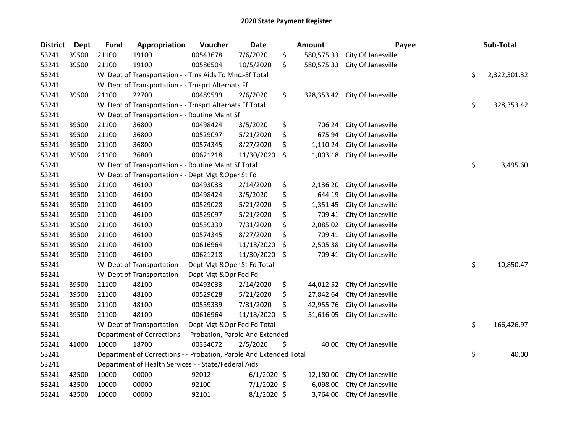| <b>District</b> | <b>Dept</b> | <b>Fund</b> | Appropriation                                                      | Voucher  | <b>Date</b>   | <b>Amount</b>    | Payee              | Sub-Total          |
|-----------------|-------------|-------------|--------------------------------------------------------------------|----------|---------------|------------------|--------------------|--------------------|
| 53241           | 39500       | 21100       | 19100                                                              | 00543678 | 7/6/2020      | \$<br>580,575.33 | City Of Janesville |                    |
| 53241           | 39500       | 21100       | 19100                                                              | 00586504 | 10/5/2020     | \$<br>580,575.33 | City Of Janesville |                    |
| 53241           |             |             | WI Dept of Transportation - - Trns Aids To Mnc.-Sf Total           |          |               |                  |                    | \$<br>2,322,301.32 |
| 53241           |             |             | WI Dept of Transportation - - Trnsprt Alternats Ff                 |          |               |                  |                    |                    |
| 53241           | 39500       | 21100       | 22700                                                              | 00489599 | 2/6/2020      | \$<br>328,353.42 | City Of Janesville |                    |
| 53241           |             |             | WI Dept of Transportation - - Trnsprt Alternats Ff Total           |          |               |                  |                    | \$<br>328,353.42   |
| 53241           |             |             | WI Dept of Transportation - - Routine Maint Sf                     |          |               |                  |                    |                    |
| 53241           | 39500       | 21100       | 36800                                                              | 00498424 | 3/5/2020      | \$<br>706.24     | City Of Janesville |                    |
| 53241           | 39500       | 21100       | 36800                                                              | 00529097 | 5/21/2020     | \$<br>675.94     | City Of Janesville |                    |
| 53241           | 39500       | 21100       | 36800                                                              | 00574345 | 8/27/2020     | \$<br>1,110.24   | City Of Janesville |                    |
| 53241           | 39500       | 21100       | 36800                                                              | 00621218 | 11/30/2020    | \$<br>1,003.18   | City Of Janesville |                    |
| 53241           |             |             | WI Dept of Transportation - - Routine Maint Sf Total               |          |               |                  |                    | \$<br>3,495.60     |
| 53241           |             |             | WI Dept of Transportation - - Dept Mgt & Oper St Fd                |          |               |                  |                    |                    |
| 53241           | 39500       | 21100       | 46100                                                              | 00493033 | 2/14/2020     | \$<br>2,136.20   | City Of Janesville |                    |
| 53241           | 39500       | 21100       | 46100                                                              | 00498424 | 3/5/2020      | \$<br>644.19     | City Of Janesville |                    |
| 53241           | 39500       | 21100       | 46100                                                              | 00529028 | 5/21/2020     | \$<br>1,351.45   | City Of Janesville |                    |
| 53241           | 39500       | 21100       | 46100                                                              | 00529097 | 5/21/2020     | \$<br>709.41     | City Of Janesville |                    |
| 53241           | 39500       | 21100       | 46100                                                              | 00559339 | 7/31/2020     | \$<br>2,085.02   | City Of Janesville |                    |
| 53241           | 39500       | 21100       | 46100                                                              | 00574345 | 8/27/2020     | \$<br>709.41     | City Of Janesville |                    |
| 53241           | 39500       | 21100       | 46100                                                              | 00616964 | 11/18/2020    | \$<br>2,505.38   | City Of Janesville |                    |
| 53241           | 39500       | 21100       | 46100                                                              | 00621218 | 11/30/2020    | \$<br>709.41     | City Of Janesville |                    |
| 53241           |             |             | WI Dept of Transportation - - Dept Mgt & Oper St Fd Total          |          |               |                  |                    | \$<br>10,850.47    |
| 53241           |             |             | WI Dept of Transportation - - Dept Mgt & Opr Fed Fd                |          |               |                  |                    |                    |
| 53241           | 39500       | 21100       | 48100                                                              | 00493033 | 2/14/2020     | \$<br>44,012.52  | City Of Janesville |                    |
| 53241           | 39500       | 21100       | 48100                                                              | 00529028 | 5/21/2020     | \$<br>27,842.64  | City Of Janesville |                    |
| 53241           | 39500       | 21100       | 48100                                                              | 00559339 | 7/31/2020     | \$<br>42,955.76  | City Of Janesville |                    |
| 53241           | 39500       | 21100       | 48100                                                              | 00616964 | 11/18/2020    | \$<br>51,616.05  | City Of Janesville |                    |
| 53241           |             |             | WI Dept of Transportation - - Dept Mgt & Opr Fed Fd Total          |          |               |                  |                    | \$<br>166,426.97   |
| 53241           |             |             | Department of Corrections - - Probation, Parole And Extended       |          |               |                  |                    |                    |
| 53241           | 41000       | 10000       | 18700                                                              | 00334072 | 2/5/2020      | \$<br>40.00      | City Of Janesville |                    |
| 53241           |             |             | Department of Corrections - - Probation, Parole And Extended Total |          |               |                  |                    | \$<br>40.00        |
| 53241           |             |             | Department of Health Services - - State/Federal Aids               |          |               |                  |                    |                    |
| 53241           | 43500       | 10000       | 00000                                                              | 92012    | $6/1/2020$ \$ | 12,180.00        | City Of Janesville |                    |
| 53241           | 43500       | 10000       | 00000                                                              | 92100    | 7/1/2020 \$   | 6,098.00         | City Of Janesville |                    |
| 53241           | 43500       | 10000       | 00000                                                              | 92101    | 8/1/2020 \$   | 3,764.00         | City Of Janesville |                    |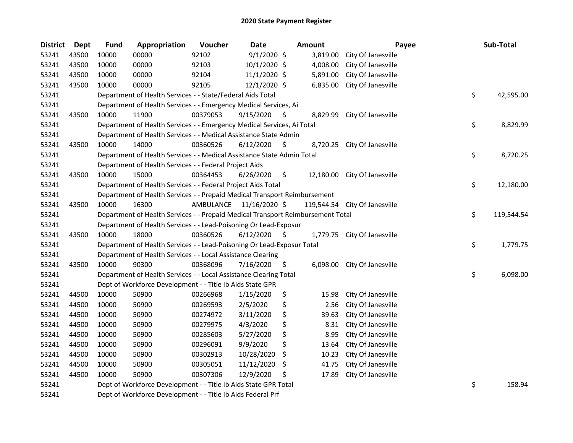| <b>District</b> | Dept  | <b>Fund</b> | Appropriation                                                                   | Voucher   | <b>Date</b>    | <b>Amount</b> |          | Payee                         | Sub-Total        |
|-----------------|-------|-------------|---------------------------------------------------------------------------------|-----------|----------------|---------------|----------|-------------------------------|------------------|
| 53241           | 43500 | 10000       | 00000                                                                           | 92102     | $9/1/2020$ \$  |               | 3,819.00 | City Of Janesville            |                  |
| 53241           | 43500 | 10000       | 00000                                                                           | 92103     | 10/1/2020 \$   |               | 4,008.00 | City Of Janesville            |                  |
| 53241           | 43500 | 10000       | 00000                                                                           | 92104     | $11/1/2020$ \$ |               | 5,891.00 | City Of Janesville            |                  |
| 53241           | 43500 | 10000       | 00000                                                                           | 92105     | 12/1/2020 \$   |               | 6,835.00 | City Of Janesville            |                  |
| 53241           |       |             | Department of Health Services - - State/Federal Aids Total                      |           |                |               |          |                               | \$<br>42,595.00  |
| 53241           |       |             | Department of Health Services - - Emergency Medical Services, Ai                |           |                |               |          |                               |                  |
| 53241           | 43500 | 10000       | 11900                                                                           | 00379053  | 9/15/2020      | \$.           | 8,829.99 | City Of Janesville            |                  |
| 53241           |       |             | Department of Health Services - - Emergency Medical Services, Ai Total          |           |                |               |          |                               | \$<br>8,829.99   |
| 53241           |       |             | Department of Health Services - - Medical Assistance State Admin                |           |                |               |          |                               |                  |
| 53241           | 43500 | 10000       | 14000                                                                           | 00360526  | 6/12/2020      | \$.           | 8,720.25 | City Of Janesville            |                  |
| 53241           |       |             | Department of Health Services - - Medical Assistance State Admin Total          |           |                |               |          |                               | \$<br>8,720.25   |
| 53241           |       |             | Department of Health Services - - Federal Project Aids                          |           |                |               |          |                               |                  |
| 53241           | 43500 | 10000       | 15000                                                                           | 00364453  | 6/26/2020      | \$            |          | 12,180.00 City Of Janesville  |                  |
| 53241           |       |             | Department of Health Services - - Federal Project Aids Total                    |           |                |               |          |                               | \$<br>12,180.00  |
| 53241           |       |             | Department of Health Services - - Prepaid Medical Transport Reimbursement       |           |                |               |          |                               |                  |
| 53241           | 43500 | 10000       | 16300                                                                           | AMBULANCE | 11/16/2020 \$  |               |          | 119,544.54 City Of Janesville |                  |
| 53241           |       |             | Department of Health Services - - Prepaid Medical Transport Reimbursement Total |           |                |               |          |                               | \$<br>119,544.54 |
| 53241           |       |             | Department of Health Services - - Lead-Poisoning Or Lead-Exposur                |           |                |               |          |                               |                  |
| 53241           | 43500 | 10000       | 18000                                                                           | 00360526  | 6/12/2020      | \$            |          | 1,779.75 City Of Janesville   |                  |
| 53241           |       |             | Department of Health Services - - Lead-Poisoning Or Lead-Exposur Total          |           |                |               |          |                               | \$<br>1,779.75   |
| 53241           |       |             | Department of Health Services - - Local Assistance Clearing                     |           |                |               |          |                               |                  |
| 53241           | 43500 | 10000       | 90300                                                                           | 00368096  | 7/16/2020      | \$            | 6,098.00 | City Of Janesville            |                  |
| 53241           |       |             | Department of Health Services - - Local Assistance Clearing Total               |           |                |               |          |                               | \$<br>6,098.00   |
| 53241           |       |             | Dept of Workforce Development - - Title Ib Aids State GPR                       |           |                |               |          |                               |                  |
| 53241           | 44500 | 10000       | 50900                                                                           | 00266968  | 1/15/2020      | \$            | 15.98    | City Of Janesville            |                  |
| 53241           | 44500 | 10000       | 50900                                                                           | 00269593  | 2/5/2020       | \$            | 2.56     | City Of Janesville            |                  |
| 53241           | 44500 | 10000       | 50900                                                                           | 00274972  | 3/11/2020      | \$            | 39.63    | City Of Janesville            |                  |
| 53241           | 44500 | 10000       | 50900                                                                           | 00279975  | 4/3/2020       | \$            | 8.31     | City Of Janesville            |                  |
| 53241           | 44500 | 10000       | 50900                                                                           | 00285603  | 5/27/2020      | \$            | 8.95     | City Of Janesville            |                  |
| 53241           | 44500 | 10000       | 50900                                                                           | 00296091  | 9/9/2020       | \$            | 13.64    | City Of Janesville            |                  |
| 53241           | 44500 | 10000       | 50900                                                                           | 00302913  | 10/28/2020     | \$            | 10.23    | City Of Janesville            |                  |
| 53241           | 44500 | 10000       | 50900                                                                           | 00305051  | 11/12/2020     | \$.           | 41.75    | City Of Janesville            |                  |
| 53241           | 44500 | 10000       | 50900                                                                           | 00307306  | 12/9/2020      | \$            | 17.89    | City Of Janesville            |                  |
| 53241           |       |             | Dept of Workforce Development - - Title Ib Aids State GPR Total                 |           |                |               |          |                               | \$<br>158.94     |
| 53241           |       |             | Dept of Workforce Development - - Title Ib Aids Federal Prf                     |           |                |               |          |                               |                  |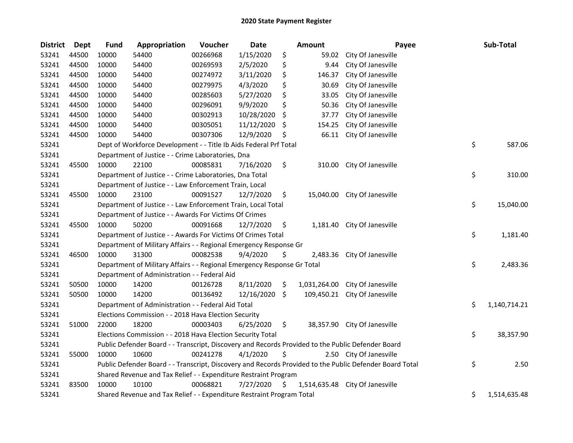| <b>District</b> | <b>Dept</b> | <b>Fund</b> | Appropriation                                                                                     | Voucher  | <b>Date</b> |    | Amount       | Payee                                                                                                   | Sub-Total          |
|-----------------|-------------|-------------|---------------------------------------------------------------------------------------------------|----------|-------------|----|--------------|---------------------------------------------------------------------------------------------------------|--------------------|
| 53241           | 44500       | 10000       | 54400                                                                                             | 00266968 | 1/15/2020   | \$ | 59.02        | City Of Janesville                                                                                      |                    |
| 53241           | 44500       | 10000       | 54400                                                                                             | 00269593 | 2/5/2020    | \$ | 9.44         | City Of Janesville                                                                                      |                    |
| 53241           | 44500       | 10000       | 54400                                                                                             | 00274972 | 3/11/2020   | \$ | 146.37       | City Of Janesville                                                                                      |                    |
| 53241           | 44500       | 10000       | 54400                                                                                             | 00279975 | 4/3/2020    | \$ | 30.69        | City Of Janesville                                                                                      |                    |
| 53241           | 44500       | 10000       | 54400                                                                                             | 00285603 | 5/27/2020   | \$ | 33.05        | City Of Janesville                                                                                      |                    |
| 53241           | 44500       | 10000       | 54400                                                                                             | 00296091 | 9/9/2020    | \$ | 50.36        | City Of Janesville                                                                                      |                    |
| 53241           | 44500       | 10000       | 54400                                                                                             | 00302913 | 10/28/2020  | \$ | 37.77        | City Of Janesville                                                                                      |                    |
| 53241           | 44500       | 10000       | 54400                                                                                             | 00305051 | 11/12/2020  | \$ | 154.25       | City Of Janesville                                                                                      |                    |
| 53241           | 44500       | 10000       | 54400                                                                                             | 00307306 | 12/9/2020   | Ş  | 66.11        | City Of Janesville                                                                                      |                    |
| 53241           |             |             | Dept of Workforce Development - - Title Ib Aids Federal Prf Total                                 |          |             |    |              |                                                                                                         | \$<br>587.06       |
| 53241           |             |             | Department of Justice - - Crime Laboratories, Dna                                                 |          |             |    |              |                                                                                                         |                    |
| 53241           | 45500       | 10000       | 22100                                                                                             | 00085831 | 7/16/2020   | \$ | 310.00       | City Of Janesville                                                                                      |                    |
| 53241           |             |             | Department of Justice - - Crime Laboratories, Dna Total                                           |          |             |    |              |                                                                                                         | \$<br>310.00       |
| 53241           |             |             | Department of Justice - - Law Enforcement Train, Local                                            |          |             |    |              |                                                                                                         |                    |
| 53241           | 45500       | 10000       | 23100                                                                                             | 00091527 | 12/7/2020   | \$ |              | 15,040.00 City Of Janesville                                                                            |                    |
| 53241           |             |             | Department of Justice - - Law Enforcement Train, Local Total                                      |          |             |    |              |                                                                                                         | \$<br>15,040.00    |
| 53241           |             |             | Department of Justice - - Awards For Victims Of Crimes                                            |          |             |    |              |                                                                                                         |                    |
| 53241           | 45500       | 10000       | 50200                                                                                             | 00091668 | 12/7/2020   | \$ | 1,181.40     | City Of Janesville                                                                                      |                    |
| 53241           |             |             | Department of Justice - - Awards For Victims Of Crimes Total                                      |          |             |    |              |                                                                                                         | \$<br>1,181.40     |
| 53241           |             |             | Department of Military Affairs - - Regional Emergency Response Gr                                 |          |             |    |              |                                                                                                         |                    |
| 53241           | 46500       | 10000       | 31300                                                                                             | 00082538 | 9/4/2020    | \$ | 2,483.36     | City Of Janesville                                                                                      |                    |
| 53241           |             |             | Department of Military Affairs - - Regional Emergency Response Gr Total                           |          |             |    |              |                                                                                                         | \$<br>2,483.36     |
| 53241           |             |             | Department of Administration - - Federal Aid                                                      |          |             |    |              |                                                                                                         |                    |
| 53241           | 50500       | 10000       | 14200                                                                                             | 00126728 | 8/11/2020   | \$ | 1,031,264.00 | City Of Janesville                                                                                      |                    |
| 53241           | 50500       | 10000       | 14200                                                                                             | 00136492 | 12/16/2020  | \$ | 109,450.21   | City Of Janesville                                                                                      |                    |
| 53241           |             |             | Department of Administration - - Federal Aid Total                                                |          |             |    |              |                                                                                                         | \$<br>1,140,714.21 |
| 53241           |             |             | Elections Commission - - 2018 Hava Election Security                                              |          |             |    |              |                                                                                                         |                    |
| 53241           | 51000       | 22000       | 18200                                                                                             | 00003403 | 6/25/2020   | \$ |              | 38,357.90 City Of Janesville                                                                            |                    |
| 53241           |             |             | Elections Commission - - 2018 Hava Election Security Total                                        |          |             |    |              |                                                                                                         | \$<br>38,357.90    |
| 53241           |             |             | Public Defender Board - - Transcript, Discovery and Records Provided to the Public Defender Board |          |             |    |              |                                                                                                         |                    |
| 53241           | 55000       | 10000       | 10600                                                                                             | 00241278 | 4/1/2020    | \$ |              | 2.50 City Of Janesville                                                                                 |                    |
| 53241           |             |             |                                                                                                   |          |             |    |              | Public Defender Board - - Transcript, Discovery and Records Provided to the Public Defender Board Total | \$<br>2.50         |
| 53241           |             |             | Shared Revenue and Tax Relief - - Expenditure Restraint Program                                   |          |             |    |              |                                                                                                         |                    |
| 53241           | 83500       | 10000       | 10100                                                                                             | 00068821 | 7/27/2020   | \$ |              | 1,514,635.48 City Of Janesville                                                                         |                    |
| 53241           |             |             | Shared Revenue and Tax Relief - - Expenditure Restraint Program Total                             |          |             |    |              |                                                                                                         | \$<br>1,514,635.48 |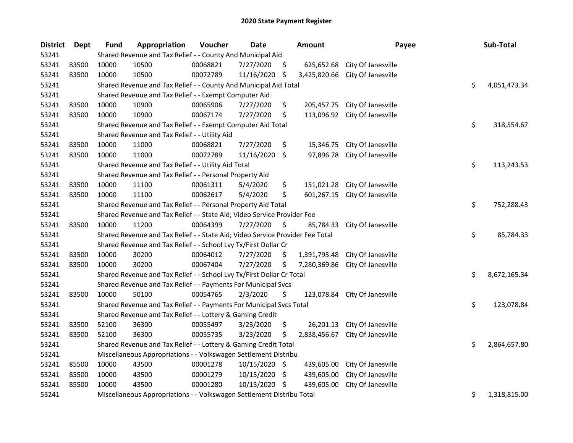| <b>District</b> | <b>Dept</b> | Fund  | Appropriation                                                                 | Voucher  | <b>Date</b>   |     | <b>Amount</b> | Payee              | Sub-Total          |
|-----------------|-------------|-------|-------------------------------------------------------------------------------|----------|---------------|-----|---------------|--------------------|--------------------|
| 53241           |             |       | Shared Revenue and Tax Relief - - County And Municipal Aid                    |          |               |     |               |                    |                    |
| 53241           | 83500       | 10000 | 10500                                                                         | 00068821 | 7/27/2020     | \$  | 625,652.68    | City Of Janesville |                    |
| 53241           | 83500       | 10000 | 10500                                                                         | 00072789 | 11/16/2020    | Ŝ.  | 3,425,820.66  | City Of Janesville |                    |
| 53241           |             |       | Shared Revenue and Tax Relief - - County And Municipal Aid Total              |          |               |     |               |                    | \$<br>4,051,473.34 |
| 53241           |             |       | Shared Revenue and Tax Relief - - Exempt Computer Aid                         |          |               |     |               |                    |                    |
| 53241           | 83500       | 10000 | 10900                                                                         | 00065906 | 7/27/2020     | \$  | 205,457.75    | City Of Janesville |                    |
| 53241           | 83500       | 10000 | 10900                                                                         | 00067174 | 7/27/2020     | \$  | 113,096.92    | City Of Janesville |                    |
| 53241           |             |       | Shared Revenue and Tax Relief - - Exempt Computer Aid Total                   |          |               |     |               |                    | \$<br>318,554.67   |
| 53241           |             |       | Shared Revenue and Tax Relief - - Utility Aid                                 |          |               |     |               |                    |                    |
| 53241           | 83500       | 10000 | 11000                                                                         | 00068821 | 7/27/2020     | \$  | 15,346.75     | City Of Janesville |                    |
| 53241           | 83500       | 10000 | 11000                                                                         | 00072789 | 11/16/2020    | \$  | 97,896.78     | City Of Janesville |                    |
| 53241           |             |       | Shared Revenue and Tax Relief - - Utility Aid Total                           |          |               |     |               |                    | \$<br>113,243.53   |
| 53241           |             |       | Shared Revenue and Tax Relief - - Personal Property Aid                       |          |               |     |               |                    |                    |
| 53241           | 83500       | 10000 | 11100                                                                         | 00061311 | 5/4/2020      | \$  | 151,021.28    | City Of Janesville |                    |
| 53241           | 83500       | 10000 | 11100                                                                         | 00062617 | 5/4/2020      | \$  | 601,267.15    | City Of Janesville |                    |
| 53241           |             |       | Shared Revenue and Tax Relief - - Personal Property Aid Total                 |          |               |     |               |                    | \$<br>752,288.43   |
| 53241           |             |       | Shared Revenue and Tax Relief - - State Aid; Video Service Provider Fee       |          |               |     |               |                    |                    |
| 53241           | 83500       | 10000 | 11200                                                                         | 00064399 | 7/27/2020     | \$  | 85,784.33     | City Of Janesville |                    |
| 53241           |             |       | Shared Revenue and Tax Relief - - State Aid; Video Service Provider Fee Total |          |               |     |               |                    | \$<br>85,784.33    |
| 53241           |             |       | Shared Revenue and Tax Relief - - School Lvy Tx/First Dollar Cr               |          |               |     |               |                    |                    |
| 53241           | 83500       | 10000 | 30200                                                                         | 00064012 | 7/27/2020     | \$  | 1,391,795.48  | City Of Janesville |                    |
| 53241           | 83500       | 10000 | 30200                                                                         | 00067404 | 7/27/2020     | \$  | 7,280,369.86  | City Of Janesville |                    |
| 53241           |             |       | Shared Revenue and Tax Relief - - School Lvy Tx/First Dollar Cr Total         |          |               |     |               |                    | \$<br>8,672,165.34 |
| 53241           |             |       | Shared Revenue and Tax Relief - - Payments For Municipal Svcs                 |          |               |     |               |                    |                    |
| 53241           | 83500       | 10000 | 50100                                                                         | 00054765 | 2/3/2020      | \$  | 123,078.84    | City Of Janesville |                    |
| 53241           |             |       | Shared Revenue and Tax Relief - - Payments For Municipal Svcs Total           |          |               |     |               |                    | \$<br>123,078.84   |
| 53241           |             |       | Shared Revenue and Tax Relief - - Lottery & Gaming Credit                     |          |               |     |               |                    |                    |
| 53241           | 83500       | 52100 | 36300                                                                         | 00055497 | 3/23/2020     | \$  | 26,201.13     | City Of Janesville |                    |
| 53241           | 83500       | 52100 | 36300                                                                         | 00055735 | 3/23/2020     | \$  | 2,838,456.67  | City Of Janesville |                    |
| 53241           |             |       | Shared Revenue and Tax Relief - - Lottery & Gaming Credit Total               |          |               |     |               |                    | \$<br>2,864,657.80 |
| 53241           |             |       | Miscellaneous Appropriations - - Volkswagen Settlement Distribu               |          |               |     |               |                    |                    |
| 53241           | 85500       | 10000 | 43500                                                                         | 00001278 | 10/15/2020 \$ |     | 439,605.00    | City Of Janesville |                    |
| 53241           | 85500       | 10000 | 43500                                                                         | 00001279 | 10/15/2020    | -\$ | 439,605.00    | City Of Janesville |                    |
| 53241           | 85500       | 10000 | 43500                                                                         | 00001280 | 10/15/2020    | \$  | 439,605.00    | City Of Janesville |                    |
| 53241           |             |       | Miscellaneous Appropriations - - Volkswagen Settlement Distribu Total         |          |               |     |               |                    | \$<br>1,318,815.00 |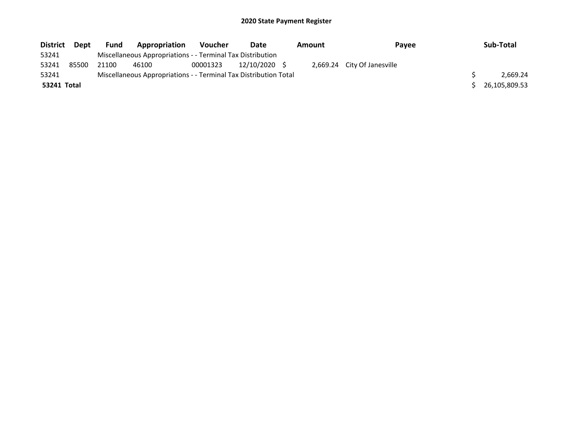| <b>District</b> | Dept  | <b>Fund</b> | <b>Appropriation</b>                                             | <b>Voucher</b> | Date          | Amount | Payee                       | Sub-Total     |
|-----------------|-------|-------------|------------------------------------------------------------------|----------------|---------------|--------|-----------------------------|---------------|
| 53241           |       |             | Miscellaneous Appropriations - - Terminal Tax Distribution       |                |               |        |                             |               |
| 53241           | 85500 | 21100       | 46100                                                            | 00001323       | 12/10/2020 \$ |        | 2,669.24 City Of Janesville |               |
| 53241           |       |             | Miscellaneous Appropriations - - Terminal Tax Distribution Total |                |               |        |                             | 2.669.24      |
| 53241 Total     |       |             |                                                                  |                |               |        |                             | 26,105,809.53 |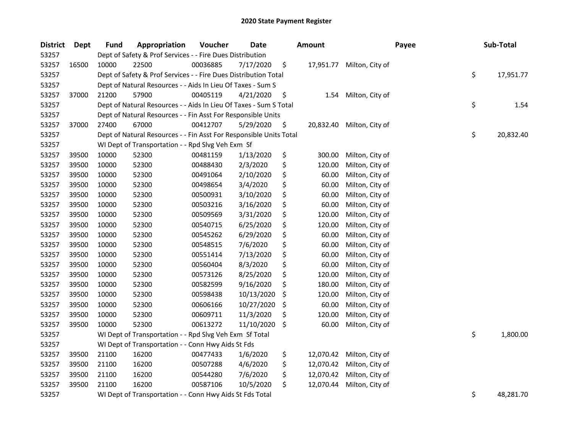| <b>District</b> | <b>Dept</b> | <b>Fund</b>                                                           | Appropriation                                                      | Voucher  | Date       |     | <b>Amount</b> |                 | Payee |    | Sub-Total |
|-----------------|-------------|-----------------------------------------------------------------------|--------------------------------------------------------------------|----------|------------|-----|---------------|-----------------|-------|----|-----------|
| 53257           |             |                                                                       | Dept of Safety & Prof Services - - Fire Dues Distribution          |          |            |     |               |                 |       |    |           |
| 53257           | 16500       | 10000                                                                 | 22500                                                              | 00036885 | 7/17/2020  | \$  | 17,951.77     | Milton, City of |       |    |           |
| 53257           |             | \$<br>Dept of Safety & Prof Services - - Fire Dues Distribution Total |                                                                    |          |            |     |               |                 |       |    | 17,951.77 |
| 53257           |             | Dept of Natural Resources - - Aids In Lieu Of Taxes - Sum S           |                                                                    |          |            |     |               |                 |       |    |           |
| 53257           | 37000       | 21200                                                                 | 57900                                                              | 00405119 | 4/21/2020  | \$  | 1.54          | Milton, City of |       |    |           |
| 53257           |             |                                                                       | Dept of Natural Resources - - Aids In Lieu Of Taxes - Sum S Total  |          |            |     |               |                 |       | \$ | 1.54      |
| 53257           |             |                                                                       | Dept of Natural Resources - - Fin Asst For Responsible Units       |          |            |     |               |                 |       |    |           |
| 53257           | 37000       | 27400                                                                 | 67000                                                              | 00412707 | 5/29/2020  | \$  | 20,832.40     | Milton, City of |       |    |           |
| 53257           |             |                                                                       | Dept of Natural Resources - - Fin Asst For Responsible Units Total |          |            |     |               |                 |       | \$ | 20,832.40 |
| 53257           |             |                                                                       | WI Dept of Transportation - - Rpd Slvg Veh Exm Sf                  |          |            |     |               |                 |       |    |           |
| 53257           | 39500       | 10000                                                                 | 52300                                                              | 00481159 | 1/13/2020  | \$  | 300.00        | Milton, City of |       |    |           |
| 53257           | 39500       | 10000                                                                 | 52300                                                              | 00488430 | 2/3/2020   | \$  | 120.00        | Milton, City of |       |    |           |
| 53257           | 39500       | 10000                                                                 | 52300                                                              | 00491064 | 2/10/2020  | \$  | 60.00         | Milton, City of |       |    |           |
| 53257           | 39500       | 10000                                                                 | 52300                                                              | 00498654 | 3/4/2020   | \$  | 60.00         | Milton, City of |       |    |           |
| 53257           | 39500       | 10000                                                                 | 52300                                                              | 00500931 | 3/10/2020  | \$  | 60.00         | Milton, City of |       |    |           |
| 53257           | 39500       | 10000                                                                 | 52300                                                              | 00503216 | 3/16/2020  | \$  | 60.00         | Milton, City of |       |    |           |
| 53257           | 39500       | 10000                                                                 | 52300                                                              | 00509569 | 3/31/2020  | \$  | 120.00        | Milton, City of |       |    |           |
| 53257           | 39500       | 10000                                                                 | 52300                                                              | 00540715 | 6/25/2020  | \$  | 120.00        | Milton, City of |       |    |           |
| 53257           | 39500       | 10000                                                                 | 52300                                                              | 00545262 | 6/29/2020  | \$  | 60.00         | Milton, City of |       |    |           |
| 53257           | 39500       | 10000                                                                 | 52300                                                              | 00548515 | 7/6/2020   | \$  | 60.00         | Milton, City of |       |    |           |
| 53257           | 39500       | 10000                                                                 | 52300                                                              | 00551414 | 7/13/2020  | \$  | 60.00         | Milton, City of |       |    |           |
| 53257           | 39500       | 10000                                                                 | 52300                                                              | 00560404 | 8/3/2020   | \$  | 60.00         | Milton, City of |       |    |           |
| 53257           | 39500       | 10000                                                                 | 52300                                                              | 00573126 | 8/25/2020  | \$  | 120.00        | Milton, City of |       |    |           |
| 53257           | 39500       | 10000                                                                 | 52300                                                              | 00582599 | 9/16/2020  | \$  | 180.00        | Milton, City of |       |    |           |
| 53257           | 39500       | 10000                                                                 | 52300                                                              | 00598438 | 10/13/2020 | \$  | 120.00        | Milton, City of |       |    |           |
| 53257           | 39500       | 10000                                                                 | 52300                                                              | 00606166 | 10/27/2020 | \$  | 60.00         | Milton, City of |       |    |           |
| 53257           | 39500       | 10000                                                                 | 52300                                                              | 00609711 | 11/3/2020  | \$, | 120.00        | Milton, City of |       |    |           |
| 53257           | 39500       | 10000                                                                 | 52300                                                              | 00613272 | 11/10/2020 | \$  | 60.00         | Milton, City of |       |    |           |
| 53257           |             |                                                                       | WI Dept of Transportation - - Rpd Slvg Veh Exm Sf Total            |          |            |     |               |                 |       | \$ | 1,800.00  |
| 53257           |             |                                                                       | WI Dept of Transportation - - Conn Hwy Aids St Fds                 |          |            |     |               |                 |       |    |           |
| 53257           | 39500       | 21100                                                                 | 16200                                                              | 00477433 | 1/6/2020   | \$  | 12,070.42     | Milton, City of |       |    |           |
| 53257           | 39500       | 21100                                                                 | 16200                                                              | 00507288 | 4/6/2020   | \$  | 12,070.42     | Milton, City of |       |    |           |
| 53257           | 39500       | 21100                                                                 | 16200                                                              | 00544280 | 7/6/2020   | \$  | 12,070.42     | Milton, City of |       |    |           |
| 53257           | 39500       | 21100                                                                 | 16200                                                              | 00587106 | 10/5/2020  | \$  | 12,070.44     | Milton, City of |       |    |           |
| 53257           |             |                                                                       | WI Dept of Transportation - - Conn Hwy Aids St Fds Total           |          |            |     |               |                 |       | \$ | 48,281.70 |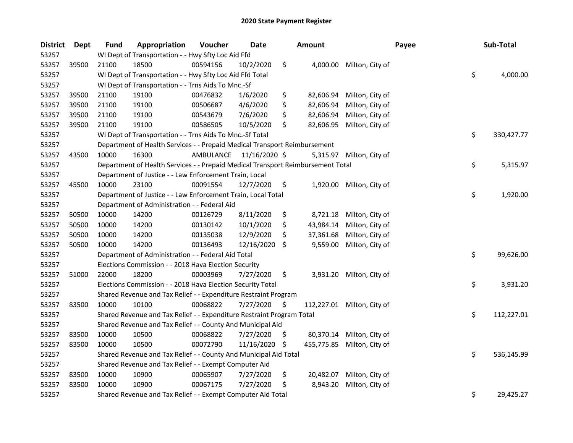| <b>District</b> | <b>Dept</b> | <b>Fund</b>                                                 | Appropriation                                                                   | Voucher   | Date          |     | <b>Amount</b> |                            | Payee |           | Sub-Total  |
|-----------------|-------------|-------------------------------------------------------------|---------------------------------------------------------------------------------|-----------|---------------|-----|---------------|----------------------------|-------|-----------|------------|
| 53257           |             | WI Dept of Transportation - - Hwy Sfty Loc Aid Ffd          |                                                                                 |           |               |     |               |                            |       |           |            |
| 53257           | 39500       | 21100                                                       | 18500                                                                           | 00594156  | 10/2/2020     | \$  | 4,000.00      | Milton, City of            |       |           |            |
| 53257           |             | WI Dept of Transportation - - Hwy Sfty Loc Aid Ffd Total    |                                                                                 |           |               |     |               |                            |       | \$        | 4,000.00   |
| 53257           |             | WI Dept of Transportation - - Trns Aids To Mnc.-Sf          |                                                                                 |           |               |     |               |                            |       |           |            |
| 53257           | 39500       | 21100                                                       | 19100                                                                           | 00476832  | 1/6/2020      | \$  | 82,606.94     | Milton, City of            |       |           |            |
| 53257           | 39500       | 21100                                                       | 19100                                                                           | 00506687  | 4/6/2020      | \$  | 82,606.94     | Milton, City of            |       |           |            |
| 53257           | 39500       | 21100                                                       | 19100                                                                           | 00543679  | 7/6/2020      | \$  | 82,606.94     | Milton, City of            |       |           |            |
| 53257           | 39500       | 21100                                                       | 19100                                                                           | 00586505  | 10/5/2020     | \$  | 82,606.95     | Milton, City of            |       |           |            |
| 53257           |             |                                                             | WI Dept of Transportation - - Trns Aids To Mnc.-Sf Total                        |           |               |     |               |                            |       | \$        | 330,427.77 |
| 53257           |             |                                                             | Department of Health Services - - Prepaid Medical Transport Reimbursement       |           |               |     |               |                            |       |           |            |
| 53257           | 43500       | 10000                                                       | 16300                                                                           | AMBULANCE | 11/16/2020 \$ |     |               | 5,315.97 Milton, City of   |       |           |            |
| 53257           |             |                                                             | Department of Health Services - - Prepaid Medical Transport Reimbursement Total |           |               |     |               |                            |       | \$        | 5,315.97   |
| 53257           |             |                                                             | Department of Justice - - Law Enforcement Train, Local                          |           |               |     |               |                            |       |           |            |
| 53257           | 45500       | 10000                                                       | 23100                                                                           | 00091554  | 12/7/2020     | \$  | 1,920.00      | Milton, City of            |       |           |            |
| 53257           |             |                                                             | Department of Justice - - Law Enforcement Train, Local Total                    |           |               |     |               |                            |       | \$        | 1,920.00   |
| 53257           |             |                                                             | Department of Administration - - Federal Aid                                    |           |               |     |               |                            |       |           |            |
| 53257           | 50500       | 10000                                                       | 14200                                                                           | 00126729  | 8/11/2020     | \$  | 8,721.18      | Milton, City of            |       |           |            |
| 53257           | 50500       | 10000                                                       | 14200                                                                           | 00130142  | 10/1/2020     | \$  | 43,984.14     | Milton, City of            |       |           |            |
| 53257           | 50500       | 10000                                                       | 14200                                                                           | 00135038  | 12/9/2020     | \$  | 37,361.68     | Milton, City of            |       |           |            |
| 53257           | 50500       | 10000                                                       | 14200                                                                           | 00136493  | 12/16/2020    | S   | 9,559.00      | Milton, City of            |       |           |            |
| 53257           |             |                                                             | Department of Administration - - Federal Aid Total                              |           |               |     |               |                            |       | \$        | 99,626.00  |
| 53257           |             |                                                             | Elections Commission - - 2018 Hava Election Security                            |           |               |     |               |                            |       |           |            |
| 53257           | 51000       | 22000                                                       | 18200                                                                           | 00003969  | 7/27/2020     | \$  |               | 3,931.20 Milton, City of   |       |           |            |
| 53257           |             |                                                             | Elections Commission - - 2018 Hava Election Security Total                      |           |               |     |               |                            |       | \$        | 3,931.20   |
| 53257           |             |                                                             | Shared Revenue and Tax Relief - - Expenditure Restraint Program                 |           |               |     |               |                            |       |           |            |
| 53257           | 83500       | 10000                                                       | 10100                                                                           | 00068822  | 7/27/2020     | \$  |               | 112,227.01 Milton, City of |       |           |            |
| 53257           |             |                                                             | Shared Revenue and Tax Relief - - Expenditure Restraint Program Total           |           |               |     |               |                            |       | \$        | 112,227.01 |
| 53257           |             |                                                             | Shared Revenue and Tax Relief - - County And Municipal Aid                      |           |               |     |               |                            |       |           |            |
| 53257           | 83500       | 10000                                                       | 10500                                                                           | 00068822  | 7/27/2020     | \$. | 80,370.14     | Milton, City of            |       |           |            |
| 53257           | 83500       | 10000                                                       | 10500                                                                           | 00072790  | 11/16/2020    | \$  | 455,775.85    | Milton, City of            |       |           |            |
| 53257           |             |                                                             | Shared Revenue and Tax Relief - - County And Municipal Aid Total                |           |               |     |               |                            |       | \$        | 536,145.99 |
| 53257           |             | Shared Revenue and Tax Relief - - Exempt Computer Aid       |                                                                                 |           |               |     |               |                            |       |           |            |
| 53257           | 83500       | 10000                                                       | 10900                                                                           | 00065907  | 7/27/2020     | \$  | 20,482.07     | Milton, City of            |       |           |            |
| 53257           | 83500       | 10000                                                       | 10900                                                                           | 00067175  | 7/27/2020     | \$  | 8,943.20      | Milton, City of            |       |           |            |
| 53257           |             | Shared Revenue and Tax Relief - - Exempt Computer Aid Total |                                                                                 |           |               |     |               |                            | \$    | 29,425.27 |            |